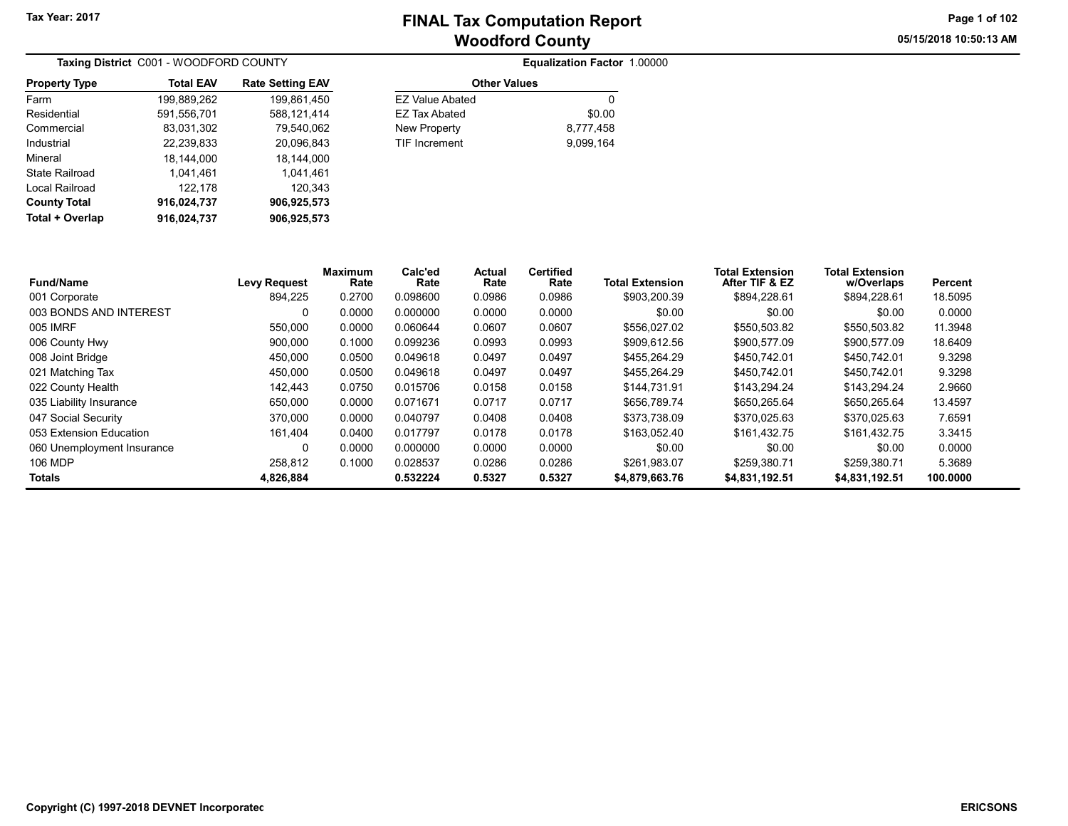Equalization Factor 1.00000

05/15/2018 10:50:13 AM Page 1 of 102

|                      | <b>Taxing District</b> C001 - WOODFORD COUNTY |                         |
|----------------------|-----------------------------------------------|-------------------------|
| <b>Property Type</b> | <b>Total EAV</b>                              | <b>Rate Setting EAV</b> |
| Farm                 | 199,889,262                                   | 199,861,450             |
| Residential          | 591,556,701                                   | 588,121,414             |
| Commercial           | 83,031,302                                    | 79,540,062              |
| Industrial           | 22,239,833                                    | 20.096.843              |
| Mineral              | 18.144.000                                    | 18.144.000              |
| State Railroad       | 1,041,461                                     | 1,041,461               |
| Local Railroad       | 122,178                                       | 120,343                 |
| <b>County Total</b>  | 916,024,737                                   | 906,925,573             |
| Total + Overlap      | 916.024.737                                   | 906,925,573             |

| \$0.00    |
|-----------|
| 8.777.458 |
| 9.099.164 |
|           |

| Fund/Name                  | <b>Levy Request</b> | <b>Maximum</b><br>Rate | Calc'ed<br>Rate | <b>Actual</b><br>Rate | <b>Certified</b><br>Rate | <b>Total Extension</b> | <b>Total Extension</b><br>After TIF & EZ | <b>Total Extension</b><br>w/Overlaps | Percent  |
|----------------------------|---------------------|------------------------|-----------------|-----------------------|--------------------------|------------------------|------------------------------------------|--------------------------------------|----------|
| 001 Corporate              | 894.225             | 0.2700                 | 0.098600        | 0.0986                | 0.0986                   | \$903.200.39           | \$894.228.61                             | \$894,228.61                         | 18.5095  |
| 003 BONDS AND INTEREST     | 0                   | 0.0000                 | 0.000000        | 0.0000                | 0.0000                   | \$0.00                 | \$0.00                                   | \$0.00                               | 0.0000   |
| 005 IMRF                   | 550.000             | 0.0000                 | 0.060644        | 0.0607                | 0.0607                   | \$556.027.02           | \$550.503.82                             | \$550,503.82                         | 11.3948  |
| 006 County Hwy             | 900.000             | 0.1000                 | 0.099236        | 0.0993                | 0.0993                   | \$909.612.56           | \$900.577.09                             | \$900,577.09                         | 18.6409  |
| 008 Joint Bridge           | 450,000             | 0.0500                 | 0.049618        | 0.0497                | 0.0497                   | \$455.264.29           | \$450.742.01                             | \$450.742.01                         | 9.3298   |
| 021 Matching Tax           | 450.000             | 0.0500                 | 0.049618        | 0.0497                | 0.0497                   | \$455.264.29           | \$450.742.01                             | \$450.742.01                         | 9.3298   |
| 022 County Health          | 142,443             | 0.0750                 | 0.015706        | 0.0158                | 0.0158                   | \$144.731.91           | \$143.294.24                             | \$143,294.24                         | 2.9660   |
| 035 Liability Insurance    | 650.000             | 0.0000                 | 0.071671        | 0.0717                | 0.0717                   | \$656.789.74           | \$650.265.64                             | \$650.265.64                         | 13.4597  |
| 047 Social Security        | 370.000             | 0.0000                 | 0.040797        | 0.0408                | 0.0408                   | \$373.738.09           | \$370,025.63                             | \$370.025.63                         | 7.6591   |
| 053 Extension Education    | 161.404             | 0.0400                 | 0.017797        | 0.0178                | 0.0178                   | \$163.052.40           | \$161,432.75                             | \$161.432.75                         | 3.3415   |
| 060 Unemployment Insurance |                     | 0.0000                 | 0.000000        | 0.0000                | 0.0000                   | \$0.00                 | \$0.00                                   | \$0.00                               | 0.0000   |
| 106 MDP                    | 258.812             | 0.1000                 | 0.028537        | 0.0286                | 0.0286                   | \$261,983.07           | \$259.380.71                             | \$259.380.71                         | 5.3689   |
| Totals                     | 4,826,884           |                        | 0.532224        | 0.5327                | 0.5327                   | \$4,879,663.76         | \$4,831,192.51                           | \$4,831,192.51                       | 100.0000 |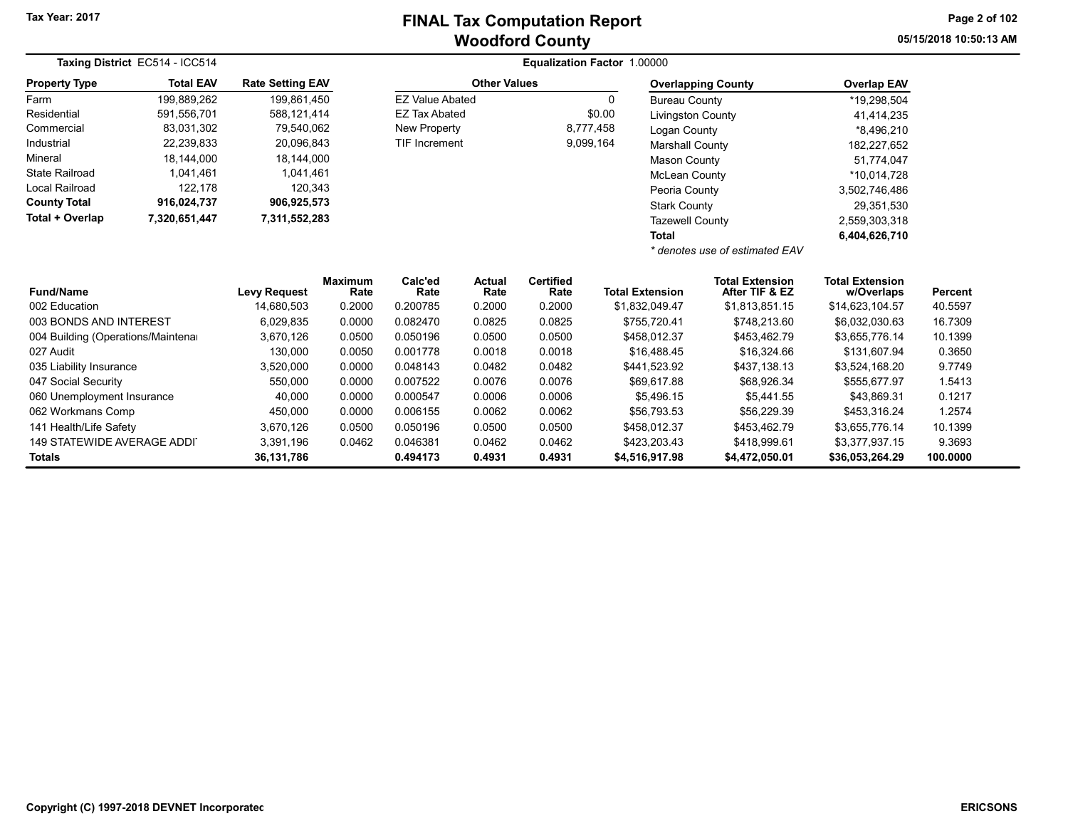05/15/2018 10:50:13 AM Page 2 of 102

|                                    | Taxing District EC514 - ICC514 | Equalization Factor 1.00000 |                                                |                        |                       |                          |                           |                                          |                                      |          |
|------------------------------------|--------------------------------|-----------------------------|------------------------------------------------|------------------------|-----------------------|--------------------------|---------------------------|------------------------------------------|--------------------------------------|----------|
| <b>Property Type</b>               | <b>Total EAV</b>               |                             | <b>Other Values</b><br><b>Rate Setting EAV</b> |                        |                       |                          | <b>Overlapping County</b> | <b>Overlap EAV</b>                       |                                      |          |
| Farm                               | 199,889,262                    | 199.861.450                 |                                                | <b>EZ Value Abated</b> |                       |                          | 0                         | <b>Bureau County</b>                     | *19,298,504                          |          |
| Residential                        | 591,556,701                    | 588,121,414                 |                                                | <b>EZ Tax Abated</b>   |                       |                          | \$0.00                    | <b>Livingston County</b>                 | 41,414,235                           |          |
| Commercial                         | 83,031,302                     | 79,540,062                  |                                                | New Property           |                       |                          | 8,777,458                 | Logan County                             | *8,496,210                           |          |
| Industrial                         | 22,239,833                     | 20,096,843                  |                                                | <b>TIF Increment</b>   |                       |                          | 9,099,164                 | <b>Marshall County</b>                   | 182,227,652                          |          |
| Mineral                            | 18,144,000                     | 18,144,000                  |                                                |                        |                       |                          |                           | <b>Mason County</b>                      | 51,774,047                           |          |
| <b>State Railroad</b>              | 1,041,461                      | 1,041,461                   |                                                |                        |                       |                          |                           | <b>McLean County</b>                     | *10,014,728                          |          |
| <b>Local Railroad</b>              | 122,178                        | 120,343                     |                                                |                        |                       |                          |                           | Peoria County                            | 3,502,746,486                        |          |
| <b>County Total</b>                | 916,024,737                    | 906,925,573                 |                                                |                        |                       |                          |                           | <b>Stark County</b>                      | 29,351,530                           |          |
| Total + Overlap                    | 7,320,651,447                  | 7,311,552,283               |                                                |                        |                       |                          |                           | <b>Tazewell County</b>                   | 2,559,303,318                        |          |
|                                    |                                |                             |                                                |                        |                       |                          | <b>Total</b>              |                                          | 6,404,626,710                        |          |
|                                    |                                |                             |                                                |                        |                       |                          |                           | * denotes use of estimated EAV           |                                      |          |
| <b>Fund/Name</b>                   |                                | <b>Levy Request</b>         | <b>Maximum</b><br>Rate                         | Calc'ed<br>Rate        | <b>Actual</b><br>Rate | <b>Certified</b><br>Rate | <b>Total Extension</b>    | <b>Total Extension</b><br>After TIF & EZ | <b>Total Extension</b><br>w/Overlaps | Percent  |
| 002 Education                      |                                | 14,680,503                  | 0.2000                                         | 0.200785               | 0.2000                | 0.2000                   | \$1,832,049.47            | \$1,813,851.15                           | \$14,623,104.57                      | 40.5597  |
| 003 BONDS AND INTEREST             |                                | 6,029,835                   | 0.0000                                         | 0.082470               | 0.0825                | 0.0825                   | \$755,720.41              | \$748,213.60                             | \$6,032,030.63                       | 16.7309  |
| 004 Building (Operations/Maintenar |                                | 3,670,126                   | 0.0500                                         | 0.050196               | 0.0500                | 0.0500                   | \$458,012.37              | \$453,462.79                             | \$3,655,776.14                       | 10.1399  |
| 027 Audit                          |                                | 130.000                     | 0.0050                                         | 0.001778               | 0.0018                | 0.0018                   | \$16,488.45               | \$16,324.66                              | \$131.607.94                         | 0.3650   |
| 035 Liability Insurance            |                                | 3,520,000                   | 0.0000                                         | 0.048143               | 0.0482                | 0.0482                   | \$441,523.92              | \$437,138.13                             | \$3,524,168.20                       | 9.7749   |
| 047 Social Security                |                                | 550,000                     | 0.0000                                         | 0.007522               | 0.0076                | 0.0076                   | \$69.617.88               | \$68,926.34                              | \$555.677.97                         | 1.5413   |
| 060 Unemployment Insurance         |                                | 40,000                      | 0.0000                                         | 0.000547               | 0.0006                | 0.0006                   | \$5,496.15                | \$5,441.55                               | \$43,869.31                          | 0.1217   |
| 062 Workmans Comp                  |                                | 450,000                     | 0.0000                                         | 0.006155               | 0.0062                | 0.0062                   | \$56,793.53               | \$56,229.39                              | \$453,316.24                         | 1.2574   |
| 141 Health/Life Safety             |                                | 3,670,126                   | 0.0500                                         | 0.050196               | 0.0500                | 0.0500                   | \$458,012.37              | \$453,462.79                             | \$3,655,776.14                       | 10.1399  |
| <b>149 STATEWIDE AVERAGE ADDI</b>  |                                | 3,391,196                   | 0.0462                                         | 0.046381               | 0.0462                | 0.0462                   | \$423,203.43              | \$418,999.61                             | \$3,377,937.15                       | 9.3693   |
| <b>Totals</b>                      |                                | 36,131,786                  |                                                | 0.494173               | 0.4931                | 0.4931                   | \$4,516,917.98            | \$4,472,050.01                           | \$36,053,264.29                      | 100.0000 |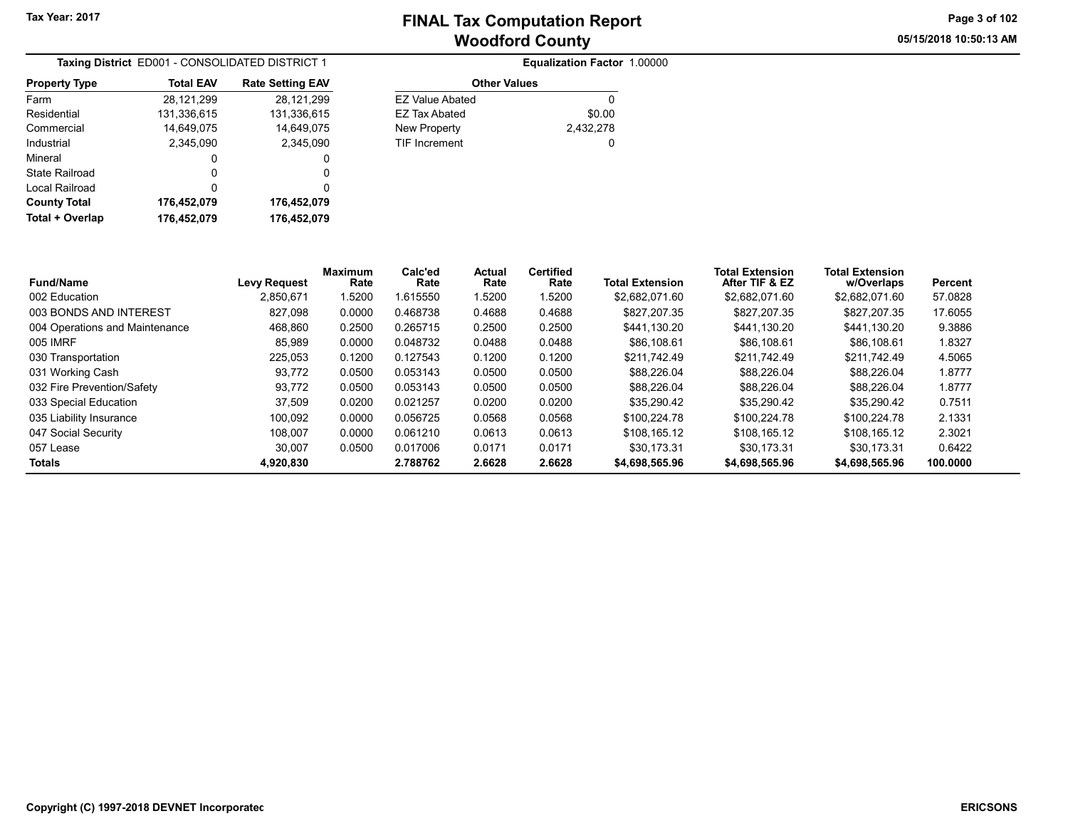05/15/2018 10:50:13 AM Page 3 of 102

| Taxing District ED001 - CONSOLIDATED DISTRICT 1 |                  |                         |  |  |  |  |
|-------------------------------------------------|------------------|-------------------------|--|--|--|--|
| <b>Property Type</b>                            | <b>Total EAV</b> | <b>Rate Setting EAV</b> |  |  |  |  |
| Farm                                            | 28,121,299       | 28,121,299              |  |  |  |  |
| Residential                                     | 131,336,615      | 131,336,615             |  |  |  |  |
| Commercial                                      | 14,649,075       | 14,649,075              |  |  |  |  |
| Industrial                                      | 2.345.090        | 2,345,090               |  |  |  |  |
| Mineral                                         | 0                | 0                       |  |  |  |  |
| State Railroad                                  | 0                | 0                       |  |  |  |  |
| Local Railroad                                  | ŋ                | 0                       |  |  |  |  |
| <b>County Total</b>                             | 176,452,079      | 176,452,079             |  |  |  |  |
| Total + Overlap                                 | 176.452.079      | 176,452,079             |  |  |  |  |

|                      | <b>Equalization Factor 1.00000</b> |  |
|----------------------|------------------------------------|--|
| <b>Other Values</b>  |                                    |  |
| FZ Value Abated      |                                    |  |
| FZ Tax Abated        | \$0.00                             |  |
| New Property         | 2,432,278                          |  |
| <b>TIF Increment</b> |                                    |  |

| <b>Fund/Name</b>               | <b>Levy Request</b> | <b>Maximum</b><br>Rate | Calc'ed<br>Rate | Actual<br>Rate | <b>Certified</b><br>Rate | <b>Total Extension</b> | <b>Total Extension</b><br>After TIF & EZ | <b>Total Extension</b><br>w/Overlaps | Percent  |
|--------------------------------|---------------------|------------------------|-----------------|----------------|--------------------------|------------------------|------------------------------------------|--------------------------------------|----------|
| 002 Education                  | 2.850.671           | .5200                  | 1.615550        | 1.5200         | 1.5200                   | \$2.682.071.60         | \$2.682.071.60                           | \$2.682.071.60                       | 57.0828  |
| 003 BONDS AND INTEREST         | 827.098             | 0.0000                 | 0.468738        | 0.4688         | 0.4688                   | \$827,207.35           | \$827.207.35                             | \$827.207.35                         | 17.6055  |
| 004 Operations and Maintenance | 468.860             | 0.2500                 | 0.265715        | 0.2500         | 0.2500                   | \$441.130.20           | \$441.130.20                             | \$441.130.20                         | 9.3886   |
| 005 IMRF                       | 85,989              | 0.0000                 | 0.048732        | 0.0488         | 0.0488                   | \$86,108.61            | \$86,108.61                              | \$86,108.61                          | 1.8327   |
| 030 Transportation             | 225.053             | 0.1200                 | 0.127543        | 0.1200         | 0.1200                   | \$211.742.49           | \$211.742.49                             | \$211.742.49                         | 4.5065   |
| 031 Working Cash               | 93.772              | 0.0500                 | 0.053143        | 0.0500         | 0.0500                   | \$88.226.04            | \$88,226.04                              | \$88.226.04                          | 1.8777   |
| 032 Fire Prevention/Safety     | 93.772              | 0.0500                 | 0.053143        | 0.0500         | 0.0500                   | \$88,226.04            | \$88,226.04                              | \$88,226,04                          | 1.8777   |
| 033 Special Education          | 37.509              | 0.0200                 | 0.021257        | 0.0200         | 0.0200                   | \$35.290.42            | \$35.290.42                              | \$35.290.42                          | 0.7511   |
| 035 Liability Insurance        | 100.092             | 0.0000                 | 0.056725        | 0.0568         | 0.0568                   | \$100.224.78           | \$100.224.78                             | \$100.224.78                         | 2.1331   |
| 047 Social Security            | 108.007             | 0.0000                 | 0.061210        | 0.0613         | 0.0613                   | \$108.165.12           | \$108.165.12                             | \$108.165.12                         | 2.3021   |
| 057 Lease                      | 30.007              | 0.0500                 | 0.017006        | 0.0171         | 0.0171                   | \$30.173.31            | \$30.173.31                              | \$30.173.31                          | 0.6422   |
| <b>Totals</b>                  | 4.920.830           |                        | 2.788762        | 2.6628         | 2.6628                   | \$4,698,565.96         | \$4,698,565.96                           | \$4,698,565.96                       | 100.0000 |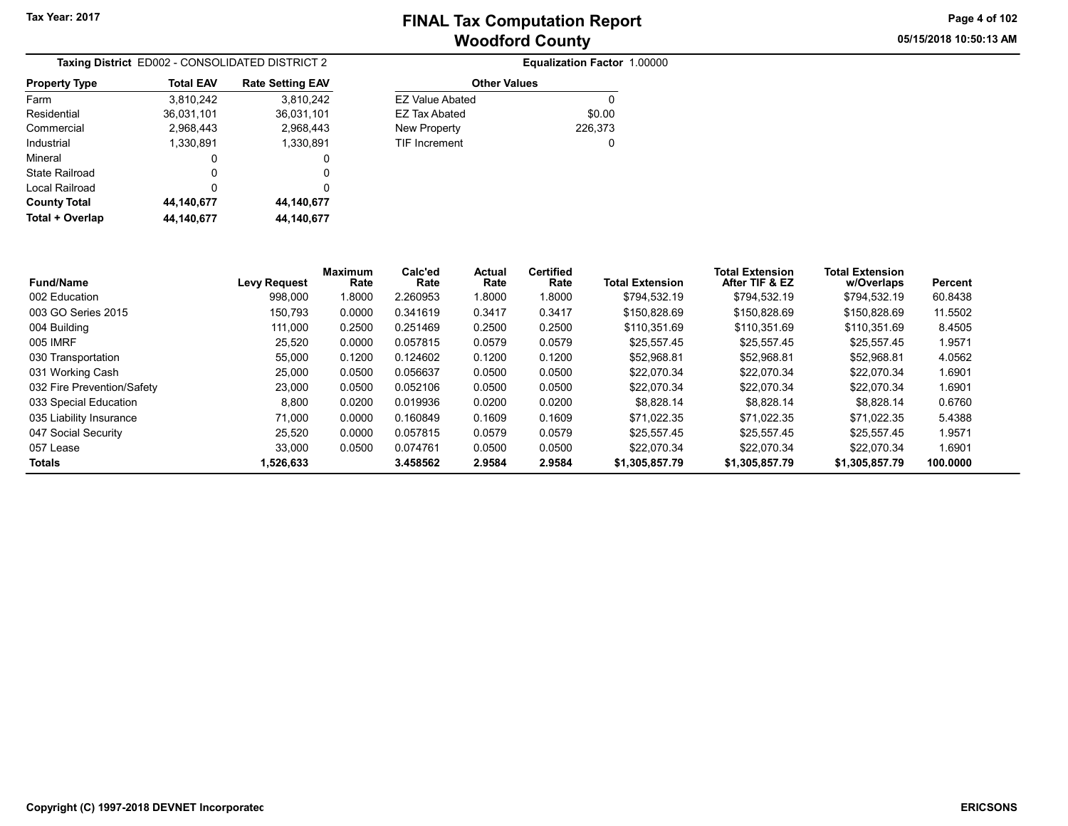05/15/2018 10:50:13 AM Page 4 of 102

| Taxing District ED002 - CONSOLIDATED DISTRICT 2 |                  |                         |  |  |  |  |
|-------------------------------------------------|------------------|-------------------------|--|--|--|--|
| <b>Property Type</b>                            | <b>Total EAV</b> | <b>Rate Setting EAV</b> |  |  |  |  |
| Farm                                            | 3,810,242        | 3,810,242               |  |  |  |  |
| Residential                                     | 36,031,101       | 36,031,101              |  |  |  |  |
| Commercial                                      | 2,968,443        | 2,968,443               |  |  |  |  |
| Industrial                                      | 1,330,891        | 1,330,891               |  |  |  |  |
| Mineral                                         | 0                | 0                       |  |  |  |  |
| State Railroad                                  | 0                | 0                       |  |  |  |  |
| Local Railroad                                  | ŋ                | 0                       |  |  |  |  |
| <b>County Total</b>                             | 44,140,677       | 44,140,677              |  |  |  |  |
| Total + Overlap                                 | 44.140.677       | 44.140.677              |  |  |  |  |

|                        | Equalization Factor 1.00000 |  |
|------------------------|-----------------------------|--|
| <b>Other Values</b>    |                             |  |
| <b>EZ Value Abated</b> |                             |  |
| EZ Tax Abated          | \$0.00                      |  |
| New Property           | 226,373                     |  |
| <b>TIF Increment</b>   | 0                           |  |
|                        |                             |  |

| <b>Fund/Name</b>           | <b>Levy Request</b> | <b>Maximum</b><br>Rate | Calc'ed<br>Rate | <b>Actual</b><br>Rate | <b>Certified</b><br>Rate | <b>Total Extension</b> | <b>Total Extension</b><br>After TIF & EZ | <b>Total Extension</b><br>w/Overlaps | Percent  |
|----------------------------|---------------------|------------------------|-----------------|-----------------------|--------------------------|------------------------|------------------------------------------|--------------------------------------|----------|
| 002 Education              | 998.000             | 1.8000                 | 2.260953        | .8000                 | 1.8000                   | \$794.532.19           | \$794.532.19                             | \$794.532.19                         | 60.8438  |
| 003 GO Series 2015         | 150.793             | 0.0000                 | 0.341619        | 0.3417                | 0.3417                   | \$150,828.69           | \$150.828.69                             | \$150.828.69                         | 11.5502  |
| 004 Building               | 111.000             | 0.2500                 | 0.251469        | 0.2500                | 0.2500                   | \$110.351.69           | \$110.351.69                             | \$110.351.69                         | 8.4505   |
| 005 IMRF                   | 25.520              | 0.0000                 | 0.057815        | 0.0579                | 0.0579                   | \$25.557.45            | \$25.557.45                              | \$25.557.45                          | 1.9571   |
| 030 Transportation         | 55.000              | 0.1200                 | 0.124602        | 0.1200                | 0.1200                   | \$52,968.81            | \$52.968.81                              | \$52.968.81                          | 4.0562   |
| 031 Working Cash           | 25.000              | 0.0500                 | 0.056637        | 0.0500                | 0.0500                   | \$22,070.34            | \$22.070.34                              | \$22.070.34                          | 1.6901   |
| 032 Fire Prevention/Safety | 23,000              | 0.0500                 | 0.052106        | 0.0500                | 0.0500                   | \$22,070.34            | \$22.070.34                              | \$22.070.34                          | 1.6901   |
| 033 Special Education      | 8.800               | 0.0200                 | 0.019936        | 0.0200                | 0.0200                   | \$8.828.14             | \$8.828.14                               | \$8.828.14                           | 0.6760   |
| 035 Liability Insurance    | 71.000              | 0.0000                 | 0.160849        | 0.1609                | 0.1609                   | \$71.022.35            | \$71.022.35                              | \$71.022.35                          | 5.4388   |
| 047 Social Security        | 25.520              | 0.0000                 | 0.057815        | 0.0579                | 0.0579                   | \$25.557.45            | \$25.557.45                              | \$25.557.45                          | 1.9571   |
| 057 Lease                  | 33.000              | 0.0500                 | 0.074761        | 0.0500                | 0.0500                   | \$22,070.34            | \$22.070.34                              | \$22.070.34                          | 1.6901   |
| <b>Totals</b>              | 1.526.633           |                        | 3.458562        | 2.9584                | 2.9584                   | \$1,305,857.79         | \$1,305,857.79                           | \$1,305,857.79                       | 100.0000 |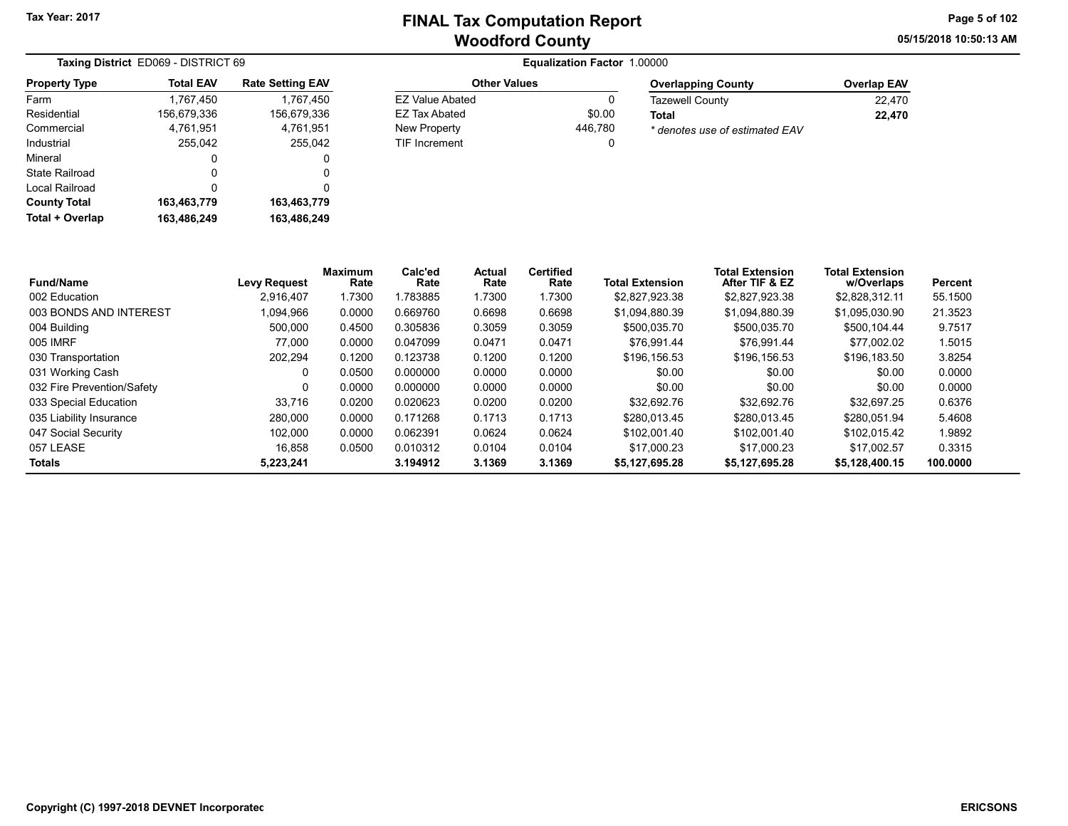05/15/2018 10:50:13 AM Page 5 of 102

| Taxing District ED069 - DISTRICT 69 |                  |                         |  |  |  |  |
|-------------------------------------|------------------|-------------------------|--|--|--|--|
| <b>Property Type</b>                | <b>Total EAV</b> | <b>Rate Setting EAV</b> |  |  |  |  |
| Farm                                | 1,767,450        | 1,767,450               |  |  |  |  |
| Residential                         | 156,679,336      | 156,679,336             |  |  |  |  |
| Commercial                          | 4,761,951        | 4,761,951               |  |  |  |  |
| Industrial                          | 255,042          | 255,042                 |  |  |  |  |
| Mineral                             | 0                | 0                       |  |  |  |  |
| State Railroad                      | 0                | O                       |  |  |  |  |
| Local Railroad                      | 0                | 0                       |  |  |  |  |
| <b>County Total</b>                 | 163,463,779      | 163,463,779             |  |  |  |  |
| Total + Overlap                     | 163,486,249      | 163,486,249             |  |  |  |  |

| <b>Other Values</b>  |         | <b>Overlapping County</b>      | <b>Overlap EAV</b> |  |  |
|----------------------|---------|--------------------------------|--------------------|--|--|
| EZ Value Abated      |         | <b>Tazewell County</b>         | 22.470             |  |  |
| EZ Tax Abated        | \$0.00  | Total                          | 22.470             |  |  |
| New Property         | 446.780 | * denotes use of estimated EAV |                    |  |  |
| <b>TIF Increment</b> |         |                                |                    |  |  |

| <b>Fund/Name</b>           | <b>Levy Request</b> | Maximum<br>Rate | Calc'ed<br>Rate | Actual<br>Rate | <b>Certified</b><br>Rate | <b>Total Extension</b> | <b>Total Extension</b><br>After TIF & EZ | <b>Total Extension</b><br>w/Overlaps | Percent  |
|----------------------------|---------------------|-----------------|-----------------|----------------|--------------------------|------------------------|------------------------------------------|--------------------------------------|----------|
| 002 Education              | 2.916.407           | .7300           | .783885         | 1.7300         | 1.7300                   | \$2,827,923.38         | \$2.827.923.38                           | \$2.828.312.11                       | 55.1500  |
| 003 BONDS AND INTEREST     | 1,094,966           | 0.0000          | 0.669760        | 0.6698         | 0.6698                   | \$1,094,880.39         | \$1,094,880.39                           | \$1,095,030.90                       | 21.3523  |
| 004 Building               | 500.000             | 0.4500          | 0.305836        | 0.3059         | 0.3059                   | \$500.035.70           | \$500,035.70                             | \$500.104.44                         | 9.7517   |
| 005 IMRF                   | 77.000              | 0.0000          | 0.047099        | 0.0471         | 0.0471                   | \$76.991.44            | \$76.991.44                              | \$77.002.02                          | 1.5015   |
| 030 Transportation         | 202.294             | 0.1200          | 0.123738        | 0.1200         | 0.1200                   | \$196,156.53           | \$196.156.53                             | \$196,183.50                         | 3.8254   |
| 031 Working Cash           | 0                   | 0.0500          | 0.000000        | 0.0000         | 0.0000                   | \$0.00                 | \$0.00                                   | \$0.00                               | 0.0000   |
| 032 Fire Prevention/Safety | 0                   | 0.0000          | 0.000000        | 0.0000         | 0.0000                   | \$0.00                 | \$0.00                                   | \$0.00                               | 0.0000   |
| 033 Special Education      | 33.716              | 0.0200          | 0.020623        | 0.0200         | 0.0200                   | \$32.692.76            | \$32.692.76                              | \$32.697.25                          | 0.6376   |
| 035 Liability Insurance    | 280,000             | 0.0000          | 0.171268        | 0.1713         | 0.1713                   | \$280.013.45           | \$280.013.45                             | \$280.051.94                         | 5.4608   |
| 047 Social Security        | 102.000             | 0.0000          | 0.062391        | 0.0624         | 0.0624                   | \$102.001.40           | \$102,001.40                             | \$102.015.42                         | 1.9892   |
| 057 LEASE                  | 16.858              | 0.0500          | 0.010312        | 0.0104         | 0.0104                   | \$17.000.23            | \$17,000.23                              | \$17.002.57                          | 0.3315   |
| <b>Totals</b>              | 5,223,241           |                 | 3.194912        | 3.1369         | 3.1369                   | \$5,127,695.28         | \$5,127,695.28                           | \$5,128,400.15                       | 100.0000 |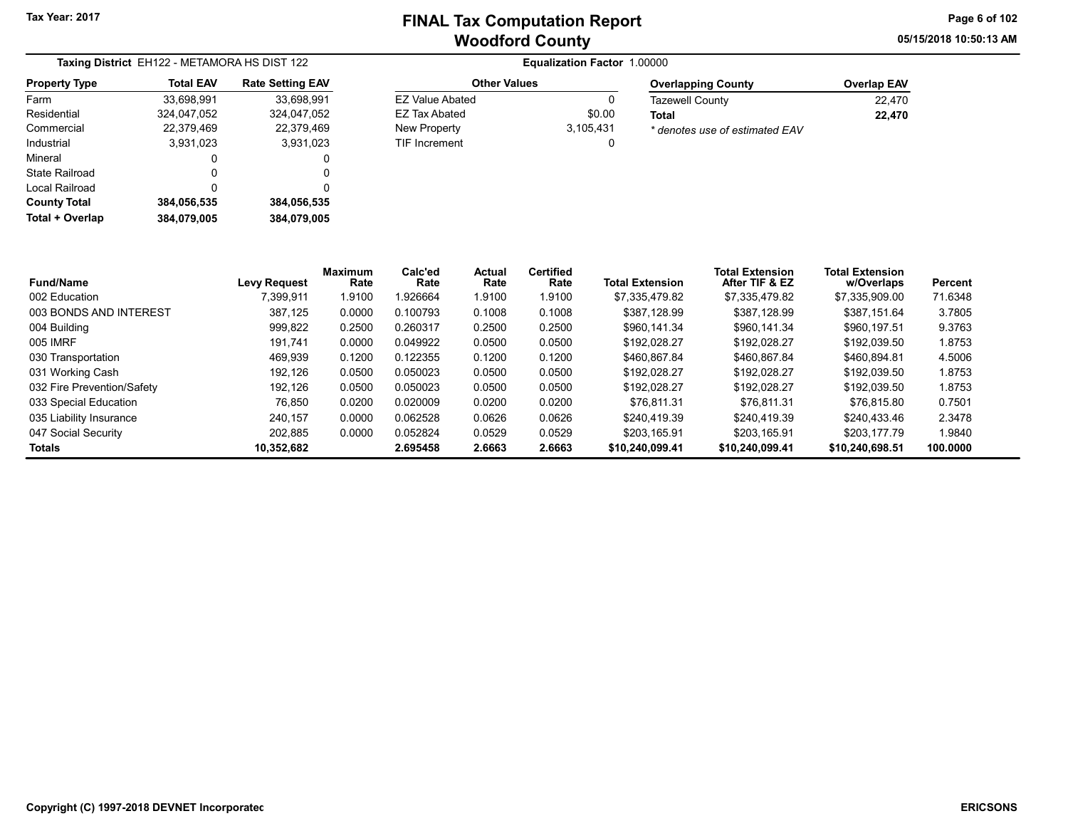05/15/2018 10:50:13 AM Page 6 of 102

| Taxing District EH122 - METAMORA HS DIST 122 |                  |                         |  |  |  |  |  |
|----------------------------------------------|------------------|-------------------------|--|--|--|--|--|
| <b>Property Type</b>                         | <b>Total EAV</b> | <b>Rate Setting EAV</b> |  |  |  |  |  |
| Farm                                         | 33,698,991       | 33,698,991              |  |  |  |  |  |
| Residential                                  | 324,047,052      | 324.047.052             |  |  |  |  |  |
| Commercial                                   | 22,379,469       | 22,379,469              |  |  |  |  |  |
| Industrial                                   | 3.931.023        | 3.931.023               |  |  |  |  |  |
| Mineral                                      | 0                | 0                       |  |  |  |  |  |
| State Railroad                               | 0                | 0                       |  |  |  |  |  |
| Local Railroad                               | 0                | 0                       |  |  |  |  |  |
| <b>County Total</b>                          | 384,056,535      | 384,056,535             |  |  |  |  |  |
| Total + Overlap                              | 384,079,005      | 384.079.005             |  |  |  |  |  |

| <b>Other Values</b>  |           | <b>Overlapping County</b>      | <b>Overlap EAV</b> |  |
|----------------------|-----------|--------------------------------|--------------------|--|
| EZ Value Abated      |           | <b>Tazewell County</b>         | 22.470             |  |
| EZ Tax Abated        | \$0.00    | Total                          | 22.470             |  |
| New Property         | 3.105.431 | * denotes use of estimated EAV |                    |  |
| <b>TIF Increment</b> |           |                                |                    |  |

| <b>Fund/Name</b>           | <b>Levy Request</b> | <b>Maximum</b><br>Rate | Calc'ed<br>Rate | Actual<br>Rate | <b>Certified</b><br>Rate | <b>Total Extension</b> | <b>Total Extension</b><br>After TIF & EZ | <b>Total Extension</b><br>w/Overlaps | Percent  |
|----------------------------|---------------------|------------------------|-----------------|----------------|--------------------------|------------------------|------------------------------------------|--------------------------------------|----------|
| 002 Education              | 7.399.911           | .9100                  | 926664.         | 1.9100         | 1.9100                   | \$7.335.479.82         | \$7,335,479.82                           | \$7.335.909.00                       | 71.6348  |
| 003 BONDS AND INTEREST     | 387.125             | 0.0000                 | 0.100793        | 0.1008         | 0.1008                   | \$387.128.99           | \$387.128.99                             | \$387.151.64                         | 3.7805   |
| 004 Building               | 999,822             | 0.2500                 | 0.260317        | 0.2500         | 0.2500                   | \$960.141.34           | \$960.141.34                             | \$960.197.51                         | 9.3763   |
| 005 IMRF                   | 191.741             | 0.0000                 | 0.049922        | 0.0500         | 0.0500                   | \$192.028.27           | \$192.028.27                             | \$192.039.50                         | 1.8753   |
| 030 Transportation         | 469.939             | 0.1200                 | 0.122355        | 0.1200         | 0.1200                   | \$460.867.84           | \$460.867.84                             | \$460.894.81                         | 4.5006   |
| 031 Working Cash           | 192.126             | 0.0500                 | 0.050023        | 0.0500         | 0.0500                   | \$192.028.27           | \$192.028.27                             | \$192.039.50                         | 1.8753   |
| 032 Fire Prevention/Safety | 192.126             | 0.0500                 | 0.050023        | 0.0500         | 0.0500                   | \$192.028.27           | \$192.028.27                             | \$192.039.50                         | 1.8753   |
| 033 Special Education      | 76.850              | 0.0200                 | 0.020009        | 0.0200         | 0.0200                   | \$76.811.31            | \$76.811.31                              | \$76.815.80                          | 0.7501   |
| 035 Liability Insurance    | 240.157             | 0.0000                 | 0.062528        | 0.0626         | 0.0626                   | \$240.419.39           | \$240.419.39                             | \$240.433.46                         | 2.3478   |
| 047 Social Security        | 202.885             | 0.0000                 | 0.052824        | 0.0529         | 0.0529                   | \$203.165.91           | \$203.165.91                             | \$203,177.79                         | 1.9840   |
| Totals                     | 10.352.682          |                        | 2.695458        | 2.6663         | 2.6663                   | \$10.240.099.41        | \$10.240.099.41                          | \$10.240.698.51                      | 100.0000 |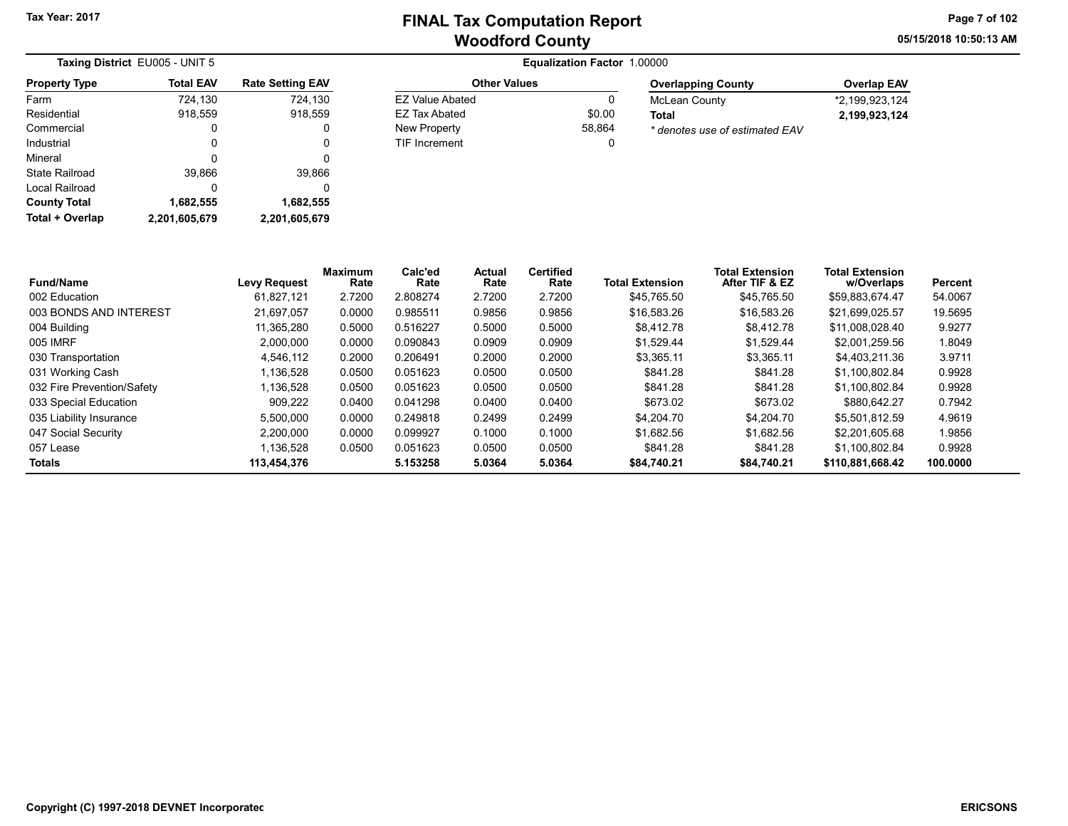Other Values EZ Value Abated 0 EZ Tax Abated \$0.00 New Property 58,864 TIF Increment 0 05/15/2018 10:50:13 AM Page 7 of 102

| Taxing District EU005 - UNIT 5 |                  |                         |
|--------------------------------|------------------|-------------------------|
| <b>Property Type</b>           | <b>Total EAV</b> | <b>Rate Setting EAV</b> |
| Farm                           | 724,130          | 724,130                 |
| Residential                    | 918,559          | 918,559                 |
| Commercial                     | O                |                         |
| Industrial                     | 0                | O                       |
| Mineral                        | 0                | 0                       |
| State Railroad                 | 39,866           | 39,866                  |
| Local Railroad                 | 0                | 0                       |
| <b>County Total</b>            | 1,682,555        | 1,682,555               |
| Total + Overlap                | 2,201,605,679    | 2,201,605,679           |

| <b>Overlapping County</b>      | <b>Overlap EAV</b> |
|--------------------------------|--------------------|
| <b>McLean County</b>           | *2,199,923,124     |
| Total                          | 2.199.923.124      |
| * denotes use of estimated EAV |                    |

| <b>Fund/Name</b>           | <b>Levy Request</b> | Maximum<br>Rate | Calc'ed<br>Rate | Actual<br>Rate | <b>Certified</b><br>Rate | <b>Total Extension</b> | <b>Total Extension</b><br>After TIF & EZ | <b>Total Extension</b><br>w/Overlaps | Percent  |
|----------------------------|---------------------|-----------------|-----------------|----------------|--------------------------|------------------------|------------------------------------------|--------------------------------------|----------|
| 002 Education              | 61.827.121          | 2.7200          | 2.808274        | 2.7200         | 2.7200                   | \$45.765.50            | \$45.765.50                              | \$59.883.674.47                      | 54.0067  |
| 003 BONDS AND INTEREST     | 21,697,057          | 0.0000          | 0.985511        | 0.9856         | 0.9856                   | \$16,583.26            | \$16,583.26                              | \$21,699,025.57                      | 19.5695  |
| 004 Building               | 11.365.280          | 0.5000          | 0.516227        | 0.5000         | 0.5000                   | \$8,412.78             | \$8.412.78                               | \$11.008.028.40                      | 9.9277   |
| 005 IMRF                   | 2.000.000           | 0.0000          | 0.090843        | 0.0909         | 0.0909                   | \$1,529.44             | \$1.529.44                               | \$2,001,259.56                       | 1.8049   |
| 030 Transportation         | 4.546.112           | 0.2000          | 0.206491        | 0.2000         | 0.2000                   | \$3,365.11             | \$3,365.11                               | \$4.403.211.36                       | 3.9711   |
| 031 Working Cash           | .136.528            | 0.0500          | 0.051623        | 0.0500         | 0.0500                   | \$841.28               | \$841.28                                 | \$1.100.802.84                       | 0.9928   |
| 032 Fire Prevention/Safety | .136.528            | 0.0500          | 0.051623        | 0.0500         | 0.0500                   | \$841.28               | \$841.28                                 | \$1.100.802.84                       | 0.9928   |
| 033 Special Education      | 909.222             | 0.0400          | 0.041298        | 0.0400         | 0.0400                   | \$673.02               | \$673.02                                 | \$880.642.27                         | 0.7942   |
| 035 Liability Insurance    | 5,500,000           | 0.0000          | 0.249818        | 0.2499         | 0.2499                   | \$4,204.70             | \$4,204.70                               | \$5.501.812.59                       | 4.9619   |
| 047 Social Security        | 2.200.000           | 0.0000          | 0.099927        | 0.1000         | 0.1000                   | \$1.682.56             | \$1.682.56                               | \$2.201.605.68                       | 1.9856   |
| 057 Lease                  | .136.528            | 0.0500          | 0.051623        | 0.0500         | 0.0500                   | \$841.28               | \$841.28                                 | \$1.100.802.84                       | 0.9928   |
| <b>Totals</b>              | 113.454.376         |                 | 5.153258        | 5.0364         | 5.0364                   | \$84,740.21            | \$84.740.21                              | \$110.881.668.42                     | 100.0000 |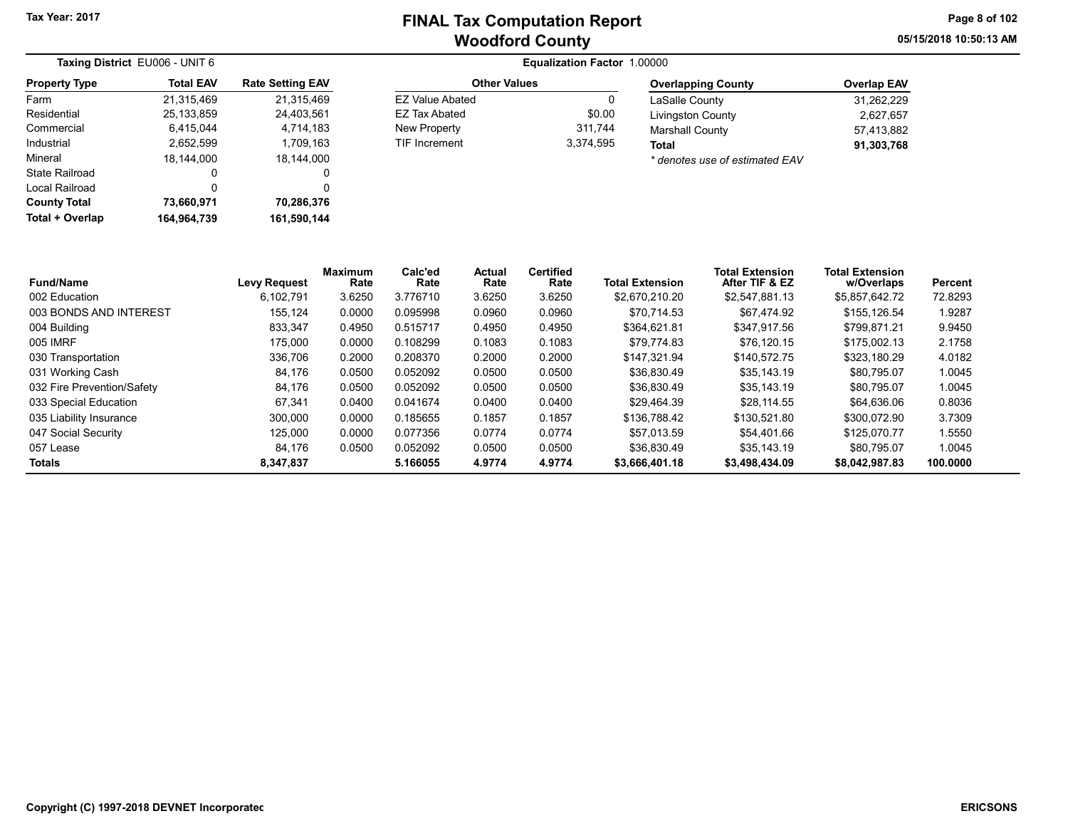Other Values EZ Value Abated 0 EZ Tax Abated \$0.00 New Property 311,744 TIF Increment 3,374,595 05/15/2018 10:50:13 AM Page 8 of 102

| Taxing District EU006 - UNIT 6 |                  |                         |
|--------------------------------|------------------|-------------------------|
| <b>Property Type</b>           | <b>Total EAV</b> | <b>Rate Setting EAV</b> |
| Farm                           | 21.315.469       | 21.315.469              |
| Residential                    | 25, 133, 859     | 24,403,561              |
| Commercial                     | 6,415,044        | 4,714,183               |
| Industrial                     | 2,652,599        | 1,709,163               |
| Mineral                        | 18,144,000       | 18,144,000              |
| State Railroad                 | 0                | O                       |
| Local Railroad                 | 0                | 0                       |
| <b>County Total</b>            | 73,660,971       | 70,286,376              |
| Total + Overlap                | 164.964.739      | 161,590,144             |

#### Equalization Factor 1.00000

| <b>Overlapping County</b>          | <b>Overlap EAV</b> |
|------------------------------------|--------------------|
| LaSalle County                     | 31.262.229         |
| <b>Livingston County</b>           | 2,627,657          |
| <b>Marshall County</b>             | 57.413.882         |
| Total                              | 91,303,768         |
| $*$ donoton use of optimated $EMV$ |                    |

\* denotes use of estimated EAV

| <b>Fund/Name</b>           | <b>Levy Request</b> | Maximum<br>Rate | Calc'ed<br>Rate | Actual<br>Rate | <b>Certified</b><br>Rate | <b>Total Extension</b> | <b>Total Extension</b><br>After TIF & EZ | <b>Total Extension</b><br>w/Overlaps | Percent  |
|----------------------------|---------------------|-----------------|-----------------|----------------|--------------------------|------------------------|------------------------------------------|--------------------------------------|----------|
| 002 Education              | 6.102.791           | 3.6250          | 3.776710        | 3.6250         | 3.6250                   | \$2.670.210.20         | \$2,547,881.13                           | \$5,857,642.72                       | 72.8293  |
| 003 BONDS AND INTEREST     | 155.124             | 0.0000          | 0.095998        | 0.0960         | 0.0960                   | \$70.714.53            | \$67.474.92                              | \$155,126.54                         | 1.9287   |
| 004 Building               | 833.347             | 0.4950          | 0.515717        | 0.4950         | 0.4950                   | \$364.621.81           | \$347.917.56                             | \$799.871.21                         | 9.9450   |
| 005 IMRF                   | 175.000             | 0.0000          | 0.108299        | 0.1083         | 0.1083                   | \$79.774.83            | \$76.120.15                              | \$175.002.13                         | 2.1758   |
| 030 Transportation         | 336.706             | 0.2000          | 0.208370        | 0.2000         | 0.2000                   | \$147.321.94           | \$140,572.75                             | \$323.180.29                         | 4.0182   |
| 031 Working Cash           | 84.176              | 0.0500          | 0.052092        | 0.0500         | 0.0500                   | \$36,830.49            | \$35.143.19                              | \$80.795.07                          | 1.0045   |
| 032 Fire Prevention/Safety | 84.176              | 0.0500          | 0.052092        | 0.0500         | 0.0500                   | \$36.830.49            | \$35,143.19                              | \$80,795.07                          | 1.0045   |
| 033 Special Education      | 67.341              | 0.0400          | 0.041674        | 0.0400         | 0.0400                   | \$29.464.39            | \$28.114.55                              | \$64.636.06                          | 0.8036   |
| 035 Liability Insurance    | 300.000             | 0.0000          | 0.185655        | 0.1857         | 0.1857                   | \$136.788.42           | \$130,521.80                             | \$300.072.90                         | 3.7309   |
| 047 Social Security        | 125.000             | 0.0000          | 0.077356        | 0.0774         | 0.0774                   | \$57.013.59            | \$54.401.66                              | \$125,070.77                         | 1.5550   |
| 057 Lease                  | 84.176              | 0.0500          | 0.052092        | 0.0500         | 0.0500                   | \$36,830.49            | \$35,143.19                              | \$80.795.07                          | 1.0045   |
| <b>Totals</b>              | 8,347,837           |                 | 5.166055        | 4.9774         | 4.9774                   | \$3,666,401.18         | \$3,498,434.09                           | \$8,042,987.83                       | 100.0000 |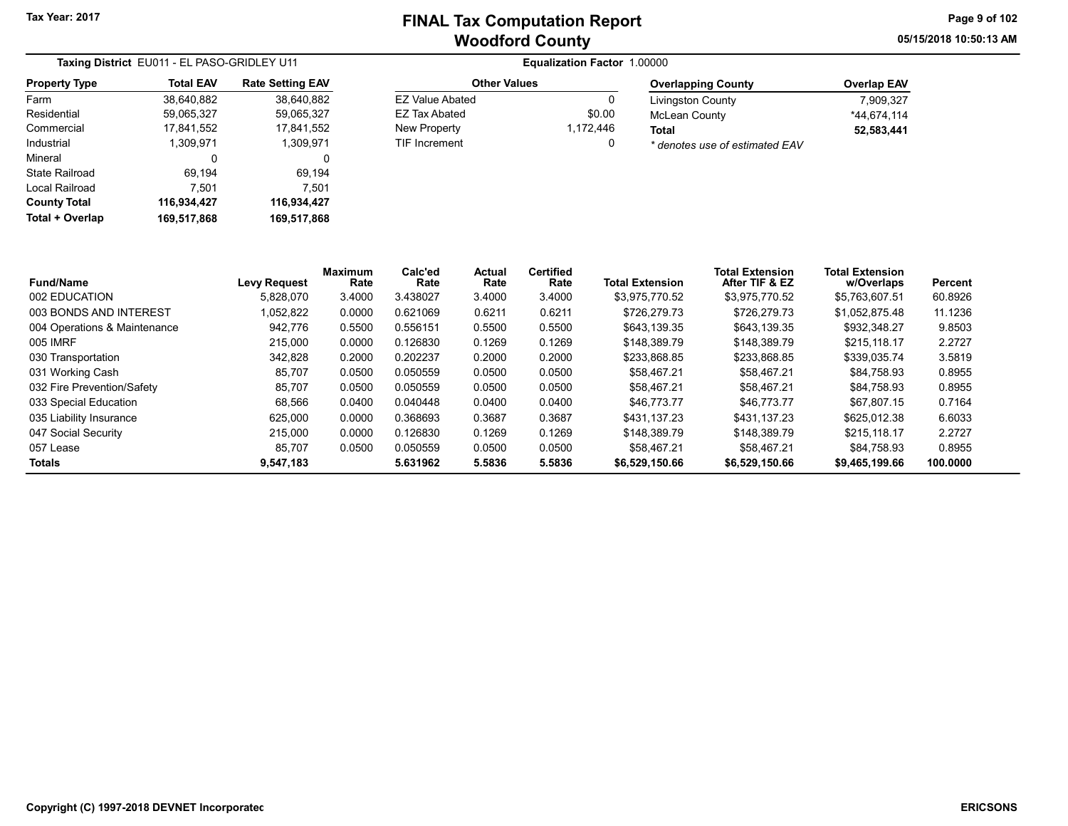Other Values EZ Value Abated 0 EZ Tax Abated \$0.00 New Property 1,172,446 TIF Increment 0 05/15/2018 10:50:13 AM Page 9 of 102

| Taxing District EU011 - EL PASO-GRIDLEY U11 |                  |                         |  |  |  |  |
|---------------------------------------------|------------------|-------------------------|--|--|--|--|
| <b>Property Type</b>                        | <b>Total EAV</b> | <b>Rate Setting EAV</b> |  |  |  |  |
| Farm                                        | 38,640,882       | 38,640,882              |  |  |  |  |
| Residential                                 | 59,065,327       | 59,065,327              |  |  |  |  |
| Commercial                                  | 17,841,552       | 17,841,552              |  |  |  |  |
| Industrial                                  | 1.309.971        | 1,309,971               |  |  |  |  |
| Mineral                                     | 0                | 0                       |  |  |  |  |
| State Railroad                              | 69,194           | 69,194                  |  |  |  |  |
| Local Railroad                              | 7,501            | 7,501                   |  |  |  |  |
| <b>County Total</b>                         | 116,934,427      | 116,934,427             |  |  |  |  |
| Total + Overlap                             | 169,517,868      | 169,517,868             |  |  |  |  |

| <b>Overlapping County</b>      | <b>Overlap EAV</b> |
|--------------------------------|--------------------|
| <b>Livingston County</b>       | 7.909.327          |
| <b>McLean County</b>           | *44.674.114        |
| Total                          | 52,583,441         |
| * denotes use of estimated EAV |                    |

| <b>Fund/Name</b>             | <b>Levy Request</b> | Maximum<br>Rate | Calc'ed<br>Rate | Actual<br>Rate | <b>Certified</b><br>Rate | <b>Total Extension</b> | <b>Total Extension</b><br>After TIF & EZ | <b>Total Extension</b><br>w/Overlaps | Percent  |
|------------------------------|---------------------|-----------------|-----------------|----------------|--------------------------|------------------------|------------------------------------------|--------------------------------------|----------|
| 002 EDUCATION                | 5.828.070           | 3.4000          | 3.438027        | 3.4000         | 3.4000                   | \$3.975.770.52         | \$3,975,770.52                           | \$5,763,607.51                       | 60.8926  |
| 003 BONDS AND INTEREST       | 1,052,822           | 0.0000          | 0.621069        | 0.6211         | 0.6211                   | \$726.279.73           | \$726,279.73                             | \$1,052,875.48                       | 11.1236  |
| 004 Operations & Maintenance | 942.776             | 0.5500          | 0.556151        | 0.5500         | 0.5500                   | \$643.139.35           | \$643.139.35                             | \$932,348.27                         | 9.8503   |
| 005 IMRF                     | 215,000             | 0.0000          | 0.126830        | 0.1269         | 0.1269                   | \$148.389.79           | \$148,389.79                             | \$215,118.17                         | 2.2727   |
| 030 Transportation           | 342.828             | 0.2000          | 0.202237        | 0.2000         | 0.2000                   | \$233.868.85           | \$233.868.85                             | \$339.035.74                         | 3.5819   |
| 031 Working Cash             | 85.707              | 0.0500          | 0.050559        | 0.0500         | 0.0500                   | \$58,467.21            | \$58.467.21                              | \$84.758.93                          | 0.8955   |
| 032 Fire Prevention/Safety   | 85.707              | 0.0500          | 0.050559        | 0.0500         | 0.0500                   | \$58,467.21            | \$58.467.21                              | \$84.758.93                          | 0.8955   |
| 033 Special Education        | 68,566              | 0.0400          | 0.040448        | 0.0400         | 0.0400                   | \$46,773.77            | \$46,773.77                              | \$67.807.15                          | 0.7164   |
| 035 Liability Insurance      | 625.000             | 0.0000          | 0.368693        | 0.3687         | 0.3687                   | \$431.137.23           | \$431.137.23                             | \$625.012.38                         | 6.6033   |
| 047 Social Security          | 215,000             | 0.0000          | 0.126830        | 0.1269         | 0.1269                   | \$148.389.79           | \$148,389.79                             | \$215,118.17                         | 2.2727   |
| 057 Lease                    | 85.707              | 0.0500          | 0.050559        | 0.0500         | 0.0500                   | \$58.467.21            | \$58.467.21                              | \$84.758.93                          | 0.8955   |
| Totals                       | 9,547,183           |                 | 5.631962        | 5.5836         | 5.5836                   | \$6,529,150.66         | \$6,529,150.66                           | \$9,465,199.66                       | 100.0000 |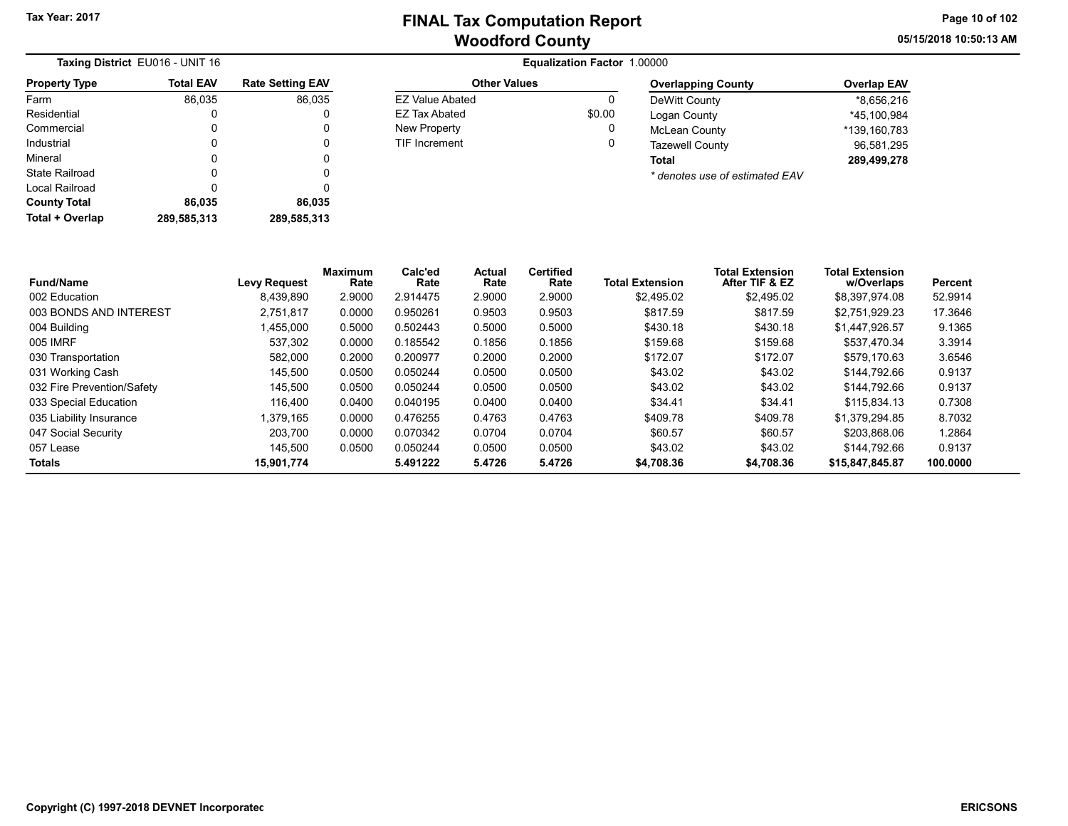Other Values EZ Value Abated 0 EZ Tax Abated \$0.00 New Property **0** TIF Increment 0 05/15/2018 10:50:13 AM Page 10 of 102

| Taxing District EU016 - UNIT 16 |                  |                         |  |  |  |  |
|---------------------------------|------------------|-------------------------|--|--|--|--|
| <b>Property Type</b>            | <b>Total EAV</b> | <b>Rate Setting EAV</b> |  |  |  |  |
| Farm                            | 86,035           | 86,035                  |  |  |  |  |
| Residential                     | 0                | 0                       |  |  |  |  |
| Commercial                      | 0                | 0                       |  |  |  |  |
| Industrial                      | 0                | 0                       |  |  |  |  |
| Mineral                         | 0                | 0                       |  |  |  |  |
| State Railroad                  | 0                | 0                       |  |  |  |  |
| Local Railroad                  | 0                | 0                       |  |  |  |  |
| <b>County Total</b>             | 86,035           | 86,035                  |  |  |  |  |
| <b>Total + Overlap</b>          | 289,585,313      | 289,585,313             |  |  |  |  |

#### Equalization Factor 1.00000

| <b>Overlapping County</b>                    | <b>Overlap EAV</b> |
|----------------------------------------------|--------------------|
| DeWitt County                                | *8,656,216         |
| Logan County                                 | *45.100.984        |
| <b>McLean County</b>                         | *139.160.783       |
| <b>Tazewell County</b>                       | 96.581.295         |
| Total                                        | 289,499,278        |
| $\star$ denotes use of estimated $\Gamma$ AV |                    |

\* denotes use of estimated EAV

| <b>Fund/Name</b>           | <b>Levy Request</b> | Maximum<br>Rate | Calc'ed<br>Rate | Actual<br>Rate | <b>Certified</b><br>Rate | <b>Total Extension</b> | <b>Total Extension</b><br>After TIF & EZ | <b>Total Extension</b><br>w/Overlaps | Percent  |
|----------------------------|---------------------|-----------------|-----------------|----------------|--------------------------|------------------------|------------------------------------------|--------------------------------------|----------|
| 002 Education              | 8,439,890           | 2.9000          | 2.914475        | 2.9000         | 2.9000                   | \$2,495.02             | \$2,495.02                               | \$8,397,974.08                       | 52.9914  |
| 003 BONDS AND INTEREST     | 2.751.817           | 0.0000          | 0.950261        | 0.9503         | 0.9503                   | \$817.59               | \$817.59                                 | \$2,751,929.23                       | 17.3646  |
| 004 Building               | ,455,000            | 0.5000          | 0.502443        | 0.5000         | 0.5000                   | \$430.18               | \$430.18                                 | \$1,447,926.57                       | 9.1365   |
| 005 IMRF                   | 537,302             | 0.0000          | 0.185542        | 0.1856         | 0.1856                   | \$159.68               | \$159.68                                 | \$537,470.34                         | 3.3914   |
| 030 Transportation         | 582.000             | 0.2000          | 0.200977        | 0.2000         | 0.2000                   | \$172.07               | \$172.07                                 | \$579.170.63                         | 3.6546   |
| 031 Working Cash           | 145.500             | 0.0500          | 0.050244        | 0.0500         | 0.0500                   | \$43.02                | \$43.02                                  | \$144.792.66                         | 0.9137   |
| 032 Fire Prevention/Safety | 145.500             | 0.0500          | 0.050244        | 0.0500         | 0.0500                   | \$43.02                | \$43.02                                  | \$144.792.66                         | 0.9137   |
| 033 Special Education      | 116.400             | 0.0400          | 0.040195        | 0.0400         | 0.0400                   | \$34.41                | \$34.41                                  | \$115.834.13                         | 0.7308   |
| 035 Liability Insurance    | .379.165            | 0.0000          | 0.476255        | 0.4763         | 0.4763                   | \$409.78               | \$409.78                                 | \$1,379,294.85                       | 8.7032   |
| 047 Social Security        | 203.700             | 0.0000          | 0.070342        | 0.0704         | 0.0704                   | \$60.57                | \$60.57                                  | \$203.868.06                         | 1.2864   |
| 057 Lease                  | 145.500             | 0.0500          | 0.050244        | 0.0500         | 0.0500                   | \$43.02                | \$43.02                                  | \$144,792.66                         | 0.9137   |
| <b>Totals</b>              | 15.901.774          |                 | 5.491222        | 5.4726         | 5.4726                   | \$4,708.36             | \$4,708.36                               | \$15,847,845.87                      | 100.0000 |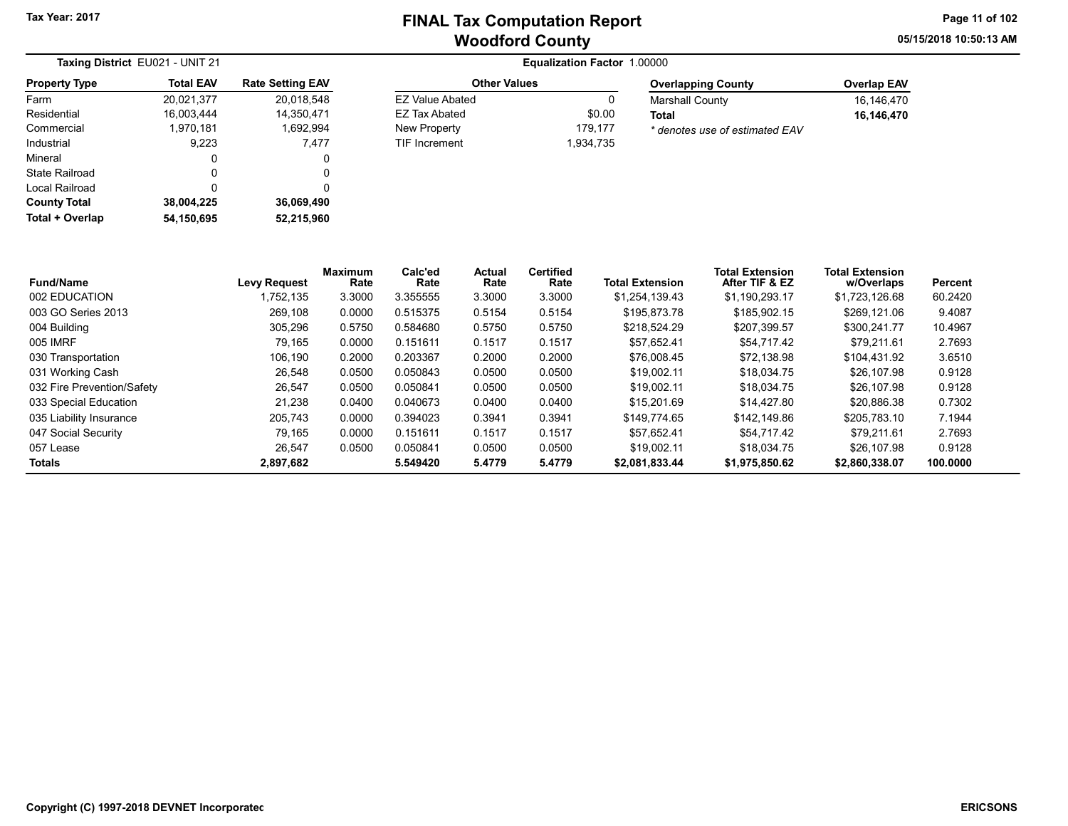05/15/2018 10:50:13 AM Page 11 of 102

|                       | Taxing District EU021 - UNIT 21 |                         | <b>Equalization Factor 1.00000</b> |           |                                |                    |  |  |  |
|-----------------------|---------------------------------|-------------------------|------------------------------------|-----------|--------------------------------|--------------------|--|--|--|
| <b>Property Type</b>  | <b>Total EAV</b>                | <b>Rate Setting EAV</b> | <b>Other Values</b>                |           | <b>Overlapping County</b>      | <b>Overlap EAV</b> |  |  |  |
| Farm                  | 20,021,377                      | 20,018,548              | <b>EZ Value Abated</b>             | 0         | <b>Marshall County</b>         | 16,146,470         |  |  |  |
| Residential           | 16.003.444                      | 14.350.471              | EZ Tax Abated                      | \$0.00    | <b>Total</b>                   | 16,146,470         |  |  |  |
| Commercial            | 1,970,181                       | 1,692,994               | New Property                       | 179,177   | * denotes use of estimated EAV |                    |  |  |  |
| Industrial            | 9,223                           | 7.477                   | TIF Increment                      | 1,934,735 |                                |                    |  |  |  |
| Mineral               | 0                               | 0                       |                                    |           |                                |                    |  |  |  |
| <b>State Railroad</b> | 0                               | 0                       |                                    |           |                                |                    |  |  |  |
| Local Railroad        | 0                               | 0                       |                                    |           |                                |                    |  |  |  |
| <b>County Total</b>   | 38,004,225                      | 36,069,490              |                                    |           |                                |                    |  |  |  |
| Total + Overlap       | 54.150.695                      | 52,215,960              |                                    |           |                                |                    |  |  |  |

| <b>Fund/Name</b>           | <b>Levy Request</b> | <b>Maximum</b><br>Rate | Calc'ed<br>Rate | Actual<br>Rate | <b>Certified</b><br>Rate | <b>Total Extension</b> | <b>Total Extension</b><br>After TIF & EZ | <b>Total Extension</b><br>w/Overlaps | Percent  |
|----------------------------|---------------------|------------------------|-----------------|----------------|--------------------------|------------------------|------------------------------------------|--------------------------------------|----------|
| 002 EDUCATION              | 1.752.135           | 3.3000                 | 3.355555        | 3.3000         | 3.3000                   | \$1.254.139.43         | \$1.190.293.17                           | \$1.723.126.68                       | 60.2420  |
| 003 GO Series 2013         | 269,108             | 0.0000                 | 0.515375        | 0.5154         | 0.5154                   | \$195,873.78           | \$185,902.15                             | \$269.121.06                         | 9.4087   |
| 004 Building               | 305,296             | 0.5750                 | 0.584680        | 0.5750         | 0.5750                   | \$218.524.29           | \$207.399.57                             | \$300.241.77                         | 10.4967  |
| 005 IMRF                   | 79.165              | 0.0000                 | 0.151611        | 0.1517         | 0.1517                   | \$57.652.41            | \$54.717.42                              | \$79.211.61                          | 2.7693   |
| 030 Transportation         | 106.190             | 0.2000                 | 0.203367        | 0.2000         | 0.2000                   | \$76,008.45            | \$72.138.98                              | \$104.431.92                         | 3.6510   |
| 031 Working Cash           | 26.548              | 0.0500                 | 0.050843        | 0.0500         | 0.0500                   | \$19.002.11            | \$18,034.75                              | \$26,107.98                          | 0.9128   |
| 032 Fire Prevention/Safety | 26,547              | 0.0500                 | 0.050841        | 0.0500         | 0.0500                   | \$19.002.11            | \$18,034.75                              | \$26,107.98                          | 0.9128   |
| 033 Special Education      | 21.238              | 0.0400                 | 0.040673        | 0.0400         | 0.0400                   | \$15,201.69            | \$14.427.80                              | \$20.886.38                          | 0.7302   |
| 035 Liability Insurance    | 205.743             | 0.0000                 | 0.394023        | 0.3941         | 0.3941                   | \$149.774.65           | \$142.149.86                             | \$205.783.10                         | 7.1944   |
| 047 Social Security        | 79,165              | 0.0000                 | 0.151611        | 0.1517         | 0.1517                   | \$57,652.41            | \$54.717.42                              | \$79,211.61                          | 2.7693   |
| 057 Lease                  | 26.547              | 0.0500                 | 0.050841        | 0.0500         | 0.0500                   | \$19.002.11            | \$18,034.75                              | \$26,107.98                          | 0.9128   |
| <b>Totals</b>              | 2,897,682           |                        | 5.549420        | 5.4779         | 5.4779                   | \$2.081.833.44         | \$1.975.850.62                           | \$2,860,338,07                       | 100.0000 |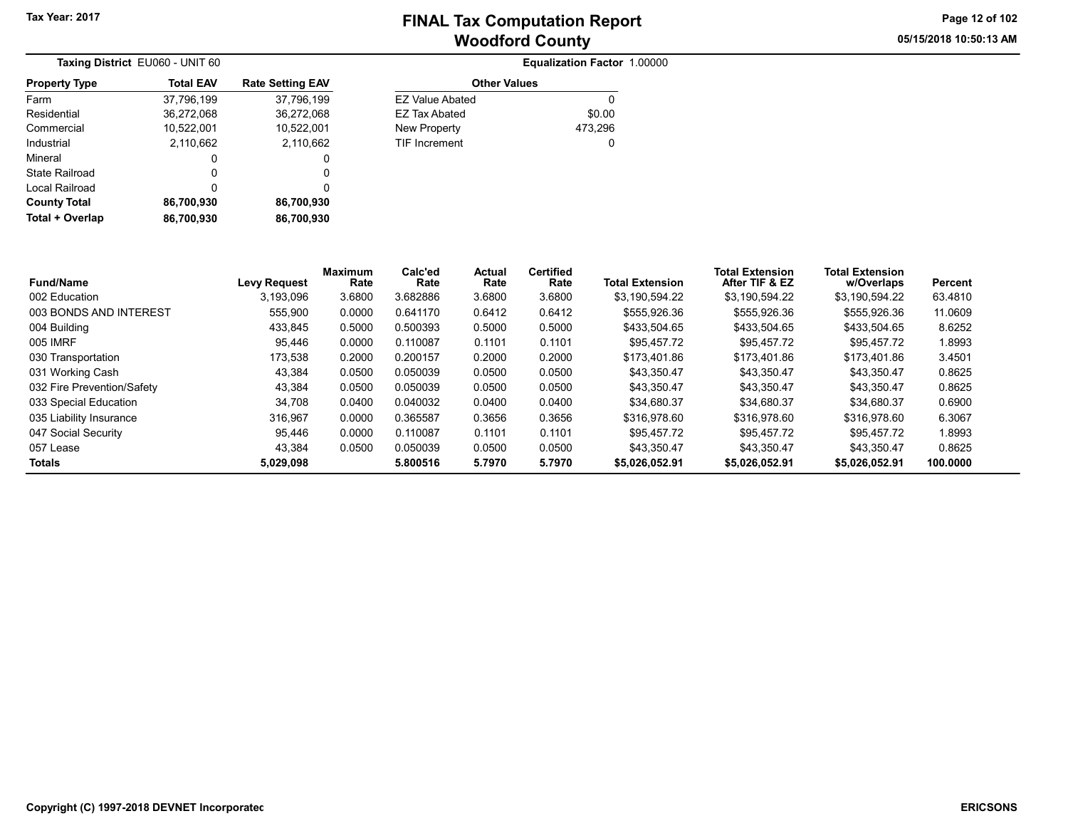05/15/2018 10:50:13 AM Page 12 of 102

| Taxing District EU060 - UNIT 60 |                  |                         |  |
|---------------------------------|------------------|-------------------------|--|
| <b>Property Type</b>            | <b>Total EAV</b> | <b>Rate Setting EAV</b> |  |
| Farm                            | 37,796,199       | 37,796,199              |  |
| Residential                     | 36,272,068       | 36,272,068              |  |
| Commercial                      | 10,522,001       | 10,522,001              |  |
| Industrial                      | 2,110,662        | 2,110,662               |  |
| Mineral                         | 0                | 0                       |  |
| State Railroad                  | 0                | 0                       |  |
| Local Railroad                  | 0                | 0                       |  |
| <b>County Total</b>             | 86,700,930       | 86,700,930              |  |
| Total + Overlap                 | 86,700,930       | 86.700.930              |  |

| <b>Total EAV</b> | <b>Rate Setting EAV</b> | <b>Other Values</b>    |         |
|------------------|-------------------------|------------------------|---------|
| 37,796,199       | 37,796,199              | <b>EZ Value Abated</b> | 0       |
| 36,272,068       | 36,272,068              | <b>EZ Tax Abated</b>   | \$0.00  |
| 10,522,001       | 10,522,001              | New Property           | 473,296 |
| 2,110,662        | 2,110,662               | <b>TIF Increment</b>   | 0       |
| 0                |                         |                        |         |
| 0                |                         |                        |         |
|                  |                         |                        |         |

| <b>Fund/Name</b>           | <b>Levy Request</b> | <b>Maximum</b><br>Rate | Calc'ed<br>Rate | Actual<br>Rate | <b>Certified</b><br>Rate | <b>Total Extension</b> | <b>Total Extension</b><br>After TIF & EZ | <b>Total Extension</b><br>w/Overlaps | Percent  |
|----------------------------|---------------------|------------------------|-----------------|----------------|--------------------------|------------------------|------------------------------------------|--------------------------------------|----------|
| 002 Education              | 3.193.096           | 3.6800                 | 3.682886        | 3.6800         | 3.6800                   | \$3.190.594.22         | \$3.190.594.22                           | \$3,190,594.22                       | 63.4810  |
| 003 BONDS AND INTEREST     | 555.900             | 0.0000                 | 0.641170        | 0.6412         | 0.6412                   | \$555.926.36           | \$555.926.36                             | \$555.926.36                         | 11.0609  |
| 004 Building               | 433.845             | 0.5000                 | 0.500393        | 0.5000         | 0.5000                   | \$433.504.65           | \$433,504.65                             | \$433.504.65                         | 8.6252   |
| 005 IMRF                   | 95.446              | 0.0000                 | 0.110087        | 0.1101         | 0.1101                   | \$95.457.72            | \$95.457.72                              | \$95.457.72                          | 1.8993   |
| 030 Transportation         | 173.538             | 0.2000                 | 0.200157        | 0.2000         | 0.2000                   | \$173.401.86           | \$173,401.86                             | \$173.401.86                         | 3.4501   |
| 031 Working Cash           | 43,384              | 0.0500                 | 0.050039        | 0.0500         | 0.0500                   | \$43.350.47            | \$43,350.47                              | \$43,350.47                          | 0.8625   |
| 032 Fire Prevention/Safety | 43.384              | 0.0500                 | 0.050039        | 0.0500         | 0.0500                   | \$43.350.47            | \$43.350.47                              | \$43.350.47                          | 0.8625   |
| 033 Special Education      | 34.708              | 0.0400                 | 0.040032        | 0.0400         | 0.0400                   | \$34.680.37            | \$34.680.37                              | \$34.680.37                          | 0.6900   |
| 035 Liability Insurance    | 316.967             | 0.0000                 | 0.365587        | 0.3656         | 0.3656                   | \$316.978.60           | \$316.978.60                             | \$316.978.60                         | 6.3067   |
| 047 Social Security        | 95,446              | 0.0000                 | 0.110087        | 0.1101         | 0.1101                   | \$95.457.72            | \$95.457.72                              | \$95.457.72                          | 1.8993   |
| 057 Lease                  | 43.384              | 0.0500                 | 0.050039        | 0.0500         | 0.0500                   | \$43.350.47            | \$43.350.47                              | \$43.350.47                          | 0.8625   |
| Totals                     | 5,029,098           |                        | 5.800516        | 5.7970         | 5.7970                   | \$5,026,052.91         | \$5,026,052.91                           | \$5,026,052.91                       | 100.0000 |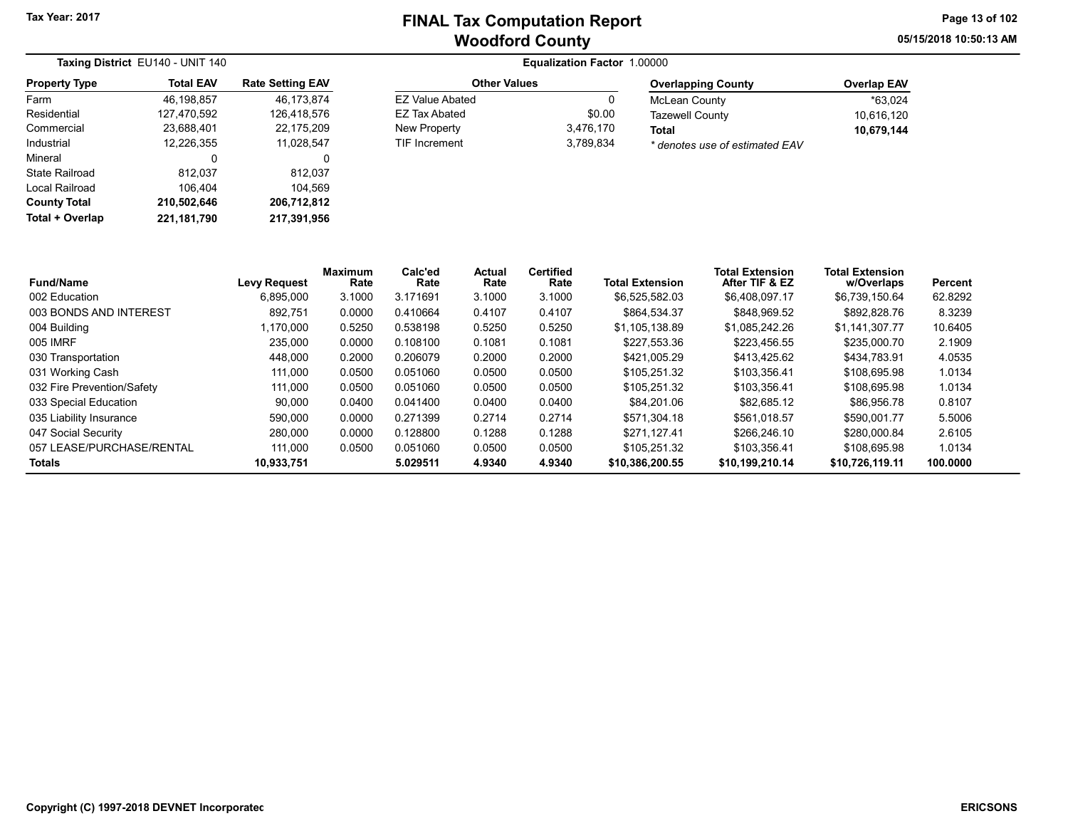05/15/2018 10:50:13 AM Page 13 of 102

| Taxing District EU140 - UNIT 140 |                  |                         | <b>Equalization Factor 1.00000</b> |           |                                |                    |  |  |  |
|----------------------------------|------------------|-------------------------|------------------------------------|-----------|--------------------------------|--------------------|--|--|--|
| <b>Property Type</b>             | <b>Total EAV</b> | <b>Rate Setting EAV</b> | <b>Other Values</b>                |           | <b>Overlapping County</b>      | <b>Overlap EAV</b> |  |  |  |
| Farm                             | 46.198.857       | 46.173.874              | EZ Value Abated                    | U         | McLean County                  | *63.024            |  |  |  |
| Residential                      | 127.470.592      | 126.418.576             | EZ Tax Abated                      | \$0.00    | <b>Tazewell County</b>         | 10,616,120         |  |  |  |
| Commercial                       | 23,688,401       | 22.175.209              | New Property                       | 3,476,170 | <b>Total</b>                   | 10,679,144         |  |  |  |
| Industrial                       | 12,226,355       | 11.028.547              | TIF Increment                      | 3,789,834 | * denotes use of estimated EAV |                    |  |  |  |
| Mineral                          | 0                | 0                       |                                    |           |                                |                    |  |  |  |
| State Railroad                   | 812.037          | 812.037                 |                                    |           |                                |                    |  |  |  |
| Local Railroad                   | 106.404          | 104.569                 |                                    |           |                                |                    |  |  |  |
| <b>County Total</b>              | 210.502.646      | 206.712.812             |                                    |           |                                |                    |  |  |  |

| <b>Fund/Name</b>           | <b>Levy Request</b> | <b>Maximum</b><br>Rate | Calc'ed<br>Rate | Actual<br>Rate | <b>Certified</b><br>Rate | <b>Total Extension</b> | <b>Total Extension</b><br>After TIF & EZ | <b>Total Extension</b><br>w/Overlaps | Percent  |
|----------------------------|---------------------|------------------------|-----------------|----------------|--------------------------|------------------------|------------------------------------------|--------------------------------------|----------|
| 002 Education              | 6,895,000           | 3.1000                 | 3.171691        | 3.1000         | 3.1000                   | \$6.525.582.03         | \$6,408,097.17                           | \$6,739,150.64                       | 62.8292  |
| 003 BONDS AND INTEREST     | 892.751             | 0.0000                 | 0.410664        | 0.4107         | 0.4107                   | \$864.534.37           | \$848,969.52                             | \$892,828.76                         | 8.3239   |
| 004 Building               | .170.000            | 0.5250                 | 0.538198        | 0.5250         | 0.5250                   | \$1.105.138.89         | \$1,085,242.26                           | \$1.141.307.77                       | 10.6405  |
| 005 IMRF                   | 235.000             | 0.0000                 | 0.108100        | 0.1081         | 0.1081                   | \$227.553.36           | \$223.456.55                             | \$235,000.70                         | 2.1909   |
| 030 Transportation         | 448.000             | 0.2000                 | 0.206079        | 0.2000         | 0.2000                   | \$421,005.29           | \$413.425.62                             | \$434.783.91                         | 4.0535   |
| 031 Working Cash           | 111.000             | 0.0500                 | 0.051060        | 0.0500         | 0.0500                   | \$105.251.32           | \$103.356.41                             | \$108,695.98                         | 1.0134   |
| 032 Fire Prevention/Safety | 111.000             | 0.0500                 | 0.051060        | 0.0500         | 0.0500                   | \$105.251.32           | \$103.356.41                             | \$108.695.98                         | 1.0134   |
| 033 Special Education      | 90.000              | 0.0400                 | 0.041400        | 0.0400         | 0.0400                   | \$84.201.06            | \$82.685.12                              | \$86.956.78                          | 0.8107   |
| 035 Liability Insurance    | 590.000             | 0.0000                 | 0.271399        | 0.2714         | 0.2714                   | \$571.304.18           | \$561.018.57                             | \$590.001.77                         | 5.5006   |
| 047 Social Security        | 280,000             | 0.0000                 | 0.128800        | 0.1288         | 0.1288                   | \$271.127.41           | \$266,246.10                             | \$280,000.84                         | 2.6105   |
| 057 LEASE/PURCHASE/RENTAL  | 111.000             | 0.0500                 | 0.051060        | 0.0500         | 0.0500                   | \$105.251.32           | \$103.356.41                             | \$108,695.98                         | 1.0134   |
| Totals                     | 10,933,751          |                        | 5.029511        | 4.9340         | 4.9340                   | \$10,386,200.55        | \$10.199.210.14                          | \$10.726.119.11                      | 100.0000 |

Total + Overlap 221,181,790 217,391,956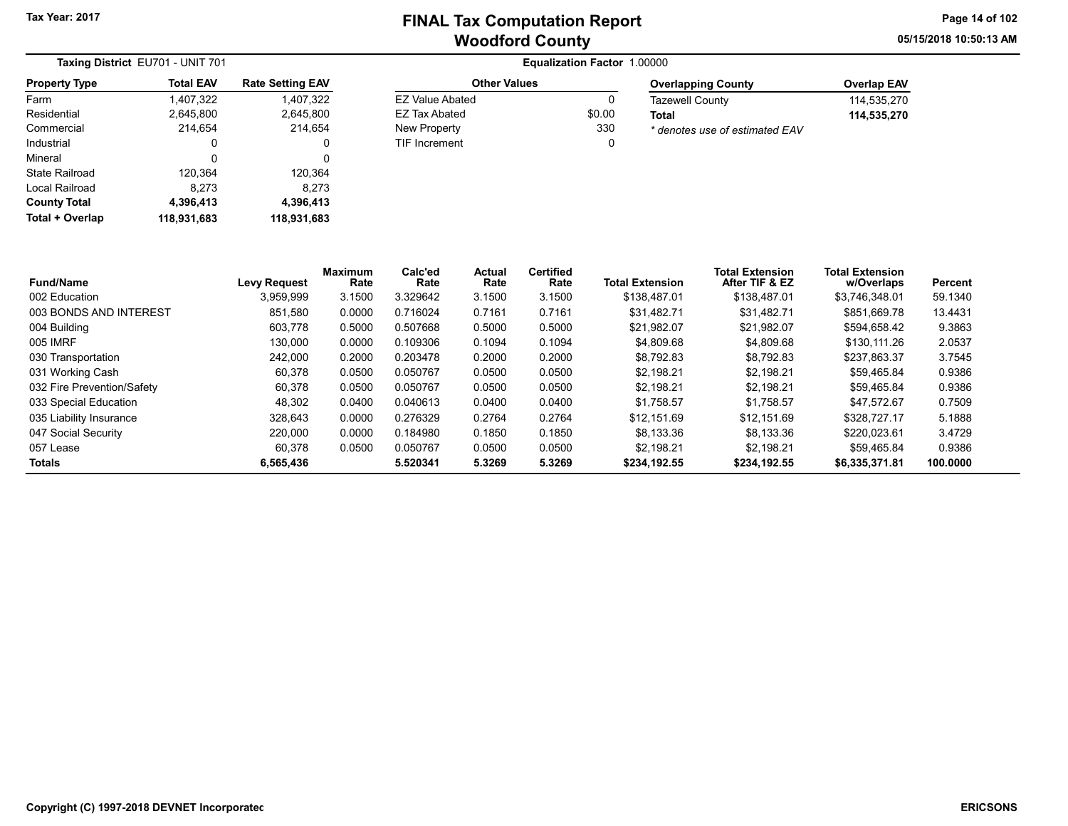Other Values EZ Value Abated 0 EZ Tax Abated \$0.00 New Property 330 TIF Increment 0 05/15/2018 10:50:13 AM Page 14 of 102

| Taxing District EU701 - UNIT 701 |                  |                         |  |  |  |  |  |
|----------------------------------|------------------|-------------------------|--|--|--|--|--|
| <b>Property Type</b>             | <b>Total EAV</b> | <b>Rate Setting EAV</b> |  |  |  |  |  |
| Farm                             | 1,407,322        | 1,407,322               |  |  |  |  |  |
| Residential                      | 2,645,800        | 2,645,800               |  |  |  |  |  |
| Commercial                       | 214,654          | 214,654                 |  |  |  |  |  |
| Industrial                       | 0                | 0                       |  |  |  |  |  |
| Mineral                          | 0                | 0                       |  |  |  |  |  |
| State Railroad                   | 120,364          | 120,364                 |  |  |  |  |  |
| Local Railroad                   | 8.273            | 8.273                   |  |  |  |  |  |
| <b>County Total</b>              | 4,396,413        | 4,396,413               |  |  |  |  |  |
| Total + Overlap                  | 118,931,683      | 118,931,683             |  |  |  |  |  |

| <b>Overlapping County</b>      | <b>Overlap EAV</b> |
|--------------------------------|--------------------|
| <b>Tazewell County</b>         | 114.535.270        |
| Total                          | 114.535.270        |
| * denotes use of estimated EAV |                    |

| <b>Fund/Name</b>           | <b>Levy Request</b> | <b>Maximum</b><br>Rate | Calc'ed<br>Rate | Actual<br>Rate | <b>Certified</b><br>Rate | <b>Total Extension</b> | <b>Total Extension</b><br>After TIF & EZ | <b>Total Extension</b><br>w/Overlaps | Percent  |
|----------------------------|---------------------|------------------------|-----------------|----------------|--------------------------|------------------------|------------------------------------------|--------------------------------------|----------|
| 002 Education              | 3.959.999           | 3.1500                 | 3.329642        | 3.1500         | 3.1500                   | \$138.487.01           | \$138,487.01                             | \$3.746.348.01                       | 59.1340  |
| 003 BONDS AND INTEREST     | 851,580             | 0.0000                 | 0.716024        | 0.7161         | 0.7161                   | \$31.482.71            | \$31,482.71                              | \$851,669.78                         | 13.4431  |
| 004 Building               | 603.778             | 0.5000                 | 0.507668        | 0.5000         | 0.5000                   | \$21.982.07            | \$21.982.07                              | \$594.658.42                         | 9.3863   |
| 005 IMRF                   | 130.000             | 0.0000                 | 0.109306        | 0.1094         | 0.1094                   | \$4,809.68             | \$4.809.68                               | \$130.111.26                         | 2.0537   |
| 030 Transportation         | 242,000             | 0.2000                 | 0.203478        | 0.2000         | 0.2000                   | \$8.792.83             | \$8,792.83                               | \$237.863.37                         | 3.7545   |
| 031 Working Cash           | 60,378              | 0.0500                 | 0.050767        | 0.0500         | 0.0500                   | \$2.198.21             | \$2,198.21                               | \$59,465.84                          | 0.9386   |
| 032 Fire Prevention/Safety | 60.378              | 0.0500                 | 0.050767        | 0.0500         | 0.0500                   | \$2.198.21             | \$2.198.21                               | \$59.465.84                          | 0.9386   |
| 033 Special Education      | 48.302              | 0.0400                 | 0.040613        | 0.0400         | 0.0400                   | \$1.758.57             | \$1.758.57                               | \$47.572.67                          | 0.7509   |
| 035 Liability Insurance    | 328.643             | 0.0000                 | 0.276329        | 0.2764         | 0.2764                   | \$12.151.69            | \$12.151.69                              | \$328,727.17                         | 5.1888   |
| 047 Social Security        | 220.000             | 0.0000                 | 0.184980        | 0.1850         | 0.1850                   | \$8.133.36             | \$8.133.36                               | \$220.023.61                         | 3.4729   |
| 057 Lease                  | 60.378              | 0.0500                 | 0.050767        | 0.0500         | 0.0500                   | \$2.198.21             | \$2.198.21                               | \$59.465.84                          | 0.9386   |
| <b>Totals</b>              | 6,565,436           |                        | 5.520341        | 5.3269         | 5.3269                   | \$234,192.55           | \$234.192.55                             | \$6,335,371.81                       | 100.0000 |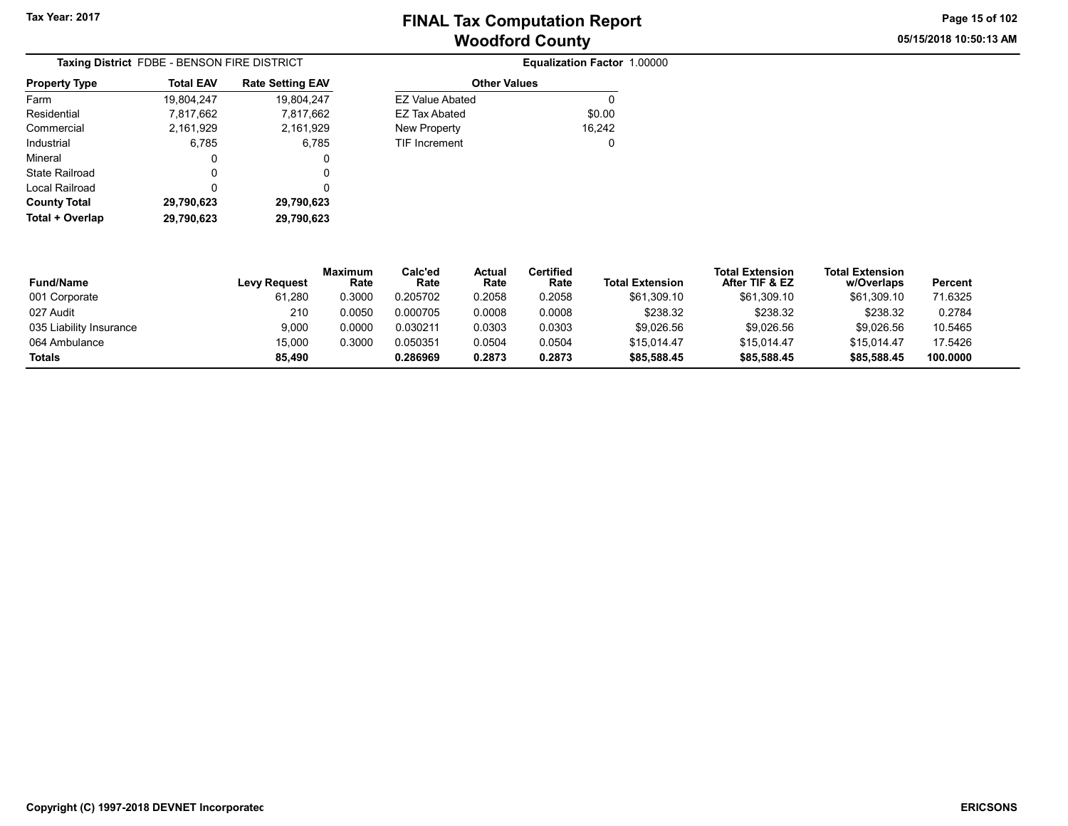05/15/2018 10:50:13 AM Page 15 of 102

| <b>Taxing District FDBE - BENSON FIRE DISTRICT</b> |                  |                         |  |  |  |  |  |
|----------------------------------------------------|------------------|-------------------------|--|--|--|--|--|
| <b>Property Type</b>                               | <b>Total EAV</b> | <b>Rate Setting EAV</b> |  |  |  |  |  |
| Farm                                               | 19,804,247       | 19,804,247              |  |  |  |  |  |
| Residential                                        | 7,817,662        | 7,817,662               |  |  |  |  |  |
| Commercial                                         | 2,161,929        | 2,161,929               |  |  |  |  |  |
| Industrial                                         | 6,785            | 6,785                   |  |  |  |  |  |
| Mineral                                            | 0                | 0                       |  |  |  |  |  |
| State Railroad                                     | O                | O                       |  |  |  |  |  |
| Local Railroad                                     | 0                | 0                       |  |  |  |  |  |
| <b>County Total</b>                                | 29,790,623       | 29,790,623              |  |  |  |  |  |
| Total + Overlap                                    | 29,790,623       | 29.790.623              |  |  |  |  |  |

| <b>FIRE DISTRICT</b>    |                        | Equalization Factor 1.00000 |  |
|-------------------------|------------------------|-----------------------------|--|
| <b>Rate Setting EAV</b> | <b>Other Values</b>    |                             |  |
| 19.804.247              | <b>EZ Value Abated</b> | 0                           |  |
| 7,817,662               | <b>EZ Tax Abated</b>   | \$0.00                      |  |
| 2,161,929               | New Property           | 16,242                      |  |
| 6,785                   | <b>TIF Increment</b>   | 0                           |  |
| 0                       |                        |                             |  |
| ∩                       |                        |                             |  |

| <b>Fund/Name</b>        | <b>Levy Request</b> | <b>Maximum</b><br>Rate | Calc'ed<br>Rate | Actual<br>Rate | Certified<br>Rate | <b>Total Extension</b> | <b>Total Extension</b><br>After TIF & EZ | <b>Total Extension</b><br>w/Overlaps | Percent  |
|-------------------------|---------------------|------------------------|-----------------|----------------|-------------------|------------------------|------------------------------------------|--------------------------------------|----------|
| 001 Corporate           | 61,280              | 0.3000                 | 0.205702        | 0.2058         | 0.2058            | \$61,309.10            | \$61,309.10                              | \$61,309.10                          | 71.6325  |
| 027 Audit               | 210                 | 0.0050                 | 0.000705        | 0.0008         | 0.0008            | \$238.32               | \$238.32                                 | \$238.32                             | 0.2784   |
| 035 Liability Insurance | 9,000               | 0.0000                 | 0.030211        | 0.0303         | 0.0303            | \$9,026.56             | \$9,026.56                               | \$9,026.56                           | 10.5465  |
| 064 Ambulance           | 15,000              | 0.3000                 | 0.050351        | 0.0504         | 0.0504            | \$15.014.47            | \$15.014.47                              | \$15.014.47                          | 17.5426  |
| <b>Totals</b>           | 85.490              |                        | 0.286969        | 0.2873         | 0.2873            | \$85,588.45            | \$85,588.45                              | \$85,588.45                          | 100.0000 |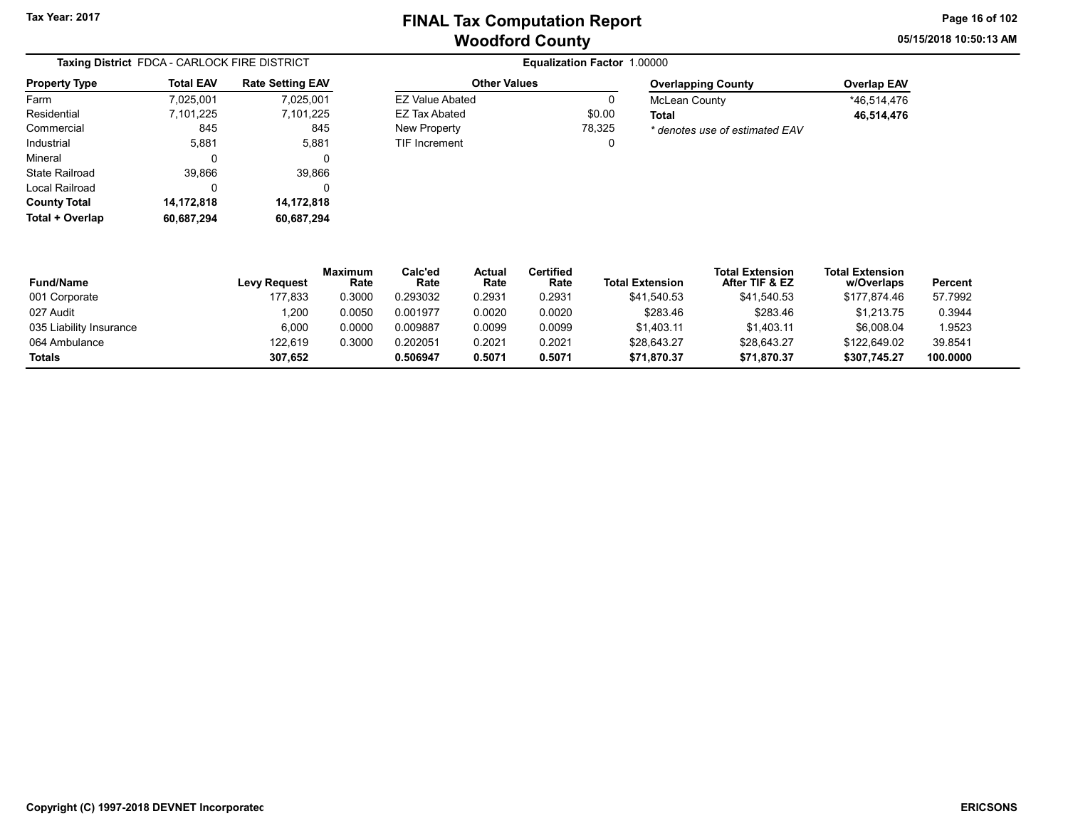Other Values EZ Value Abated 0 EZ Tax Abated \$0.00 New Property 78,325 TIF Increment 0 05/15/2018 10:50:13 AM Page 16 of 102

| Taxing District FDCA - CARLOCK FIRE DISTRICT |                  |                         |  |  |  |  |  |
|----------------------------------------------|------------------|-------------------------|--|--|--|--|--|
| <b>Property Type</b>                         | <b>Total EAV</b> | <b>Rate Setting EAV</b> |  |  |  |  |  |
| Farm                                         | 7,025,001        | 7,025,001               |  |  |  |  |  |
| Residential                                  | 7,101,225        | 7,101,225               |  |  |  |  |  |
| Commercial                                   | 845              | 845                     |  |  |  |  |  |
| Industrial                                   | 5,881            | 5,881                   |  |  |  |  |  |
| Mineral                                      | 0                | 0                       |  |  |  |  |  |
| State Railroad                               | 39,866           | 39,866                  |  |  |  |  |  |
| Local Railroad                               | 0                | 0                       |  |  |  |  |  |
| <b>County Total</b>                          | 14,172,818       | 14,172,818              |  |  |  |  |  |
| Total + Overlap                              | 60,687,294       | 60,687,294              |  |  |  |  |  |

| <b>Overlapping County</b>      | <b>Overlap EAV</b> |
|--------------------------------|--------------------|
| McLean County                  | *46.514.476        |
| Total                          | 46,514,476         |
| * denotes use of estimated EAV |                    |

| <b>Fund/Name</b>        | <b>Levy Request</b> | <b>Maximum</b><br>Rate | Calc'ed<br>Rate | Actual<br>Rate | Certified<br>Rate | <b>Total Extension</b> | <b>Total Extension</b><br>After TIF & EZ | <b>Total Extension</b><br>w/Overlaps | Percent  |
|-------------------------|---------------------|------------------------|-----------------|----------------|-------------------|------------------------|------------------------------------------|--------------------------------------|----------|
| 001 Corporate           | 177.833             | 0.3000                 | 0.293032        | 0.2931         | 0.2931            | \$41.540.53            | \$41.540.53                              | \$177.874.46                         | 57.7992  |
| 027 Audit               | 1,200               | 0.0050                 | 0.001977        | 0.0020         | 0.0020            | \$283.46               | \$283.46                                 | \$1.213.75                           | 0.3944   |
| 035 Liability Insurance | 6,000               | 0.0000                 | 0.009887        | 0.0099         | 0.0099            | \$1,403.11             | \$1.403.11                               | \$6,008.04                           | 1.9523   |
| 064 Ambulance           | 122.619             | 0.3000                 | 0.202051        | 0.2021         | 0.2021            | \$28,643.27            | \$28.643.27                              | \$122.649.02                         | 39.8541  |
| <b>Totals</b>           | 307.652             |                        | 0.506947        | 0.5071         | 0.5071            | \$71,870.37            | \$71.870.37                              | \$307.745.27                         | 100.0000 |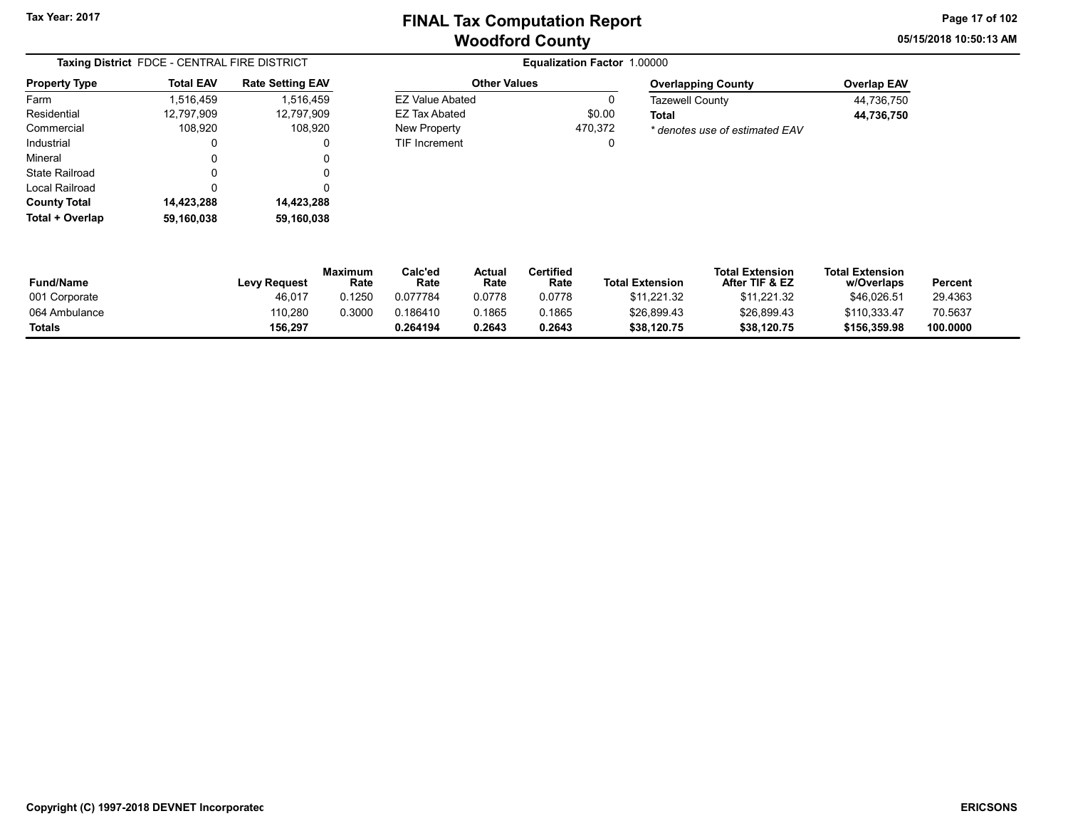05/15/2018 10:50:13 AM Page 17 of 102

| Taxing District FDCE - CENTRAL FIRE DISTRICT |                  |                         |  |  |  |  |
|----------------------------------------------|------------------|-------------------------|--|--|--|--|
| <b>Property Type</b>                         | <b>Total EAV</b> | <b>Rate Setting EAV</b> |  |  |  |  |
| Farm                                         | 1,516,459        | 1,516,459               |  |  |  |  |
| Residential                                  | 12.797.909       | 12,797,909              |  |  |  |  |
| Commercial                                   | 108.920          | 108,920                 |  |  |  |  |
| Industrial                                   | 0                | 0                       |  |  |  |  |
| Mineral                                      | 0                | 0                       |  |  |  |  |
| <b>State Railroad</b>                        | O                | 0                       |  |  |  |  |
| Local Railroad                               | 0                | 0                       |  |  |  |  |
| <b>County Total</b>                          | 14,423,288       | 14,423,288              |  |  |  |  |
| Total + Overlap                              | 59.160.038       | 59,160,038              |  |  |  |  |

**Equalization Factor 1.00000** Other Values EZ Value Abated 0

EZ Tax Abated \$0.00 New Property 470,372 TIF Increment 0

| <b>Overlapping County</b>      | <b>Overlap EAV</b> |
|--------------------------------|--------------------|
| <b>Tazewell County</b>         | 44.736.750         |
| Total                          | 44,736,750         |
| * denotes use of estimated EAV |                    |

| Fund/Name     | <b>Levy Request</b> | Maximum<br>Rate | $\mathsf{Calc}'\mathsf{ed}$<br>Rate | Actual<br>Rate | <b>Certified</b><br>Rate | <b>Total Extension</b> | <b>Total Extension</b><br>After TIF & EZ | <b>Total Extension</b><br>w/Overlaps | Percent  |
|---------------|---------------------|-----------------|-------------------------------------|----------------|--------------------------|------------------------|------------------------------------------|--------------------------------------|----------|
| 001 Corporate | 46.017              | 0.1250          | 0.077784                            | 0.0778         | 0.0778                   | \$11.221.32            | \$11.221.32                              | \$46.026.51                          | 29.4363  |
| 064 Ambulance | 110.280             | 0.3000          | 0.186410                            | 0.1865         | 0.1865                   | \$26,899.43            | \$26,899.43                              | \$110,333.47                         | 70.5637  |
| Totals        | 156.297             |                 | 0.264194                            | 0.2643         | 0.2643                   | \$38,120.75            | \$38,120.75                              | \$156,359.98                         | 100.0000 |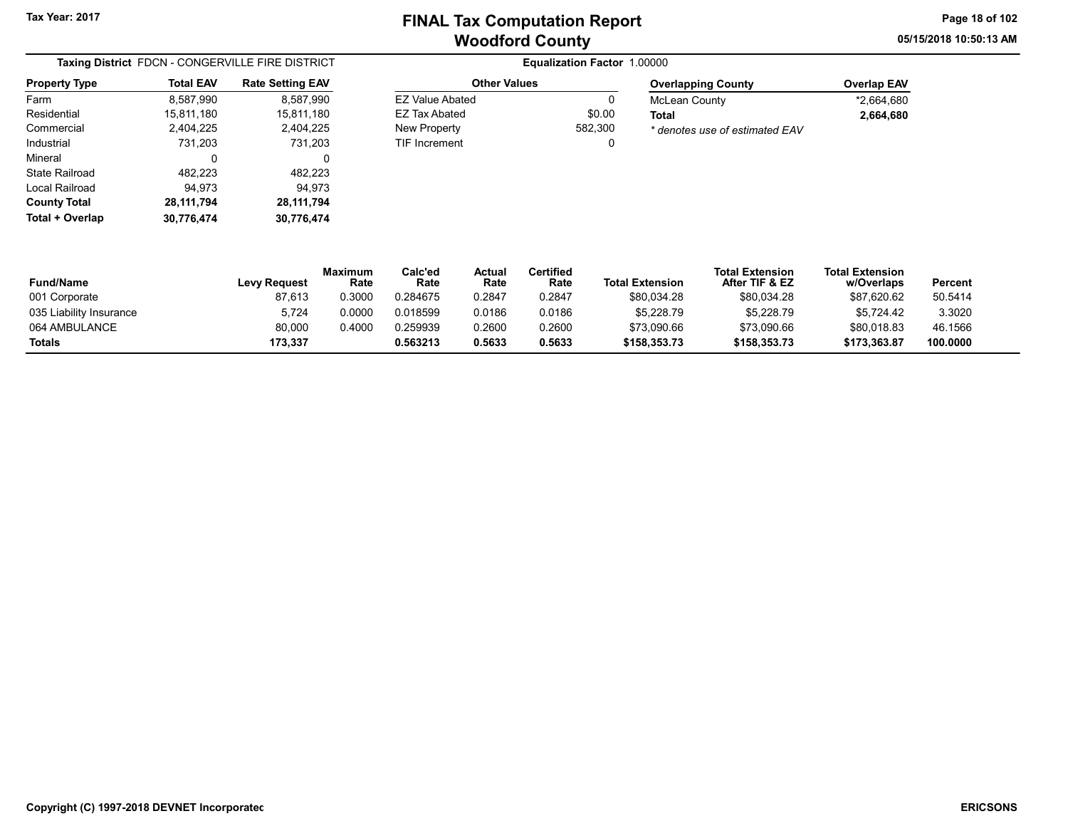Other Values EZ Value Abated 0 EZ Tax Abated \$0.00 New Property 682,300 TIF Increment 0 05/15/2018 10:50:13 AM Page 18 of 102

| Taxing District FDCN - CONGERVILLE FIRE DISTRICT |                  |                         |  |  |  |  |
|--------------------------------------------------|------------------|-------------------------|--|--|--|--|
| <b>Property Type</b>                             | <b>Total EAV</b> | <b>Rate Setting EAV</b> |  |  |  |  |
| Farm                                             | 8,587,990        | 8,587,990               |  |  |  |  |
| Residential                                      | 15,811,180       | 15,811,180              |  |  |  |  |
| Commercial                                       | 2,404,225        | 2,404,225               |  |  |  |  |
| Industrial                                       | 731,203          | 731,203                 |  |  |  |  |
| Mineral                                          | 0                | 0                       |  |  |  |  |
| <b>State Railroad</b>                            | 482,223          | 482,223                 |  |  |  |  |
| Local Railroad                                   | 94.973           | 94.973                  |  |  |  |  |
| <b>County Total</b>                              | 28,111,794       | 28, 111, 794            |  |  |  |  |
| Total + Overlap                                  | 30.776.474       | 30,776,474              |  |  |  |  |

| <b>Overlapping County</b>      | <b>Overlap EAV</b> |
|--------------------------------|--------------------|
| McLean County                  | *2.664.680         |
| Total                          | 2.664.680          |
| * denotes use of estimated EAV |                    |

| <b>Fund/Name</b>        | Levy Request | Maximum<br>Rate | Calc'ed<br>Rate | Actual<br>Rate | Certified<br>Rate | <b>Total Extension</b> | <b>Total Extension</b><br>After TIF & EZ | <b>Total Extension</b><br>w/Overlaps | Percent  |
|-------------------------|--------------|-----------------|-----------------|----------------|-------------------|------------------------|------------------------------------------|--------------------------------------|----------|
| 001 Corporate           | 87,613       | 0.3000          | 0.284675        | 0.2847         | 0.2847            | \$80,034.28            | \$80,034.28                              | \$87,620.62                          | 50.5414  |
| 035 Liability Insurance | 5,724        | 0.0000          | 0.018599        | 0.0186         | 0.0186            | \$5,228.79             | \$5,228.79                               | \$5.724.42                           | 3.3020   |
| 064 AMBULANCE           | 80.000       | 0.4000          | 0.259939        | 0.2600         | 0.2600            | \$73,090.66            | \$73.090.66                              | \$80.018.83                          | 46.1566  |
| Totals                  | 173.337      |                 | 0.563213        | 0.5633         | 0.5633            | \$158.353.73           | \$158,353,73                             | \$173.363.87                         | 100.0000 |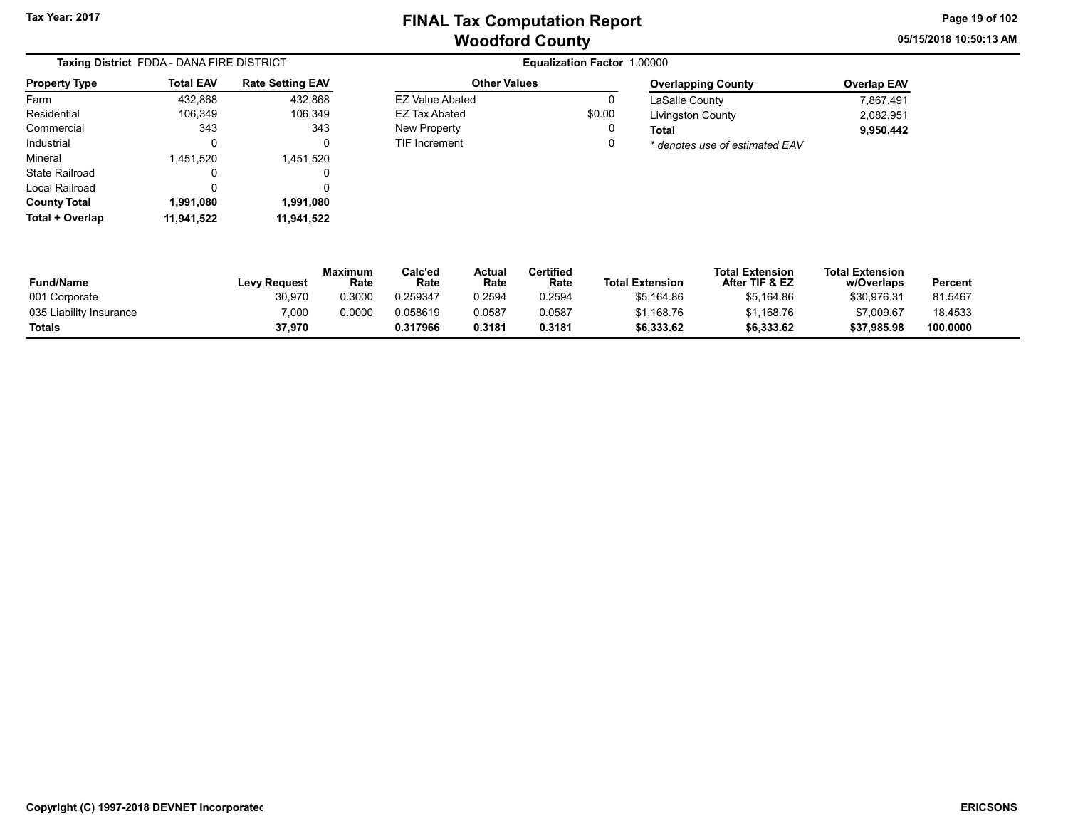Other Values EZ Value Abated 0 EZ Tax Abated \$0.00 New Property **0** TIF Increment 0 05/15/2018 10:50:13 AM Page 19 of 102

|                      | Taxing District FDDA - DANA FIRE DISTRICT |                         |  |  |  |  |  |
|----------------------|-------------------------------------------|-------------------------|--|--|--|--|--|
| <b>Property Type</b> | <b>Total EAV</b>                          | <b>Rate Setting EAV</b> |  |  |  |  |  |
| Farm                 | 432,868                                   | 432,868                 |  |  |  |  |  |
| Residential          | 106,349                                   | 106,349                 |  |  |  |  |  |
| Commercial           | 343                                       | 343                     |  |  |  |  |  |
| Industrial           | 0                                         | 0                       |  |  |  |  |  |
| Mineral              | 1,451,520                                 | 1,451,520               |  |  |  |  |  |
| State Railroad       | O                                         | Ω                       |  |  |  |  |  |
| Local Railroad       | 0                                         | 0                       |  |  |  |  |  |
| <b>County Total</b>  | 1,991,080                                 | 1,991,080               |  |  |  |  |  |
| Total + Overlap      | 11,941,522                                | 11,941,522              |  |  |  |  |  |

| <b>Overlapping County</b>      | <b>Overlap EAV</b> |
|--------------------------------|--------------------|
| LaSalle County                 | 7.867.491          |
| <b>Livingston County</b>       | 2.082.951          |
| Total                          | 9.950.442          |
| * denotes use of estimated EAV |                    |

| <b>Fund/Name</b>        | <b>Levy Request</b> | <b>Maximum</b><br>Rate | Calc'ed<br>Rate | Actual<br>Rate | Certified<br>Rate | <b>Total Extension</b> | <b>Total Extension</b><br>After TIF & EZ | <b>Total Extension</b><br>w/Overlaps | Percent  |
|-------------------------|---------------------|------------------------|-----------------|----------------|-------------------|------------------------|------------------------------------------|--------------------------------------|----------|
| 001 Corporate           | 30,970              | 0.3000                 | 0.259347        | 0.2594         | 0.2594            | \$5,164.86             | \$5,164.86                               | \$30,976.31                          | 81.5467  |
| 035 Liability Insurance | 7,000               | 0.0000                 | 0.058619        | 0.0587         | 0.0587            | \$1.168.76             | \$1,168.76                               | \$7,009.67                           | 18.4533  |
| <b>Totals</b>           | 37,970              |                        | 0.317966        | 0.3181         | 0.3181            | \$6,333.62             | \$6,333.62                               | \$37,985.98                          | 100.0000 |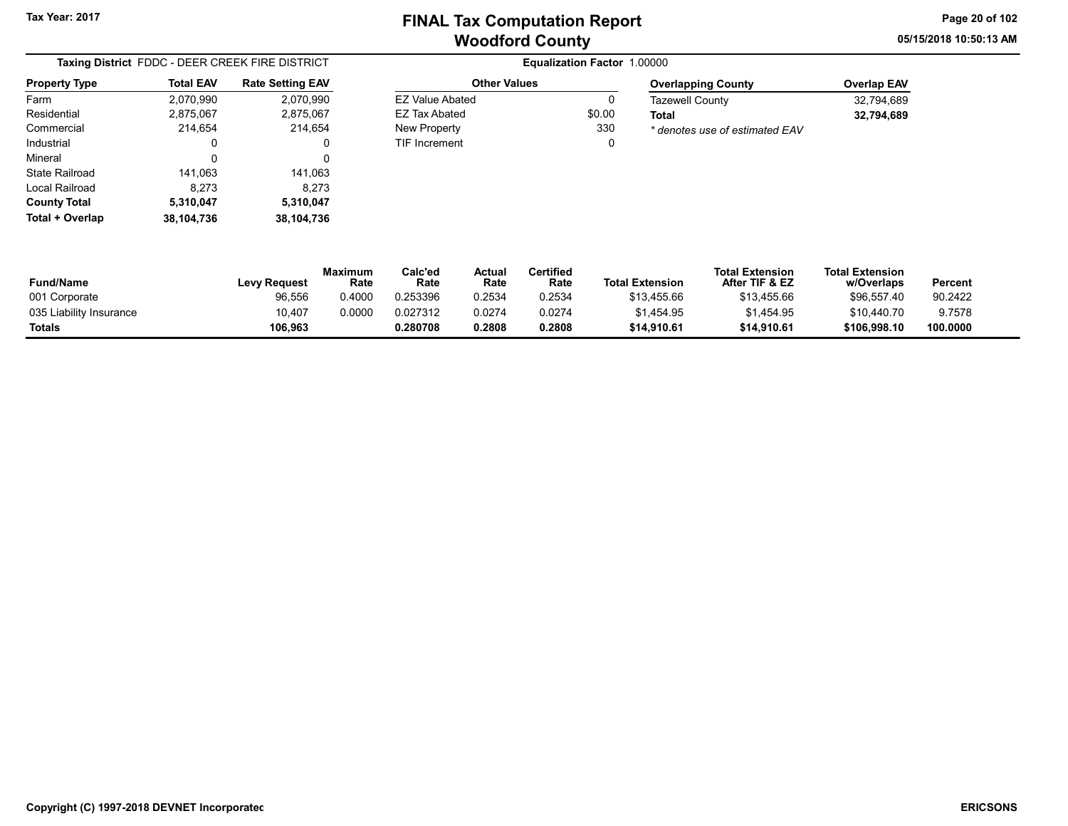Other Values EZ Value Abated 0 EZ Tax Abated \$0.00 New Property 330 TIF Increment 0 05/15/2018 10:50:13 AM Page 20 of 102

|                      | Taxing District FDDC - DEER CREEK FIRE DISTRICT |                         |  |  |  |  |  |
|----------------------|-------------------------------------------------|-------------------------|--|--|--|--|--|
| <b>Property Type</b> | <b>Total EAV</b>                                | <b>Rate Setting EAV</b> |  |  |  |  |  |
| Farm                 | 2,070,990                                       | 2,070,990               |  |  |  |  |  |
| Residential          | 2,875,067                                       | 2,875,067               |  |  |  |  |  |
| Commercial           | 214.654                                         | 214,654                 |  |  |  |  |  |
| Industrial           | 0                                               | 0                       |  |  |  |  |  |
| Mineral              | 0                                               | 0                       |  |  |  |  |  |
| State Railroad       | 141,063                                         | 141,063                 |  |  |  |  |  |
| Local Railroad       | 8,273                                           | 8,273                   |  |  |  |  |  |
| <b>County Total</b>  | 5,310,047                                       | 5,310,047               |  |  |  |  |  |
| Total + Overlap      | 38,104,736                                      | 38,104,736              |  |  |  |  |  |

| <b>Overlapping County</b>      | <b>Overlap EAV</b> |
|--------------------------------|--------------------|
| <b>Tazewell County</b>         | 32.794.689         |
| Total                          | 32.794.689         |
| * denotes use of estimated EAV |                    |

| <b>Fund/Name</b>        | <b>Levy Request</b> | Maximum<br>Rate | $\mathsf{Calc}'$ ed<br>Rate | Actual<br>Rate | Certified<br>Rate | <b>Total Extension</b> | <b>Total Extension</b><br>After TIF & EZ | <b>Total Extension</b><br>w/Overlaps | Percent  |
|-------------------------|---------------------|-----------------|-----------------------------|----------------|-------------------|------------------------|------------------------------------------|--------------------------------------|----------|
| 001 Corporate           | 96,556              | 0.4000          | 0.253396                    | 0.2534         | 0.2534            | \$13,455.66            | \$13,455.66                              | \$96.557.40                          | 90.2422  |
| 035 Liability Insurance | 10.407              | 0.0000          | 0.027312                    | 0.0274         | 0.0274            | \$1.454.95             | \$1,454.95                               | \$10,440.70                          | 9.7578   |
| <b>Totals</b>           | 106,963             |                 | 0.280708                    | 0.2808         | 0.2808            | \$14,910.61            | \$14,910.61                              | \$106,998.10                         | 100.0000 |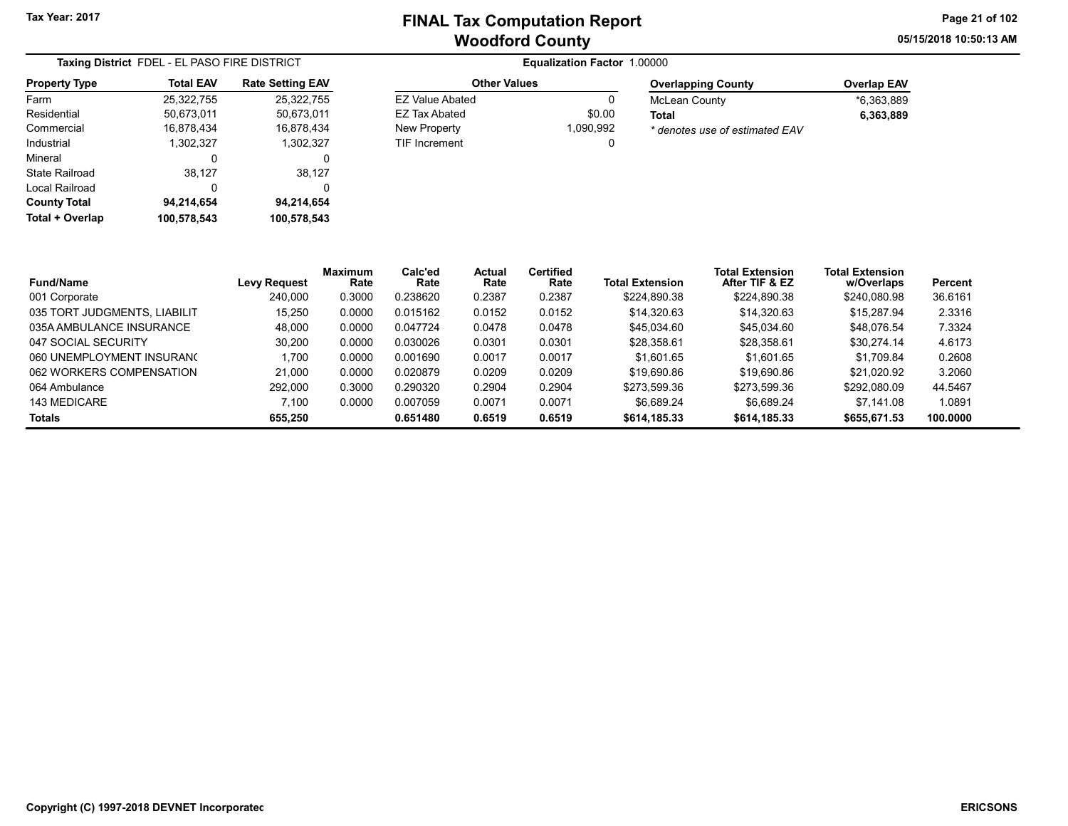Other Values EZ Value Abated 0 EZ Tax Abated \$0.00<br>New Property 1,090,992

TIF Increment 0

New Property

05/15/2018 10:50:13 AM Page 21 of 102

| Taxing District FDEL - EL PASO FIRE DISTRICT |                  |                         |  |  |  |  |
|----------------------------------------------|------------------|-------------------------|--|--|--|--|
| <b>Property Type</b>                         | <b>Total EAV</b> | <b>Rate Setting EAV</b> |  |  |  |  |
| Farm                                         | 25,322,755       | 25.322.755              |  |  |  |  |
| Residential                                  | 50.673.011       | 50.673.011              |  |  |  |  |
| Commercial                                   | 16,878,434       | 16,878,434              |  |  |  |  |
| Industrial                                   | 1,302,327        | 1,302,327               |  |  |  |  |
| Mineral                                      | 0                | 0                       |  |  |  |  |
| State Railroad                               | 38,127           | 38,127                  |  |  |  |  |
| Local Railroad                               | 0                | O                       |  |  |  |  |
| <b>County Total</b>                          | 94,214,654       | 94,214,654              |  |  |  |  |
| <b>Total + Overlap</b>                       | 100,578,543      | 100,578,543             |  |  |  |  |

| <b>Overlapping County</b>      | <b>Overlap EAV</b> |
|--------------------------------|--------------------|
| <b>McLean County</b>           | *6.363.889         |
| Total                          | 6.363.889          |
| * denotes use of estimated EAV |                    |

| <b>Fund/Name</b>             | Levy Request | <b>Maximum</b><br>Rate | Calc'ed<br>Rate | Actual<br>Rate | <b>Certified</b><br>Rate | <b>Total Extension</b> | <b>Total Extension</b><br>After TIF & EZ | <b>Total Extension</b><br>w/Overlaps | Percent  |
|------------------------------|--------------|------------------------|-----------------|----------------|--------------------------|------------------------|------------------------------------------|--------------------------------------|----------|
| 001 Corporate                | 240.000      | 0.3000                 | 0.238620        | 0.2387         | 0.2387                   | \$224.890.38           | \$224,890.38                             | \$240,080.98                         | 36.6161  |
| 035 TORT JUDGMENTS, LIABILIT | 15.250       | 0.0000                 | 0.015162        | 0.0152         | 0.0152                   | \$14.320.63            | \$14.320.63                              | \$15,287.94                          | 2.3316   |
| 035A AMBULANCE INSURANCE     | 48.000       | 0.0000                 | 0.047724        | 0.0478         | 0.0478                   | \$45.034.60            | \$45.034.60                              | \$48.076.54                          | 7.3324   |
| 047 SOCIAL SECURITY          | 30.200       | 0.0000                 | 0.030026        | 0.0301         | 0.0301                   | \$28,358.61            | \$28.358.61                              | \$30.274.14                          | 4.6173   |
| 060 UNEMPLOYMENT INSURANC    | 1.700        | 0.0000                 | 0.001690        | 0.0017         | 0.0017                   | \$1.601.65             | \$1.601.65                               | \$1.709.84                           | 0.2608   |
| 062 WORKERS COMPENSATION     | 21.000       | 0.0000                 | 0.020879        | 0.0209         | 0.0209                   | \$19,690.86            | \$19,690.86                              | \$21.020.92                          | 3.2060   |
| 064 Ambulance                | 292.000      | 0.3000                 | 0.290320        | 0.2904         | 0.2904                   | \$273.599.36           | \$273.599.36                             | \$292.080.09                         | 44.5467  |
| 143 MEDICARE                 | 7.100        | 0.0000                 | 0.007059        | 0.0071         | 0.0071                   | \$6.689.24             | \$6.689.24                               | \$7.141.08                           | 1.0891   |
| Totals                       | 655.250      |                        | 0.651480        | 0.6519         | 0.6519                   | \$614,185,33           | \$614,185.33                             | \$655,671.53                         | 100.0000 |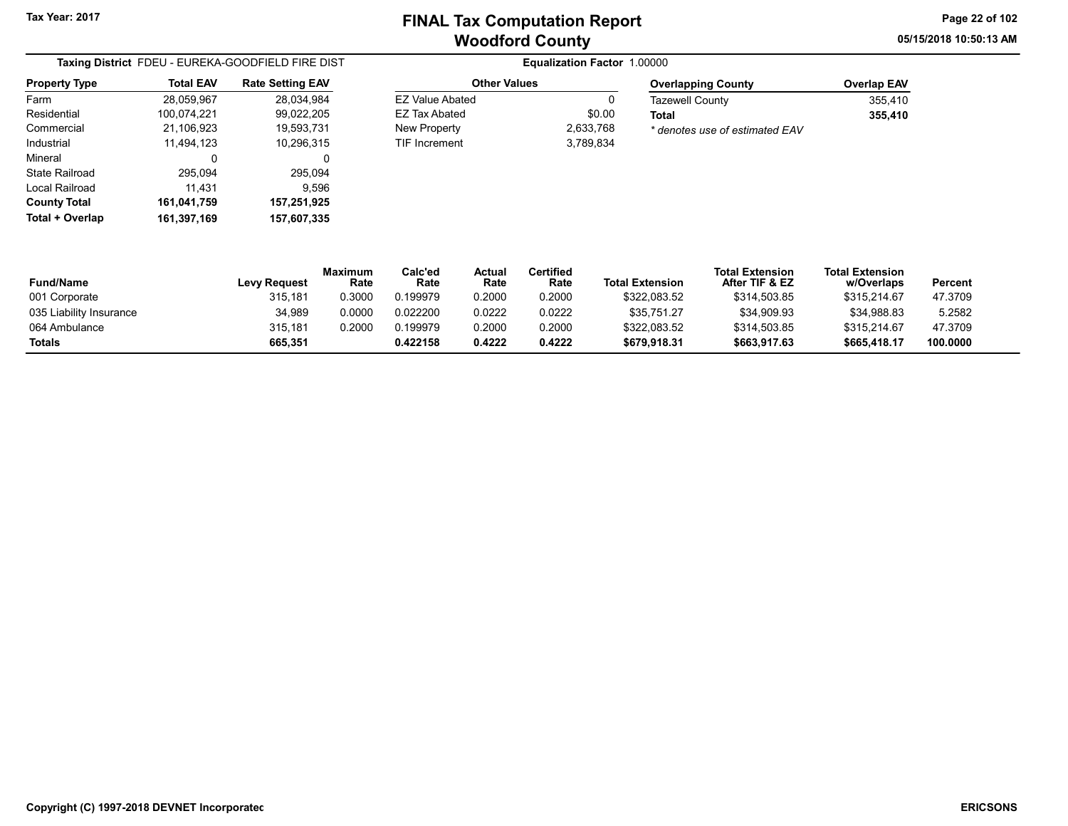05/15/2018 10:50:13 AM Page 22 of 102

| Taxing District FDEU - EUREKA-GOODFIELD FIRE DIST |                  |                         |  |  |  |
|---------------------------------------------------|------------------|-------------------------|--|--|--|
| Property Type                                     | <b>Total EAV</b> | <b>Rate Setting EAV</b> |  |  |  |
| Farm                                              | 28,059,967       | 28,034,984              |  |  |  |
| Residential                                       | 100,074,221      | 99,022,205              |  |  |  |
| Commercial                                        | 21,106,923       | 19,593,731              |  |  |  |
| Industrial                                        | 11,494,123       | 10,296,315              |  |  |  |
| Mineral                                           | 0                | 0                       |  |  |  |
| State Railroad                                    | 295,094          | 295,094                 |  |  |  |
| Local Railroad                                    | 11,431           | 9,596                   |  |  |  |
| County Total                                      | 161,041,759      | 157,251,925             |  |  |  |
| Total + Overlap                                   | 161,397,169      | 157,607,335             |  |  |  |

#### Other Values EZ Value Abated 0 EZ Tax Abated \$0.00 New Property 2,633,768 TIF Increment 3,789,834

| Overlapping County             | <b>Overlap EAV</b> |
|--------------------------------|--------------------|
| Tazewell County                | 355,410            |
| Total                          | 355,410            |
| * denotes use of estimated EAV |                    |

| <b>Fund/Name</b>        | <b>Levy Request</b> | Maximum<br>Rate | Calc'ed<br>Rate | Actual<br>Rate | Certified<br>Rate | <b>Total Extension</b> | <b>Total Extension</b><br>After TIF & EZ | <b>Total Extension</b><br>w/Overlaps | Percent  |
|-------------------------|---------------------|-----------------|-----------------|----------------|-------------------|------------------------|------------------------------------------|--------------------------------------|----------|
| 001 Corporate           | 315.181             | 0.3000          | 0.199979        | 0.2000         | 0.2000            | \$322,083.52           | \$314.503.85                             | \$315,214.67                         | 47.3709  |
| 035 Liability Insurance | 34,989              | 0.0000          | 0.022200        | 0.0222         | 0.0222            | \$35,751.27            | \$34,909.93                              | \$34,988.83                          | 5.2582   |
| 064 Ambulance           | 315.181             | 0.2000          | 0.199979        | 0.2000         | 0.2000            | \$322.083.52           | \$314,503.85                             | \$315,214.67                         | 47.3709  |
| <b>Totals</b>           | 665.351             |                 | 0.422158        | 0.4222         | 0.4222            | \$679,918.31           | \$663,917.63                             | \$665,418.17                         | 100.0000 |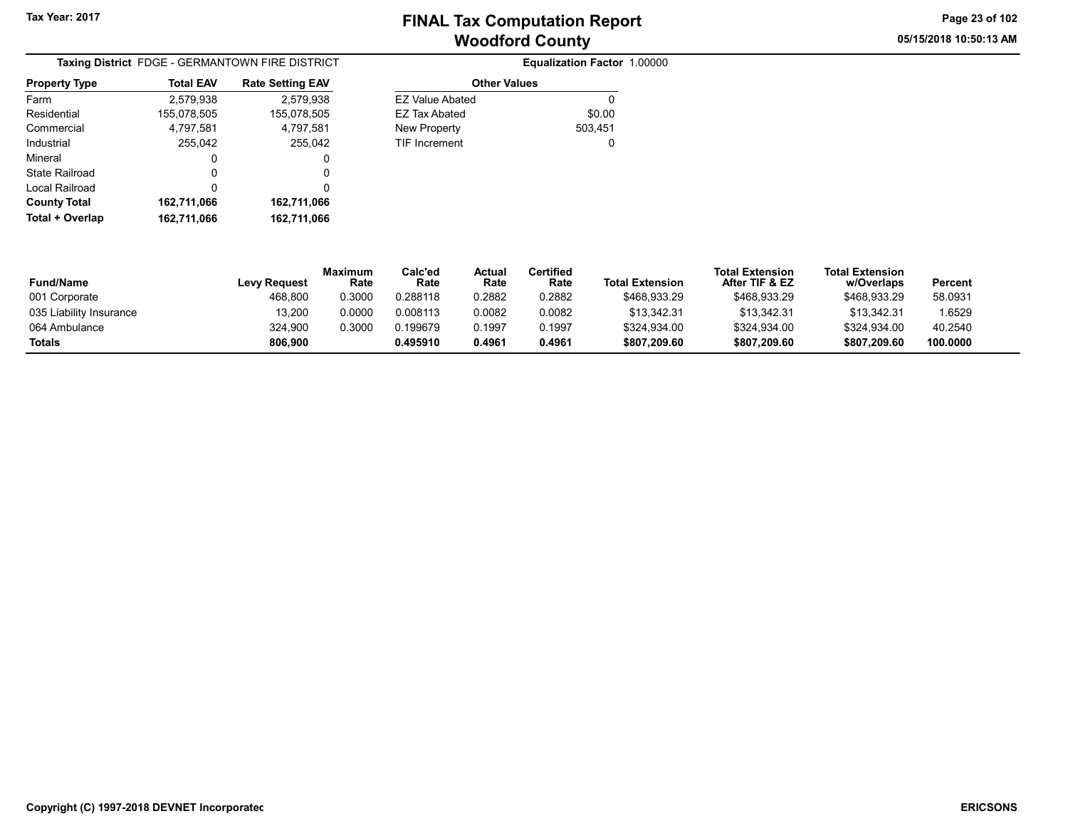05/15/2018 10:50:13 AM Page 23 of 102

| Taxing District FDGE - GERMANTOWN FIRE DISTRICT |                  |                         |  |  |  |  |  |
|-------------------------------------------------|------------------|-------------------------|--|--|--|--|--|
| <b>Property Type</b>                            | <b>Total EAV</b> | <b>Rate Setting EAV</b> |  |  |  |  |  |
| Farm                                            | 2,579,938        | 2,579,938               |  |  |  |  |  |
| Residential                                     | 155,078,505      | 155,078,505             |  |  |  |  |  |
| Commercial                                      | 4,797,581        | 4,797,581               |  |  |  |  |  |
| Industrial                                      | 255.042          | 255.042                 |  |  |  |  |  |
| Mineral                                         | 0                | 0                       |  |  |  |  |  |
| State Railroad                                  | 0                | 0                       |  |  |  |  |  |
| Local Railroad                                  | 0                | 0                       |  |  |  |  |  |
| <b>County Total</b>                             | 162,711,066      | 162,711,066             |  |  |  |  |  |
| Total + Overlap                                 | 162,711,066      | 162,711,066             |  |  |  |  |  |

| FIRE DISTRICT |                        | Equalization Factor 1.00000 |
|---------------|------------------------|-----------------------------|
| e Setting EAV | <b>Other Values</b>    |                             |
| 2.579.938     | <b>EZ Value Abated</b> | 0                           |
| 155.078.505   | EZ Tax Abated          | \$0.00                      |
| 4,797,581     | New Property           | 503.451                     |
| 255.042       | <b>TIF Increment</b>   | 0                           |

| <b>Fund/Name</b>        | <b>Levy Request</b> | <b>Maximum</b><br>Rate | Calc'ed<br>Rate | Actual<br>Rate | Certified<br>Rate | <b>Total Extension</b> | <b>Total Extension</b><br>After TIF & EZ | <b>Total Extension</b><br>w/Overlaps | Percent  |
|-------------------------|---------------------|------------------------|-----------------|----------------|-------------------|------------------------|------------------------------------------|--------------------------------------|----------|
| 001 Corporate           | 468.800             | 0.3000                 | 0.288118        | 0.2882         | 0.2882            | \$468.933.29           | \$468,933.29                             | \$468.933.29                         | 58.0931  |
| 035 Liability Insurance | 13.200              | 0.0000                 | 0.008113        | 0.0082         | 0.0082            | \$13.342.31            | \$13.342.31                              | \$13.342.31                          | 1.6529   |
| 064 Ambulance           | 324,900             | 0.3000                 | 0.199679        | 0.1997         | 0.1997            | \$324,934.00           | \$324.934.00                             | \$324,934.00                         | 40.2540  |
| <b>Totals</b>           | 806.900             |                        | 0.495910        | 0.4961         | 0.4961            | \$807.209.60           | \$807.209.60                             | \$807.209.60                         | 100.0000 |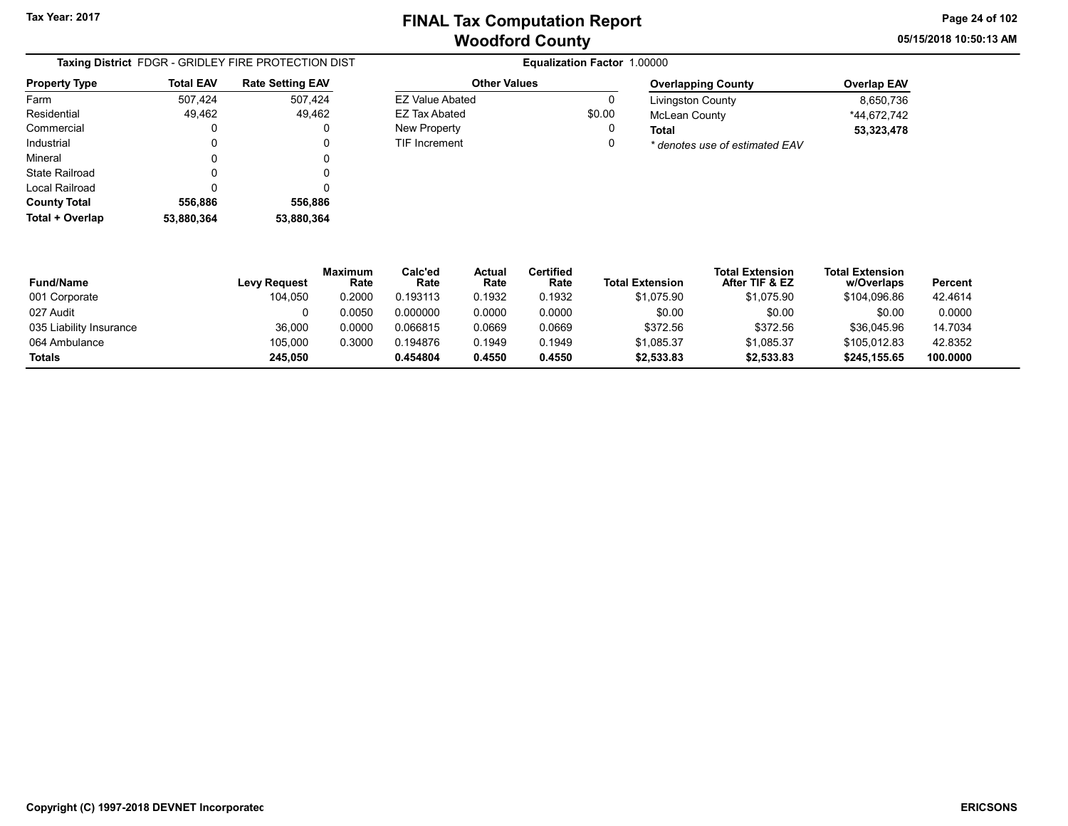Other Values EZ Value Abated 0 EZ Tax Abated \$0.00 New Property **0** TIF Increment 0 05/15/2018 10:50:13 AM Page 24 of 102

|                       | <b>Taxing District</b> FDGR - GRIDLEY FIRE PROTECTION DIST |                         |  |  |  |  |  |  |
|-----------------------|------------------------------------------------------------|-------------------------|--|--|--|--|--|--|
| <b>Property Type</b>  | <b>Total EAV</b>                                           | <b>Rate Setting EAV</b> |  |  |  |  |  |  |
| Farm                  | 507,424                                                    | 507,424                 |  |  |  |  |  |  |
| Residential           | 49,462                                                     | 49,462                  |  |  |  |  |  |  |
| Commercial            | 0                                                          | 0                       |  |  |  |  |  |  |
| Industrial            | 0                                                          | 0                       |  |  |  |  |  |  |
| Mineral               | 0                                                          | 0                       |  |  |  |  |  |  |
| State Railroad        | 0                                                          | 0                       |  |  |  |  |  |  |
| <b>Local Railroad</b> | 0                                                          | 0                       |  |  |  |  |  |  |
| <b>County Total</b>   | 556,886                                                    | 556,886                 |  |  |  |  |  |  |
| Total + Overlap       | 53,880,364                                                 | 53.880.364              |  |  |  |  |  |  |

| <b>Overlapping County</b>      | <b>Overlap EAV</b> |
|--------------------------------|--------------------|
| <b>Livingston County</b>       | 8,650,736          |
| <b>McLean County</b>           | *44.672.742        |
| Total                          | 53,323,478         |
| * denotes use of estimated EAV |                    |

| <b>Fund/Name</b>        | Levy Request | <b>Maximum</b><br>Rate | Calc'ed<br>Rate | Actual<br>Rate | Certified<br>Rate | <b>Total Extension</b> | <b>Total Extension</b><br>After TIF & EZ | <b>Total Extension</b><br>w/Overlaps | Percent  |
|-------------------------|--------------|------------------------|-----------------|----------------|-------------------|------------------------|------------------------------------------|--------------------------------------|----------|
| 001 Corporate           | 104,050      | 0.2000                 | 0.193113        | 0.1932         | 0.1932            | \$1,075.90             | \$1.075.90                               | \$104.096.86                         | 42.4614  |
| 027 Audit               |              | 0.0050                 | 0.000000        | 0.0000         | 0.0000            | \$0.00                 | \$0.00                                   | \$0.00                               | 0.0000   |
| 035 Liability Insurance | 36,000       | 0.0000                 | 0.066815        | 0.0669         | 0.0669            | \$372.56               | \$372.56                                 | \$36,045.96                          | 14.7034  |
| 064 Ambulance           | 105.000      | 0.3000                 | 0.194876        | 0.1949         | 0.1949            | \$1.085.37             | \$1.085.37                               | \$105.012.83                         | 42.8352  |
| <b>Totals</b>           | 245.050      |                        | 0.454804        | 0.4550         | 0.4550            | \$2,533.83             | \$2,533.83                               | \$245.155.65                         | 100.0000 |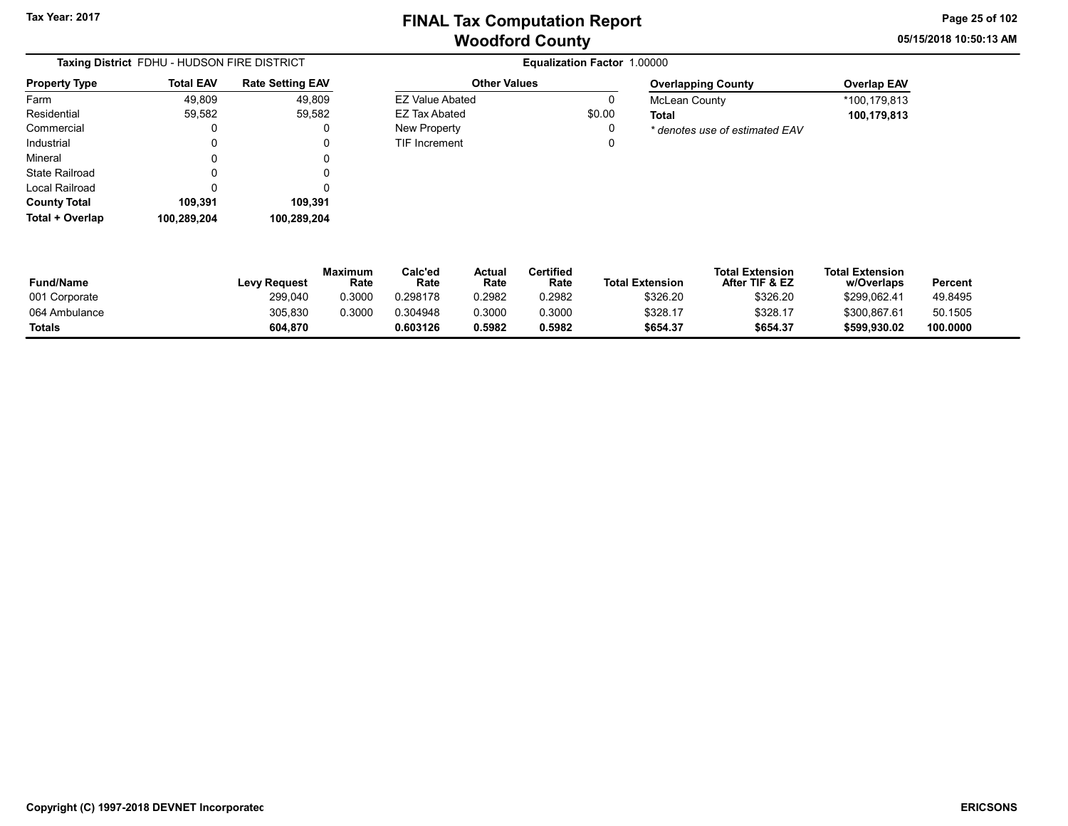EZ Value Abated 0 EZ Tax Abated \$0.00 New Property **0** TIF Increment 0 05/15/2018 10:50:13 AM Page 25 of 102

| Taxing District FDHU - HUDSON FIRE DISTRICT |                  |                         |  |  |  |  |  |
|---------------------------------------------|------------------|-------------------------|--|--|--|--|--|
| <b>Property Type</b>                        | <b>Total EAV</b> | <b>Rate Setting EAV</b> |  |  |  |  |  |
| Farm                                        | 49.809           | 49,809                  |  |  |  |  |  |
| Residential                                 | 59,582           | 59,582                  |  |  |  |  |  |
| Commercial                                  | 0                | 0                       |  |  |  |  |  |
| Industrial                                  | 0                | 0                       |  |  |  |  |  |
| Mineral                                     | 0                | 0                       |  |  |  |  |  |
| State Railroad                              | 0                | 0                       |  |  |  |  |  |
| Local Railroad                              | 0                | 0                       |  |  |  |  |  |
| <b>County Total</b>                         | 109,391          | 109,391                 |  |  |  |  |  |
| Total + Overlap                             | 100.289.204      | 100,289,204             |  |  |  |  |  |

#### **Equalization Factor 1.00000** Other Values

| <b>Overlapping County</b>      | <b>Overlap EAV</b> |
|--------------------------------|--------------------|
| McLean County                  | *100.179.813       |
| Total                          | 100,179,813        |
| * denotes use of estimated EAV |                    |

| <b>Fund/Name</b> | <b>Levy Request</b> | Maximum<br>Rate | Calc'ed<br>Rate | Actual<br>Rate | <b>Certified</b><br>Rate | <b>Total Extension</b> | <b>Total Extension</b><br>After TIF & EZ | <b>Total Extension</b><br>w/Overlaps | Percent  |
|------------------|---------------------|-----------------|-----------------|----------------|--------------------------|------------------------|------------------------------------------|--------------------------------------|----------|
| 001 Corporate    | 299,040             | 0.3000          | 0.298178        | 0.2982         | 0.2982                   | \$326.20               | \$326.20                                 | \$299,062.41                         | 49.8495  |
| 064 Ambulance    | 305,830             | 0.3000          | 0.304948        | 0.3000         | 0.3000                   | \$328.17               | \$328.17                                 | \$300.867.61                         | 50.1505  |
| <b>Totals</b>    | 604.870             |                 | 0.603126        | 0.5982         | 0.5982                   | \$654.37               | \$654.37                                 | \$599.930.02                         | 100.0000 |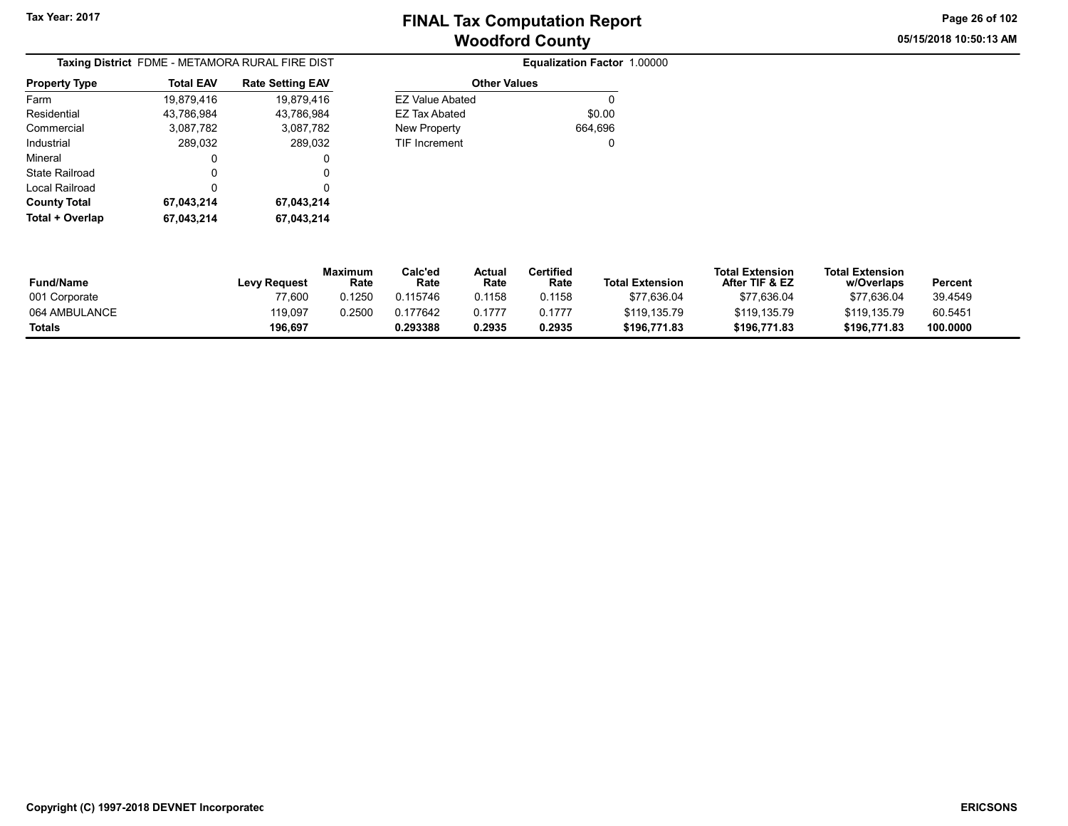05/15/2018 10:50:13 AM Page 26 of 102

| Taxing District FDME - METAMORA RURAL FIRE DIST |                  |                         |  |  |  |  |  |
|-------------------------------------------------|------------------|-------------------------|--|--|--|--|--|
| <b>Property Type</b>                            | <b>Total EAV</b> | <b>Rate Setting EAV</b> |  |  |  |  |  |
| Farm                                            | 19,879,416       | 19,879,416              |  |  |  |  |  |
| Residential                                     | 43,786,984       | 43.786.984              |  |  |  |  |  |
| Commercial                                      | 3,087,782        | 3,087,782               |  |  |  |  |  |
| Industrial                                      | 289,032          | 289,032                 |  |  |  |  |  |
| Mineral                                         | 0                | 0                       |  |  |  |  |  |
| State Railroad                                  | O                | 0                       |  |  |  |  |  |
| Local Railroad                                  | O                | 0                       |  |  |  |  |  |
| <b>County Total</b>                             | 67,043,214       | 67,043,214              |  |  |  |  |  |
| Total + Overlap                                 | 67,043,214       | 67,043,214              |  |  |  |  |  |

|         | <b>Other Values</b>    | <b>Rate Setting EAV</b> | <b>Total EAV</b> |  |
|---------|------------------------|-------------------------|------------------|--|
| 0       | <b>EZ Value Abated</b> | 19,879,416              | 19,879,416       |  |
| \$0.00  | <b>EZ Tax Abated</b>   | 43,786,984              | 43,786,984       |  |
| 664,696 | New Property           | 3,087,782               | 3,087,782        |  |
| 0       | <b>TIF Increment</b>   | 289,032                 | 289,032          |  |
|         |                        | 0                       | 0                |  |
|         |                        | 0                       | 0                |  |
|         |                        | 0                       | 0                |  |
|         |                        | 67.043.214              | 67.043.214       |  |

| <b>Fund/Name</b> | Levy Request | Maximum<br>Rate | Calc'ed<br>Rate | <b>Actual</b><br>Rate | Certified<br>Rate | <b>Total Extension</b> | <b>Total Extension</b><br>After TIF & EZ | <b>Total Extension</b><br>w/Overlaps | Percent  |
|------------------|--------------|-----------------|-----------------|-----------------------|-------------------|------------------------|------------------------------------------|--------------------------------------|----------|
| 001 Corporate    | 77.600       | 0.1250          | 0.115746        | 0.1158                | 0.1158            | \$77,636.04            | \$77,636.04                              | \$77.636.04                          | 39.4549  |
| 064 AMBULANCE    | 119,097      | 0.2500          | 0.177642        | 0.1777                | 0.1777            | \$119.135.79           | \$119,135.79                             | \$119.135.79                         | 60.5451  |
| <b>Totals</b>    | 196,697      |                 | 0.293388        | 0.2935                | 0.2935            | \$196,771.83           | \$196,771.83                             | \$196,771.83                         | 100.0000 |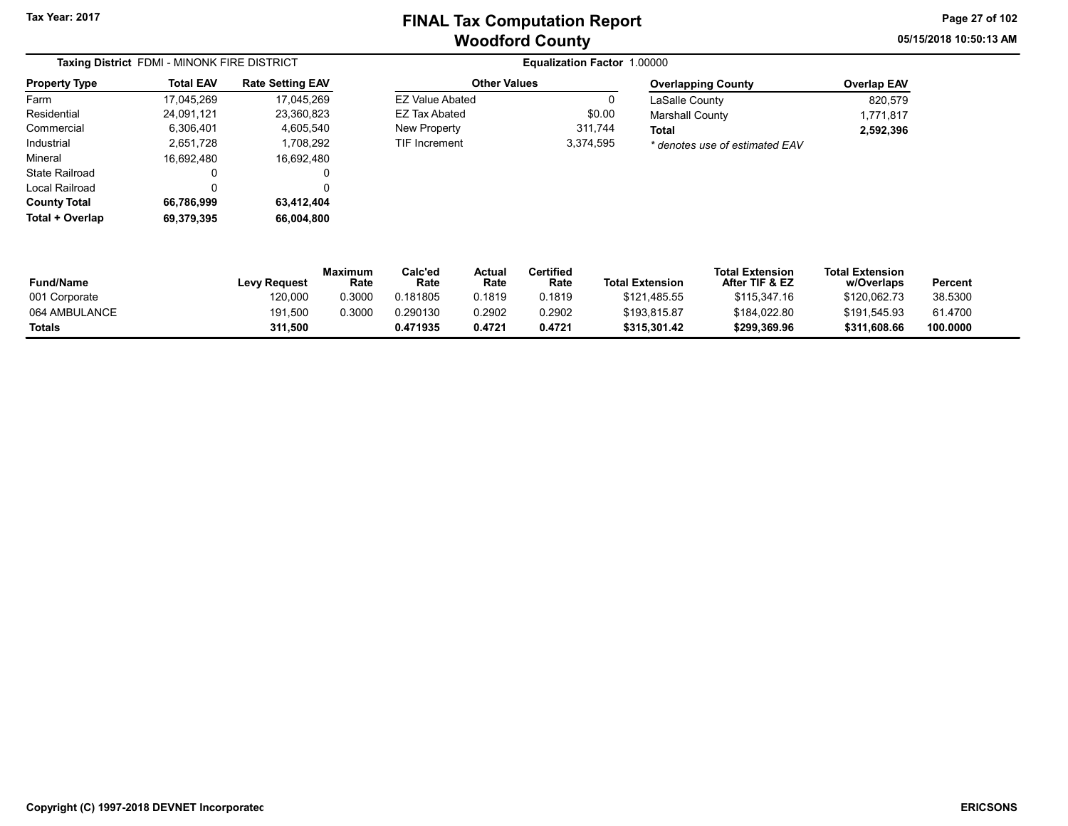05/15/2018 10:50:13 AM Page 27 of 102

#### Taxing District FDMI - MINONK FIRE DISTRICT **Equalization Factor 1.00000** Property Type 24,091,121 23,360,823 Farm Residential Commercial 6,306,401 4,605,540 2,651,728 1,708,292 Mineral 16,692,480 16,692,480 State Railroad 0 0 Local Railroad 0 0 **County Total** 17,045,269 Total EAV 17,045,269 Industrial Rate Setting EAV Total + Overlap 69,379,395 66,004,800

#### Other Values **EZ Value Abated** EZ Tax Abated New Property TIF Increment 3,3

|         | <b>Overlapping County</b>      |
|---------|--------------------------------|
|         | LaSalle County                 |
| \$0.00  | <b>Marshall County</b>         |
| 311.744 | Total                          |
| 374.595 | * denotes use of estimated EAV |

| Overlapping County             | <b>Overlap EAV</b> |
|--------------------------------|--------------------|
| LaSalle County                 | 820.579            |
| Marshall County                | 1.771.817          |
| Total                          | 2,592,396          |
| * denotes use of estimated EAV |                    |

| <b>Fund/Name</b> | <b>Levy Request</b> | Maximum<br>Rate | Calc'ed<br>Rate | Actua<br>Rate | <b>Certified</b><br>Rate | <b>Total Extension</b> | <b>Total Extension</b><br>After TIF & EZ | <b>Total Extension</b><br>w/Overlaps | Percent  |
|------------------|---------------------|-----------------|-----------------|---------------|--------------------------|------------------------|------------------------------------------|--------------------------------------|----------|
| 001 Corporate    | 120,000             | 0.3000          | 0.181805        | 0.1819        | 0.1819                   | \$121,485.55           | \$115,347.16                             | \$120.062.73                         | 38.5300  |
| 064 AMBULANCE    | 191,500             | 0.3000          | 0.290130        | 0.2902        | 0.2902                   | \$193.815.87           | \$184,022.80                             | \$191.545.93                         | 61.4700  |
| <b>Totals</b>    | 311,500             |                 | 0.471935        | 0.4721        | 0.4721                   | \$315,301.42           | \$299,369.96                             | \$311.608.66                         | 100.0000 |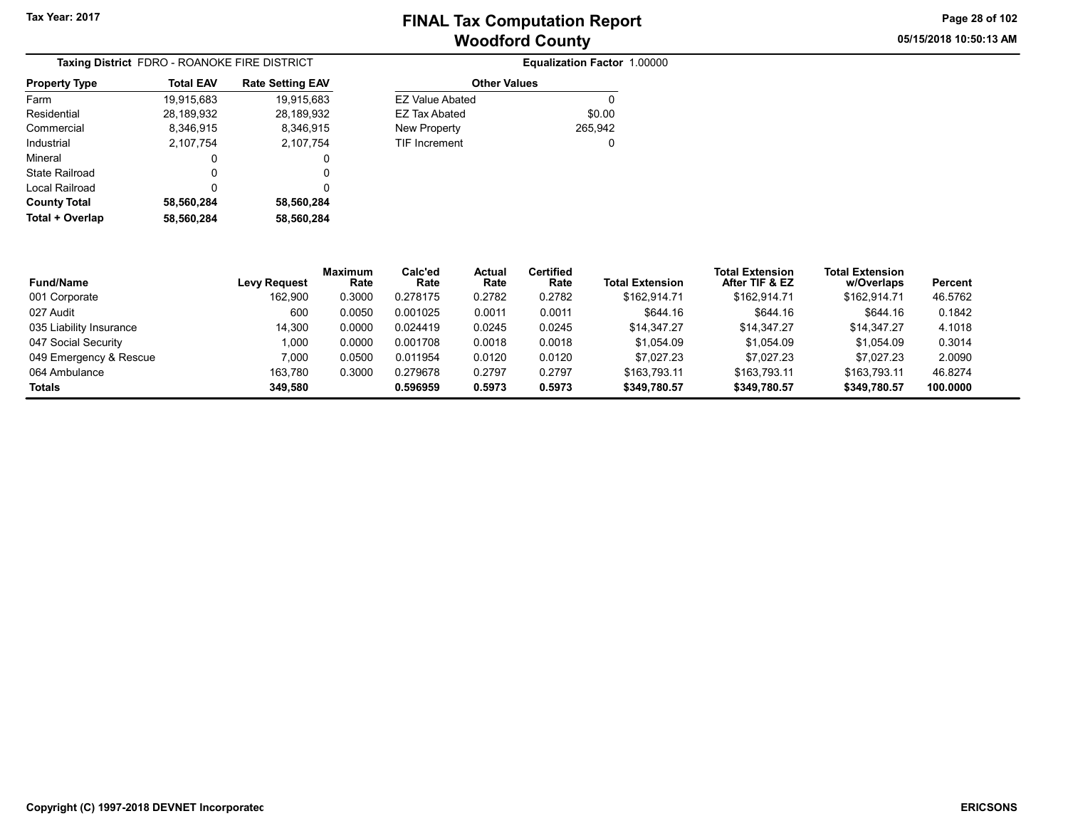05/15/2018 10:50:13 AM Page 28 of 102

| Taxing District FDRO - ROANOKE FIRE DISTRICT |                  |                         |  |  |  |  |
|----------------------------------------------|------------------|-------------------------|--|--|--|--|
| <b>Property Type</b>                         | <b>Total EAV</b> | <b>Rate Setting EAV</b> |  |  |  |  |
| Farm                                         | 19,915,683       | 19,915,683              |  |  |  |  |
| Residential                                  | 28,189,932       | 28,189,932              |  |  |  |  |
| Commercial                                   | 8,346,915        | 8,346,915               |  |  |  |  |
| Industrial                                   | 2,107,754        | 2,107,754               |  |  |  |  |
| Mineral                                      | 0                | 0                       |  |  |  |  |
| State Railroad                               | 0                | 0                       |  |  |  |  |
| Local Railroad                               | 0                | 0                       |  |  |  |  |
| <b>County Total</b>                          | 58,560,284       | 58,560,284              |  |  |  |  |
| Total + Overlap                              | 58,560,284       | 58,560,284              |  |  |  |  |

| OANOKE FIRE DISTRICT |                         |                        | Equalization Factor 1.00000 |  |
|----------------------|-------------------------|------------------------|-----------------------------|--|
| al EAV               | <b>Rate Setting EAV</b> | <b>Other Values</b>    |                             |  |
| 15,683               | 19,915,683              | <b>EZ Value Abated</b> | 0                           |  |
| 89,932               | 28,189,932              | <b>EZ Tax Abated</b>   | \$0.00                      |  |
| 46,915               | 8,346,915               | New Property           | 265,942                     |  |
| 07.754               | 2,107,754               | <b>TIF Increment</b>   | 0                           |  |
| 0                    |                         |                        |                             |  |
| ∩                    |                         |                        |                             |  |

| <b>Fund/Name</b>        | <b>Levy Request</b> | <b>Maximum</b><br>Rate | Calc'ed<br>Rate | Actual<br>Rate | <b>Certified</b><br>Rate | <b>Total Extension</b> | <b>Total Extension</b><br>After TIF & EZ | <b>Total Extension</b><br>w/Overlaps | Percent  |
|-------------------------|---------------------|------------------------|-----------------|----------------|--------------------------|------------------------|------------------------------------------|--------------------------------------|----------|
| 001 Corporate           | 162.900             | 0.3000                 | 0.278175        | 0.2782         | 0.2782                   | \$162.914.71           | \$162.914.71                             | \$162.914.71                         | 46.5762  |
| 027 Audit               | 600                 | 0.0050                 | 0.001025        | 0.0011         | 0.0011                   | \$644.16               | \$644.16                                 | \$644.16                             | 0.1842   |
| 035 Liability Insurance | 14.300              | 0.0000                 | 0.024419        | 0.0245         | 0.0245                   | \$14.347.27            | \$14.347.27                              | \$14.347.27                          | 4.1018   |
| 047 Social Security     | 1,000               | 0.0000                 | 0.001708        | 0.0018         | 0.0018                   | \$1,054.09             | \$1,054.09                               | \$1,054.09                           | 0.3014   |
| 049 Emergency & Rescue  | 7.000               | 0.0500                 | 0.011954        | 0.0120         | 0.0120                   | \$7.027.23             | \$7.027.23                               | \$7.027.23                           | 2.0090   |
| 064 Ambulance           | 163.780             | 0.3000                 | 0.279678        | 0.2797         | 0.2797                   | \$163.793.11           | \$163.793.11                             | \$163.793.11                         | 46.8274  |
| <b>Totals</b>           | 349.580             |                        | 0.596959        | 0.5973         | 0.5973                   | \$349,780.57           | \$349,780.57                             | \$349,780.57                         | 100.0000 |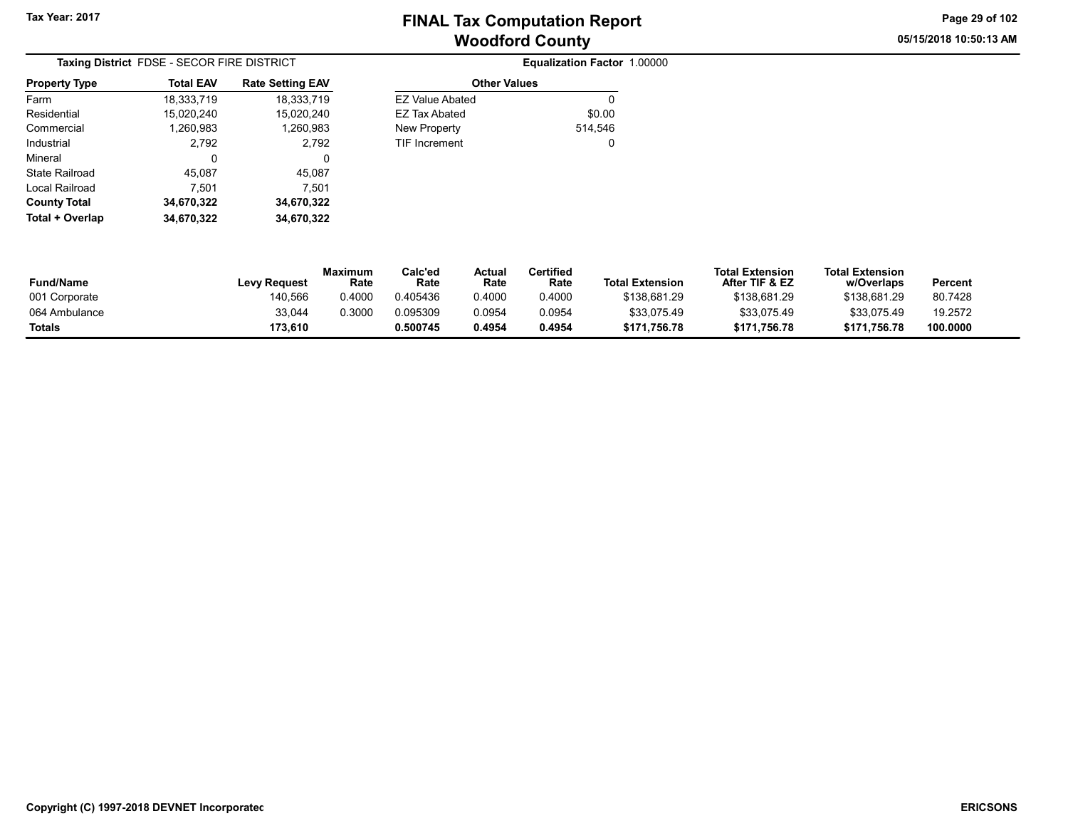Equalization Factor 1.00000

05/15/2018 10:50:13 AM Page 29 of 102

| Taxing District FDSE - SECOR FIRE DISTRICT |                  |                         |  |  |  |  |  |
|--------------------------------------------|------------------|-------------------------|--|--|--|--|--|
| <b>Property Type</b>                       | <b>Total EAV</b> | <b>Rate Setting EAV</b> |  |  |  |  |  |
| Farm                                       | 18.333.719       | 18.333.719              |  |  |  |  |  |
| Residential                                | 15,020,240       | 15,020,240              |  |  |  |  |  |
| Commercial                                 | 1,260,983        | 1,260,983               |  |  |  |  |  |
| Industrial                                 | 2,792            | 2,792                   |  |  |  |  |  |
| Mineral                                    | 0                | 0                       |  |  |  |  |  |
| State Railroad                             | 45,087           | 45,087                  |  |  |  |  |  |
| Local Railroad                             | 7,501            | 7,501                   |  |  |  |  |  |
| <b>County Total</b>                        | 34,670,322       | 34,670,322              |  |  |  |  |  |
| Total + Overlap                            | 34.670.322       | 34,670,322              |  |  |  |  |  |

| <b>Other Values</b> |         |
|---------------------|---------|
| EZ Value Abated     |         |
| EZ Tax Abated       | \$0.00  |
| New Property        | 514.546 |
| TIF Increment       |         |
|                     |         |

| <b>Fund/Name</b> | <b>Levy Request</b> | <b>Maximum</b><br>Rate | Calc'ed<br>Rate | Actual<br>Rate | Certified<br>Rate | <b>Total Extension</b> | <b>Total Extension</b><br>After TIF & EZ | <b>Total Extension</b><br>w/Overlaps | Percent  |
|------------------|---------------------|------------------------|-----------------|----------------|-------------------|------------------------|------------------------------------------|--------------------------------------|----------|
| 001 Corporate    | 140,566             | 0.4000                 | 0.405436        | 0.4000         | 0.4000            | \$138,681.29           | \$138.681.29                             | \$138.681.29                         | 80.7428  |
| 064 Ambulance    | 33,044              | 0.3000                 | 0.095309        | 0.0954         | 0.0954            | \$33,075.49            | \$33,075.49                              | \$33.075.49                          | 19.2572  |
| Totals           | 173.610             |                        | 0.500745        | 0.4954         | 0.4954            | \$171.756.78           | \$171.756.78                             | \$171.756.78                         | 100.0000 |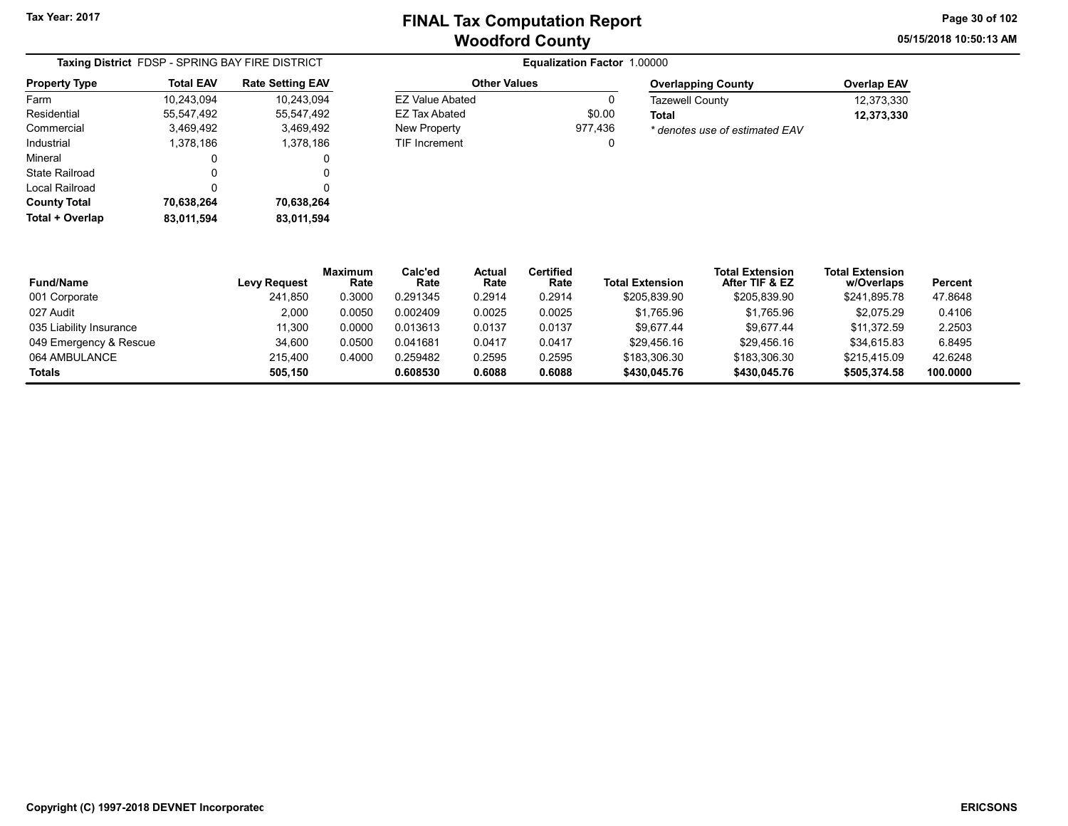EZ Value Abated 0 EZ Tax Abated \$0.00 New Property 977,436 TIF Increment 0 05/15/2018 10:50:13 AM Page 30 of 102

|                      | Taxing District FDSP - SPRING BAY FIRE DISTRICT |                         |  |  |  |  |  |
|----------------------|-------------------------------------------------|-------------------------|--|--|--|--|--|
| <b>Property Type</b> | <b>Total EAV</b>                                | <b>Rate Setting EAV</b> |  |  |  |  |  |
| Farm                 | 10,243,094                                      | 10.243.094              |  |  |  |  |  |
| Residential          | 55,547,492                                      | 55.547.492              |  |  |  |  |  |
| Commercial           | 3,469,492                                       | 3,469,492               |  |  |  |  |  |
| Industrial           | 1,378,186                                       | 1,378,186               |  |  |  |  |  |
| Mineral              | 0                                               | 0                       |  |  |  |  |  |
| State Railroad       | Ω                                               | 0                       |  |  |  |  |  |
| Local Railroad       | 0                                               | 0                       |  |  |  |  |  |
| <b>County Total</b>  | 70,638,264                                      | 70,638,264              |  |  |  |  |  |
| Total + Overlap      | 83,011,594                                      | 83,011,594              |  |  |  |  |  |

#### **Equalization Factor 1.00000** Other Values

| <b>Overlapping County</b>      | <b>Overlap EAV</b> |
|--------------------------------|--------------------|
| <b>Tazewell County</b>         | 12.373.330         |
| Total                          | 12,373,330         |
| * denotes use of estimated EAV |                    |

| <b>Fund/Name</b>        | <b>Levy Request</b> | <b>Maximum</b><br>Rate | Calc'ed<br>Rate | Actual<br>Rate | <b>Certified</b><br>Rate | <b>Total Extension</b> | <b>Total Extension</b><br>After TIF & EZ | <b>Total Extension</b><br>w/Overlaps | Percent  |
|-------------------------|---------------------|------------------------|-----------------|----------------|--------------------------|------------------------|------------------------------------------|--------------------------------------|----------|
| 001 Corporate           | 241,850             | 0.3000                 | 0.291345        | 0.2914         | 0.2914                   | \$205,839.90           | \$205,839.90                             | \$241,895.78                         | 47.8648  |
| 027 Audit               | 2.000               | 0.0050                 | 0.002409        | 0.0025         | 0.0025                   | \$1,765.96             | \$1,765.96                               | \$2,075.29                           | 0.4106   |
| 035 Liability Insurance | 11.300              | 0.0000                 | 0.013613        | 0.0137         | 0.0137                   | \$9.677.44             | \$9.677.44                               | \$11.372.59                          | 2.2503   |
| 049 Emergency & Rescue  | 34.600              | 0.0500                 | 0.041681        | 0.0417         | 0.0417                   | \$29.456.16            | \$29,456.16                              | \$34,615.83                          | 6.8495   |
| 064 AMBULANCE           | 215.400             | 0.4000                 | 0.259482        | 0.2595         | 0.2595                   | \$183,306.30           | \$183,306.30                             | \$215,415.09                         | 42.6248  |
| Totals                  | 505.150             |                        | 0.608530        | 0.6088         | 0.6088                   | \$430,045.76           | \$430,045.76                             | \$505.374.58                         | 100.0000 |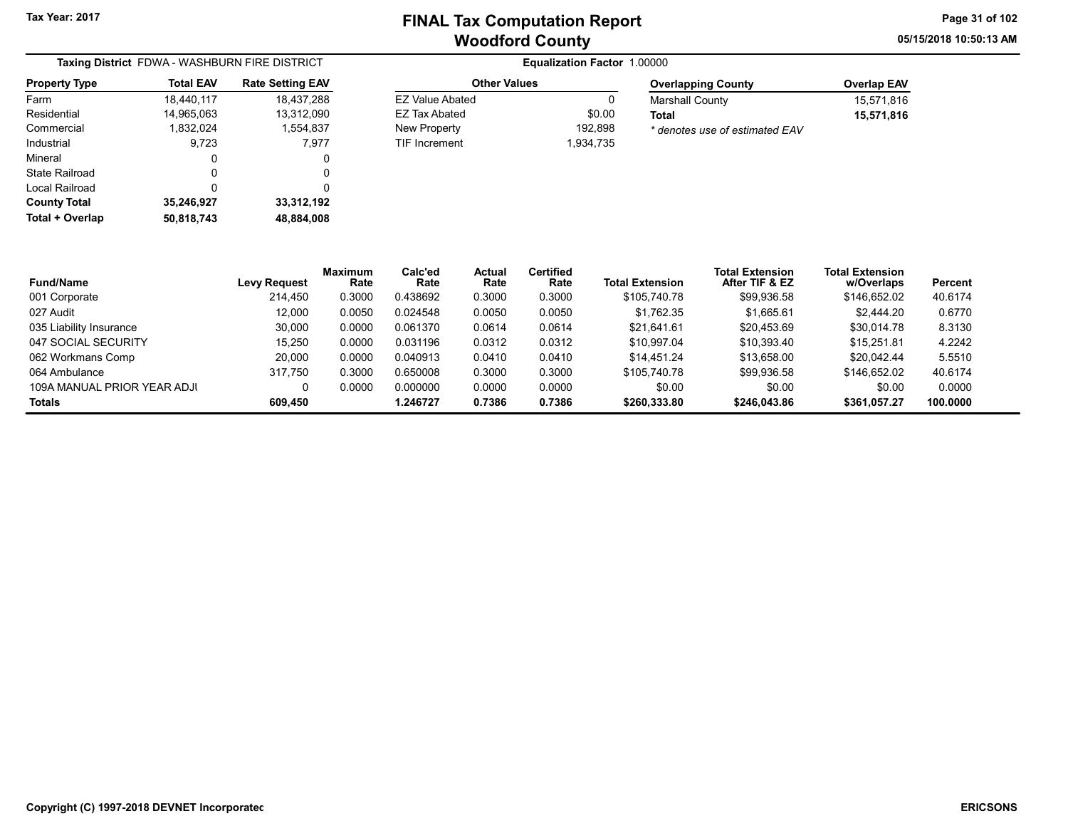05/15/2018 10:50:13 AM Page 31 of 102

| Taxing District FDWA - WASHBURN FIRE DISTRICT |                  |                         |  |  |  |  |
|-----------------------------------------------|------------------|-------------------------|--|--|--|--|
| <b>Property Type</b>                          | <b>Total EAV</b> | <b>Rate Setting EAV</b> |  |  |  |  |
| Farm                                          | 18,440,117       | 18,437,288              |  |  |  |  |
| Residential                                   | 14,965,063       | 13,312,090              |  |  |  |  |
| Commercial                                    | 1.832.024        | 1,554,837               |  |  |  |  |
| Industrial                                    | 9,723            | 7,977                   |  |  |  |  |
| Mineral                                       | 0                | 0                       |  |  |  |  |
| <b>State Railroad</b>                         | 0                | O                       |  |  |  |  |
| Local Railroad                                | 0                | 0                       |  |  |  |  |
| <b>County Total</b>                           | 35,246,927       | 33,312,192              |  |  |  |  |
| Total + Overlap                               | 50,818,743       | 48,884,008              |  |  |  |  |

#### **Equalization Factor 1.00000** Other Values EZ Value Abated 0 EZ Tax Abated \$0.00

New Property 192,898 TIF Increment 1,934,735

| <b>Overlap EAV</b> |
|--------------------|
| 15.571.816         |
| 15,571,816         |
|                    |
|                    |

| <b>Fund/Name</b>            | <b>Levy Request</b> | <b>Maximum</b><br>Rate | Calc'ed<br>Rate | Actual<br>Rate | <b>Certified</b><br>Rate | <b>Total Extension</b> | <b>Total Extension</b><br>After TIF & EZ | <b>Total Extension</b><br>w/Overlaps | Percent  |
|-----------------------------|---------------------|------------------------|-----------------|----------------|--------------------------|------------------------|------------------------------------------|--------------------------------------|----------|
| 001 Corporate               | 214.450             | 0.3000                 | 0.438692        | 0.3000         | 0.3000                   | \$105,740.78           | \$99,936.58                              | \$146.652.02                         | 40.6174  |
| 027 Audit                   | 12.000              | 0.0050                 | 0.024548        | 0.0050         | 0.0050                   | \$1.762.35             | \$1,665.61                               | \$2.444.20                           | 0.6770   |
| 035 Liability Insurance     | 30,000              | 0.0000                 | 0.061370        | 0.0614         | 0.0614                   | \$21.641.61            | \$20.453.69                              | \$30.014.78                          | 8.3130   |
| 047 SOCIAL SECURITY         | 15.250              | 0.0000                 | 0.031196        | 0.0312         | 0.0312                   | \$10.997.04            | \$10.393.40                              | \$15.251.81                          | 4.2242   |
| 062 Workmans Comp           | 20,000              | 0.0000                 | 0.040913        | 0.0410         | 0.0410                   | \$14.451.24            | \$13.658.00                              | \$20.042.44                          | 5.5510   |
| 064 Ambulance               | 317.750             | 0.3000                 | 0.650008        | 0.3000         | 0.3000                   | \$105,740.78           | \$99,936.58                              | \$146,652.02                         | 40.6174  |
| 109A MANUAL PRIOR YEAR ADJI | 0                   | 0.0000                 | 0.000000        | 0.0000         | 0.0000                   | \$0.00                 | \$0.00                                   | \$0.00                               | 0.0000   |
| Totals                      | 609,450             |                        | .246727         | 0.7386         | 0.7386                   | \$260,333.80           | \$246,043.86                             | \$361.057.27                         | 100.0000 |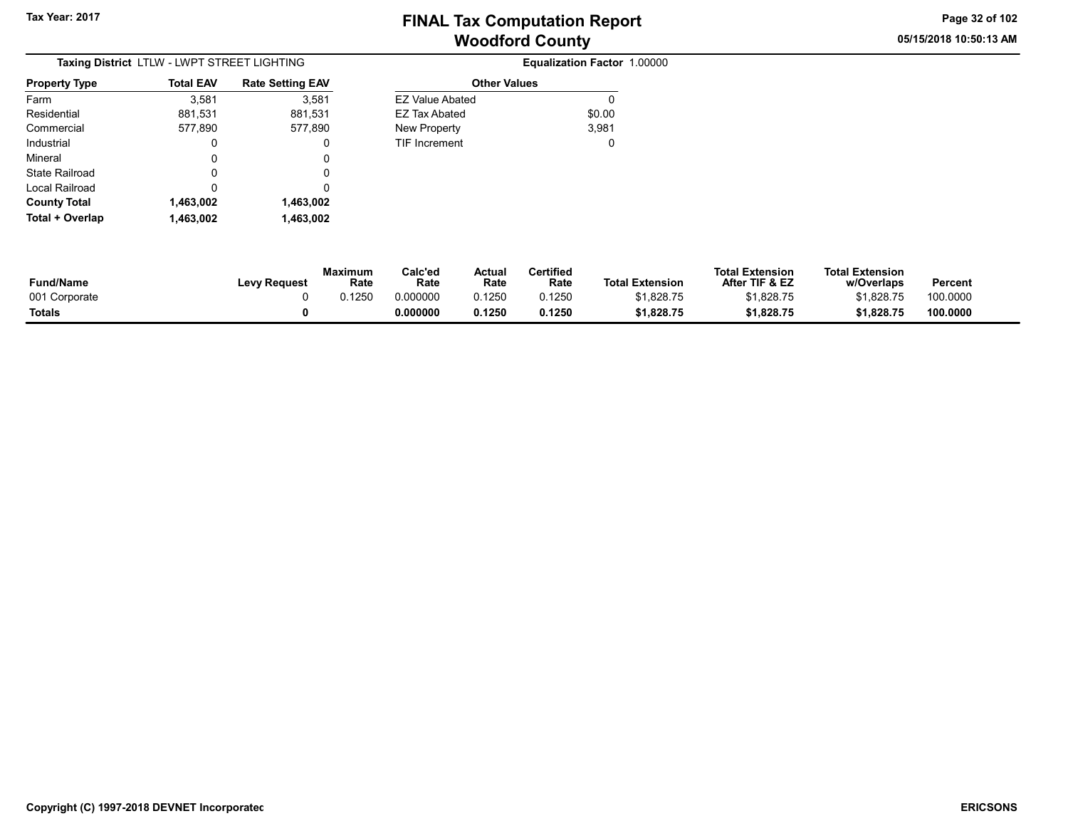05/15/2018 10:50:13 AM Page 32 of 102

| Taxing District LTLW - LWPT STREET LIGHTING |                  |                         |  |  |  |  |
|---------------------------------------------|------------------|-------------------------|--|--|--|--|
| <b>Property Type</b>                        | <b>Total EAV</b> | <b>Rate Setting EAV</b> |  |  |  |  |
| Farm                                        | 3,581            | 3,581                   |  |  |  |  |
| Residential                                 | 881,531          | 881,531                 |  |  |  |  |
| Commercial                                  | 577,890          | 577,890                 |  |  |  |  |
| Industrial                                  | 0                | 0                       |  |  |  |  |
| Mineral                                     | 0                | 0                       |  |  |  |  |
| State Railroad                              | Ω                | 0                       |  |  |  |  |
| Local Railroad                              | 0                | 0                       |  |  |  |  |
| <b>County Total</b>                         | 1,463,002        | 1,463,002               |  |  |  |  |
| Total + Overlap                             | 1,463,002        | 1,463,002               |  |  |  |  |

| <b>Rate Setting EAV</b> | <b>Other Values</b>    |        |
|-------------------------|------------------------|--------|
| 3,581                   | <b>EZ Value Abated</b> | 0      |
| 881,531                 | EZ Tax Abated          | \$0.00 |
| 577,890                 | <b>New Property</b>    | 3,981  |
| 0                       | <b>TIF Increment</b>   | 0      |
| 0                       |                        |        |
| 0                       |                        |        |
| 0                       |                        |        |
| 1,463,002               |                        |        |

| <b>Fund/Name</b> | Levy Request | <b>Maximum</b><br>Rate | Calc'ed<br>Rate | Actual<br>Rate | Certified<br>Rate | <b>Total Extension</b> | <b>Total Extension</b><br>After TIF & EZ | <b>Total Extension</b><br>w/Overlaps | <b>Percent</b> |
|------------------|--------------|------------------------|-----------------|----------------|-------------------|------------------------|------------------------------------------|--------------------------------------|----------------|
| 001 Corporate    |              | .1250                  | 0.000000        | 0.1250         | 0.1250            | \$1.828.75             | \$1,828.75                               | \$1.828.75                           | 100.0000       |
| <b>Totals</b>    |              |                        | 0.000000        | 0.1250         | 0.1250            | \$1.828.75             | \$1.828.75                               | \$1.828.75                           | 100.0000       |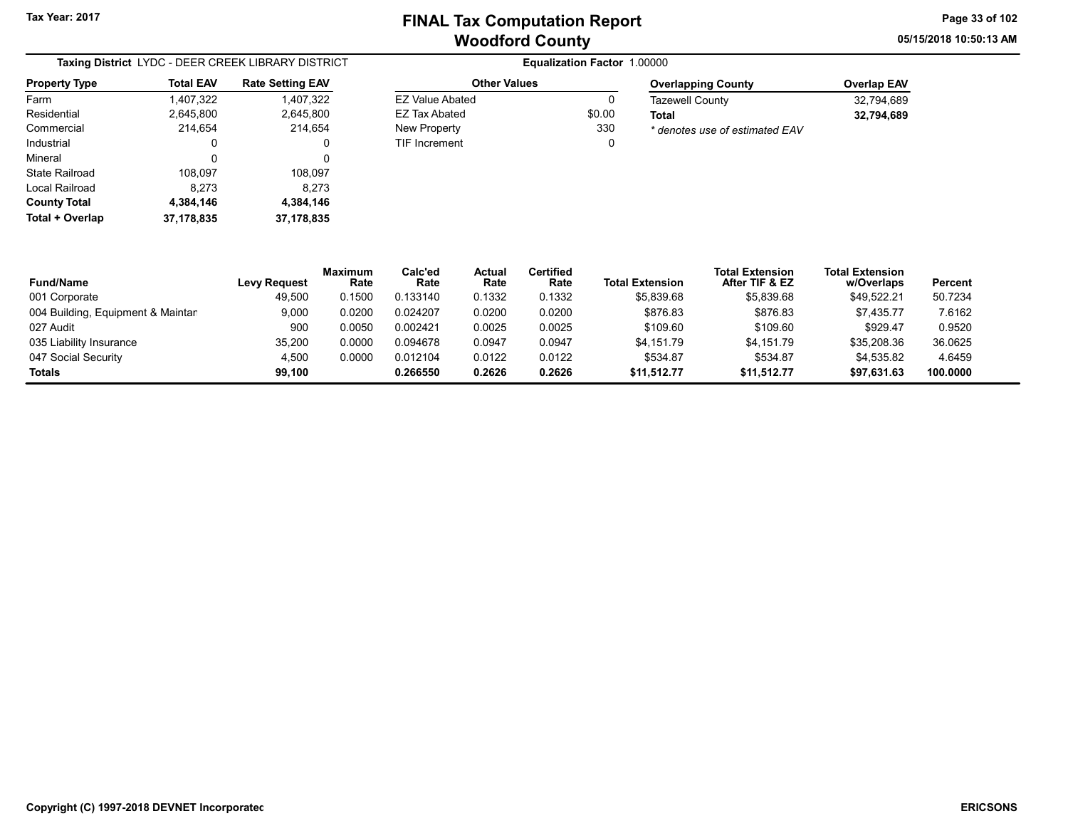EZ Value Abated 0 EZ Tax Abated \$0.00 New Property 330 TIF Increment 0 05/15/2018 10:50:13 AM Page 33 of 102

| Taxing District LYDC - DEER CREEK LIBRARY DISTRICT |                  |                         |  |  |  |  |  |
|----------------------------------------------------|------------------|-------------------------|--|--|--|--|--|
| <b>Property Type</b>                               | <b>Total EAV</b> | <b>Rate Setting EAV</b> |  |  |  |  |  |
| Farm                                               | 1,407,322        | 1,407,322               |  |  |  |  |  |
| Residential                                        | 2,645,800        | 2,645,800               |  |  |  |  |  |
| Commercial                                         | 214,654          | 214,654                 |  |  |  |  |  |
| Industrial                                         | 0                | 0                       |  |  |  |  |  |
| Mineral                                            | 0                | 0                       |  |  |  |  |  |
| State Railroad                                     | 108,097          | 108,097                 |  |  |  |  |  |
| Local Railroad                                     | 8,273            | 8,273                   |  |  |  |  |  |
| <b>County Total</b>                                | 4,384,146        | 4,384,146               |  |  |  |  |  |
| Total + Overlap                                    | 37, 178, 835     | 37, 178, 835            |  |  |  |  |  |

#### **Equalization Factor 1.00000** Other Values

| <b>Overlapping County</b>      | <b>Overlap EAV</b> |
|--------------------------------|--------------------|
| <b>Tazewell County</b>         | 32.794.689         |
| Total                          | 32,794,689         |
| * denotes use of estimated EAV |                    |

| <b>Fund/Name</b>                  | <b>Levy Request</b> | <b>Maximum</b><br>Rate | Calc'ed<br>Rate | Actual<br>Rate | Certified<br>Rate | <b>Total Extension</b> | <b>Total Extension</b><br>After TIF & EZ | <b>Total Extension</b><br>w/Overlaps | Percent  |
|-----------------------------------|---------------------|------------------------|-----------------|----------------|-------------------|------------------------|------------------------------------------|--------------------------------------|----------|
| 001 Corporate                     | 49.500              | 0.1500                 | 0.133140        | 0.1332         | 0.1332            | \$5,839.68             | \$5,839.68                               | \$49,522.21                          | 50.7234  |
| 004 Building, Equipment & Maintan | 9,000               | 0.0200                 | 0.024207        | 0.0200         | 0.0200            | \$876.83               | \$876.83                                 | \$7.435.77                           | 7.6162   |
| 027 Audit                         | 900                 | 0.0050                 | 0.002421        | 0.0025         | 0.0025            | \$109.60               | \$109.60                                 | \$929.47                             | 0.9520   |
| 035 Liability Insurance           | 35,200              | 0.0000                 | 0.094678        | 0.0947         | 0.0947            | \$4.151.79             | \$4.151.79                               | \$35,208.36                          | 36.0625  |
| 047 Social Security               | 4.500               | 0.0000                 | 0.012104        | 0.0122         | 0.0122            | \$534.87               | \$534.87                                 | \$4.535.82                           | 4.6459   |
| <b>Totals</b>                     | 99.100              |                        | 0.266550        | 0.2626         | 0.2626            | \$11,512.77            | \$11.512.77                              | \$97,631.63                          | 100.0000 |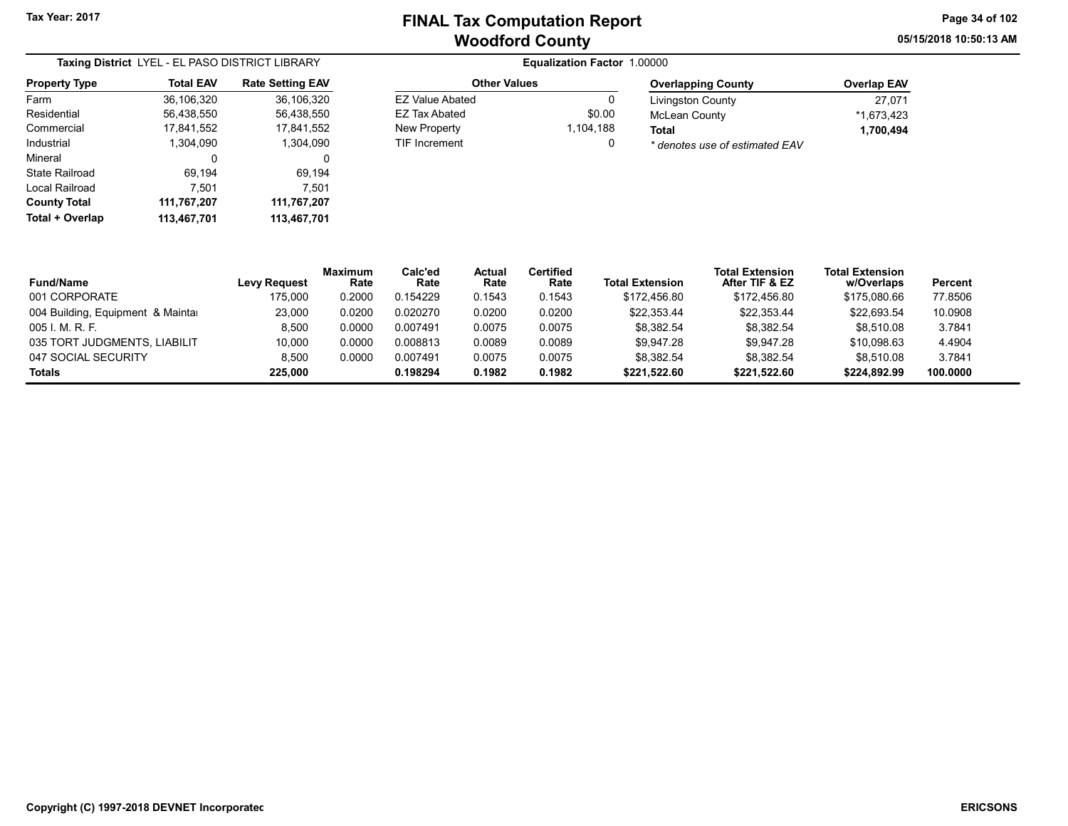05/15/2018 10:50:13 AM Page 34 of 102

| Taxing District LYEL - EL PASO DISTRICT LIBRARY |                  |                         |  |  |  |  |  |
|-------------------------------------------------|------------------|-------------------------|--|--|--|--|--|
| <b>Property Type</b>                            | <b>Total EAV</b> | <b>Rate Setting EAV</b> |  |  |  |  |  |
| Farm                                            | 36,106,320       | 36,106,320              |  |  |  |  |  |
| Residential                                     | 56,438,550       | 56,438,550              |  |  |  |  |  |
| Commercial                                      | 17,841,552       | 17,841,552              |  |  |  |  |  |
| Industrial                                      | 1.304.090        | 1.304.090               |  |  |  |  |  |
| Mineral                                         | 0                | 0                       |  |  |  |  |  |
| State Railroad                                  | 69,194           | 69,194                  |  |  |  |  |  |
| Local Railroad                                  | 7.501            | 7.501                   |  |  |  |  |  |
| <b>County Total</b>                             | 111,767,207      | 111,767,207             |  |  |  |  |  |
| Total + Overlap                                 | 113,467,701      | 113,467,701             |  |  |  |  |  |

#### **Equalization Factor 1.00000** Other Values EZ Value Abated 0 EZ Tax Abated \$0.00

New Property 1,104,188 TIF Increment 0

| <b>Overlapping County</b>      | <b>Overlap EAV</b> |
|--------------------------------|--------------------|
| <b>Livingston County</b>       | 27.071             |
| <b>McLean County</b>           | *1.673.423         |
| Total                          | 1,700,494          |
| * denotes use of estimated EAV |                    |

| <b>Fund/Name</b>                  | <b>Levy Request</b> | <b>Maximum</b><br>Rate | Calc'ed<br>Rate | Actual<br>Rate | <b>Certified</b><br>Rate | <b>Total Extension</b> | <b>Total Extension</b><br>After TIF & EZ | <b>Total Extension</b><br>w/Overlaps | Percent  |
|-----------------------------------|---------------------|------------------------|-----------------|----------------|--------------------------|------------------------|------------------------------------------|--------------------------------------|----------|
| 001 CORPORATE                     | 175,000             | 0.2000                 | 0.154229        | 0.1543         | 0.1543                   | \$172.456.80           | \$172,456.80                             | \$175.080.66                         | 77.8506  |
| 004 Building, Equipment & Maintar | 23.000              | 0.0200                 | 0.020270        | 0.0200         | 0.0200                   | \$22.353.44            | \$22.353.44                              | \$22.693.54                          | 10.0908  |
| 005 I. M. R. F.                   | 8.500               | 0.0000                 | 0.007491        | 0.0075         | 0.0075                   | \$8.382.54             | \$8.382.54                               | \$8.510.08                           | 3.7841   |
| 035 TORT JUDGMENTS, LIABILIT      | 10.000              | 0.0000                 | 0.008813        | 0.0089         | 0.0089                   | \$9.947.28             | \$9.947.28                               | \$10.098.63                          | 4.4904   |
| 047 SOCIAL SECURITY               | 8.500               | 0.0000                 | 0.007491        | 0.0075         | 0.0075                   | \$8.382.54             | \$8.382.54                               | \$8.510.08                           | 3.7841   |
| <b>Totals</b>                     | 225.000             |                        | 0.198294        | 0.1982         | 0.1982                   | \$221,522.60           | \$221,522.60                             | \$224,892.99                         | 100.0000 |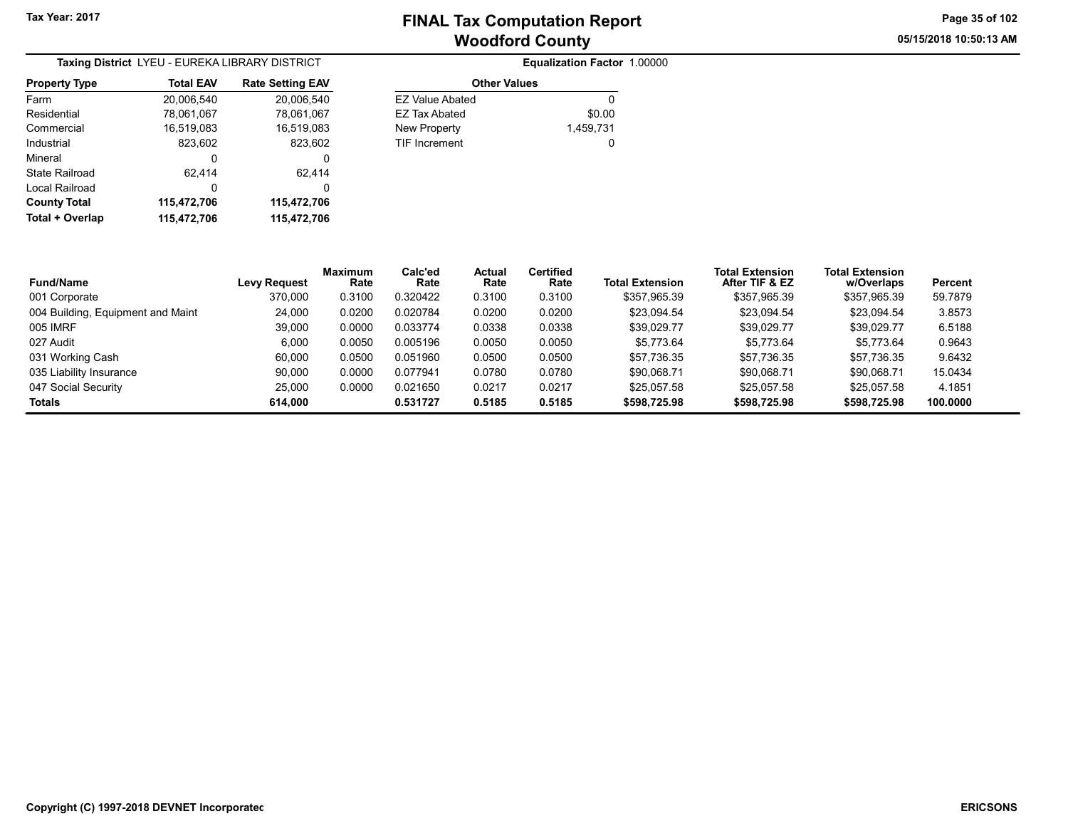05/15/2018 10:50:13 AM Page 35 of 102

| Taxing District LYEU - EUREKA LIBRARY DISTRICT |                  |                         |  |  |  |  |
|------------------------------------------------|------------------|-------------------------|--|--|--|--|
| <b>Property Type</b>                           | <b>Total EAV</b> | <b>Rate Setting EAV</b> |  |  |  |  |
| Farm                                           | 20,006,540       | 20,006,540              |  |  |  |  |
| Residential                                    | 78,061,067       | 78,061,067              |  |  |  |  |
| Commercial                                     | 16,519,083       | 16,519,083              |  |  |  |  |
| Industrial                                     | 823,602          | 823,602                 |  |  |  |  |
| Mineral                                        | 0                | 0                       |  |  |  |  |
| State Railroad                                 | 62.414           | 62.414                  |  |  |  |  |
| Local Railroad                                 | 0                | 0                       |  |  |  |  |
| <b>County Total</b>                            | 115,472,706      | 115,472,706             |  |  |  |  |
| Total + Overlap                                | 115,472,706      | 115,472,706             |  |  |  |  |

|                        | Equalization Factor 1.00000 |  |
|------------------------|-----------------------------|--|
| <b>Other Values</b>    |                             |  |
| <b>FZ Value Abated</b> |                             |  |
| FZ Tax Abated          | \$0.00                      |  |
| New Property           | 1,459,731                   |  |
| <b>TIF Increment</b>   |                             |  |

| <b>Fund/Name</b>                  | <b>Levy Request</b> | <b>Maximum</b><br>Rate | Calc'ed<br>Rate | Actual<br>Rate | <b>Certified</b><br>Rate | <b>Total Extension</b> | <b>Total Extension</b><br>After TIF & EZ | <b>Total Extension</b><br>w/Overlaps | Percent  |
|-----------------------------------|---------------------|------------------------|-----------------|----------------|--------------------------|------------------------|------------------------------------------|--------------------------------------|----------|
| 001 Corporate                     | 370,000             | 0.3100                 | 0.320422        | 0.3100         | 0.3100                   | \$357.965.39           | \$357.965.39                             | \$357.965.39                         | 59.7879  |
| 004 Building, Equipment and Maint | 24.000              | 0.0200                 | 0.020784        | 0.0200         | 0.0200                   | \$23.094.54            | \$23.094.54                              | \$23,094.54                          | 3.8573   |
| 005 IMRF                          | 39.000              | 0.0000                 | 0.033774        | 0.0338         | 0.0338                   | \$39.029.77            | \$39.029.77                              | \$39.029.77                          | 6.5188   |
| 027 Audit                         | 6.000               | 0.0050                 | 0.005196        | 0.0050         | 0.0050                   | \$5.773.64             | \$5,773.64                               | \$5.773.64                           | 0.9643   |
| 031 Working Cash                  | 60.000              | 0.0500                 | 0.051960        | 0.0500         | 0.0500                   | \$57.736.35            | \$57.736.35                              | \$57.736.35                          | 9.6432   |
| 035 Liability Insurance           | 90.000              | 0.0000                 | 0.077941        | 0.0780         | 0.0780                   | \$90.068.71            | \$90.068.71                              | \$90.068.71                          | 15.0434  |
| 047 Social Security               | 25.000              | 0.0000                 | 0.021650        | 0.0217         | 0.0217                   | \$25.057.58            | \$25.057.58                              | \$25,057.58                          | 4.1851   |
| <b>Totals</b>                     | 614.000             |                        | 0.531727        | 0.5185         | 0.5185                   | \$598,725.98           | \$598,725.98                             | \$598,725.98                         | 100.0000 |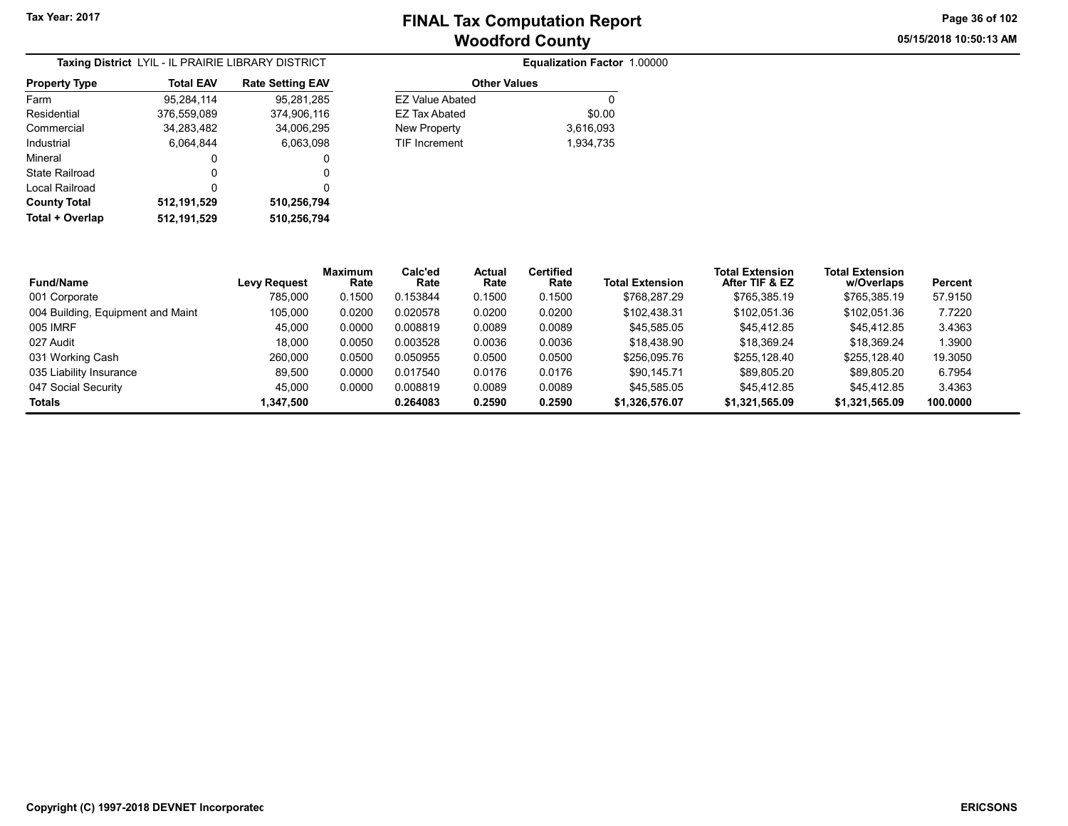05/15/2018 10:50:13 AM Page 36 of 102

| Taxing District LYIL - IL PRAIRIE LIBRARY DISTRICT |                  |                         |  |  |  |  |
|----------------------------------------------------|------------------|-------------------------|--|--|--|--|
| <b>Property Type</b>                               | <b>Total EAV</b> | <b>Rate Setting EAV</b> |  |  |  |  |
| Farm                                               | 95,284,114       | 95,281,285              |  |  |  |  |
| Residential                                        | 376,559,089      | 374,906,116             |  |  |  |  |
| Commercial                                         | 34,283,482       | 34,006,295              |  |  |  |  |
| Industrial                                         | 6.064.844        | 6.063.098               |  |  |  |  |
| Mineral                                            | 0                | 0                       |  |  |  |  |
| State Railroad                                     | O                | 0                       |  |  |  |  |
| Local Railroad                                     | 0                | 0                       |  |  |  |  |
| <b>County Total</b>                                | 512,191,529      | 510,256,794             |  |  |  |  |
| Total + Overlap                                    | 512,191,529      | 510,256,794             |  |  |  |  |

| <b>RICT</b> |                        | Equalization Factor 1.00000 |
|-------------|------------------------|-----------------------------|
| g EAV       | <b>Other Values</b>    |                             |
| 31,285      | <b>EZ Value Abated</b> |                             |
| 06.116      | <b>EZ Tax Abated</b>   | \$0.00                      |
| 06,295      | New Property           | 3,616,093                   |
| 33,098      | <b>TIF Increment</b>   | 1.934.735                   |
| 0           |                        |                             |

|                                   |                     | <b>Maximum</b> | Calc'ed  | Actual | <b>Certified</b> |                        | Total Extension | <b>Total Extension</b> |          |  |
|-----------------------------------|---------------------|----------------|----------|--------|------------------|------------------------|-----------------|------------------------|----------|--|
| <b>Fund/Name</b>                  | <b>Levy Request</b> | Rate           | Rate     | Rate   | Rate             | <b>Total Extension</b> | After TIF & EZ  | w/Overlaps             | Percent  |  |
| 001 Corporate                     | 785.000             | 0.1500         | 0.153844 | 0.1500 | 0.1500           | \$768,287.29           | \$765,385.19    | \$765.385.19           | 57.9150  |  |
| 004 Building, Equipment and Maint | 105,000             | 0.0200         | 0.020578 | 0.0200 | 0.0200           | \$102,438.31           | \$102,051.36    | \$102,051.36           | 7.7220   |  |
| 005 IMRF                          | 45.000              | 0.0000         | 0.008819 | 0.0089 | 0.0089           | \$45,585.05            | \$45.412.85     | \$45.412.85            | 3.4363   |  |
| 027 Audit                         | 18.000              | 0.0050         | 0.003528 | 0.0036 | 0.0036           | \$18.438.90            | \$18,369.24     | \$18.369.24            | 1.3900   |  |
| 031 Working Cash                  | 260.000             | 0.0500         | 0.050955 | 0.0500 | 0.0500           | \$256,095.76           | \$255.128.40    | \$255.128.40           | 19.3050  |  |
| 035 Liability Insurance           | 89.500              | 0.0000         | 0.017540 | 0.0176 | 0.0176           | \$90.145.71            | \$89.805.20     | \$89.805.20            | 6.7954   |  |
| 047 Social Security               | 45.000              | 0.0000         | 0.008819 | 0.0089 | 0.0089           | \$45.585.05            | \$45.412.85     | \$45.412.85            | 3.4363   |  |
| <b>Totals</b>                     | 1,347,500           |                | 0.264083 | 0.2590 | 0.2590           | \$1,326,576.07         | \$1,321,565.09  | \$1,321,565.09         | 100.0000 |  |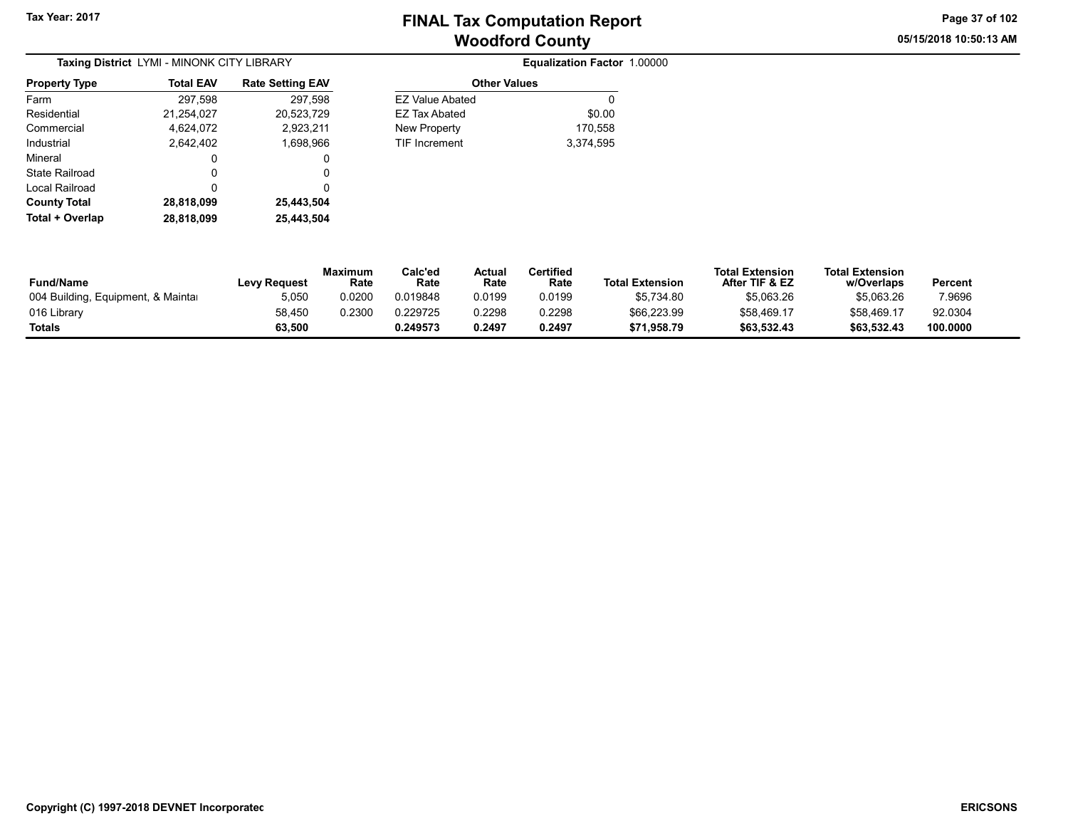05/15/2018 10:50:13 AM Page 37 of 102

| Taxing District LYMI - MINONK CITY LIBRARY |                  |                         |  |  |  |  |
|--------------------------------------------|------------------|-------------------------|--|--|--|--|
| <b>Property Type</b>                       | <b>Total EAV</b> | <b>Rate Setting EAV</b> |  |  |  |  |
| Farm                                       | 297,598          | 297,598                 |  |  |  |  |
| Residential                                | 21,254,027       | 20,523,729              |  |  |  |  |
| Commercial                                 | 4,624,072        | 2,923,211               |  |  |  |  |
| Industrial                                 | 2,642,402        | 1,698,966               |  |  |  |  |
| Mineral                                    | 0                | 0                       |  |  |  |  |
| State Railroad                             | 0                | 0                       |  |  |  |  |
| Local Railroad                             | 0                | 0                       |  |  |  |  |
| <b>County Total</b>                        | 28,818,099       | 25,443,504              |  |  |  |  |
| Total + Overlap                            | 28,818,099       | 25,443,504              |  |  |  |  |

| ۱e | <b>Total EAV</b>  | <b>Rate Setting EAV</b> | <b>Other Values</b>    |           |
|----|-------------------|-------------------------|------------------------|-----------|
|    | 297,598           | 297,598                 | <b>EZ Value Abated</b> | 0         |
|    | 21,254,027        | 20,523,729              | <b>EZ Tax Abated</b>   | \$0.00    |
|    | 4,624,072         | 2,923,211               | New Property           | 170,558   |
|    | 2.642.402         | 1,698,966               | <b>TIF Increment</b>   | 3,374,595 |
|    | 0                 | 0                       |                        |           |
| d  | 0                 |                         |                        |           |
| d  | 0                 |                         |                        |           |
|    | <b>00.040.000</b> | OF 449 FOA              |                        |           |

| <b>Fund/Name</b>                   | <b>Levy Request</b> | Maximum<br>Rate | Calc'ed<br>Rate | Actual<br>Rate | Certified<br>Rate | <b>Total Extension</b> | <b>Total Extension</b><br>After TIF & EZ | <b>Total Extension</b><br>w/Overlaps | Percent  |
|------------------------------------|---------------------|-----------------|-----------------|----------------|-------------------|------------------------|------------------------------------------|--------------------------------------|----------|
| 004 Building, Equipment, & Maintar | 5.050               | 0.0200          | 0.019848        | 0.0199         | 0.0199            | \$5,734.80             | \$5,063.26                               | \$5,063.26                           | 7.9696   |
| 016 Library                        | 58,450              | 0.2300          | 0.229725        | 0.2298         | 0.2298            | \$66,223.99            | \$58,469.17                              | \$58,469.17                          | 92.0304  |
| Totals                             | 63,500              |                 | 0.249573        | 0.2497         | 0.2497            | \$71,958.79            | \$63,532.43                              | \$63,532.43                          | 100.0000 |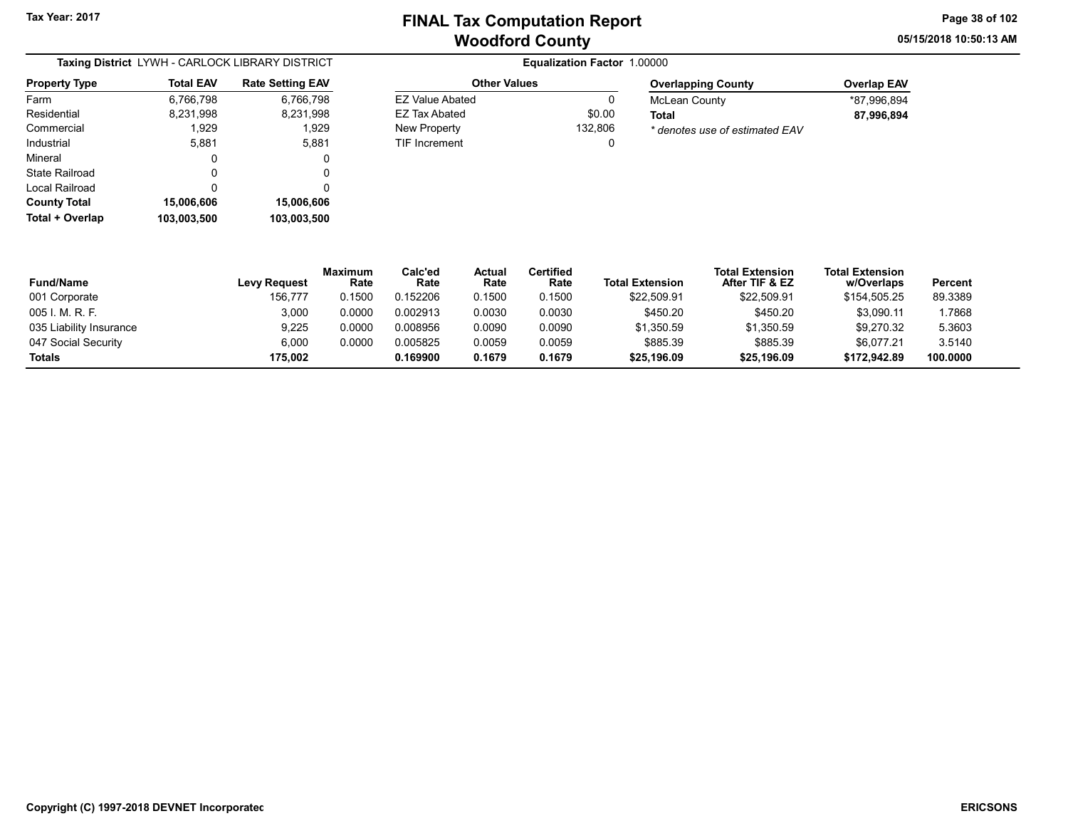Other Values EZ Value Abated 0 EZ Tax Abated \$0.00 New Property 132,806 TIF Increment 0 05/15/2018 10:50:13 AM Page 38 of 102

| Taxing District LYWH - CARLOCK LIBRARY DISTRICT |                  |                         |  |  |  |  |
|-------------------------------------------------|------------------|-------------------------|--|--|--|--|
| <b>Property Type</b>                            | <b>Total EAV</b> | <b>Rate Setting EAV</b> |  |  |  |  |
| Farm                                            | 6,766,798        | 6,766,798               |  |  |  |  |
| Residential                                     | 8,231,998        | 8,231,998               |  |  |  |  |
| Commercial                                      | 1,929            | 1,929                   |  |  |  |  |
| Industrial                                      | 5,881            | 5,881                   |  |  |  |  |
| Mineral                                         | 0                | 0                       |  |  |  |  |
| State Railroad                                  | 0                | 0                       |  |  |  |  |
| Local Railroad                                  | 0                | 0                       |  |  |  |  |
| <b>County Total</b>                             | 15,006,606       | 15,006,606              |  |  |  |  |
| Total + Overlap                                 | 103.003.500      | 103.003.500             |  |  |  |  |

| <b>Overlapping County</b>      | <b>Overlap EAV</b> |
|--------------------------------|--------------------|
| McLean County                  | *87.996.894        |
| Total                          | 87.996.894         |
| * denotes use of estimated EAV |                    |

| <b>Fund/Name</b>        | <b>Levy Request</b> | <b>Maximum</b><br>Rate | Calc'ed<br>Rate | Actual<br>Rate | Certified<br>Rate | <b>Total Extension</b> | <b>Total Extension</b><br>After TIF & EZ | <b>Total Extension</b><br>w/Overlaps | Percent  |
|-------------------------|---------------------|------------------------|-----------------|----------------|-------------------|------------------------|------------------------------------------|--------------------------------------|----------|
| 001 Corporate           | 156,777             | 0.1500                 | 0.152206        | 0.1500         | 0.1500            | \$22,509.91            | \$22,509.91                              | \$154,505.25                         | 89.3389  |
| 005 I. M. R. F.         | 3,000               | 0.0000                 | 0.002913        | 0.0030         | 0.0030            | \$450.20               | \$450.20                                 | \$3.090.11                           | 1.7868   |
| 035 Liability Insurance | 9,225               | 0.0000                 | 0.008956        | 0.0090         | 0.0090            | \$1,350.59             | \$1,350.59                               | \$9,270.32                           | 5.3603   |
| 047 Social Security     | 6.000               | 0.0000                 | 0.005825        | 0.0059         | 0.0059            | \$885.39               | \$885.39                                 | \$6.077.21                           | 3.5140   |
| <b>Totals</b>           | 175.002             |                        | 0.169900        | 0.1679         | 0.1679            | \$25,196.09            | \$25,196.09                              | \$172,942.89                         | 100.0000 |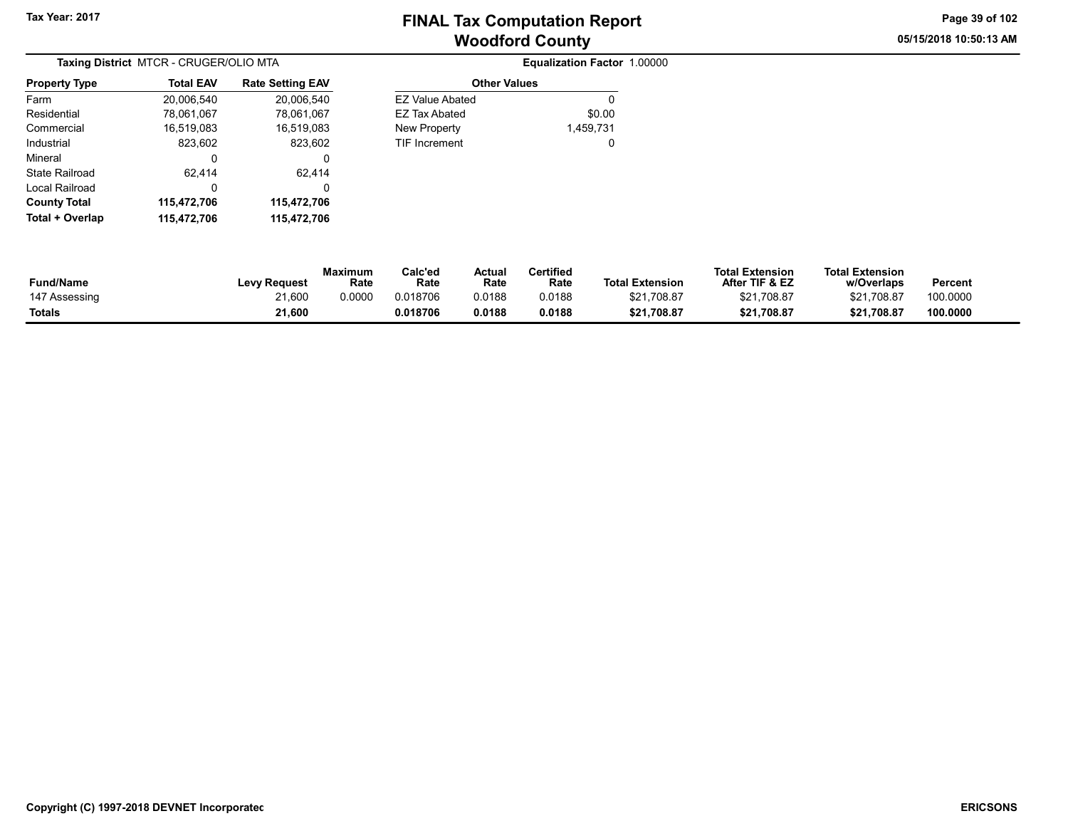Other Values

05/15/2018 10:50:13 AM Page 39 of 102

| Taxing District MTCR - CRUGER/OLIO MTA |                  |                         |  |  |  |
|----------------------------------------|------------------|-------------------------|--|--|--|
| <b>Property Type</b>                   | <b>Total EAV</b> | <b>Rate Setting EAV</b> |  |  |  |
| Farm                                   | 20,006,540       | 20,006,540              |  |  |  |
| Residential                            | 78,061,067       | 78,061,067              |  |  |  |
| Commercial                             | 16,519,083       | 16,519,083              |  |  |  |
| Industrial                             | 823,602          | 823,602                 |  |  |  |
| Mineral                                | 0                | 0                       |  |  |  |
| State Railroad                         | 62,414           | 62,414                  |  |  |  |
| Local Railroad                         | 0                | 0                       |  |  |  |
| <b>County Total</b>                    | 115,472,706      | 115,472,706             |  |  |  |
| Total + Overlap                        | 115,472,706      | 115.472.706             |  |  |  |

| ,006,540 | <b>EZ Value Abated</b> | 0         |
|----------|------------------------|-----------|
| ,061,067 | <b>EZ Tax Abated</b>   | \$0.00    |
| .519,083 | <b>New Property</b>    | 1,459,731 |
| 823,602  | <b>TIF Increment</b>   | 0         |
| 0        |                        |           |
| 62,414   |                        |           |
| 0        |                        |           |
| ,472,706 |                        |           |
|          |                        |           |

| <b>Fund/Name</b> | <b>Levy Request</b> | <b>Maximum</b><br>Rate | Calc'ed<br>Rate | Actual<br>Rate | <b>Certified</b><br>Rate | <b>Total Extension</b> | <b>Total Extension</b><br>After TIF & EZ | <b>Total Extension</b><br>w/Overlaps | <b>Percent</b> |
|------------------|---------------------|------------------------|-----------------|----------------|--------------------------|------------------------|------------------------------------------|--------------------------------------|----------------|
| 147 Assessing    | 21.600              | 0.0000                 | 0.018706        | 0.0188         | 0.0188                   | \$21,708.87            | \$21.708.87                              | \$21,708.87                          | 100.0000       |
| Totals           | 21.600              |                        | 0.018706        | 0.0188         | 0.0188                   | \$21,708.87            | \$21.708.87                              | \$21.708.87                          | 100.0000       |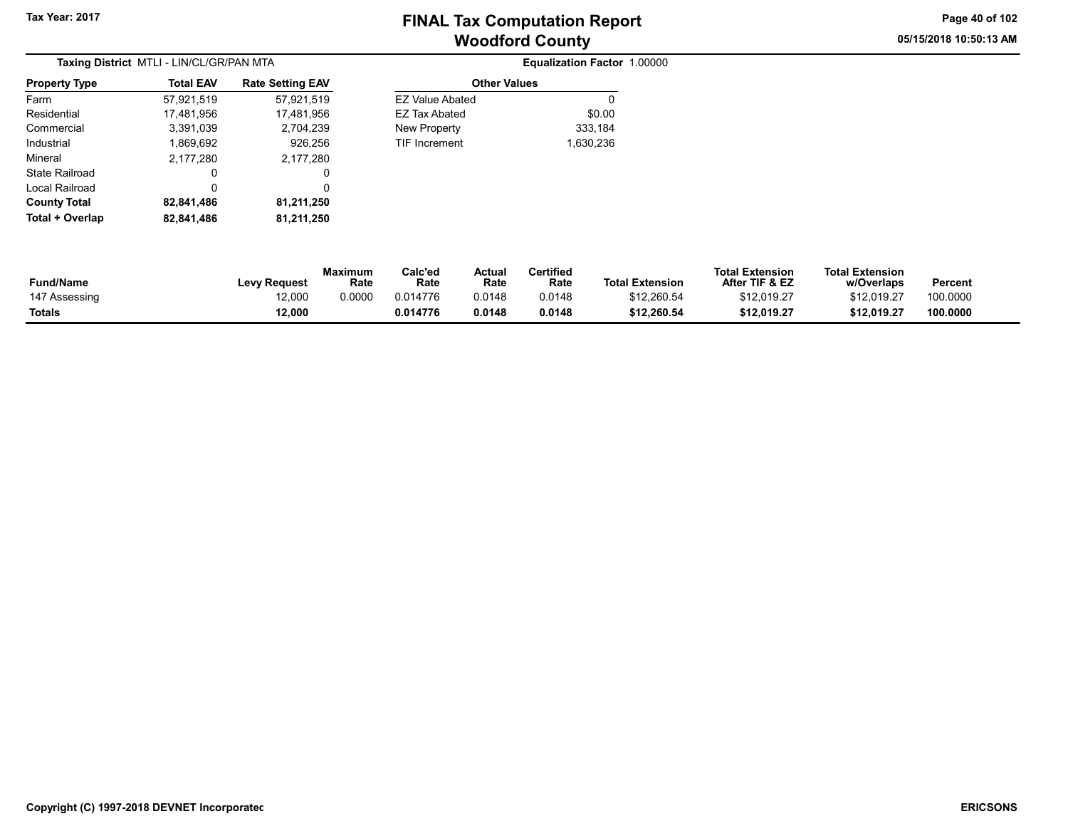05/15/2018 10:50:13 AM Page 40 of 102

|                       | Taxing District MTLI - LIN/CL/GR/PAN MTA |                         | Equalization Factor 1.00000 |           |  |
|-----------------------|------------------------------------------|-------------------------|-----------------------------|-----------|--|
| <b>Property Type</b>  | <b>Total EAV</b>                         | <b>Rate Setting EAV</b> | <b>Other Values</b>         |           |  |
| Farm                  | 57,921,519                               | 57,921,519              | <b>EZ Value Abated</b>      | 0         |  |
| Residential           | 17.481.956                               | 17,481,956              | EZ Tax Abated               | \$0.00    |  |
| Commercial            | 3,391,039                                | 2,704,239               | New Property                | 333,184   |  |
| Industrial            | 1,869,692                                | 926.256                 | TIF Increment               | 1,630,236 |  |
| Mineral               | 2,177,280                                | 2,177,280               |                             |           |  |
| <b>State Railroad</b> | 0                                        | 0                       |                             |           |  |
| Local Railroad        | 0                                        | 0                       |                             |           |  |
| <b>County Total</b>   | 82,841,486                               | 81,211,250              |                             |           |  |
| Total + Overlap       | 82,841,486                               | 81,211,250              |                             |           |  |

| 57,921,519 | <b>EZ Value Abated</b> | 0         |
|------------|------------------------|-----------|
| 17,481,956 | <b>EZ Tax Abated</b>   | \$0.00    |
| 2,704,239  | New Property           | 333,184   |
| 926.256    | <b>TIF Increment</b>   | 1,630,236 |
| 2,177,280  |                        |           |
| O          |                        |           |
| 0          |                        |           |
| 81.211.250 |                        |           |

| <b>Fund/Name</b> | <b>Levy Request</b> | <b>Maximum</b><br>Rate | Calc'ed<br>Rate | Actual<br>Rate | <b>Certified</b><br>Rate | <b>Total Extension</b> | <b>Total Extension</b><br>After TIF & EZ | <b>Total Extension</b><br>w/Overlaps | Percent  |  |
|------------------|---------------------|------------------------|-----------------|----------------|--------------------------|------------------------|------------------------------------------|--------------------------------------|----------|--|
| 147 Assessing    | 12,000              | 0.0000                 | 0.014776        | 0.0148         | 0.0148                   | \$12,260.54            | \$12.019.27                              | \$12.019.27                          | 100.0000 |  |
| <b>Totals</b>    | 12,000              |                        | 0.014776        | 0.0148         | 0.0148                   | \$12,260.54            | \$12.019.27                              | \$12,019.27                          | 100.0000 |  |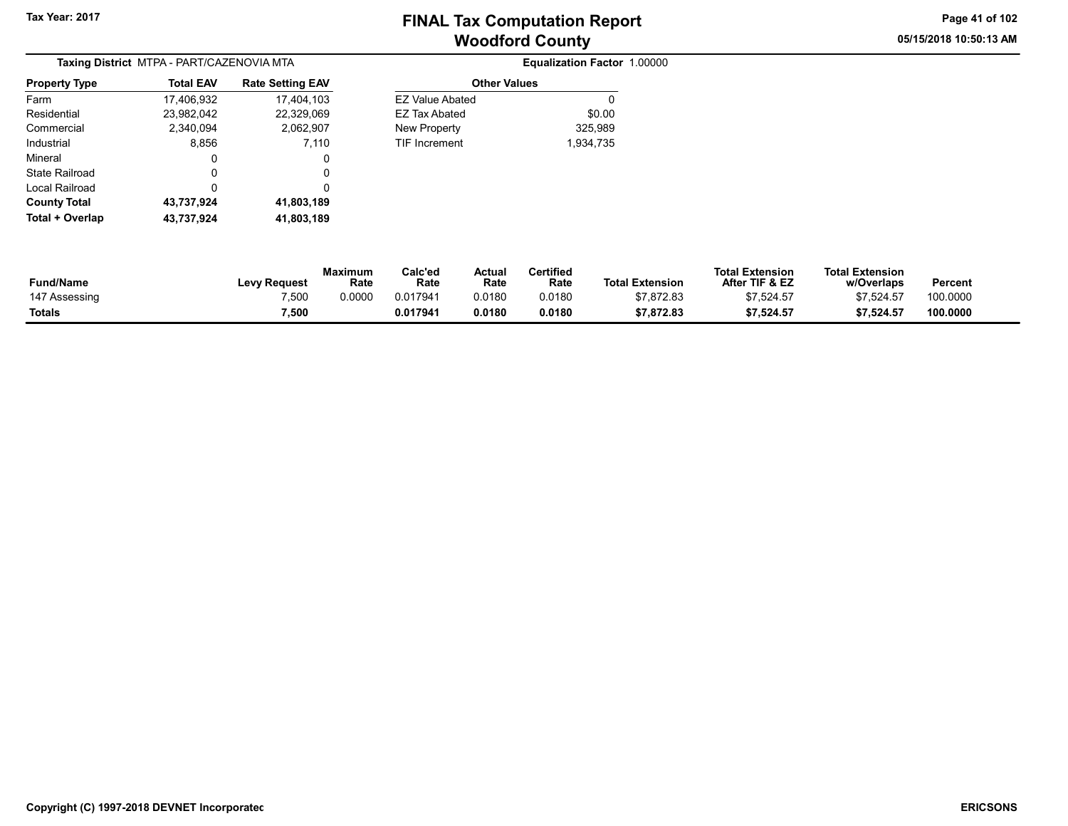05/15/2018 10:50:13 AM Page 41 of 102

|                      | Taxing District MTPA - PART/CAZENOVIA MTA |                         |                        | Equalization Factor 1.00000 |  |
|----------------------|-------------------------------------------|-------------------------|------------------------|-----------------------------|--|
| <b>Property Type</b> | <b>Total EAV</b>                          | <b>Rate Setting EAV</b> | <b>Other Values</b>    |                             |  |
| Farm                 | 17,406,932                                | 17,404,103              | <b>EZ Value Abated</b> | 0                           |  |
| Residential          | 23,982,042                                | 22,329,069              | EZ Tax Abated          | \$0.00                      |  |
| Commercial           | 2,340,094                                 | 2,062,907               | New Property           | 325,989                     |  |
| Industrial           | 8,856                                     | 7,110                   | <b>TIF Increment</b>   | 1,934,735                   |  |
| Mineral              | 0                                         | 0                       |                        |                             |  |
| State Railroad       | 0                                         | 0                       |                        |                             |  |
| Local Railroad       |                                           |                         |                        |                             |  |
| <b>County Total</b>  | 43,737,924                                | 41,803,189              |                        |                             |  |
| Total + Overlap      | 43.737.924                                | 41,803,189              |                        |                             |  |

| <b>Equalization Factor 1.00000</b> |  |
|------------------------------------|--|
|------------------------------------|--|

| Fund/Name     | <b>Levy Request</b> | Maximum<br>Rate | Calc'ed<br>Rate | Actual<br>Rate | <b>Certified</b><br>Rate | <b>Total Extension</b> | <b>Total Extension</b><br>After TIF & EZ | <b>Total Extension</b><br>w/Overlaps | <b>Percent</b> |  |
|---------------|---------------------|-----------------|-----------------|----------------|--------------------------|------------------------|------------------------------------------|--------------------------------------|----------------|--|
| 147 Assessing | 7,500               | 0.0000          | 0.017941        | 0.0180         | 0.0180                   | \$7,872.83             | \$7.524.57                               | \$7.524.57                           | 100.0000       |  |
| Totals        | 7,500               |                 | 0.017941        | 0.0180         | 0.0180                   | \$7,872.83             | \$7,524.57                               | \$7.524.57                           | 100.0000       |  |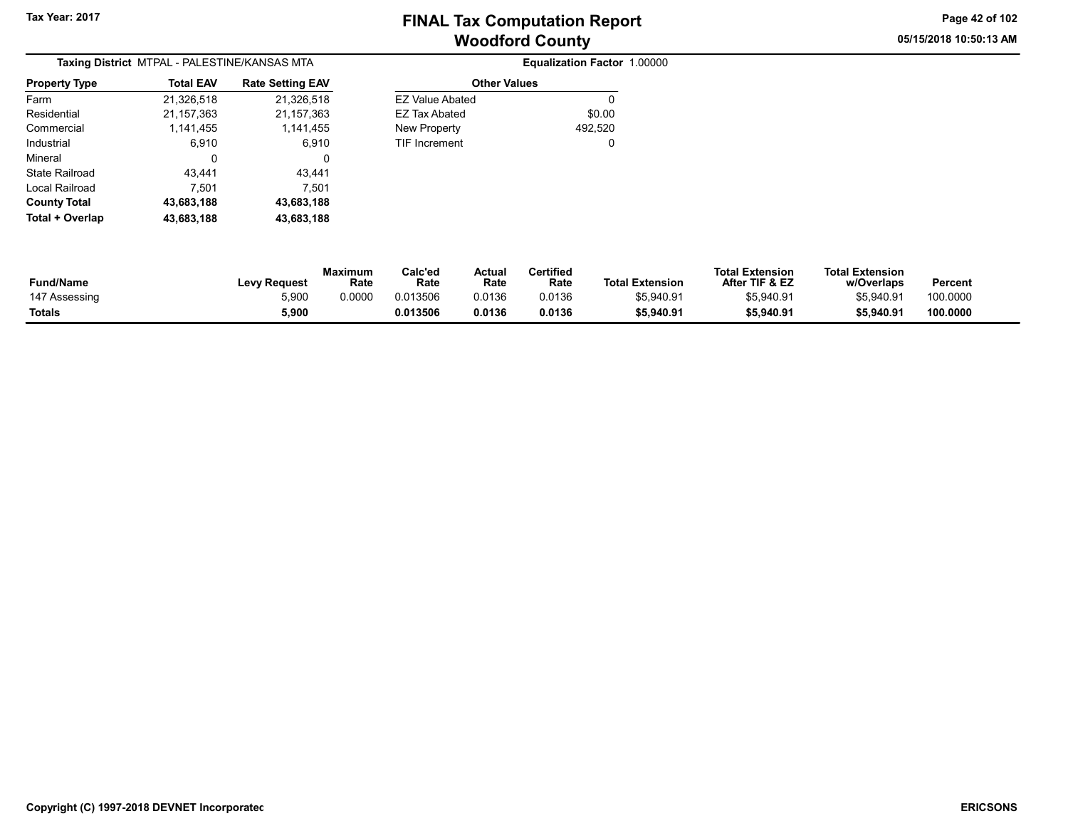05/15/2018 10:50:13 AM Page 42 of 102

| Taxing District MTPAL - PALESTINE/KANSAS MTA |                  |                         |  |  |  |  |  |
|----------------------------------------------|------------------|-------------------------|--|--|--|--|--|
| <b>Property Type</b>                         | <b>Total EAV</b> | <b>Rate Setting EAV</b> |  |  |  |  |  |
| Farm                                         | 21,326,518       | 21,326,518              |  |  |  |  |  |
| Residential                                  | 21, 157, 363     | 21, 157, 363            |  |  |  |  |  |
| Commercial                                   | 1,141,455        | 1,141,455               |  |  |  |  |  |
| Industrial                                   | 6.910            | 6.910                   |  |  |  |  |  |
| Mineral                                      | 0                | 0                       |  |  |  |  |  |
| State Railroad                               | 43.441           | 43.441                  |  |  |  |  |  |
| Local Railroad                               | 7.501            | 7,501                   |  |  |  |  |  |
| <b>County Total</b>                          | 43,683,188       | 43,683,188              |  |  |  |  |  |
| Total + Overlap                              | 43,683,188       | 43,683,188              |  |  |  |  |  |

| Setting EAV  | <b>Other Values</b>  |         |  |  |  |  |  |  |  |  |
|--------------|----------------------|---------|--|--|--|--|--|--|--|--|
| 21,326,518   | EZ Value Abated      | 0       |  |  |  |  |  |  |  |  |
| 21, 157, 363 | EZ Tax Abated        | \$0.00  |  |  |  |  |  |  |  |  |
| 1,141,455    | New Property         | 492,520 |  |  |  |  |  |  |  |  |
| 6.910        | <b>TIF Increment</b> | 0       |  |  |  |  |  |  |  |  |
| 0            |                      |         |  |  |  |  |  |  |  |  |
| 43,441       |                      |         |  |  |  |  |  |  |  |  |
| 7.501        |                      |         |  |  |  |  |  |  |  |  |
| 10.000100    |                      |         |  |  |  |  |  |  |  |  |

| <b>Fund/Name</b> | <b>Levy Request</b> | Maximum<br>Rate | Calc'ed<br>Rate | Actual<br>Rate | <b>Certified</b><br>Rate | <b>Total Extension</b> | <b>Total Extension</b><br>After TIF & EZ | <b>Total Extension</b><br>w/Overlaps | Percent  |
|------------------|---------------------|-----------------|-----------------|----------------|--------------------------|------------------------|------------------------------------------|--------------------------------------|----------|
| 147 Assessing    | 5.900               | 0.0000          | 0.013506        | 0.0136         | 0.0136                   | \$5.940.91             | \$5,940.91                               | \$5.940.91                           | 100.0000 |
| Totals           | 5,900               |                 | 0.013506        | 0.0136         | 0.0136                   | \$5,940.91             | \$5,940.91                               | \$5,940.91                           | 100.0000 |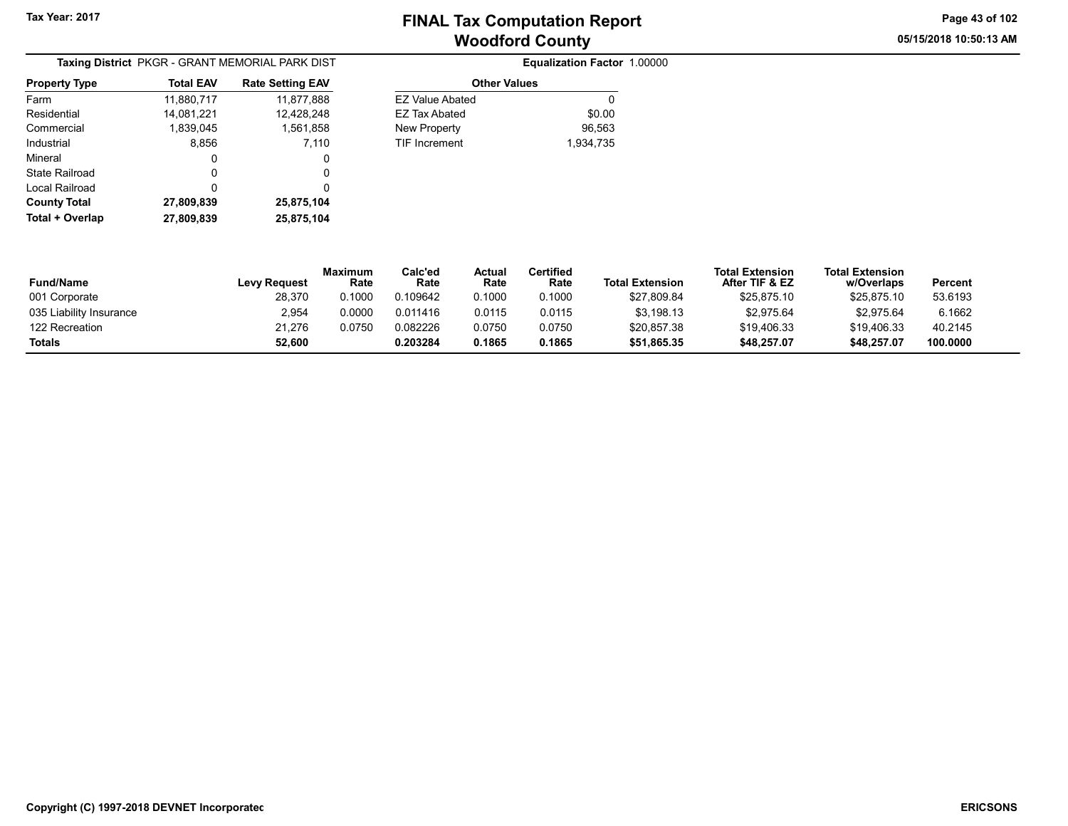05/15/2018 10:50:13 AM Page 43 of 102

| Taxing District PKGR - GRANT MEMORIAL PARK DIST |                  |                         |  |  |  |  |  |
|-------------------------------------------------|------------------|-------------------------|--|--|--|--|--|
| <b>Property Type</b>                            | <b>Total EAV</b> | <b>Rate Setting EAV</b> |  |  |  |  |  |
| Farm                                            | 11,880,717       | 11,877,888              |  |  |  |  |  |
| Residential                                     | 14,081,221       | 12,428,248              |  |  |  |  |  |
| Commercial                                      | 1,839,045        | 1,561,858               |  |  |  |  |  |
| Industrial                                      | 8,856            | 7,110                   |  |  |  |  |  |
| Mineral                                         | 0                | 0                       |  |  |  |  |  |
| State Railroad                                  | O                | 0                       |  |  |  |  |  |
| Local Railroad                                  | 0                | 0                       |  |  |  |  |  |
| <b>County Total</b>                             | 27,809,839       | 25,875,104              |  |  |  |  |  |
| Total + Overlap                                 | 27,809,839       | 25,875,104              |  |  |  |  |  |

| ng EAV  | <b>Other Values</b>    |           |
|---------|------------------------|-----------|
| 877,888 | <b>EZ Value Abated</b> |           |
| 428,248 | <b>EZ Tax Abated</b>   | \$0.00    |
| 561,858 | New Property           | 96.563    |
| 7.110   | <b>TIF Increment</b>   | 1,934,735 |
| 0       |                        |           |
| 0       |                        |           |
|         |                        |           |

| <b>Fund/Name</b>        | <b>Levy Request</b> | Maximum<br>Rate | Calc'ed<br>Rate | Actual<br>Rate | Certified<br>Rate | <b>Total Extension</b> | <b>Total Extension</b><br>After TIF & EZ | <b>Total Extension</b><br>w/Overlaps | Percent  |
|-------------------------|---------------------|-----------------|-----------------|----------------|-------------------|------------------------|------------------------------------------|--------------------------------------|----------|
| 001 Corporate           | 28,370              | 0.1000          | 0.109642        | 0.1000         | 0.1000            | \$27,809.84            | \$25,875.10                              | \$25,875.10                          | 53.6193  |
| 035 Liability Insurance | 2,954               | 0.0000          | 0.011416        | 0.0115         | 0.0115            | \$3,198.13             | \$2,975.64                               | \$2,975.64                           | 6.1662   |
| 122 Recreation          | 21.276              | 0.0750          | 0.082226        | 0.0750         | 0.0750            | \$20,857.38            | \$19,406.33                              | \$19,406.33                          | 40.2145  |
| <b>Totals</b>           | 52.600              |                 | 0.203284        | 0.1865         | 0.1865            | \$51,865.35            | \$48,257.07                              | \$48,257.07                          | 100.0000 |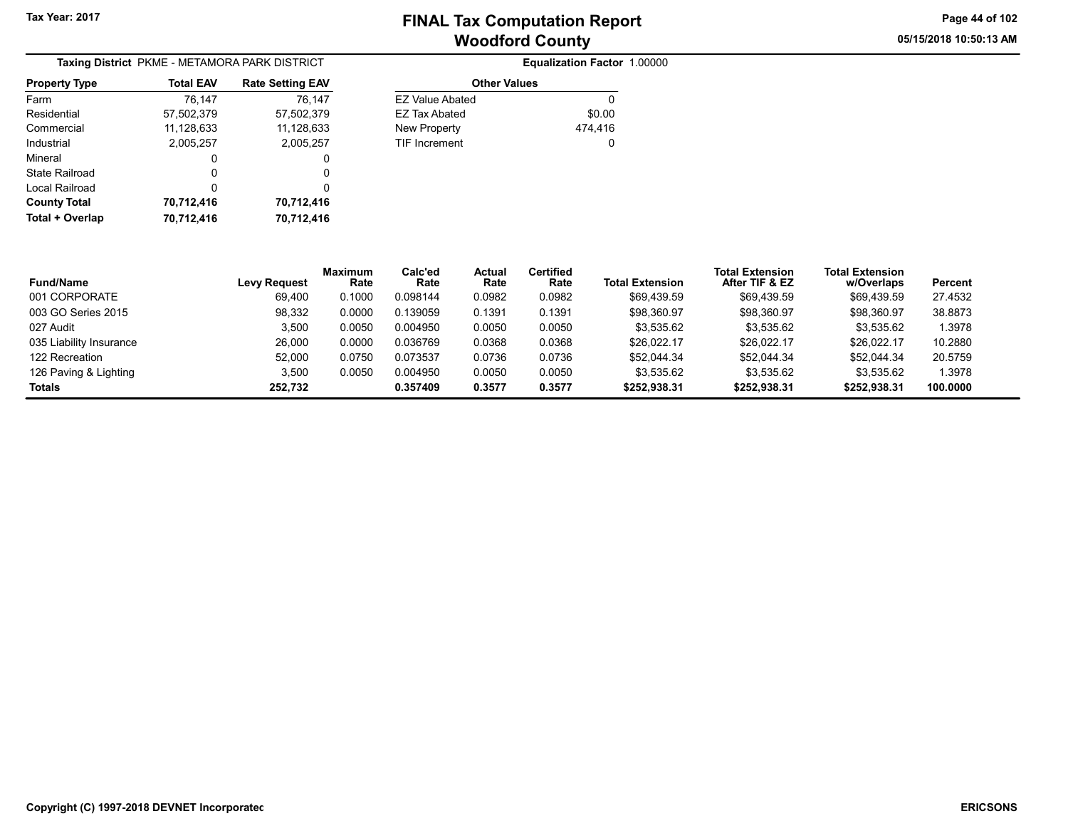05/15/2018 10:50:13 AM Page 44 of 102

|                      | Taxing District PKME - METAMORA PARK DISTRICT |                         |
|----------------------|-----------------------------------------------|-------------------------|
| <b>Property Type</b> | <b>Total EAV</b>                              | <b>Rate Setting EAV</b> |
| Farm                 | 76,147                                        | 76,147                  |
| Residential          | 57,502,379                                    | 57,502,379              |
| Commercial           | 11,128,633                                    | 11,128,633              |
| Industrial           | 2,005,257                                     | 2,005,257               |
| Mineral              | 0                                             | 0                       |
| State Railroad       | O                                             | 0                       |
| Local Railroad       | 0                                             | 0                       |
| <b>County Total</b>  | 70,712,416                                    | 70,712,416              |
| Total + Overlap      | 70,712,416                                    | 70,712,416              |

| Equalization Factor 1.00000 |                        | METAMORA PARK DISTRICT  |           |
|-----------------------------|------------------------|-------------------------|-----------|
|                             | <b>Other Values</b>    | <b>Rate Setting EAV</b> | otal EAV  |
| 0                           | <b>EZ Value Abated</b> | 76.147                  | 76,147    |
| \$0.00                      | <b>EZ Tax Abated</b>   | 57,502,379              | .502,379  |
| 474.416                     | New Property           | 11,128,633              | .128,633  |
| 0                           | <b>TIF Increment</b>   | 2,005,257               | 2.005,257 |
|                             |                        | 0                       | 0         |
|                             |                        |                         |           |

| <b>Fund/Name</b>        | <b>Levy Request</b> | <b>Maximum</b><br>Rate | Calc'ed<br>Rate | Actual<br>Rate | Certified<br>Rate | <b>Total Extension</b> | <b>Total Extension</b><br>After TIF & EZ | <b>Total Extension</b><br>w/Overlaps | Percent  |
|-------------------------|---------------------|------------------------|-----------------|----------------|-------------------|------------------------|------------------------------------------|--------------------------------------|----------|
| 001 CORPORATE           | 69.400              | 0.1000                 | 0.098144        | 0.0982         | 0.0982            | \$69.439.59            | \$69,439.59                              | \$69,439.59                          | 27.4532  |
| 003 GO Series 2015      | 98,332              | 0.0000                 | 0.139059        | 0.1391         | 0.1391            | \$98,360.97            | \$98,360.97                              | \$98,360.97                          | 38.8873  |
| 027 Audit               | 3.500               | 0.0050                 | 0.004950        | 0.0050         | 0.0050            | \$3,535.62             | \$3.535.62                               | \$3.535.62                           | 1.3978   |
| 035 Liability Insurance | 26.000              | 0.0000                 | 0.036769        | 0.0368         | 0.0368            | \$26.022.17            | \$26.022.17                              | \$26,022.17                          | 10.2880  |
| 122 Recreation          | 52.000              | 0.0750                 | 0.073537        | 0.0736         | 0.0736            | \$52.044.34            | \$52.044.34                              | \$52.044.34                          | 20.5759  |
| 126 Paving & Lighting   | 3,500               | 0.0050                 | 0.004950        | 0.0050         | 0.0050            | \$3,535.62             | \$3.535.62                               | \$3.535.62                           | 1.3978   |
| <b>Totals</b>           | 252.732             |                        | 0.357409        | 0.3577         | 0.3577            | \$252,938.31           | \$252,938.31                             | \$252,938.31                         | 100.0000 |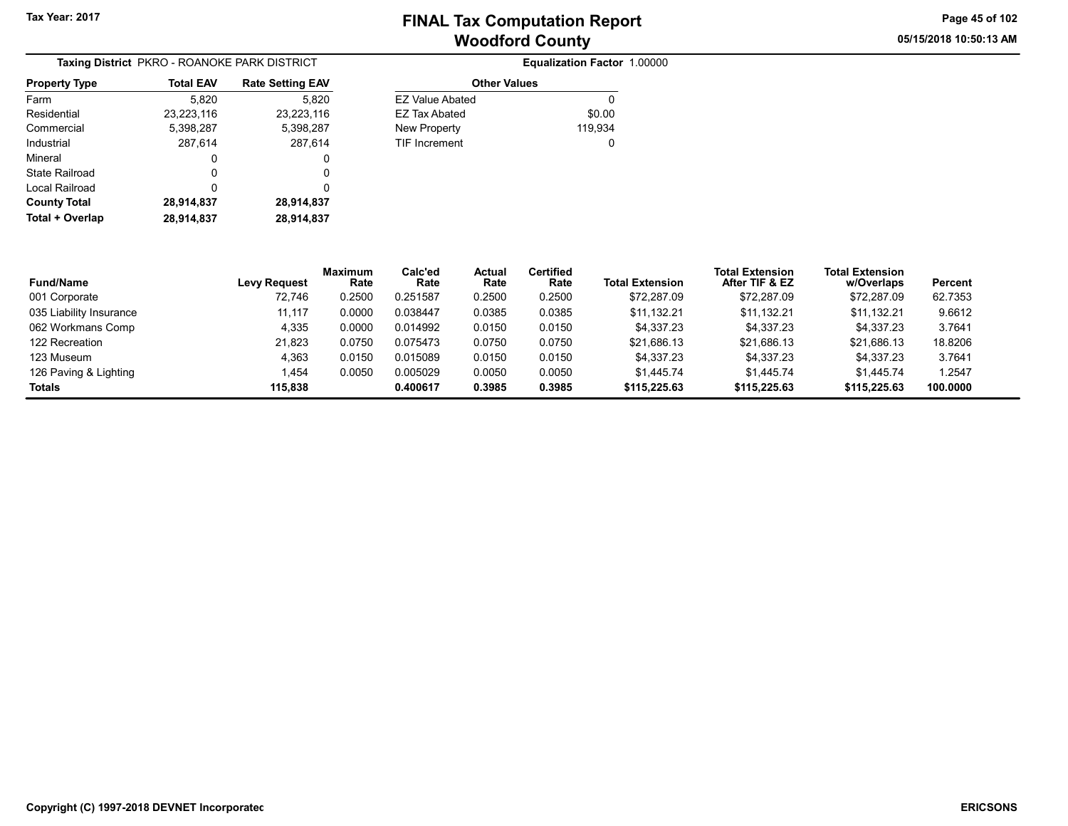05/15/2018 10:50:13 AM Page 45 of 102

|                       | Taxing District PKRO - ROANOKE PARK DISTRICT |                         |                        | Equalization Factor 1.00000 |
|-----------------------|----------------------------------------------|-------------------------|------------------------|-----------------------------|
| <b>Property Type</b>  | <b>Total EAV</b>                             | <b>Rate Setting EAV</b> | <b>Other Values</b>    |                             |
| Farm                  | 5.820                                        | 5.820                   | <b>EZ Value Abated</b> | 0                           |
| Residential           | 23,223,116                                   | 23,223,116              | EZ Tax Abated          | \$0.00                      |
| Commercial            | 5,398,287                                    | 5,398,287               | New Property           | 119.934                     |
| Industrial            | 287.614                                      | 287.614                 | <b>TIF Increment</b>   | 0                           |
| Mineral               | 0                                            | 0                       |                        |                             |
| <b>State Railroad</b> | 0                                            | 0                       |                        |                             |
| Local Railroad        | 0                                            | 0                       |                        |                             |
| <b>County Total</b>   | 28,914,837                                   | 28,914,837              |                        |                             |
| Total + Overlap       | 28,914,837                                   | 28,914,837              |                        |                             |

| <b>Equalization Factor 1.00000</b> |  |  |
|------------------------------------|--|--|
|------------------------------------|--|--|

| EAV  | <b>Rate Setting EAV</b> | <b>Other Values</b>    |         |
|------|-------------------------|------------------------|---------|
| 820  | 5.820                   | <b>EZ Value Abated</b> |         |
| .116 | 23,223,116              | EZ Tax Abated          | \$0.00  |
| 287  | 5,398,287               | New Property           | 119,934 |
| 614  | 287.614                 | <b>TIF Increment</b>   |         |
| 0    | 0                       |                        |         |
| 0    | 0                       |                        |         |

| <b>Fund/Name</b>        | <b>Levy Request</b> | <b>Maximum</b><br>Rate | Calc'ed<br>Rate | <b>Actual</b><br>Rate | Certified<br>Rate | <b>Total Extension</b> | <b>Total Extension</b><br>After TIF & EZ | <b>Total Extension</b><br>w/Overlaps | Percent  |
|-------------------------|---------------------|------------------------|-----------------|-----------------------|-------------------|------------------------|------------------------------------------|--------------------------------------|----------|
| 001 Corporate           | 72.746              | 0.2500                 | 0.251587        | 0.2500                | 0.2500            | \$72,287.09            | \$72.287.09                              | \$72,287.09                          | 62.7353  |
| 035 Liability Insurance | 11,117              | 0.0000                 | 0.038447        | 0.0385                | 0.0385            | \$11,132.21            | \$11.132.21                              | \$11,132.21                          | 9.6612   |
| 062 Workmans Comp       | 4,335               | 0.0000                 | 0.014992        | 0.0150                | 0.0150            | \$4,337.23             | \$4.337.23                               | \$4.337.23                           | 3.7641   |
| 122 Recreation          | 21.823              | 0.0750                 | 0.075473        | 0.0750                | 0.0750            | \$21.686.13            | \$21.686.13                              | \$21.686.13                          | 18.8206  |
| 123 Museum              | 4.363               | 0.0150                 | 0.015089        | 0.0150                | 0.0150            | \$4.337.23             | \$4.337.23                               | \$4.337.23                           | 3.7641   |
| 126 Paving & Lighting   | 1.454               | 0.0050                 | 0.005029        | 0.0050                | 0.0050            | \$1,445.74             | \$1,445.74                               | \$1.445.74                           | 1.2547   |
| <b>Totals</b>           | 115.838             |                        | 0.400617        | 0.3985                | 0.3985            | \$115,225.63           | \$115,225.63                             | \$115,225.63                         | 100.0000 |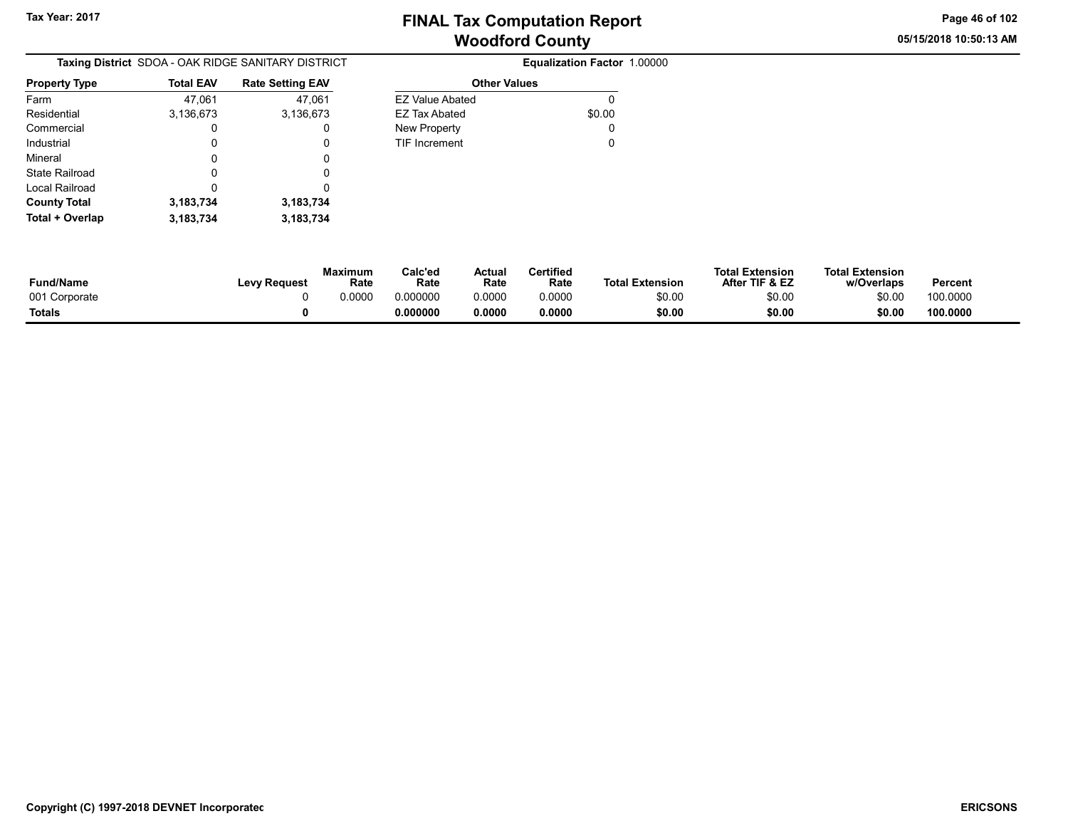05/15/2018 10:50:13 AM Page 46 of 102

| <b>Taxing District</b> SDOA - OAK RIDGE SANITARY DISTRICT |           |                         |  |  |  |  |
|-----------------------------------------------------------|-----------|-------------------------|--|--|--|--|
| <b>Property Type</b>                                      | Total EAV | <b>Rate Setting EAV</b> |  |  |  |  |
| Farm                                                      | 47,061    | 47,061                  |  |  |  |  |
| Residential                                               | 3,136,673 | 3,136,673               |  |  |  |  |
| Commercial                                                | 0         |                         |  |  |  |  |
| Industrial                                                | 0         | O                       |  |  |  |  |
| Mineral                                                   | 0         | 0                       |  |  |  |  |
| <b>State Railroad</b>                                     | 0         | O                       |  |  |  |  |
| Local Railroad                                            | 0         | O                       |  |  |  |  |
| <b>County Total</b>                                       | 3,183,734 | 3,183,734               |  |  |  |  |
| Total + Overlap                                           | 3,183,734 | 3,183,734               |  |  |  |  |

| <b>EZ Value Abated</b> |        |
|------------------------|--------|
| FZ Tax Abated          | \$0.00 |
| New Property           |        |
| <b>TIF Increment</b>   |        |

| Fund/Name     | <b>Levy Request</b> | Maximum<br>Rate | Calc'ed<br>Rate | Actual<br>Rate | <b>Certified</b><br>Rate | <b>Total Extension</b> | <b>Total Extension</b><br>After TIF & EZ | <b>Total Extension</b><br>w/Overlaps | Percent  |
|---------------|---------------------|-----------------|-----------------|----------------|--------------------------|------------------------|------------------------------------------|--------------------------------------|----------|
| 001 Corporate |                     | 0.0000          | 0.000000        | 0.0000         | 0.0000                   | \$0.00                 | \$0.00                                   | \$0.00                               | 100.0000 |
| Totals        |                     |                 | 0.000000        | 0.0000         | 0.0000                   | \$0.00                 | \$0.00                                   | \$0.00                               | 100.0000 |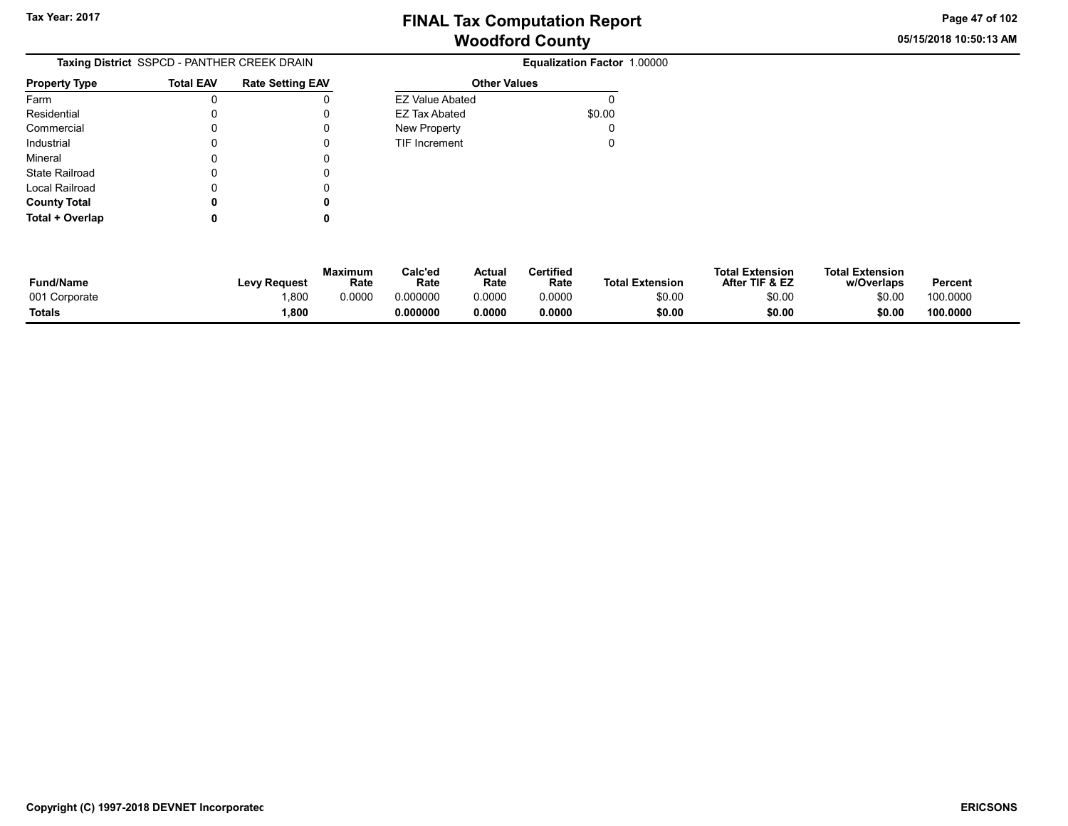05/15/2018 10:50:13 AM Page 47 of 102

|                      | Taxing District SSPCD - PANTHER CREEK DRAIN |                         |    |
|----------------------|---------------------------------------------|-------------------------|----|
| <b>Property Type</b> | <b>Total EAV</b>                            | <b>Rate Setting EAV</b> |    |
| Farm                 | 0                                           |                         | Ē. |
| Residential          | 0                                           |                         | E. |
| Commercial           |                                             |                         | N  |
| Industrial           |                                             |                         | т  |
| Mineral              | 0                                           | O                       |    |
| State Railroad       | 0                                           |                         |    |
| Local Railroad       | 0                                           | Ω                       |    |
| <b>County Total</b>  |                                             | 0                       |    |
| Total + Overlap      |                                             |                         |    |

| FZ Value Abated      |        |
|----------------------|--------|
| <b>EZ Tax Abated</b> | \$0.00 |
| <b>New Property</b>  |        |
| <b>TIF Increment</b> | O      |

| <b>Fund/Name</b> | <b>Levy Request</b> | Maximum<br>Rate | Calc'ed<br>Rate | Actual<br>Rate | Certified<br>Rate | <b>Total Extension</b> | <b>Total Extension</b><br>After TIF & EZ | <b>Total Extension</b><br>w/Overlaps | <b>Percent</b> |
|------------------|---------------------|-----------------|-----------------|----------------|-------------------|------------------------|------------------------------------------|--------------------------------------|----------------|
| 001 Corporate    | ,800                | 0.0000          | 0.000000        | 0.0000         | 0.0000            | \$0.00                 | \$0.00                                   | \$0.00                               | 100.0000       |
| Totals           | 1,800               |                 | 0.000000        | 0.0000         | 0.0000            | \$0.00                 | \$0.00                                   | \$0.00                               | 100.0000       |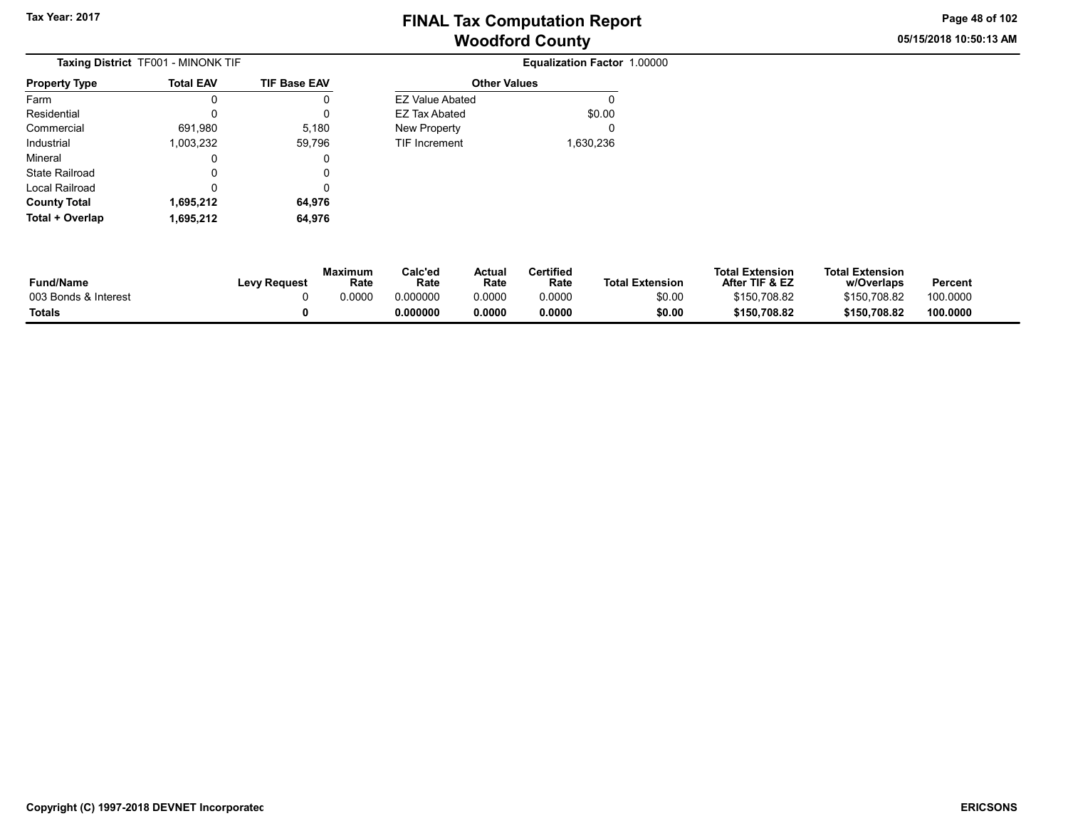Other Values EZ Value Abated 0 EZ Tax Abated \$0.00 New Property **0** TIF Increment 1,630,236 05/15/2018 10:50:13 AM Page 48 of 102

| <b>Taxing District</b> TF001 - MINONK TIF |                  |                     |  |  |  |  |  |
|-------------------------------------------|------------------|---------------------|--|--|--|--|--|
| <b>Property Type</b>                      | <b>Total EAV</b> | <b>TIF Base EAV</b> |  |  |  |  |  |
| Farm                                      | n                | 0                   |  |  |  |  |  |
| Residential                               | O                | 0                   |  |  |  |  |  |
| Commercial                                | 691,980          | 5,180               |  |  |  |  |  |
| Industrial                                | 1,003,232        | 59,796              |  |  |  |  |  |
| Mineral                                   | Ω                | 0                   |  |  |  |  |  |
| State Railroad                            | Ω                | 0                   |  |  |  |  |  |
| Local Railroad                            | O                | 0                   |  |  |  |  |  |
| <b>County Total</b>                       | 1,695,212        | 64,976              |  |  |  |  |  |
| Total + Overlap                           | 1,695,212        | 64.976              |  |  |  |  |  |

| Fund/Name            | Levy Request | <b>Maximum</b><br>Rate | Calc'ed<br>Rate | Actual<br>Rate | Certified<br>Rate | <b>Total Extension</b> | <b>Total Extension</b><br>After TIF & EZ | <b>Total Extension</b><br>w/Overlaps | Percent  |  |
|----------------------|--------------|------------------------|-----------------|----------------|-------------------|------------------------|------------------------------------------|--------------------------------------|----------|--|
| 003 Bonds & Interest |              | 0.0000                 | 0.000000        | 0.0000         | 0.0000            | \$0.00                 | \$150,708.82                             | \$150.708.82                         | 100.0000 |  |
| Totals               |              |                        | 0.000000        | 0.0000         | 0.0000            | \$0.00                 | \$150,708.82                             | \$150,708.82                         | 100.0000 |  |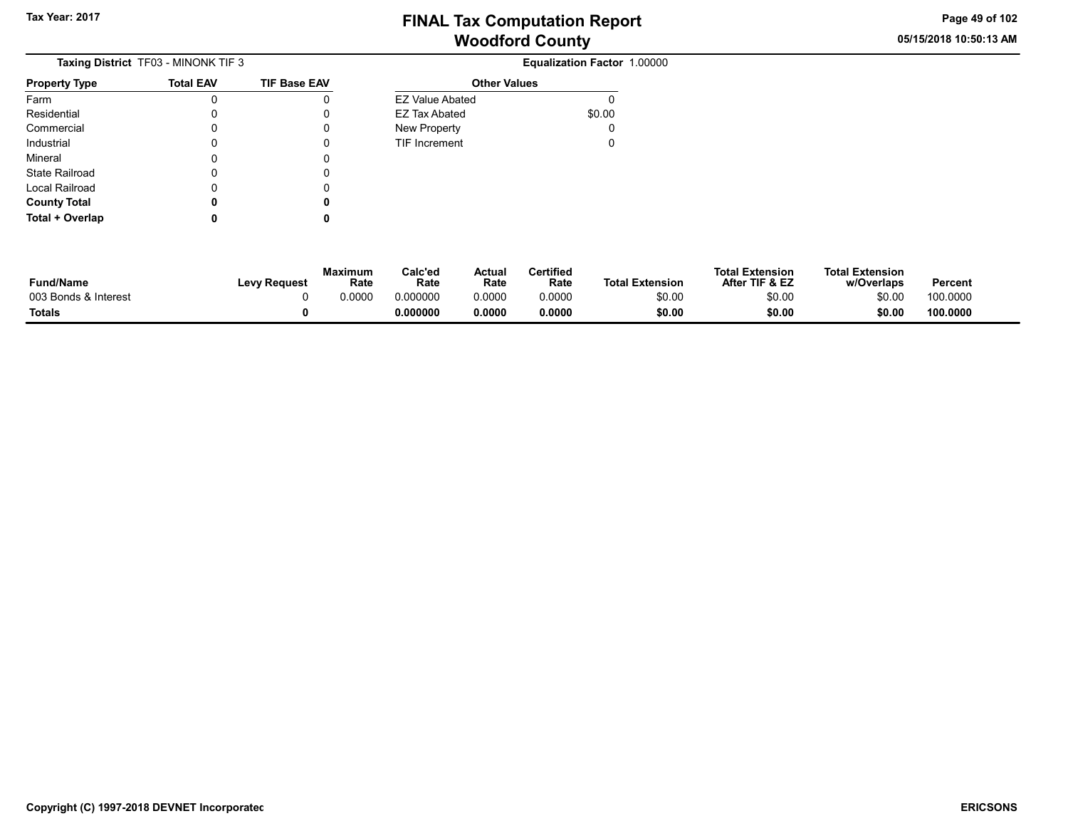05/15/2018 10:50:13 AM Page 49 of 102

|                      | <b>Taxing District</b> TF03 - MINONK TIF 3 |                     |
|----------------------|--------------------------------------------|---------------------|
| <b>Property Type</b> | <b>Total EAV</b>                           | <b>TIF Base EAV</b> |
| Farm                 | 0                                          | 0                   |
| Residential          | O                                          | 0                   |
| Commercial           | Ω                                          | Ω                   |
| Industrial           | 0                                          | 0                   |
| Mineral              | 0                                          | Ω                   |
| State Railroad       | 0                                          | Ω                   |
| Local Railroad       | U                                          | 0                   |
| <b>County Total</b>  |                                            | 0                   |
| Total + Overlap      |                                            |                     |

| <b>EZ Value Abated</b> |        |
|------------------------|--------|
| EZ Tax Abated          | \$0.00 |
| New Property           | 0      |
| <b>TIF Increment</b>   | 0      |

| <b>Fund/Name</b>     | <b>Levy Request</b> | Maximum<br>Rate | Calc'ed<br>Rate | Actual<br>Rate | Certified<br>Rate | <b>Total Extension</b> | <b>Total Extension</b><br>After TIF & EZ | <b>Total Extension</b><br>w/Overlaps | Percent  |
|----------------------|---------------------|-----------------|-----------------|----------------|-------------------|------------------------|------------------------------------------|--------------------------------------|----------|
| 003 Bonds & Interest |                     | 0.0000          | 0.000000        | 0.0000         | 0.0000            | \$0.00                 | \$0.00                                   | \$0.00                               | 100.0000 |
| Totals               |                     |                 | 0.000000        | 0.0000         | 0.0000            | \$0.00                 | \$0.00                                   | \$0.00                               | 100.0000 |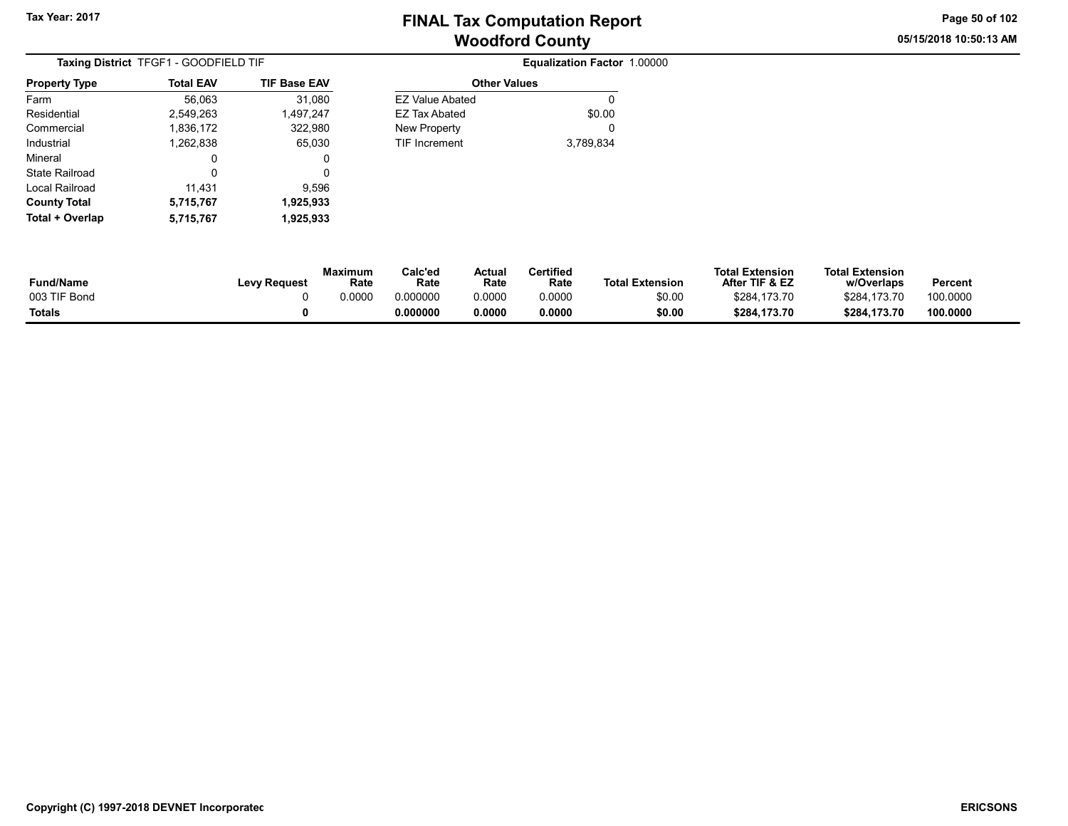Other Values

05/15/2018 10:50:13 AM Page 50 of 102

| Taxing District TFGF1 - GOODFIELD TIF |                  |                     |  |  |  |  |  |
|---------------------------------------|------------------|---------------------|--|--|--|--|--|
| <b>Property Type</b>                  | <b>Total EAV</b> | <b>TIF Base EAV</b> |  |  |  |  |  |
| Farm                                  | 56,063           | 31,080              |  |  |  |  |  |
| Residential                           | 2,549,263        | 1,497,247           |  |  |  |  |  |
| Commercial                            | 1,836,172        | 322,980             |  |  |  |  |  |
| Industrial                            | 1,262,838        | 65,030              |  |  |  |  |  |
| Mineral                               | 0                | 0                   |  |  |  |  |  |
| State Railroad                        | 0                | 0                   |  |  |  |  |  |
| Local Railroad                        | 11,431           | 9,596               |  |  |  |  |  |
| <b>County Total</b>                   | 5,715,767        | 1,925,933           |  |  |  |  |  |
| Total + Overlap                       | 5,715,767        | 1,925,933           |  |  |  |  |  |

| 56,063  | 31,080    | <b>EZ Value Abated</b> | 0         |
|---------|-----------|------------------------|-----------|
| 549,263 | 1,497,247 | <b>EZ Tax Abated</b>   | \$0.00    |
| 836,172 | 322,980   | New Property           | 0         |
| 262,838 | 65,030    | <b>TIF Increment</b>   | 3,789,834 |
| 0       | 0         |                        |           |
| 0       | 0         |                        |           |
| 11.431  | 9.596     |                        |           |
| 715,767 | 1,925,933 |                        |           |
|         |           |                        |           |

| <b>Fund/Name</b> | <b>Levy Request</b> | Maximum<br>Rate | Calc'ed<br>Rate | Actual<br>Rate | Certified<br>Rate | <b>Total Extension</b> | <b>Total Extension</b><br>After TIF & EZ | <b>Total Extension</b><br>w/Overlaps | Percent  |
|------------------|---------------------|-----------------|-----------------|----------------|-------------------|------------------------|------------------------------------------|--------------------------------------|----------|
| 003 TIF Bond     |                     | 0.0000          | 0.000000        | 0.0000         | 0.0000            | \$0.00                 | \$284,173.70                             | \$284.173.70                         | 100.0000 |
| <b>Totals</b>    |                     |                 | 0.000000        | 0.0000         | 0.0000            | \$0.00                 | \$284,173.70                             | \$284.173.70                         | 100.0000 |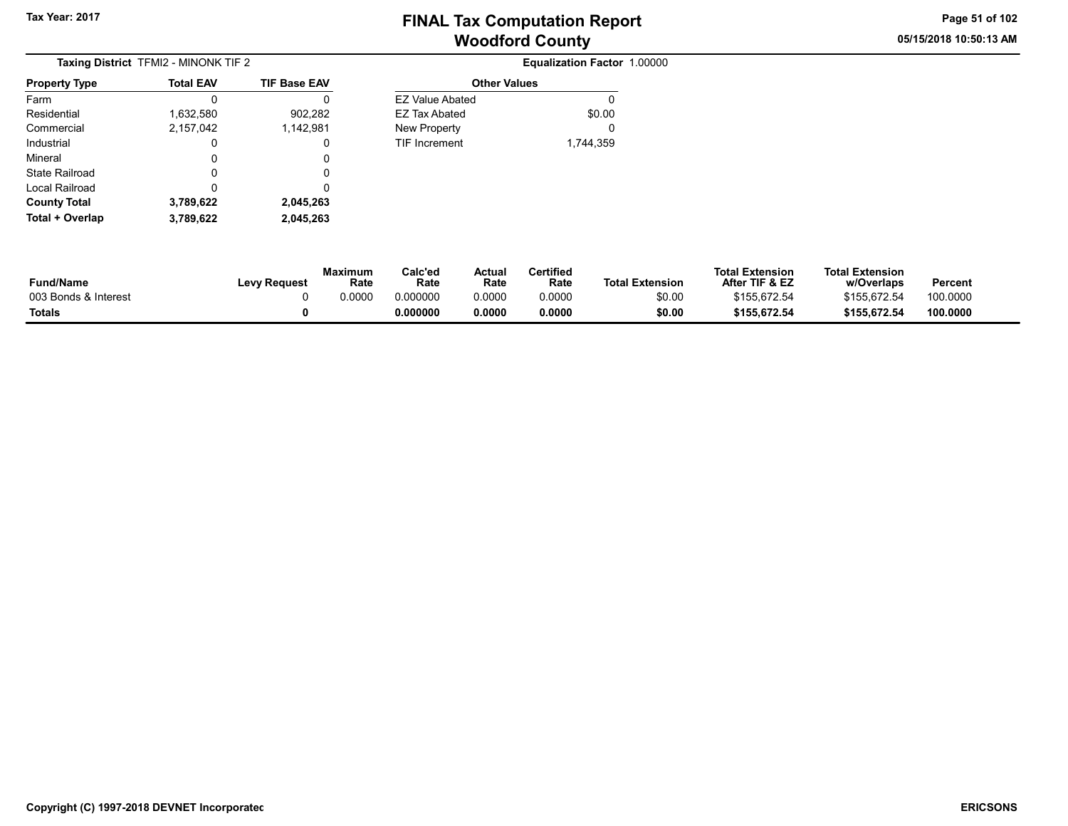Other Values EZ Value Abated 0 EZ Tax Abated \$0.00 New Property **0** TIF Increment 1,744,359 05/15/2018 10:50:13 AM Page 51 of 102

| <b>Taxing District TFMI2 - MINONK TIF 2</b> |                  |                     |  |  |  |  |  |
|---------------------------------------------|------------------|---------------------|--|--|--|--|--|
| <b>Property Type</b>                        | <b>Total EAV</b> | <b>TIF Base EAV</b> |  |  |  |  |  |
| Farm                                        |                  | Ω                   |  |  |  |  |  |
| Residential                                 | 1,632,580        | 902,282             |  |  |  |  |  |
| Commercial                                  | 2,157,042        | 1,142,981           |  |  |  |  |  |
| Industrial                                  | 0                | 0                   |  |  |  |  |  |
| Mineral                                     | 0                | 0                   |  |  |  |  |  |
| State Railroad                              | 0                | Ω                   |  |  |  |  |  |
| Local Railroad                              | O                | Ω                   |  |  |  |  |  |
| <b>County Total</b>                         | 3,789,622        | 2,045,263           |  |  |  |  |  |
| Total + Overlap                             | 3,789,622        | 2,045,263           |  |  |  |  |  |

| Fund/Name            | <b>Levy Request</b> | <b>Maximum</b><br>Rate | Calc'ed<br>Rate | Actual<br>Rate | Certified<br>Rate | <b>Total Extension</b> | <b>Total Extension</b><br>After TIF & EZ | <b>Total Extension</b><br>w/Overlaps | Percent  |  |
|----------------------|---------------------|------------------------|-----------------|----------------|-------------------|------------------------|------------------------------------------|--------------------------------------|----------|--|
| 003 Bonds & Interest |                     | 0.0000                 | 0.000000        | 0.0000         | 0.0000            | \$0.00                 | \$155.672.54                             | \$155.672.54                         | 100.0000 |  |
| Totals               |                     |                        | 0.000000        | 0.0000         | 0.0000            | \$0.00                 | \$155,672.54                             | \$155,672.54                         | 100.0000 |  |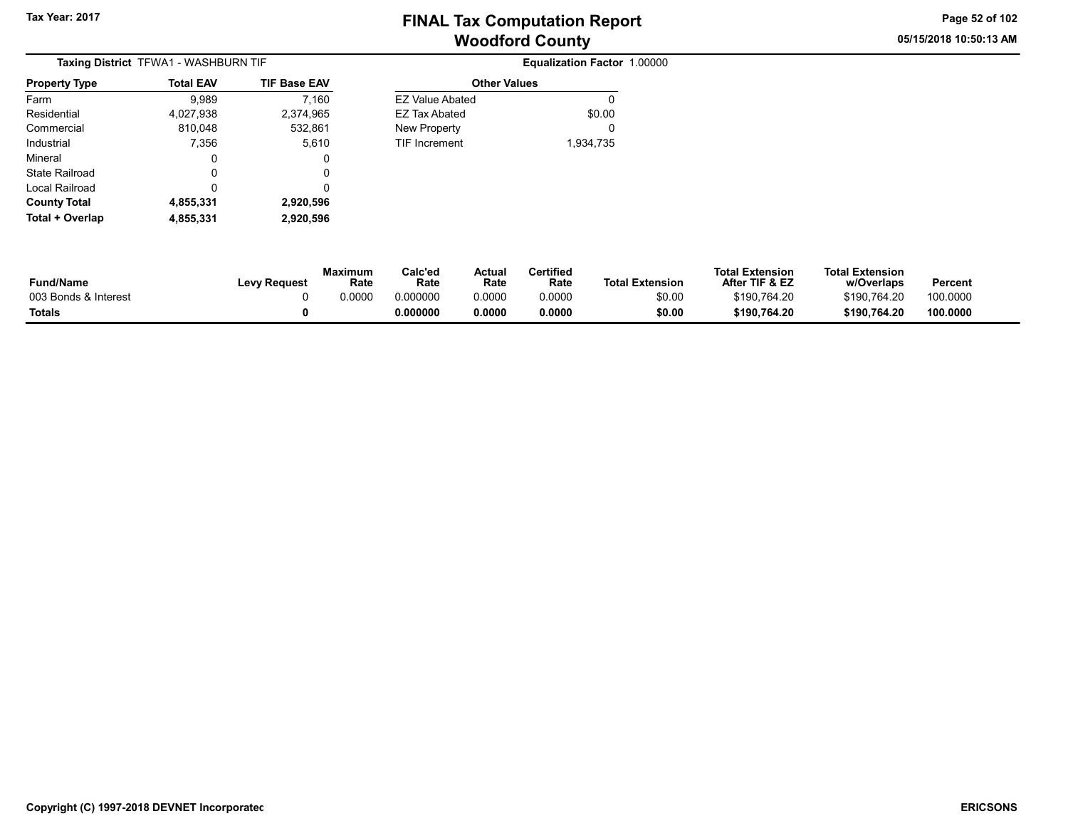# Woodford County Tax Year: 2017 Tax Year: 2017

Other Values EZ Value Abated 0 EZ Tax Abated \$0.00 New Property **0** TIF Increment 1,934,735 05/15/2018 10:50:13 AM Page 52 of 102

| Taxing District TFWA1 - WASHBURN TIF |                  |                     |  |  |  |  |  |
|--------------------------------------|------------------|---------------------|--|--|--|--|--|
| <b>Property Type</b>                 | <b>Total EAV</b> | <b>TIF Base EAV</b> |  |  |  |  |  |
| Farm                                 | 9.989            | 7,160               |  |  |  |  |  |
| Residential                          | 4,027,938        | 2,374,965           |  |  |  |  |  |
| Commercial                           | 810,048          | 532,861             |  |  |  |  |  |
| Industrial                           | 7,356            | 5,610               |  |  |  |  |  |
| Mineral                              | 0                | 0                   |  |  |  |  |  |
| State Railroad                       | 0                | 0                   |  |  |  |  |  |
| Local Railroad                       | 0                | 0                   |  |  |  |  |  |
| <b>County Total</b>                  | 4,855,331        | 2,920,596           |  |  |  |  |  |
| Total + Overlap                      | 4,855,331        | 2,920,596           |  |  |  |  |  |

**Equalization Factor 1.00000** 

| <b>συμπιν τυται</b><br>Total + Overlap | 4,000,001<br>4,855,331 | 2,920,990<br>2,920,596 |                        |                 |                |                   |                        |                                          |                                      |          |
|----------------------------------------|------------------------|------------------------|------------------------|-----------------|----------------|-------------------|------------------------|------------------------------------------|--------------------------------------|----------|
|                                        |                        |                        |                        |                 |                |                   |                        |                                          |                                      |          |
| <b>Fund/Name</b>                       |                        | <b>Levy Request</b>    | <b>Maximum</b><br>Rate | Calc'ed<br>Rate | Actual<br>Rate | Certified<br>Rate | <b>Total Extension</b> | <b>Total Extension</b><br>After TIF & EZ | <b>Total Extension</b><br>w/Overlaps | Percent  |
| 003 Bonds & Interest                   |                        |                        | 0.0000                 | 0.000000        | 0.0000         | 0.0000            | \$0.00                 | \$190.764.20                             | \$190.764.20                         | 100.0000 |

Totals 0 0.000000 0.0000 0.0000 \$0.00 \$190,764.20 \$190,764.20 100.0000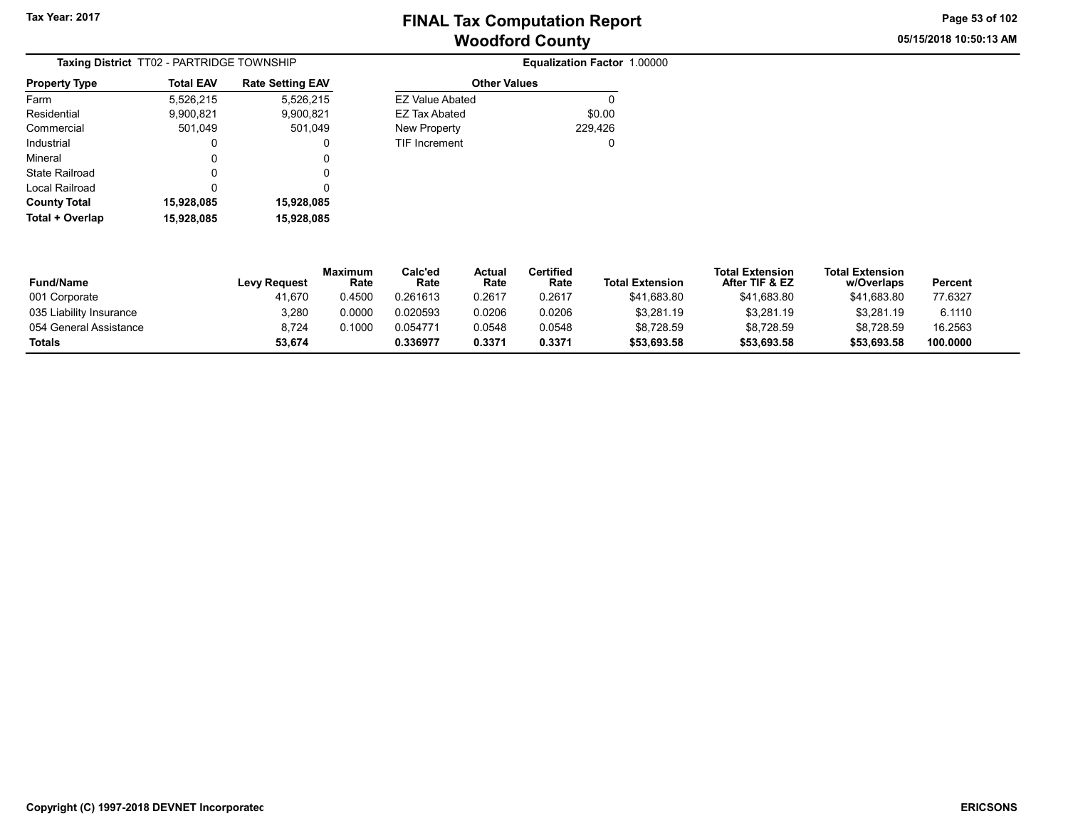05/15/2018 10:50:13 AM Page 53 of 102

| Taxing District TT02 - PARTRIDGE TOWNSHIP |                  |                         |  |  |  |  |  |
|-------------------------------------------|------------------|-------------------------|--|--|--|--|--|
| <b>Property Type</b>                      | <b>Total EAV</b> | <b>Rate Setting EAV</b> |  |  |  |  |  |
| Farm                                      | 5,526,215        | 5,526,215               |  |  |  |  |  |
| Residential                               | 9,900,821        | 9,900,821               |  |  |  |  |  |
| Commercial                                | 501,049          | 501,049                 |  |  |  |  |  |
| Industrial                                | 0                | 0                       |  |  |  |  |  |
| Mineral                                   | 0                | 0                       |  |  |  |  |  |
| State Railroad                            | 0                | 0                       |  |  |  |  |  |
| Local Railroad                            | 0                | 0                       |  |  |  |  |  |
| <b>County Total</b>                       | 15,928,085       | 15,928,085              |  |  |  |  |  |
| Total + Overlap                           | 15.928.085       | 15,928,085              |  |  |  |  |  |

| <b>Total EAV</b> | <b>Rate Setting EAV</b> |                        | <b>Other Values</b> |
|------------------|-------------------------|------------------------|---------------------|
| 5,526,215        | 5,526,215               | <b>EZ Value Abated</b> |                     |
| 9,900,821        | 9,900,821               | <b>EZ Tax Abated</b>   | \$0.00              |
| 501,049          | 501,049                 | New Property           | 229,426             |
| 0                | 0                       | <b>TIF Increment</b>   | 0                   |
| 0                | 0                       |                        |                     |
| 0                | 0                       |                        |                     |
| 0                | 0                       |                        |                     |
| 15,928,085       | 15,928,085              |                        |                     |

| <b>Fund/Name</b>        | <b>Levy Request</b> | Maximum<br>Rate | Calc'ed<br>Rate | Actual<br>Rate | Certified<br>Rate | <b>Total Extension</b> | <b>Total Extension</b><br>After TIF & EZ | <b>Total Extension</b><br>w/Overlaps | Percent  |
|-------------------------|---------------------|-----------------|-----------------|----------------|-------------------|------------------------|------------------------------------------|--------------------------------------|----------|
| 001 Corporate           | 41.670              | 0.4500          | 0.261613        | 0.2617         | 0.2617            | \$41.683.80            | \$41,683.80                              | \$41.683.80                          | 77.6327  |
| 035 Liability Insurance | 3,280               | 0.0000          | 0.020593        | 0.0206         | 0.0206            | \$3,281.19             | \$3,281.19                               | \$3,281.19                           | 6.1110   |
| 054 General Assistance  | 8.724               | 0.1000          | 0.054771        | 0.0548         | 0.0548            | \$8,728.59             | \$8.728.59                               | \$8.728.59                           | 16.2563  |
| <b>Totals</b>           | 53.674              |                 | 0.336977        | 0.3371         | 0.3371            | \$53,693.58            | \$53,693.58                              | \$53.693.58                          | 100.0000 |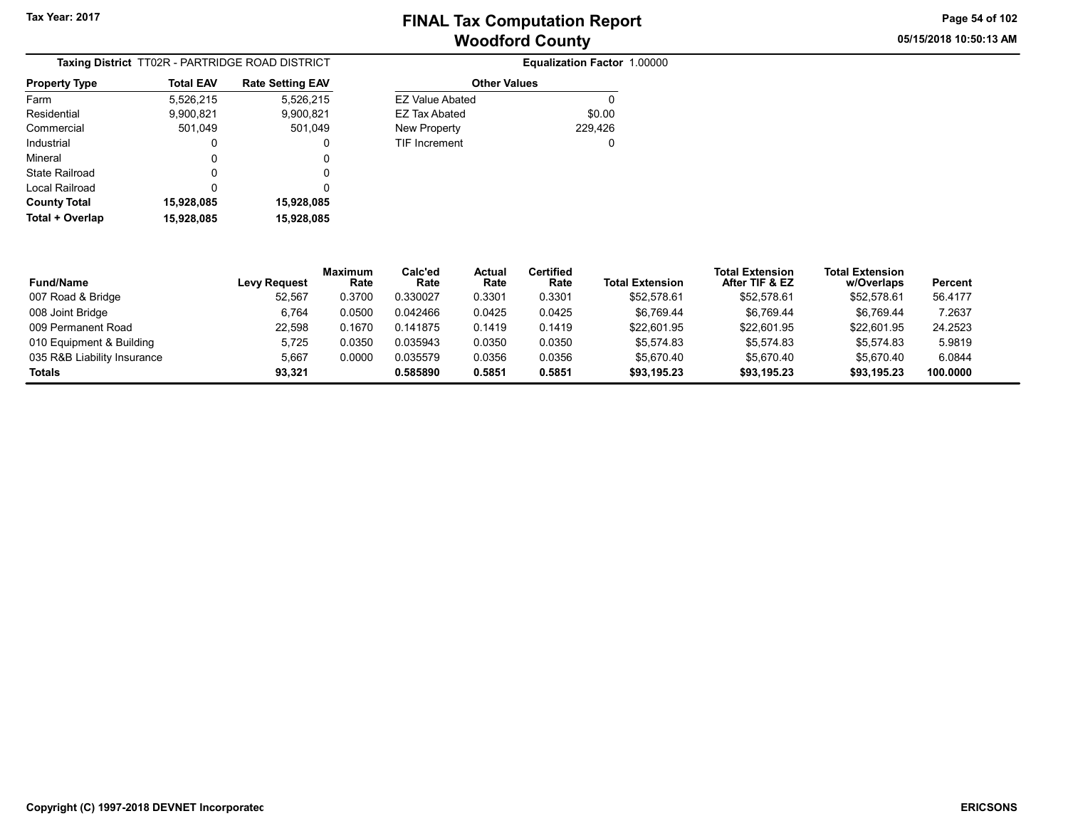05/15/2018 10:50:13 AM Page 54 of 102

| Taxing District TT02R - PARTRIDGE ROAD DISTRICT |                  |                         |  |  |  |
|-------------------------------------------------|------------------|-------------------------|--|--|--|
| <b>Property Type</b>                            | <b>Total EAV</b> | <b>Rate Setting EAV</b> |  |  |  |
| Farm                                            | 5,526,215        | 5,526,215               |  |  |  |
| Residential                                     | 9,900,821        | 9,900,821               |  |  |  |
| Commercial                                      | 501,049          | 501,049                 |  |  |  |
| Industrial                                      | 0                | 0                       |  |  |  |
| Mineral                                         | 0                | 0                       |  |  |  |
| State Railroad                                  | 0                | 0                       |  |  |  |
| Local Railroad                                  | ŋ                | O                       |  |  |  |
| <b>County Total</b>                             | 15,928,085       | 15,928,085              |  |  |  |
| Total + Overlap                                 | 15,928,085       | 15,928,085              |  |  |  |

| TRICT  |                        | Equalization Factor 1.00000 |
|--------|------------------------|-----------------------------|
| g EAV  | <b>Other Values</b>    |                             |
| 26,215 | <b>EZ Value Abated</b> |                             |
| 0,821  | <b>EZ Tax Abated</b>   | \$0.00                      |
| 1.049  | New Property           | 229,426                     |
| 0      | TIF Increment          | 0                           |
| 0      |                        |                             |
| 0      |                        |                             |
|        |                        |                             |

| <b>Fund/Name</b>            | <b>Levy Request</b> | <b>Maximum</b><br>Rate | Calc'ed<br>Rate | <b>Actual</b><br>Rate | <b>Certified</b><br>Rate | <b>Total Extension</b> | <b>Total Extension</b><br>After TIF & EZ | <b>Total Extension</b><br>w/Overlaps | Percent  |
|-----------------------------|---------------------|------------------------|-----------------|-----------------------|--------------------------|------------------------|------------------------------------------|--------------------------------------|----------|
| 007 Road & Bridge           | 52.567              | 0.3700                 | 0.330027        | 0.3301                | 0.3301                   | \$52.578.61            | \$52,578.61                              | \$52,578.61                          | 56.4177  |
| 008 Joint Bridge            | 6,764               | 0.0500                 | 0.042466        | 0.0425                | 0.0425                   | \$6,769.44             | \$6,769.44                               | \$6,769.44                           | 7.2637   |
| 009 Permanent Road          | 22.598              | 0.1670                 | 0.141875        | 0.1419                | 0.1419                   | \$22.601.95            | \$22,601.95                              | \$22,601.95                          | 24.2523  |
| 010 Equipment & Building    | 5.725               | 0.0350                 | 0.035943        | 0.0350                | 0.0350                   | \$5.574.83             | \$5,574.83                               | \$5.574.83                           | 5.9819   |
| 035 R&B Liability Insurance | 5,667               | 0.0000                 | 0.035579        | 0.0356                | 0.0356                   | \$5,670.40             | \$5,670.40                               | \$5,670.40                           | 6.0844   |
| Totals                      | 93.321              |                        | 0.585890        | 0.5851                | 0.5851                   | \$93.195.23            | \$93.195.23                              | \$93,195.23                          | 100.0000 |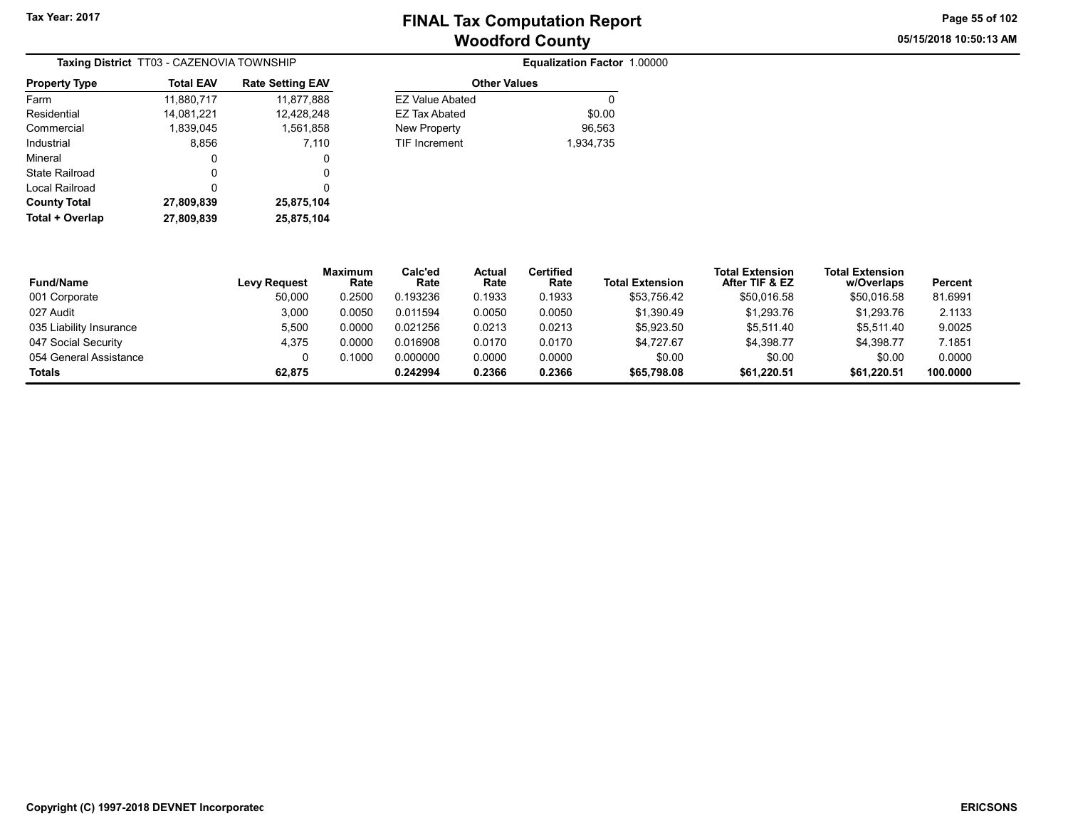05/15/2018 10:50:13 AM Page 55 of 102

| Taxing District TT03 - CAZENOVIA TOWNSHIP |                  |                         |  |  |  |  |
|-------------------------------------------|------------------|-------------------------|--|--|--|--|
| <b>Property Type</b>                      | <b>Total EAV</b> | <b>Rate Setting EAV</b> |  |  |  |  |
| Farm                                      | 11,880,717       | 11,877,888              |  |  |  |  |
| Residential                               | 14,081,221       | 12,428,248              |  |  |  |  |
| Commercial                                | 1,839,045        | 1,561,858               |  |  |  |  |
| Industrial                                | 8,856            | 7,110                   |  |  |  |  |
| Mineral                                   | 0                | 0                       |  |  |  |  |
| State Railroad                            | 0                | 0                       |  |  |  |  |
| Local Railroad                            | 0                | 0                       |  |  |  |  |
| <b>County Total</b>                       | 27,809,839       | 25,875,104              |  |  |  |  |
| Total + Overlap                           | 27,809,839       | 25,875,104              |  |  |  |  |

| A TOWNSHIP              |                        | Equalization Factor 1.00000 |  |
|-------------------------|------------------------|-----------------------------|--|
| <b>Rate Setting EAV</b> | <b>Other Values</b>    |                             |  |
| 11,877,888              | <b>EZ Value Abated</b> | 0                           |  |
| 12,428,248              | <b>EZ Tax Abated</b>   | \$0.00                      |  |
| 1,561,858               | New Property           | 96,563                      |  |
| 7.110                   | <b>TIF Increment</b>   | 1.934.735                   |  |
| 0                       |                        |                             |  |
| $\sim$                  |                        |                             |  |

| <b>Fund/Name</b>        | <b>Levy Request</b> | <b>Maximum</b><br>Rate | Calc'ed<br>Rate | Actual<br>Rate | <b>Certified</b><br>Rate | <b>Total Extension</b> | <b>Total Extension</b><br>After TIF & EZ | <b>Total Extension</b><br>w/Overlaps | Percent  |
|-------------------------|---------------------|------------------------|-----------------|----------------|--------------------------|------------------------|------------------------------------------|--------------------------------------|----------|
| 001 Corporate           | 50,000              | 0.2500                 | 0.193236        | 0.1933         | 0.1933                   | \$53,756.42            | \$50,016.58                              | \$50,016.58                          | 81.6991  |
| 027 Audit               | 3,000               | 0.0050                 | 0.011594        | 0.0050         | 0.0050                   | \$1.390.49             | \$1,293.76                               | \$1,293.76                           | 2.1133   |
| 035 Liability Insurance | 5,500               | 0.0000                 | 0.021256        | 0.0213         | 0.0213                   | \$5,923.50             | \$5.511.40                               | \$5.511.40                           | 9.0025   |
| 047 Social Security     | 4.375               | 0.0000                 | 0.016908        | 0.0170         | 0.0170                   | \$4.727.67             | \$4.398.77                               | \$4.398.77                           | 7.1851   |
| 054 General Assistance  | 0                   | 0.1000                 | 0.000000        | 0.0000         | 0.0000                   | \$0.00                 | \$0.00                                   | \$0.00                               | 0.0000   |
| <b>Totals</b>           | 62.875              |                        | 0.242994        | 0.2366         | 0.2366                   | \$65,798.08            | \$61,220.51                              | \$61,220.51                          | 100.0000 |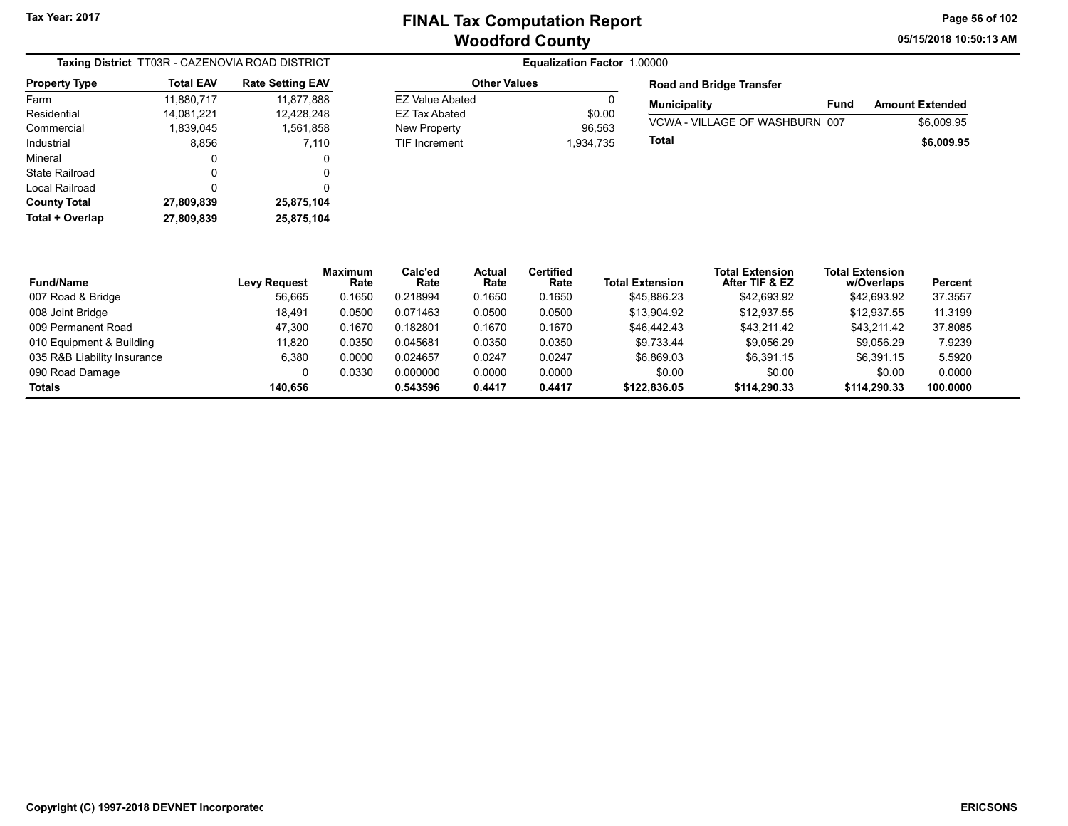EZ Value Abated 0 EZ Tax Abated \$0.00 New Property 26,563 TIF Increment 1,934,735 05/15/2018 10:50:13 AM Page 56 of 102

|                       | Taxing District TT03R - CAZENOVIA ROAD DISTRICT |                         |
|-----------------------|-------------------------------------------------|-------------------------|
| <b>Property Type</b>  | <b>Total EAV</b>                                | <b>Rate Setting EAV</b> |
| Farm                  | 11,880,717                                      | 11,877,888              |
| Residential           | 14,081,221                                      | 12,428,248              |
| Commercial            | 1,839,045                                       | 1,561,858               |
| Industrial            | 8,856                                           | 7,110                   |
| Mineral               | 0                                               | 0                       |
| <b>State Railroad</b> | 0                                               | 0                       |
| Local Railroad        | ŋ                                               | 0                       |
| <b>County Total</b>   | 27,809,839                                      | 25,875,104              |
| Total + Overlap       | 27,809,839                                      | 25,875,104              |

## **Equalization Factor 1.00000** Other Values

| <b>Road and Bridge Transfer</b>       |      |                        |
|---------------------------------------|------|------------------------|
| <b>Municipality</b>                   | Fund | <b>Amount Extended</b> |
| <b>VCWA - VILLAGE OF WASHBURN 007</b> |      | \$6,009.95             |
| Total                                 |      | \$6,009.95             |

| <b>Fund/Name</b>            | <b>Levy Request</b> | <b>Maximum</b><br>Rate | Calc'ed<br>Rate | Actual<br>Rate | Certified<br>Rate | <b>Total Extension</b> | <b>Total Extension</b><br>After TIF & EZ | Total Extension<br>w/Overlaps | Percent  |
|-----------------------------|---------------------|------------------------|-----------------|----------------|-------------------|------------------------|------------------------------------------|-------------------------------|----------|
| 007 Road & Bridge           | 56,665              | 0.1650                 | 0.218994        | 0.1650         | 0.1650            | \$45.886.23            | \$42.693.92                              | \$42,693.92                   | 37.3557  |
| 008 Joint Bridge            | 18,491              | 0.0500                 | 0.071463        | 0.0500         | 0.0500            | \$13.904.92            | \$12,937.55                              | \$12,937.55                   | 11.3199  |
| 009 Permanent Road          | 47.300              | 0.1670                 | 0.182801        | 0.1670         | 0.1670            | \$46,442.43            | \$43.211.42                              | \$43.211.42                   | 37.8085  |
| 010 Equipment & Building    | 11,820              | 0.0350                 | 0.045681        | 0.0350         | 0.0350            | \$9.733.44             | \$9,056.29                               | \$9.056.29                    | 7.9239   |
| 035 R&B Liability Insurance | 6.380               | 0.0000                 | 0.024657        | 0.0247         | 0.0247            | \$6.869.03             | \$6.391.15                               | \$6.391.15                    | 5.5920   |
| 090 Road Damage             |                     | 0.0330                 | 0.000000        | 0.0000         | 0.0000            | \$0.00                 | \$0.00                                   | \$0.00                        | 0.0000   |
| Totals                      | 140.656             |                        | 0.543596        | 0.4417         | 0.4417            | \$122,836.05           | \$114.290.33                             | \$114,290.33                  | 100.0000 |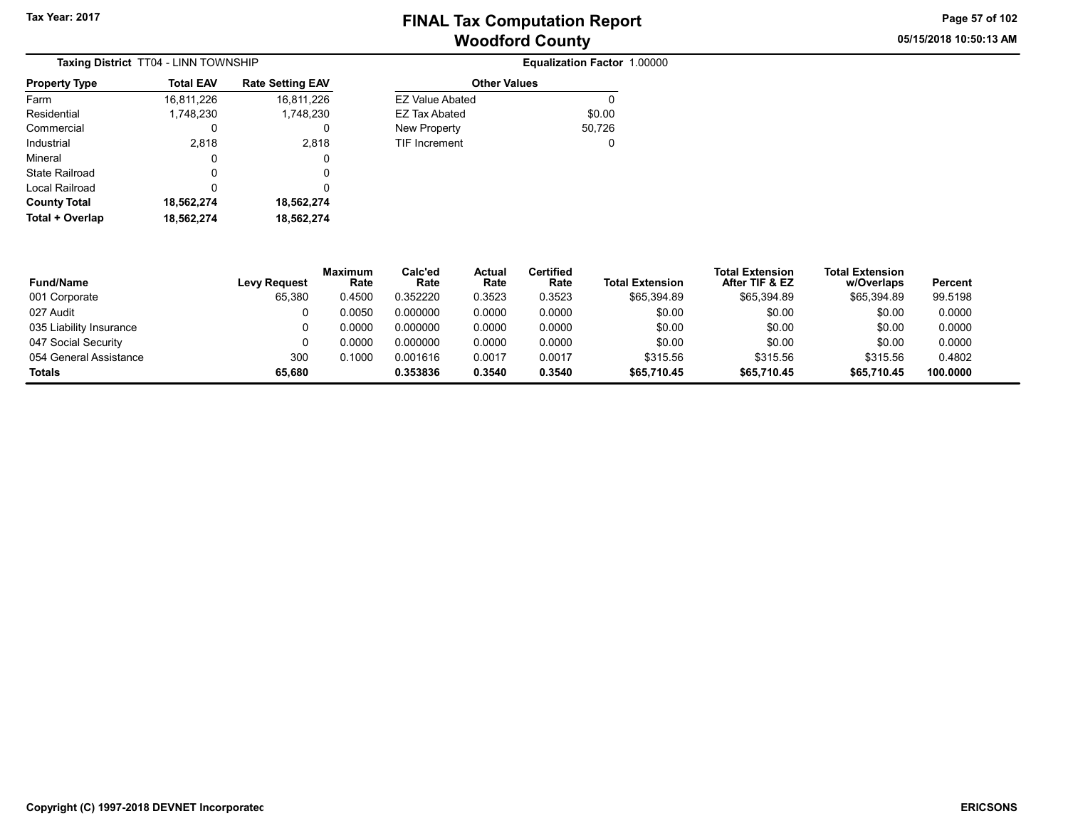05/15/2018 10:50:13 AM Page 57 of 102

| <b>Taxing District TT04 - LINN TOWNSHIP</b> |                  |                         |  |  |  |  |  |
|---------------------------------------------|------------------|-------------------------|--|--|--|--|--|
| <b>Property Type</b>                        | <b>Total EAV</b> | <b>Rate Setting EAV</b> |  |  |  |  |  |
| Farm                                        | 16,811,226       | 16,811,226              |  |  |  |  |  |
| Residential                                 | 1,748,230        | 1,748,230               |  |  |  |  |  |
| Commercial                                  | O                | O                       |  |  |  |  |  |
| Industrial                                  | 2,818            | 2,818                   |  |  |  |  |  |
| Mineral                                     | 0                | 0                       |  |  |  |  |  |
| State Railroad                              | O                | O                       |  |  |  |  |  |
| Local Railroad                              | 0                | 0                       |  |  |  |  |  |
| <b>County Total</b>                         | 18,562,274       | 18,562,274              |  |  |  |  |  |
| Total + Overlap                             | 18,562,274       | 18.562.274              |  |  |  |  |  |

| <b>Total EAV</b> | <b>Rate Setting EAV</b> | <b>Other Values</b>    |        |
|------------------|-------------------------|------------------------|--------|
| 16,811,226       | 16,811,226              | <b>EZ Value Abated</b> | 0      |
| 1,748,230        | 1,748,230               | <b>EZ Tax Abated</b>   | \$0.00 |
| 0                | 0                       | New Property           | 50,726 |
| 2,818            | 2.818                   | <b>TIF Increment</b>   | 0      |
| 0                | 0                       |                        |        |
| $\Omega$         | 0                       |                        |        |
| 0                | 0                       |                        |        |
| 18,562,274       | 18,562,274              |                        |        |

| <b>Fund/Name</b>        | <b>Levy Request</b> | <b>Maximum</b><br>Rate | Calc'ed<br>Rate | Actual<br>Rate | Certified<br>Rate | <b>Total Extension</b> | <b>Total Extension</b><br>After TIF & EZ | <b>Total Extension</b><br>w/Overlaps | Percent  |
|-------------------------|---------------------|------------------------|-----------------|----------------|-------------------|------------------------|------------------------------------------|--------------------------------------|----------|
| 001 Corporate           | 65,380              | 0.4500                 | 0.352220        | 0.3523         | 0.3523            | \$65,394.89            | \$65.394.89                              | \$65,394.89                          | 99.5198  |
| 027 Audit               |                     | 0.0050                 | 0.000000        | 0.0000         | 0.0000            | \$0.00                 | \$0.00                                   | \$0.00                               | 0.0000   |
| 035 Liability Insurance |                     | 0.0000                 | 0.000000        | 0.0000         | 0.0000            | \$0.00                 | \$0.00                                   | \$0.00                               | 0.0000   |
| 047 Social Security     |                     | 0.0000                 | 0.000000        | 0.0000         | 0.0000            | \$0.00                 | \$0.00                                   | \$0.00                               | 0.0000   |
| 054 General Assistance  | 300                 | 0.1000                 | 0.001616        | 0.0017         | 0.0017            | \$315.56               | \$315.56                                 | \$315.56                             | 0.4802   |
| <b>Totals</b>           | 65,680              |                        | 0.353836        | 0.3540         | 0.3540            | \$65,710.45            | \$65,710.45                              | \$65,710.45                          | 100.0000 |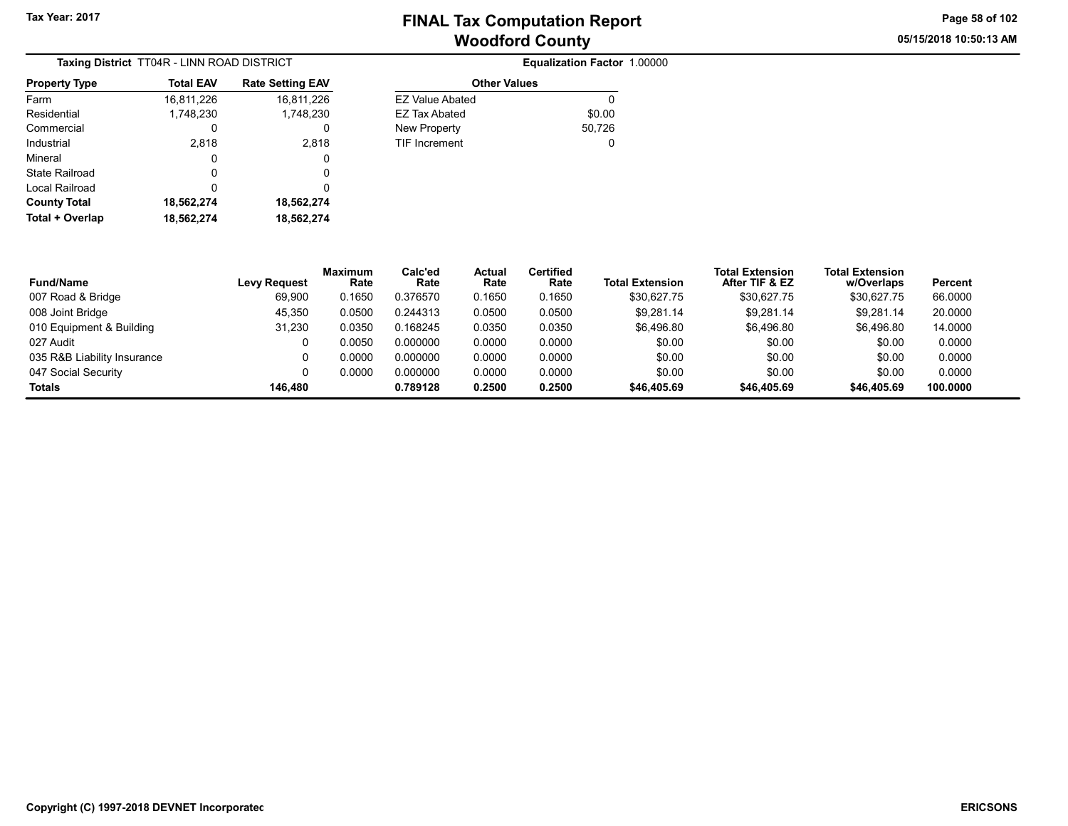05/15/2018 10:50:13 AM Page 58 of 102

| Taxing District TT04R - LINN ROAD DISTRICT |                  |                         |  |  |  |  |
|--------------------------------------------|------------------|-------------------------|--|--|--|--|
| <b>Property Type</b>                       | <b>Total EAV</b> | <b>Rate Setting EAV</b> |  |  |  |  |
| Farm                                       | 16,811,226       | 16,811,226              |  |  |  |  |
| Residential                                | 1.748.230        | 1.748.230               |  |  |  |  |
| Commercial                                 | O                | O                       |  |  |  |  |
| Industrial                                 | 2,818            | 2,818                   |  |  |  |  |
| Mineral                                    | 0                | 0                       |  |  |  |  |
| State Railroad                             | O                | 0                       |  |  |  |  |
| Local Railroad                             | ŋ                | O                       |  |  |  |  |
| <b>County Total</b>                        | 18,562,274       | 18,562,274              |  |  |  |  |
| Total + Overlap                            | 18,562,274       | 18,562,274              |  |  |  |  |

| NN ROAD DISTRICT |                         |                        | Equalization Factor 1.00000 |  |
|------------------|-------------------------|------------------------|-----------------------------|--|
| I EAV            | <b>Rate Setting EAV</b> | <b>Other Values</b>    |                             |  |
| 1,226            | 16,811,226              | <b>EZ Value Abated</b> | 0                           |  |
| 8,230            | 1,748,230               | <b>EZ Tax Abated</b>   | \$0.00                      |  |
|                  | 0                       | <b>New Property</b>    | 50,726                      |  |
| 2,818            | 2.818                   | <b>TIF Increment</b>   | 0                           |  |
| 0                | 0                       |                        |                             |  |
|                  |                         |                        |                             |  |

| <b>Fund/Name</b>            | Levy Request | <b>Maximum</b><br>Rate | Calc'ed<br>Rate | Actual<br>Rate | <b>Certified</b><br>Rate | <b>Total Extension</b> | <b>Total Extension</b><br>After TIF & EZ | <b>Total Extension</b><br>w/Overlaps | Percent  |
|-----------------------------|--------------|------------------------|-----------------|----------------|--------------------------|------------------------|------------------------------------------|--------------------------------------|----------|
| 007 Road & Bridge           | 69.900       | 0.1650                 | 0.376570        | 0.1650         | 0.1650                   | \$30.627.75            | \$30.627.75                              | \$30,627.75                          | 66.0000  |
| 008 Joint Bridge            | 45.350       | 0.0500                 | 0.244313        | 0.0500         | 0.0500                   | \$9.281.14             | \$9,281.14                               | \$9.281.14                           | 20,0000  |
| 010 Equipment & Building    | 31.230       | 0.0350                 | 0.168245        | 0.0350         | 0.0350                   | \$6.496.80             | \$6.496.80                               | \$6.496.80                           | 14.0000  |
| 027 Audit                   |              | 0.0050                 | 0.000000        | 0.0000         | 0.0000                   | \$0.00                 | \$0.00                                   | \$0.00                               | 0.0000   |
| 035 R&B Liability Insurance |              | 0.0000                 | 0.000000        | 0.0000         | 0.0000                   | \$0.00                 | \$0.00                                   | \$0.00                               | 0.0000   |
| 047 Social Security         |              | 0.0000                 | 0.000000        | 0.0000         | 0.0000                   | \$0.00                 | \$0.00                                   | \$0.00                               | 0.0000   |
| Totals                      | 146.480      |                        | 0.789128        | 0.2500         | 0.2500                   | \$46,405.69            | \$46,405.69                              | \$46,405.69                          | 100.0000 |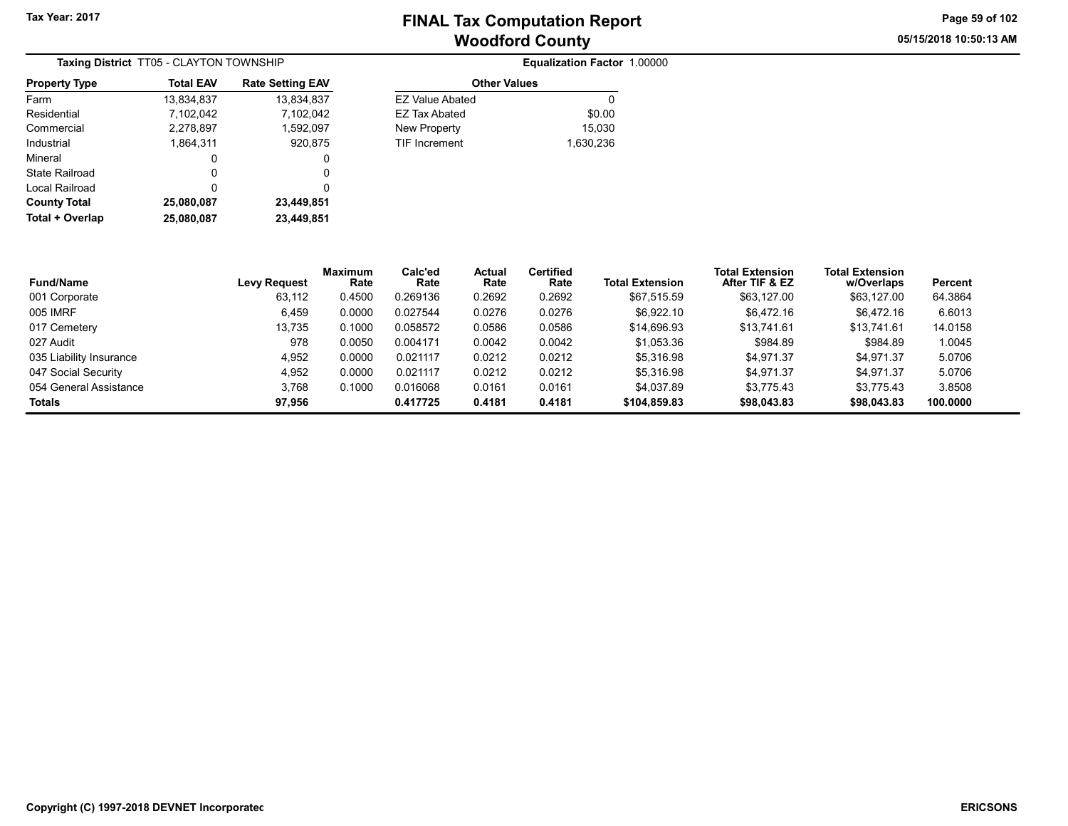05/15/2018 10:50:13 AM Page 59 of 102

|                      | <b>Taxing District TT05 - CLAYTON TOWNSHIP</b> |                         |                        | Equalization Factor 1.00000 |  |
|----------------------|------------------------------------------------|-------------------------|------------------------|-----------------------------|--|
| <b>Property Type</b> | <b>Total EAV</b>                               | <b>Rate Setting EAV</b> | <b>Other Values</b>    |                             |  |
| Farm                 | 13,834,837                                     | 13,834,837              | <b>EZ Value Abated</b> | 0                           |  |
| Residential          | 7.102.042                                      | 7.102.042               | EZ Tax Abated          | \$0.00                      |  |
| Commercial           | 2,278,897                                      | 1,592,097               | New Property           | 15.030                      |  |
| Industrial           | 1.864.311                                      | 920.875                 | <b>TIF Increment</b>   | 1,630,236                   |  |
| Mineral              | 0                                              | 0                       |                        |                             |  |
| State Railroad       | 0                                              | 0                       |                        |                             |  |
| Local Railroad       | 0                                              | 0                       |                        |                             |  |
| <b>County Total</b>  | 25,080,087                                     | 23,449,851              |                        |                             |  |
| Total + Overlap      | 25,080,087                                     | 23.449.851              |                        |                             |  |

| <b>Equalization Factor 1.00000</b> |  |
|------------------------------------|--|
|------------------------------------|--|

| <b>Rate Setting EAV</b> | <b>Other Values</b>    |           |  |  |
|-------------------------|------------------------|-----------|--|--|
| 13,834,837              | <b>EZ Value Abated</b> |           |  |  |
| 7,102,042               | EZ Tax Abated          | \$0.00    |  |  |
| 1.592.097               | <b>New Property</b>    | 15,030    |  |  |
| 920,875                 | <b>TIF Increment</b>   | 1,630,236 |  |  |
| O                       |                        |           |  |  |
|                         |                        |           |  |  |

| <b>Fund/Name</b>        | <b>Levy Request</b> | <b>Maximum</b><br>Rate | Calc'ed<br>Rate | Actual<br>Rate | Certified<br>Rate | <b>Total Extension</b> | <b>Total Extension</b><br>After TIF & EZ | <b>Total Extension</b><br>w/Overlaps | Percent  |
|-------------------------|---------------------|------------------------|-----------------|----------------|-------------------|------------------------|------------------------------------------|--------------------------------------|----------|
| 001 Corporate           | 63.112              | 0.4500                 | 0.269136        | 0.2692         | 0.2692            | \$67.515.59            | \$63.127.00                              | \$63.127.00                          | 64.3864  |
| 005 IMRF                | 6.459               | 0.0000                 | 0.027544        | 0.0276         | 0.0276            | \$6.922.10             | \$6.472.16                               | \$6.472.16                           | 6.6013   |
| 017 Cemetery            | 13.735              | 0.1000                 | 0.058572        | 0.0586         | 0.0586            | \$14,696.93            | \$13.741.61                              | \$13.741.61                          | 14.0158  |
| 027 Audit               | 978                 | 0.0050                 | 0.004171        | 0.0042         | 0.0042            | \$1,053.36             | \$984.89                                 | \$984.89                             | 1.0045   |
| 035 Liability Insurance | 4.952               | 0.0000                 | 0.021117        | 0.0212         | 0.0212            | \$5.316.98             | \$4.971.37                               | \$4.971.37                           | 5.0706   |
| 047 Social Security     | 4.952               | 0.0000                 | 0.021117        | 0.0212         | 0.0212            | \$5.316.98             | \$4.971.37                               | \$4.971.37                           | 5.0706   |
| 054 General Assistance  | 3.768               | 0.1000                 | 0.016068        | 0.0161         | 0.0161            | \$4.037.89             | \$3.775.43                               | \$3.775.43                           | 3.8508   |
| <b>Totals</b>           | 97.956              |                        | 0.417725        | 0.4181         | 0.4181            | \$104.859.83           | \$98,043.83                              | \$98,043.83                          | 100.0000 |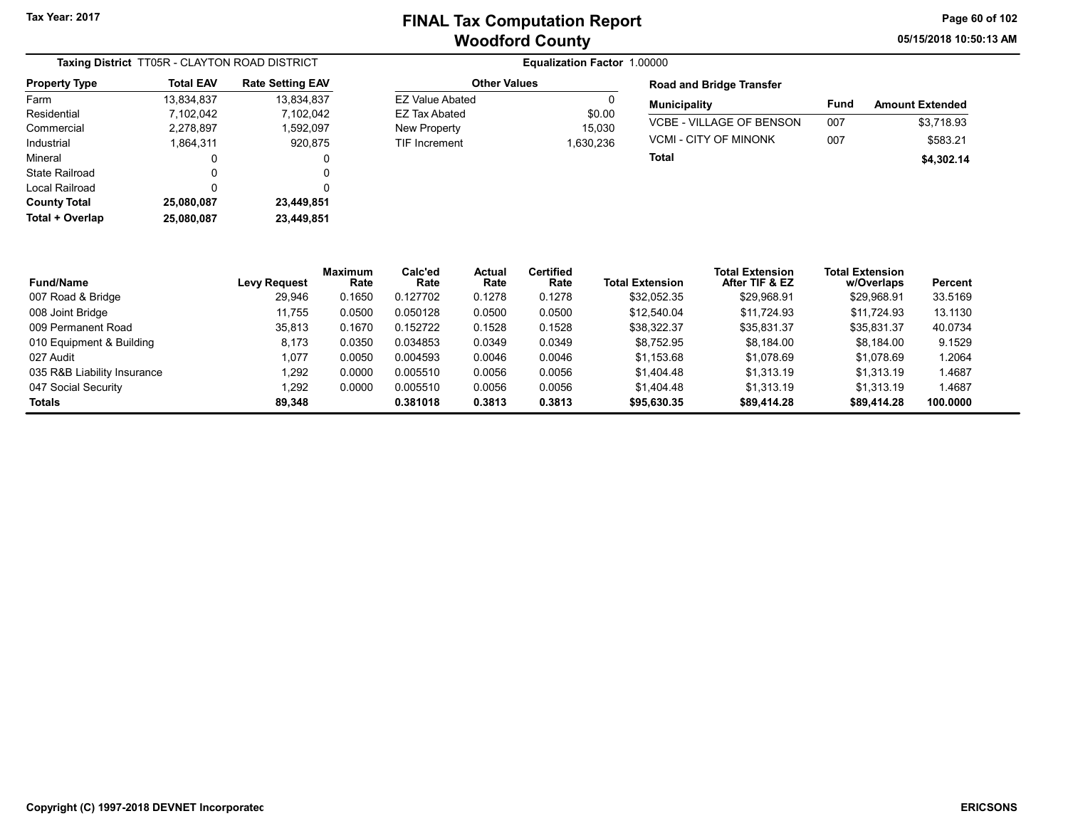05/15/2018 10:50:13 AM Page 60 of 102

| Taxing District TT05R - CLAYTON ROAD DISTRICT |                  |                         |  |  |  |  |
|-----------------------------------------------|------------------|-------------------------|--|--|--|--|
| <b>Property Type</b>                          | <b>Total EAV</b> | <b>Rate Setting EAV</b> |  |  |  |  |
| Farm                                          | 13,834,837       | 13,834,837              |  |  |  |  |
| Residential                                   | 7,102,042        | 7,102,042               |  |  |  |  |
| Commercial                                    | 2,278,897        | 1,592,097               |  |  |  |  |
| Industrial                                    | 1,864,311        | 920,875                 |  |  |  |  |
| Mineral                                       | 0                | 0                       |  |  |  |  |
| State Railroad                                | 0                | 0                       |  |  |  |  |
| Local Railroad                                | ŋ                | 0                       |  |  |  |  |
| <b>County Total</b>                           | 25,080,087       | 23,449,851              |  |  |  |  |
| Total + Overlap                               | 25,080,087       | 23,449,851              |  |  |  |  |

| <b>Other Values</b>    |           |  |  |  |  |  |
|------------------------|-----------|--|--|--|--|--|
| <b>FZ Value Abated</b> |           |  |  |  |  |  |
| FZ Tax Abated          | \$0.00    |  |  |  |  |  |
| New Property           | 15.030    |  |  |  |  |  |
| <b>TIF Increment</b>   | 1.630.236 |  |  |  |  |  |

| <b>Road and Bridge Transfer</b> |      |                        |  |  |  |  |  |  |
|---------------------------------|------|------------------------|--|--|--|--|--|--|
| <b>Municipality</b>             | Fund | <b>Amount Extended</b> |  |  |  |  |  |  |
| VCBE - VILLAGE OF BENSON        | 007  | \$3.718.93             |  |  |  |  |  |  |
| VCMI - CITY OF MINONK           | 007  | \$583.21               |  |  |  |  |  |  |
| Total                           |      | \$4,302.14             |  |  |  |  |  |  |

| <b>Fund/Name</b>            | Levy Request | <b>Maximum</b><br>Rate | Calc'ed<br>Rate | <b>Actual</b><br>Rate | <b>Certified</b><br>Rate | <b>Total Extension</b> | <b>Total Extension</b><br>After TIF & EZ | <b>Total Extension</b><br>w/Overlaps | Percent  |
|-----------------------------|--------------|------------------------|-----------------|-----------------------|--------------------------|------------------------|------------------------------------------|--------------------------------------|----------|
| 007 Road & Bridge           | 29.946       | 0.1650                 | 0.127702        | 0.1278                | 0.1278                   | \$32.052.35            | \$29.968.91                              | \$29.968.91                          | 33.5169  |
| 008 Joint Bridge            | 11.755       | 0.0500                 | 0.050128        | 0.0500                | 0.0500                   | \$12.540.04            | \$11.724.93                              | \$11.724.93                          | 13.1130  |
| 009 Permanent Road          | 35,813       | 0.1670                 | 0.152722        | 0.1528                | 0.1528                   | \$38.322.37            | \$35,831.37                              | \$35,831.37                          | 40.0734  |
| 010 Equipment & Building    | 8.173        | 0.0350                 | 0.034853        | 0.0349                | 0.0349                   | \$8.752.95             | \$8.184.00                               | \$8.184.00                           | 9.1529   |
| 027 Audit                   | 1.077        | 0.0050                 | 0.004593        | 0.0046                | 0.0046                   | \$1.153.68             | \$1.078.69                               | \$1.078.69                           | 1.2064   |
| 035 R&B Liability Insurance | 1.292        | 0.0000                 | 0.005510        | 0.0056                | 0.0056                   | \$1,404.48             | \$1.313.19                               | \$1.313.19                           | 1.4687   |
| 047 Social Security         | 1,292        | 0.0000                 | 0.005510        | 0.0056                | 0.0056                   | \$1.404.48             | \$1.313.19                               | \$1.313.19                           | 1.4687   |
| Totals                      | 89.348       |                        | 0.381018        | 0.3813                | 0.3813                   | \$95,630.35            | \$89,414.28                              | \$89,414.28                          | 100.0000 |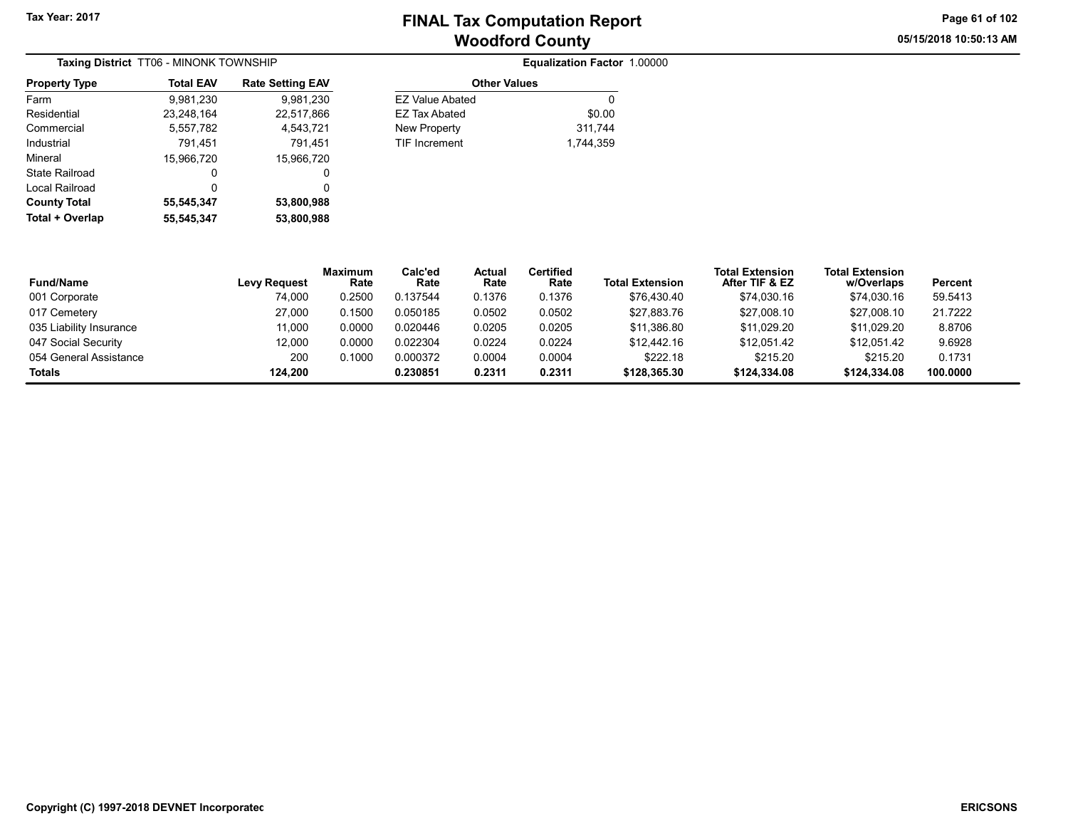05/15/2018 10:50:13 AM Page 61 of 102

| Taxing District TT06 - MINONK TOWNSHIP |                  |                         |  |  |  |  |
|----------------------------------------|------------------|-------------------------|--|--|--|--|
| <b>Property Type</b>                   | <b>Total EAV</b> | <b>Rate Setting EAV</b> |  |  |  |  |
| Farm                                   | 9,981,230        | 9,981,230               |  |  |  |  |
| Residential                            | 23,248,164       | 22,517,866              |  |  |  |  |
| Commercial                             | 5,557,782        | 4,543,721               |  |  |  |  |
| Industrial                             | 791,451          | 791.451                 |  |  |  |  |
| Mineral                                | 15,966,720       | 15,966,720              |  |  |  |  |
| State Railroad                         | O                | 0                       |  |  |  |  |
| Local Railroad                         | 0                | 0                       |  |  |  |  |
| <b>County Total</b>                    | 55,545,347       | 53,800,988              |  |  |  |  |
| Total + Overlap                        | 55.545.347       | 53,800,988              |  |  |  |  |

| ate Setting EAV | <b>Other Values</b>    |           |  |  |  |  |
|-----------------|------------------------|-----------|--|--|--|--|
| 9,981,230       | <b>EZ Value Abated</b> | 0         |  |  |  |  |
| 22,517,866      | <b>EZ Tax Abated</b>   | \$0.00    |  |  |  |  |
| 4,543,721       | New Property           | 311,744   |  |  |  |  |
| 791.451         | <b>TIF Increment</b>   | 1.744.359 |  |  |  |  |
| 15,966,720      |                        |           |  |  |  |  |
| 0               |                        |           |  |  |  |  |
| $\sim$          |                        |           |  |  |  |  |

| <b>Fund/Name</b>        | <b>Levy Request</b> | <b>Maximum</b><br>Rate | Calc'ed<br>Rate | Actual<br>Rate | <b>Certified</b><br>Rate | <b>Total Extension</b> | <b>Total Extension</b><br>After TIF & EZ | <b>Total Extension</b><br>w/Overlaps | Percent  |
|-------------------------|---------------------|------------------------|-----------------|----------------|--------------------------|------------------------|------------------------------------------|--------------------------------------|----------|
| 001 Corporate           | 74.000              | 0.2500                 | 0.137544        | 0.1376         | 0.1376                   | \$76.430.40            | \$74,030.16                              | \$74,030.16                          | 59.5413  |
| 017 Cemetery            | 27,000              | 0.1500                 | 0.050185        | 0.0502         | 0.0502                   | \$27,883.76            | \$27,008.10                              | \$27,008.10                          | 21.7222  |
| 035 Liability Insurance | 11.000              | 0.0000                 | 0.020446        | 0.0205         | 0.0205                   | \$11,386.80            | \$11.029.20                              | \$11.029.20                          | 8.8706   |
| 047 Social Security     | 12.000              | 0.0000                 | 0.022304        | 0.0224         | 0.0224                   | \$12,442.16            | \$12.051.42                              | \$12.051.42                          | 9.6928   |
| 054 General Assistance  | 200                 | 0.1000                 | 0.000372        | 0.0004         | 0.0004                   | \$222.18               | \$215.20                                 | \$215.20                             | 0.1731   |
| Totals                  | 124.200             |                        | 0.230851        | 0.2311         | 0.2311                   | \$128.365.30           | \$124,334,08                             | \$124,334.08                         | 100.0000 |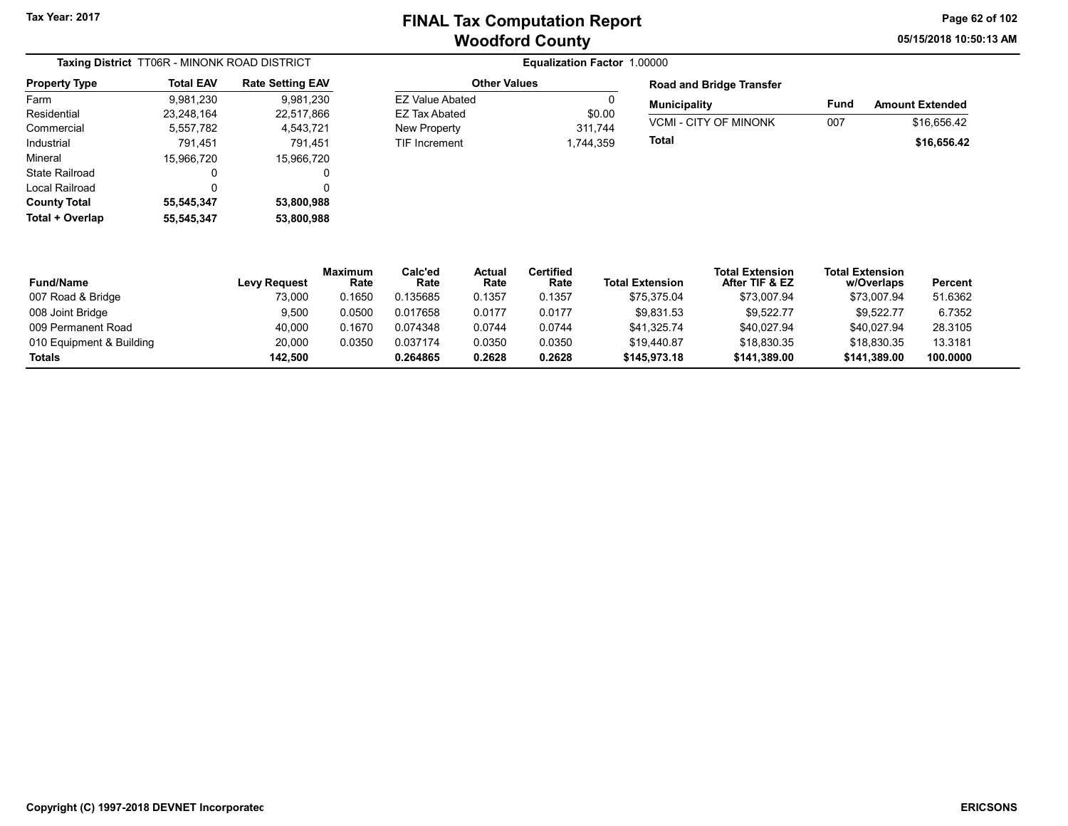05/15/2018 10:50:13 AM Page 62 of 102

|                      | Taxing District TT06R - MINONK ROAD DISTRICT |                         | Equalization Factor 1.00000 |           |            |  |
|----------------------|----------------------------------------------|-------------------------|-----------------------------|-----------|------------|--|
| <b>Property Type</b> | <b>Total EAV</b>                             | <b>Rate Setting EAV</b> | <b>Other Values</b>         |           | Roa        |  |
| Farm                 | 9,981,230                                    | 9,981,230               | <b>EZ Value Abated</b>      | 0         | Mur        |  |
| Residential          | 23,248,164                                   | 22,517,866              | EZ Tax Abated               | \$0.00    |            |  |
| Commercial           | 5,557,782                                    | 4,543,721               | New Property                | 311,744   | <b>VCN</b> |  |
| Industrial           | 791.451                                      | 791.451                 | <b>TIF Increment</b>        | 1.744.359 | Tota       |  |
| Mineral              | 15.966.720                                   | 15,966,720              |                             |           |            |  |
| State Railroad       | 0                                            | 0                       |                             |           |            |  |
| Local Railroad       | 0                                            | 0                       |                             |           |            |  |
| <b>County Total</b>  | 55,545,347                                   | 53,800,988              |                             |           |            |  |
| Total + Overlap      | 55,545,347                                   | 53,800,988              |                             |           |            |  |

#### Other Values EZ Value Abated 0 EZ Tax Abated \$0.00 New Property 311,744 TIF Increment 1,744,359

| <b>Road and Bridge Transfer</b> |      |                        |
|---------------------------------|------|------------------------|
| <b>Municipality</b>             | Fund | <b>Amount Extended</b> |
| <b>VCMI - CITY OF MINONK</b>    | 007  | \$16.656.42            |
| Total                           |      | \$16,656.42            |

| <b>Fund/Name</b>         | Levy Request | <b>Maximum</b><br>Rate | Calc'ed<br>Rate | <b>Actual</b><br>Rate | Certified<br>Rate | <b>Total Extension</b> | <b>Total Extension</b><br>After TIF & EZ | <b>Total Extension</b><br>w/Overlaps | Percent  |
|--------------------------|--------------|------------------------|-----------------|-----------------------|-------------------|------------------------|------------------------------------------|--------------------------------------|----------|
| 007 Road & Bridge        | 73,000       | 0.1650                 | 0.135685        | 0.1357                | 0.1357            | \$75,375.04            | \$73,007.94                              | \$73,007.94                          | 51.6362  |
| 008 Joint Bridge         | 9,500        | 0.0500                 | 0.017658        | 0.0177                | 0.0177            | \$9,831.53             | \$9.522.77                               | \$9,522.77                           | 6.7352   |
| 009 Permanent Road       | 40,000       | 0.1670                 | 0.074348        | 0.0744                | 0.0744            | \$41,325.74            | \$40,027.94                              | \$40,027.94                          | 28.3105  |
| 010 Equipment & Building | 20.000       | 0.0350                 | 0.037174        | 0.0350                | 0.0350            | \$19.440.87            | \$18.830.35                              | \$18.830.35                          | 13.3181  |
| <b>Totals</b>            | 142.500      |                        | 0.264865        | 0.2628                | 0.2628            | \$145,973.18           | \$141.389.00                             | \$141.389.00                         | 100.0000 |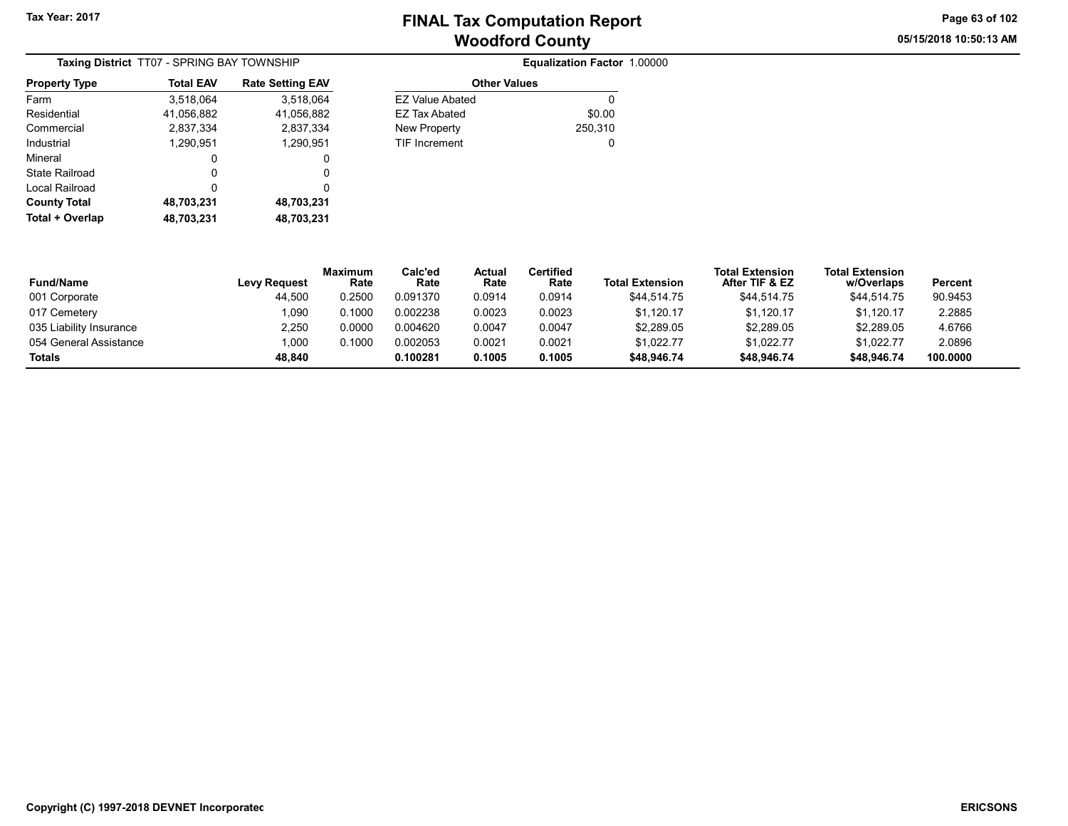05/15/2018 10:50:13 AM Page 63 of 102

|                      | Taxing District TT07 - SPRING BAY TOWNSHIP |                         |                        | Equalization Factor 1.00000 |
|----------------------|--------------------------------------------|-------------------------|------------------------|-----------------------------|
| <b>Property Type</b> | <b>Total EAV</b>                           | <b>Rate Setting EAV</b> | <b>Other Values</b>    |                             |
| Farm                 | 3.518.064                                  | 3.518.064               | <b>EZ Value Abated</b> | 0                           |
| Residential          | 41,056,882                                 | 41,056,882              | EZ Tax Abated          | \$0.00                      |
| Commercial           | 2,837,334                                  | 2,837,334               | New Property           | 250,310                     |
| Industrial           | 1.290.951                                  | 1,290,951               | <b>TIF Increment</b>   | 0                           |
| Mineral              | 0                                          | 0                       |                        |                             |
| State Railroad       | 0                                          | 0                       |                        |                             |
| Local Railroad       | 0                                          | 0                       |                        |                             |
| <b>County Total</b>  | 48,703,231                                 | 48,703,231              |                        |                             |
| Total + Overlap      | 48,703,231                                 | 48,703,231              |                        |                             |

| <b>Equalization Factor 1.00000</b> |  |  |
|------------------------------------|--|--|
|------------------------------------|--|--|

| <b>Other Values</b>  |              |  |  |  |  |
|----------------------|--------------|--|--|--|--|
| FZ Value Abated      |              |  |  |  |  |
| FZ Tax Abated        | \$0.00       |  |  |  |  |
| New Property         | 250,310      |  |  |  |  |
| <b>TIF Increment</b> | $\mathbf{I}$ |  |  |  |  |

| <b>Fund/Name</b>        | Levy Request | Maximum<br>Rate | Calc'ed<br>Rate | Actual<br>Rate | Certified<br>Rate | <b>Total Extension</b> | <b>Total Extension</b><br>After TIF & EZ | <b>Total Extension</b><br>w/Overlaps | Percent  |
|-------------------------|--------------|-----------------|-----------------|----------------|-------------------|------------------------|------------------------------------------|--------------------------------------|----------|
| 001 Corporate           | 44,500       | 0.2500          | 0.091370        | 0.0914         | 0.0914            | \$44.514.75            | \$44.514.75                              | \$44.514.75                          | 90.9453  |
| 017 Cemetery            | 0.090        | 0.1000          | 0.002238        | 0.0023         | 0.0023            | \$1.120.17             | \$1.120.17                               | \$1.120.17                           | 2.2885   |
| 035 Liability Insurance | 2,250        | 0.0000          | 0.004620        | 0.0047         | 0.0047            | \$2,289.05             | \$2,289.05                               | \$2,289.05                           | 4.6766   |
| 054 General Assistance  | 1.000        | 0.1000          | 0.002053        | 0.0021         | 0.0021            | \$1,022.77             | \$1,022.77                               | \$1,022.77                           | 2.0896   |
| <b>Totals</b>           | 48.840       |                 | 0.100281        | 0.1005         | 0.1005            | \$48.946.74            | \$48,946.74                              | \$48.946.74                          | 100.0000 |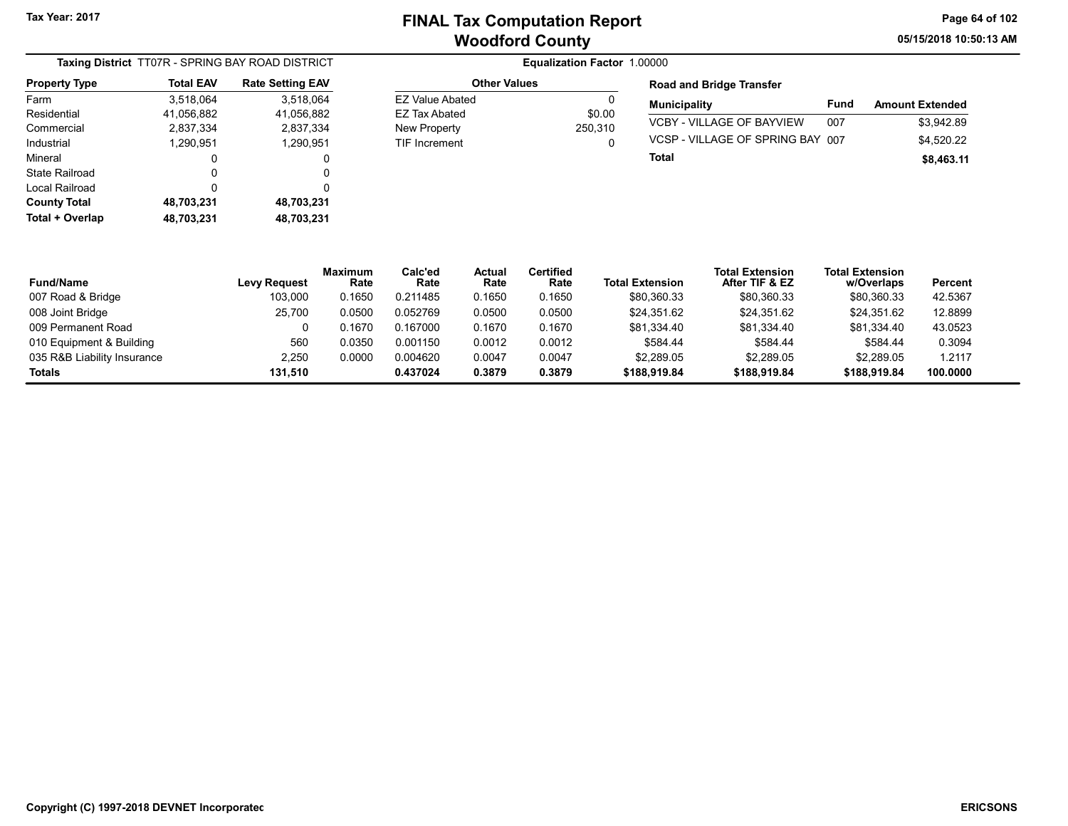05/15/2018 10:50:13 AM Page 64 of 102

|                      |                  | Taxing District TT07R - SPRING BAY ROAD DISTRICT |
|----------------------|------------------|--------------------------------------------------|
| <b>Property Type</b> | <b>Total EAV</b> | <b>Rate Setting EAV</b>                          |
| Farm                 | 3,518,064        | 3,518,064                                        |
| Residential          | 41,056,882       | 41,056,882                                       |
| Commercial           | 2,837,334        | 2,837,334                                        |
| Industrial           | 1,290,951        | 1,290,951                                        |
| Mineral              | 0                | 0                                                |
| State Railroad       | 0                | 0                                                |
| Local Railroad       | 0                | 0                                                |
| <b>County Total</b>  | 48,703,231       | 48,703,231                                       |
| Total + Overlap      | 48,703,231       | 48,703,231                                       |

## **Equalization Factor 1.00000**

| Ω       |
|---------|
| \$0.00  |
| 250.310 |
|         |
|         |

#### Road and Bridge Transfer

| <b>Municipality</b>              | Fund | <b>Amount Extended</b> |
|----------------------------------|------|------------------------|
| <b>VCBY - VILLAGE OF BAYVIEW</b> | 007  | \$3.942.89             |
| VCSP - VILLAGE OF SPRING BAY 007 |      | \$4,520.22             |
| Total                            |      | \$8,463.11             |

| <b>Fund/Name</b>            | <b>Levy Request</b> | <b>Maximum</b><br>Rate | Calc'ed<br>Rate | Actual<br>Rate | <b>Certified</b><br>Rate | <b>Total Extension</b> | <b>Total Extension</b><br>After TIF & EZ | <b>Total Extension</b><br>w/Overlaps | <b>Percent</b> |
|-----------------------------|---------------------|------------------------|-----------------|----------------|--------------------------|------------------------|------------------------------------------|--------------------------------------|----------------|
| 007 Road & Bridge           | 103,000             | 0.1650                 | 0.211485        | 0.1650         | 0.1650                   | \$80,360.33            | \$80,360.33                              | \$80,360.33                          | 42.5367        |
| 008 Joint Bridge            | 25.700              | 0.0500                 | 0.052769        | 0.0500         | 0.0500                   | \$24,351.62            | \$24.351.62                              | \$24.351.62                          | 12.8899        |
| 009 Permanent Road          |                     | 0.1670                 | 0.167000        | 0.1670         | 0.1670                   | \$81,334.40            | \$81,334.40                              | \$81,334.40                          | 43.0523        |
| 010 Equipment & Building    | 560                 | 0.0350                 | 0.001150        | 0.0012         | 0.0012                   | \$584.44               | \$584.44                                 | \$584.44                             | 0.3094         |
| 035 R&B Liability Insurance | 2,250               | 0.0000                 | 0.004620        | 0.0047         | 0.0047                   | \$2,289.05             | \$2,289.05                               | \$2,289.05                           | 1.2117         |
| Totals                      | 131.510             |                        | 0.437024        | 0.3879         | 0.3879                   | \$188,919.84           | \$188,919.84                             | \$188.919.84                         | 100.0000       |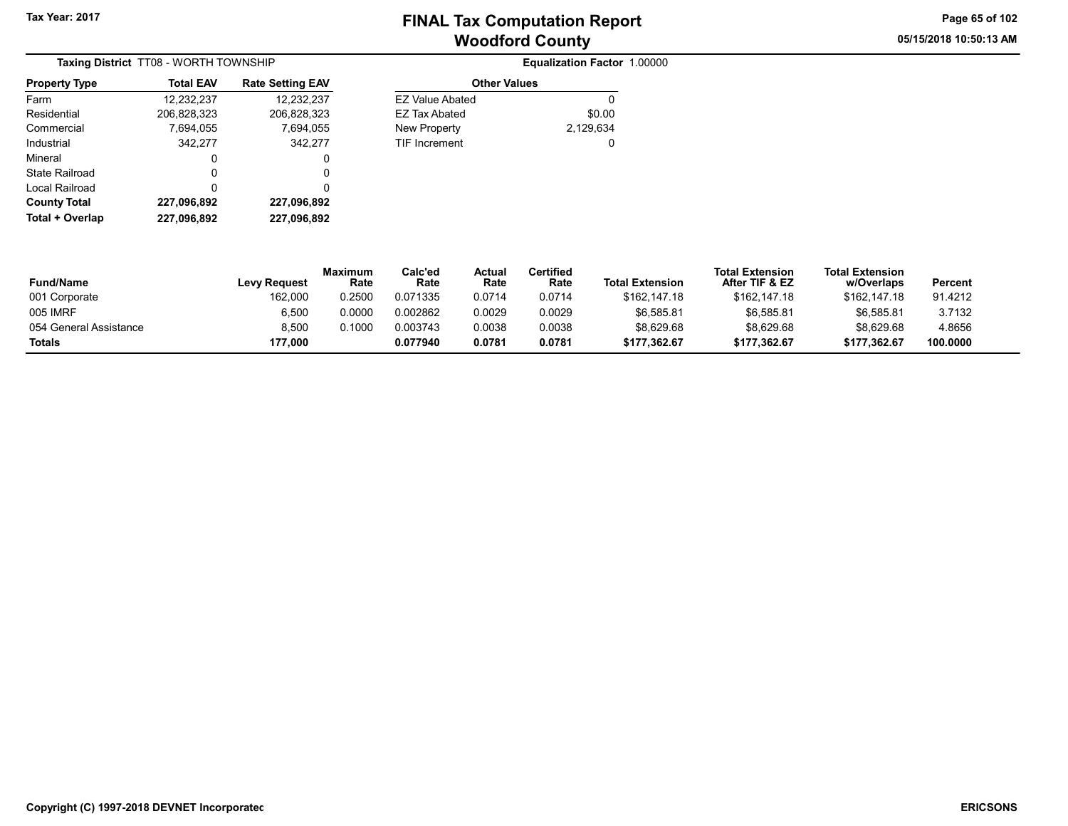05/15/2018 10:50:13 AM Page 65 of 102

|                      | Taxing District TT08 - WORTH TOWNSHIP |                         |
|----------------------|---------------------------------------|-------------------------|
| <b>Property Type</b> | <b>Total EAV</b>                      | <b>Rate Setting EAV</b> |
| Farm                 | 12,232,237                            | 12,232,237              |
| Residential          | 206,828,323                           | 206,828,323             |
| Commercial           | 7,694,055                             | 7,694,055               |
| Industrial           | 342,277                               | 342,277                 |
| Mineral              | 0                                     | 0                       |
| State Railroad       | 0                                     | 0                       |
| Local Railroad       | 0                                     | 0                       |
| <b>County Total</b>  | 227,096,892                           | 227,096,892             |
| Total + Overlap      | 227.096.892                           | 227,096,892             |

|         |                        | Equalization Factor 1.00000 |  |
|---------|------------------------|-----------------------------|--|
| ng EAV  | <b>Other Values</b>    |                             |  |
| 232.237 | <b>EZ Value Abated</b> |                             |  |
| 828.323 | <b>EZ Tax Abated</b>   | \$0.00                      |  |
| 694.055 | New Property           | 2,129,634                   |  |
| 342.277 | <b>TIF Increment</b>   |                             |  |

| <b>Fund/Name</b>       | <b>Levy Request</b> | Maximum<br>Rate | Calc'ed<br>Rate | Actual<br>Rate | Certified<br>Rate | <b>Total Extension</b> | <b>Total Extension</b><br>After TIF & EZ | <b>Total Extension</b><br>w/Overlaps | Percent  |  |
|------------------------|---------------------|-----------------|-----------------|----------------|-------------------|------------------------|------------------------------------------|--------------------------------------|----------|--|
| 001 Corporate          | 162.000             | 0.2500          | 0.071335        | 0.0714         | 0.0714            | \$162,147.18           | \$162,147.18                             | \$162.147.18                         | 91.4212  |  |
| 005 IMRF               | 6.500               | 0.0000          | 0.002862        | 0.0029         | 0.0029            | \$6.585.81             | \$6.585.81                               | \$6.585.81                           | 3.7132   |  |
| 054 General Assistance | 8.500               | 0.1000          | 0.003743        | 0.0038         | 0.0038            | \$8,629.68             | \$8,629.68                               | \$8,629.68                           | 4.8656   |  |
| Totals                 | 177.000             |                 | 0.077940        | 0.0781         | 0.0781            | \$177.362.67           | \$177.362.67                             | \$177.362.67                         | 100.0000 |  |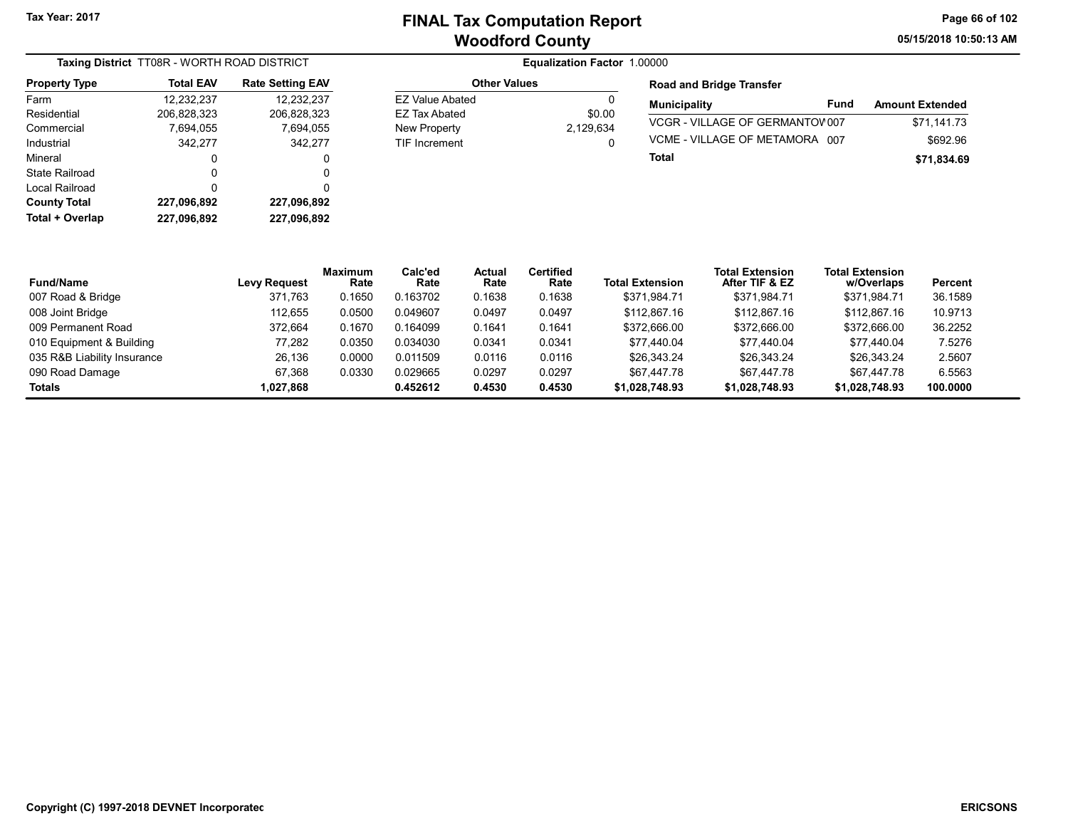05/15/2018 10:50:13 AM Page 66 of 102

| Taxing District TT08R - WORTH ROAD DISTRICT |                  |                         |  |  |  |  |
|---------------------------------------------|------------------|-------------------------|--|--|--|--|
| <b>Property Type</b>                        | <b>Total EAV</b> | <b>Rate Setting EAV</b> |  |  |  |  |
| Farm                                        | 12,232,237       | 12,232,237              |  |  |  |  |
| Residential                                 | 206,828,323      | 206,828,323             |  |  |  |  |
| Commercial                                  | 7.694.055        | 7,694,055               |  |  |  |  |
| Industrial                                  | 342,277          | 342,277                 |  |  |  |  |
| Mineral                                     | 0                | 0                       |  |  |  |  |
| State Railroad                              | 0                | 0                       |  |  |  |  |
| Local Railroad                              | 0                | 0                       |  |  |  |  |
| <b>County Total</b>                         | 227,096,892      | 227,096,892             |  |  |  |  |
| Total + Overlap                             | 227,096,892      | 227,096,892             |  |  |  |  |

### **Equalization Factor 1.00000**

| \$0.00    |
|-----------|
| 2,129,634 |
|           |
|           |

### Road and Bridge Transfer

| <b>Municipality</b>             | Fund | <b>Amount Extended</b> |
|---------------------------------|------|------------------------|
| VCGR-VILLAGE OF GERMANTOV007    |      | \$71.141.73            |
| VCME - VII LAGE OF METAMORA 007 |      | \$692.96               |
| Total                           |      | \$71.834.69            |

| <b>Fund/Name</b>            | <b>Levy Request</b> | <b>Maximum</b><br>Rate | Calc'ed<br>Rate | Actual<br>Rate | <b>Certified</b><br>Rate | <b>Total Extension</b> | <b>Total Extension</b><br>After TIF & EZ | <b>Total Extension</b><br>w/Overlaps | Percent  |
|-----------------------------|---------------------|------------------------|-----------------|----------------|--------------------------|------------------------|------------------------------------------|--------------------------------------|----------|
| 007 Road & Bridge           | 371.763             | 0.1650                 | 0.163702        | 0.1638         | 0.1638                   | \$371.984.71           | \$371.984.71                             | \$371.984.71                         | 36.1589  |
| 008 Joint Bridge            | 112.655             | 0.0500                 | 0.049607        | 0.0497         | 0.0497                   | \$112,867.16           | \$112,867.16                             | \$112,867.16                         | 10.9713  |
| 009 Permanent Road          | 372.664             | 0.1670                 | 0.164099        | 0.1641         | 0.1641                   | \$372,666.00           | \$372,666.00                             | \$372,666.00                         | 36.2252  |
| 010 Equipment & Building    | 77.282              | 0.0350                 | 0.034030        | 0.0341         | 0.0341                   | \$77.440.04            | \$77.440.04                              | \$77.440.04                          | 7.5276   |
| 035 R&B Liability Insurance | 26.136              | 0.0000                 | 0.011509        | 0.0116         | 0.0116                   | \$26,343.24            | \$26,343.24                              | \$26,343.24                          | 2.5607   |
| 090 Road Damage             | 67.368              | 0.0330                 | 0.029665        | 0.0297         | 0.0297                   | \$67.447.78            | \$67.447.78                              | \$67.447.78                          | 6.5563   |
| <b>Totals</b>               | 868,227,1           |                        | 0.452612        | 0.4530         | 0.4530                   | \$1,028,748.93         | \$1,028,748.93                           | \$1,028,748.93                       | 100.0000 |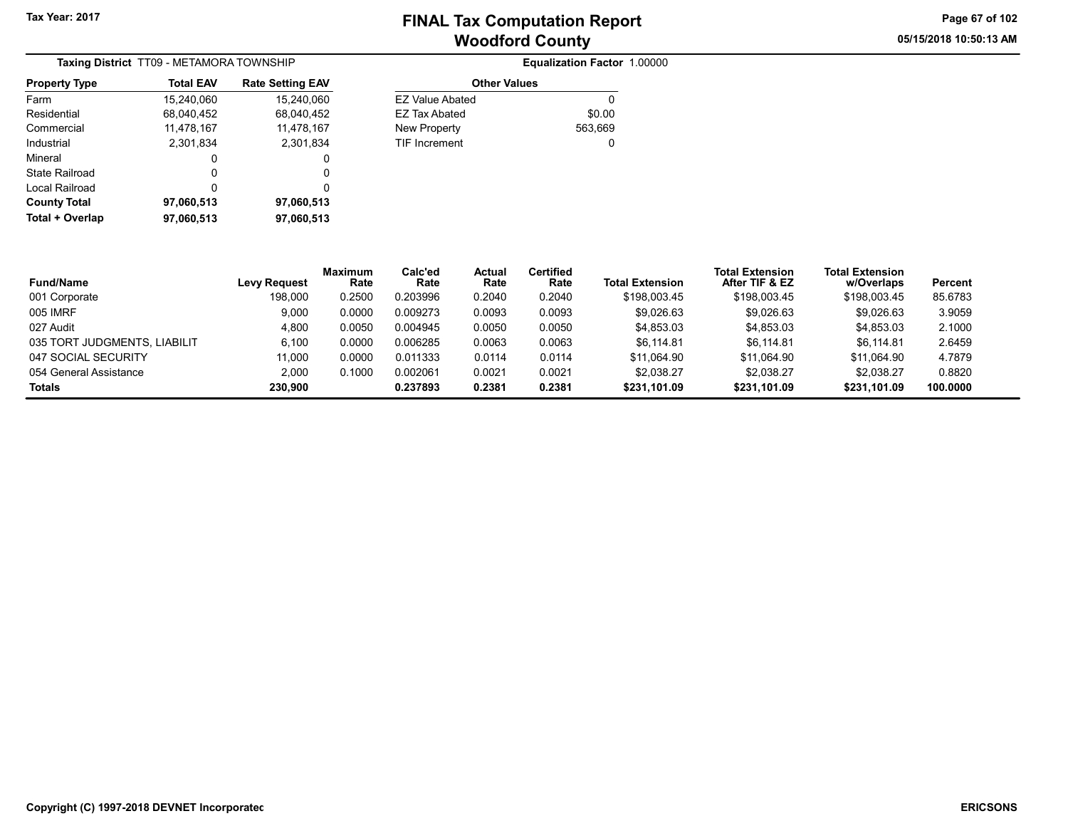05/15/2018 10:50:13 AM Page 67 of 102

| <b>Taxing District</b> TT09 - METAMORA TOWNSHIP |                  |                         |  |  |  |  |
|-------------------------------------------------|------------------|-------------------------|--|--|--|--|
| <b>Property Type</b>                            | <b>Total EAV</b> | <b>Rate Setting EAV</b> |  |  |  |  |
| Farm                                            | 15,240,060       | 15,240,060              |  |  |  |  |
| Residential                                     | 68.040.452       | 68,040,452              |  |  |  |  |
| Commercial                                      | 11,478,167       | 11,478,167              |  |  |  |  |
| Industrial                                      | 2.301.834        | 2,301,834               |  |  |  |  |
| Mineral                                         | 0                | 0                       |  |  |  |  |
| State Railroad                                  | 0                | 0                       |  |  |  |  |
| Local Railroad                                  | 0                | 0                       |  |  |  |  |
| <b>County Total</b>                             | 97,060,513       | 97,060,513              |  |  |  |  |
| Total + Overlap                                 | 97,060,513       | 97.060.513              |  |  |  |  |

|                     | Equalization Factor 1.00000 |  |
|---------------------|-----------------------------|--|
| <b>Other Values</b> |                             |  |
| EZ Value Abated     |                             |  |

EZ Tax Abated \$0.00

| 167.ا | <b>New Property</b>  | 563,669 |
|-------|----------------------|---------|
| ,834  | <b>TIF Increment</b> | 0       |
| 0     |                      |         |
| 0     |                      |         |
| 0     |                      |         |
| 1,513 |                      |         |
| ,513  |                      |         |

| <b>Fund/Name</b>             | <b>Levy Request</b> | <b>Maximum</b><br>Rate | Calc'ed<br>Rate | <b>Actual</b><br>Rate | <b>Certified</b><br>Rate | <b>Total Extension</b> | <b>Total Extension</b><br>After TIF & EZ | <b>Total Extension</b><br>w/Overlaps | Percent  |
|------------------------------|---------------------|------------------------|-----------------|-----------------------|--------------------------|------------------------|------------------------------------------|--------------------------------------|----------|
| 001 Corporate                | 198.000             | 0.2500                 | 0.203996        | 0.2040                | 0.2040                   | \$198,003.45           | \$198,003.45                             | \$198,003.45                         | 85.6783  |
| 005 IMRF                     | 9,000               | 0.0000                 | 0.009273        | 0.0093                | 0.0093                   | \$9,026.63             | \$9,026.63                               | \$9,026.63                           | 3.9059   |
| 027 Audit                    | 4,800               | 0.0050                 | 0.004945        | 0.0050                | 0.0050                   | \$4,853.03             | \$4.853.03                               | \$4,853.03                           | 2.1000   |
| 035 TORT JUDGMENTS, LIABILIT | 6.100               | 0.0000                 | 0.006285        | 0.0063                | 0.0063                   | \$6.114.81             | \$6.114.81                               | \$6.114.81                           | 2.6459   |
| 047 SOCIAL SECURITY          | 11,000              | 0.0000                 | 0.011333        | 0.0114                | 0.0114                   | \$11.064.90            | \$11.064.90                              | \$11.064.90                          | 4.7879   |
| 054 General Assistance       | 2.000               | 0.1000                 | 0.002061        | 0.0021                | 0.0021                   | \$2,038.27             | \$2.038.27                               | \$2,038.27                           | 0.8820   |
| <b>Totals</b>                | 230.900             |                        | 0.237893        | 0.2381                | 0.2381                   | \$231.101.09           | \$231.101.09                             | \$231.101.09                         | 100.0000 |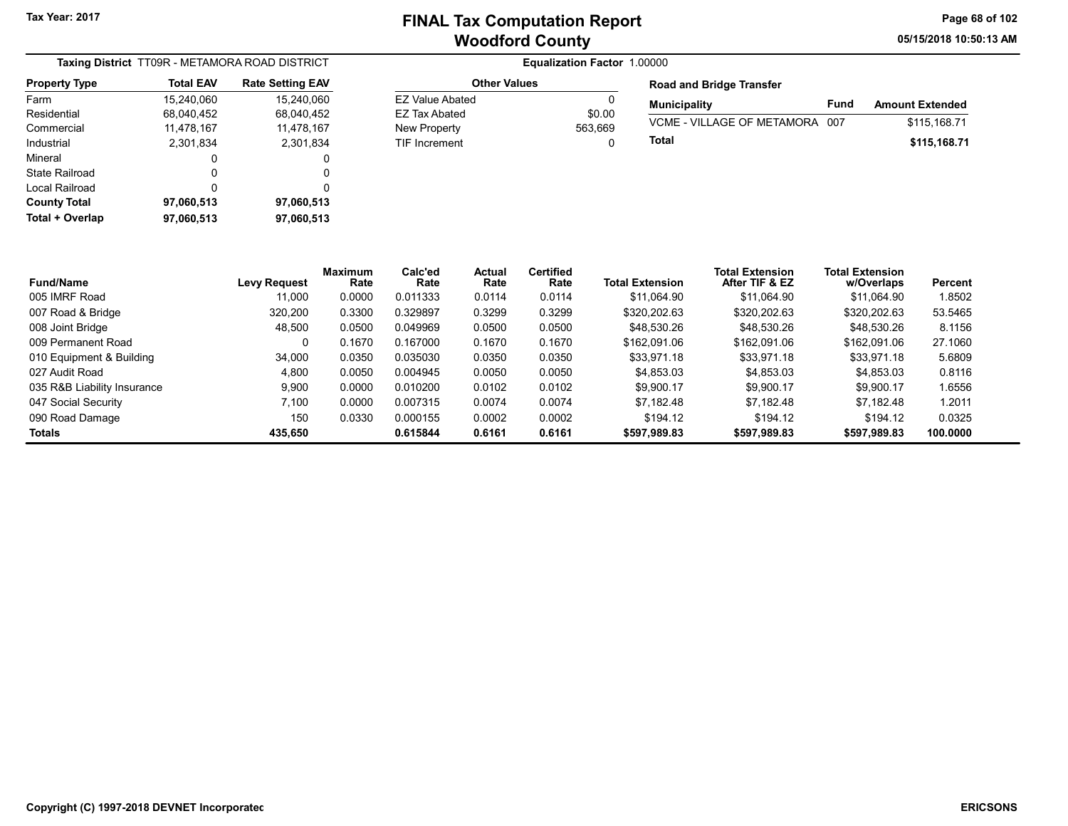Other Values

05/15/2018 10:50:13 AM Page 68 of 102

|                      |                  | Taxing District TT09R - METAMORA ROAD DISTRICT |
|----------------------|------------------|------------------------------------------------|
| <b>Property Type</b> | <b>Total EAV</b> | <b>Rate Setting EAV</b>                        |
| Farm                 | 15,240,060       | 15,240,060                                     |
| Residential          | 68,040,452       | 68,040,452                                     |
| Commercial           | 11,478,167       | 11,478,167                                     |
| Industrial           | 2,301,834        | 2,301,834                                      |
| Mineral              | 0                | 0                                              |
| State Railroad       | 0                | 0                                              |
| Local Railroad       | 0                | 0                                              |
| <b>County Total</b>  | 97,060,513       | 97,060,513                                     |
| Total + Overlap      | 97,060,513       | 97,060,513                                     |

| <b>Other Values</b> |         | <b>Road and Bridge Transfer</b> |      |                        |
|---------------------|---------|---------------------------------|------|------------------------|
| EZ Value Abated     | 0       | <b>Municipality</b>             | Fund | <b>Amount Extended</b> |
| EZ Tax Abated       | \$0.00  |                                 |      |                        |
| New Property        | 563.669 | VCME - VILLAGE OF METAMORA 007  |      | \$115.168.71           |
| TIF Increment       | ŋ       | Total                           |      | \$115.168.71           |

| <b>Fund/Name</b>            | <b>Levy Request</b> | Maximum<br>Rate | Calc'ed<br>Rate | Actual<br>Rate | <b>Certified</b><br>Rate | <b>Total Extension</b> | <b>Total Extension</b><br>After TIF & EZ | <b>Total Extension</b><br>w/Overlaps | Percent  |
|-----------------------------|---------------------|-----------------|-----------------|----------------|--------------------------|------------------------|------------------------------------------|--------------------------------------|----------|
| 005 IMRF Road               | 11.000              | 0.0000          | 0.011333        | 0.0114         | 0.0114                   | \$11.064.90            | \$11.064.90                              | \$11.064.90                          | 1.8502   |
| 007 Road & Bridge           | 320.200             | 0.3300          | 0.329897        | 0.3299         | 0.3299                   | \$320,202.63           | \$320,202.63                             | \$320,202.63                         | 53.5465  |
| 008 Joint Bridge            | 48.500              | 0.0500          | 0.049969        | 0.0500         | 0.0500                   | \$48.530.26            | \$48,530.26                              | \$48,530.26                          | 8.1156   |
| 009 Permanent Road          | 0                   | 0.1670          | 0.167000        | 0.1670         | 0.1670                   | \$162,091.06           | \$162,091.06                             | \$162,091.06                         | 27.1060  |
| 010 Equipment & Building    | 34,000              | 0.0350          | 0.035030        | 0.0350         | 0.0350                   | \$33.971.18            | \$33,971.18                              | \$33.971.18                          | 5.6809   |
| 027 Audit Road              | 4.800               | 0.0050          | 0.004945        | 0.0050         | 0.0050                   | \$4,853.03             | \$4,853.03                               | \$4,853.03                           | 0.8116   |
| 035 R&B Liability Insurance | 9.900               | 0.0000          | 0.010200        | 0.0102         | 0.0102                   | \$9.900.17             | \$9.900.17                               | \$9.900.17                           | 1.6556   |
| 047 Social Security         | 7.100               | 0.0000          | 0.007315        | 0.0074         | 0.0074                   | \$7.182.48             | \$7.182.48                               | \$7.182.48                           | 1.2011   |
| 090 Road Damage             | 150                 | 0.0330          | 0.000155        | 0.0002         | 0.0002                   | \$194.12               | \$194.12                                 | \$194.12                             | 0.0325   |
| <b>Totals</b>               | 435.650             |                 | 0.615844        | 0.6161         | 0.6161                   | \$597.989.83           | \$597,989.83                             | \$597,989.83                         | 100.0000 |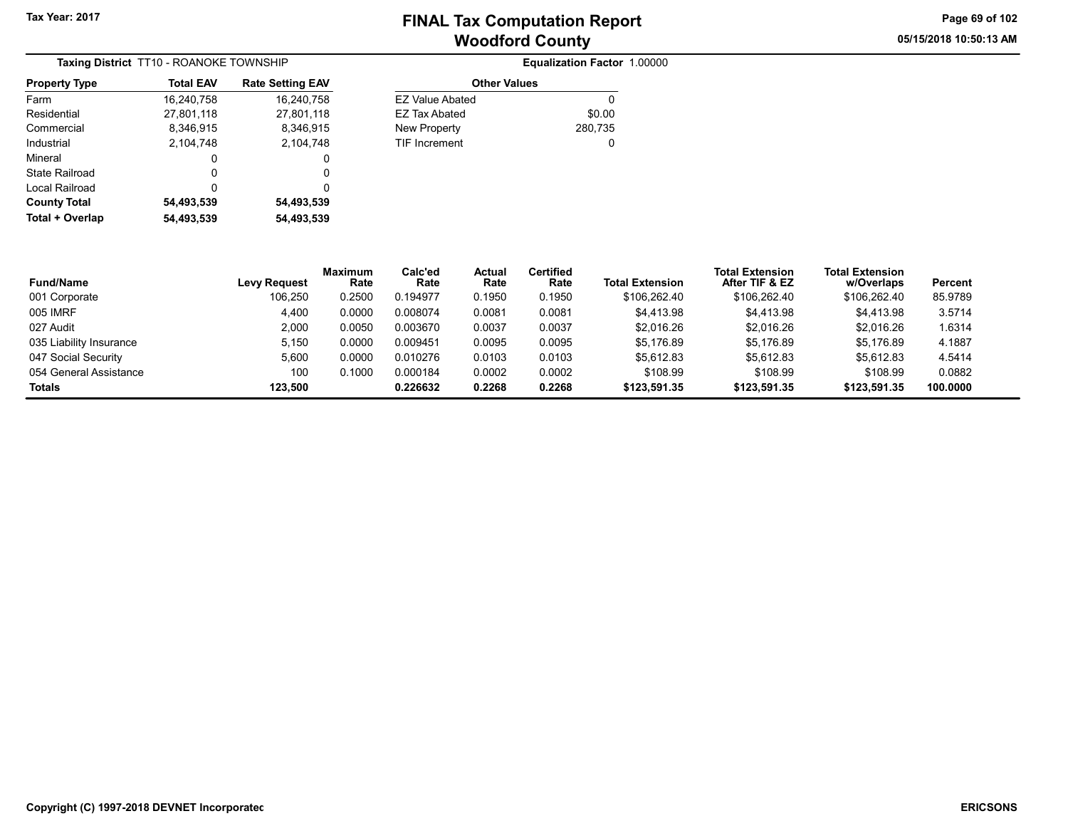05/15/2018 10:50:13 AM Page 69 of 102

| Taxing District TT10 - ROANOKE TOWNSHIP |                  |                         |  |  |  |  |
|-----------------------------------------|------------------|-------------------------|--|--|--|--|
| <b>Property Type</b>                    | <b>Total EAV</b> | <b>Rate Setting EAV</b> |  |  |  |  |
| Farm                                    | 16,240,758       | 16,240,758              |  |  |  |  |
| Residential                             | 27,801,118       | 27,801,118              |  |  |  |  |
| Commercial                              | 8,346,915        | 8,346,915               |  |  |  |  |
| Industrial                              | 2.104.748        | 2.104.748               |  |  |  |  |
| Mineral                                 | 0                | 0                       |  |  |  |  |
| State Railroad                          | 0                | 0                       |  |  |  |  |
| Local Railroad                          | 0                | 0                       |  |  |  |  |
| <b>County Total</b>                     | 54,493,539       | 54,493,539              |  |  |  |  |
| Total + Overlap                         | 54,493,539       | 54,493,539              |  |  |  |  |

| <b>Total EAV</b> | <b>Rate Setting EAV</b> | <b>Other Values</b>    |         |
|------------------|-------------------------|------------------------|---------|
| 16,240,758       | 16,240,758              | <b>EZ Value Abated</b> | 0       |
| 27,801,118       | 27,801,118              | <b>EZ Tax Abated</b>   | \$0.00  |
| 8,346,915        | 8,346,915               | New Property           | 280,735 |
| 2,104,748        | 2,104,748               | <b>TIF Increment</b>   | 0       |
| 0                | 0                       |                        |         |
| 0                | 0                       |                        |         |
|                  |                         |                        |         |

| <b>Fund/Name</b>        | <b>Levy Request</b> | <b>Maximum</b><br>Rate | Calc'ed<br>Rate | Actual<br>Rate | Certified<br>Rate | Total Extension | <b>Total Extension</b><br>After TIF & EZ | <b>Total Extension</b><br>w/Overlaps | Percent  |
|-------------------------|---------------------|------------------------|-----------------|----------------|-------------------|-----------------|------------------------------------------|--------------------------------------|----------|
| 001 Corporate           | 106.250             | 0.2500                 | 0.194977        | 0.1950         | 0.1950            | \$106,262.40    | \$106.262.40                             | \$106.262.40                         | 85.9789  |
| 005 IMRF                | 4,400               | 0.0000                 | 0.008074        | 0.0081         | 0.0081            | \$4,413.98      | \$4,413.98                               | \$4,413.98                           | 3.5714   |
| 027 Audit               | 2.000               | 0.0050                 | 0.003670        | 0.0037         | 0.0037            | \$2.016.26      | \$2.016.26                               | \$2.016.26                           | 1.6314   |
| 035 Liability Insurance | 5,150               | 0.0000                 | 0.009451        | 0.0095         | 0.0095            | \$5.176.89      | \$5.176.89                               | \$5,176.89                           | 4.1887   |
| 047 Social Security     | 5.600               | 0.0000                 | 0.010276        | 0.0103         | 0.0103            | \$5.612.83      | \$5.612.83                               | \$5.612.83                           | 4.5414   |
| 054 General Assistance  | 100                 | 0.1000                 | 0.000184        | 0.0002         | 0.0002            | \$108.99        | \$108.99                                 | \$108.99                             | 0.0882   |
| <b>Totals</b>           | 123.500             |                        | 0.226632        | 0.2268         | 0.2268            | \$123,591.35    | \$123,591.35                             | \$123,591.35                         | 100.0000 |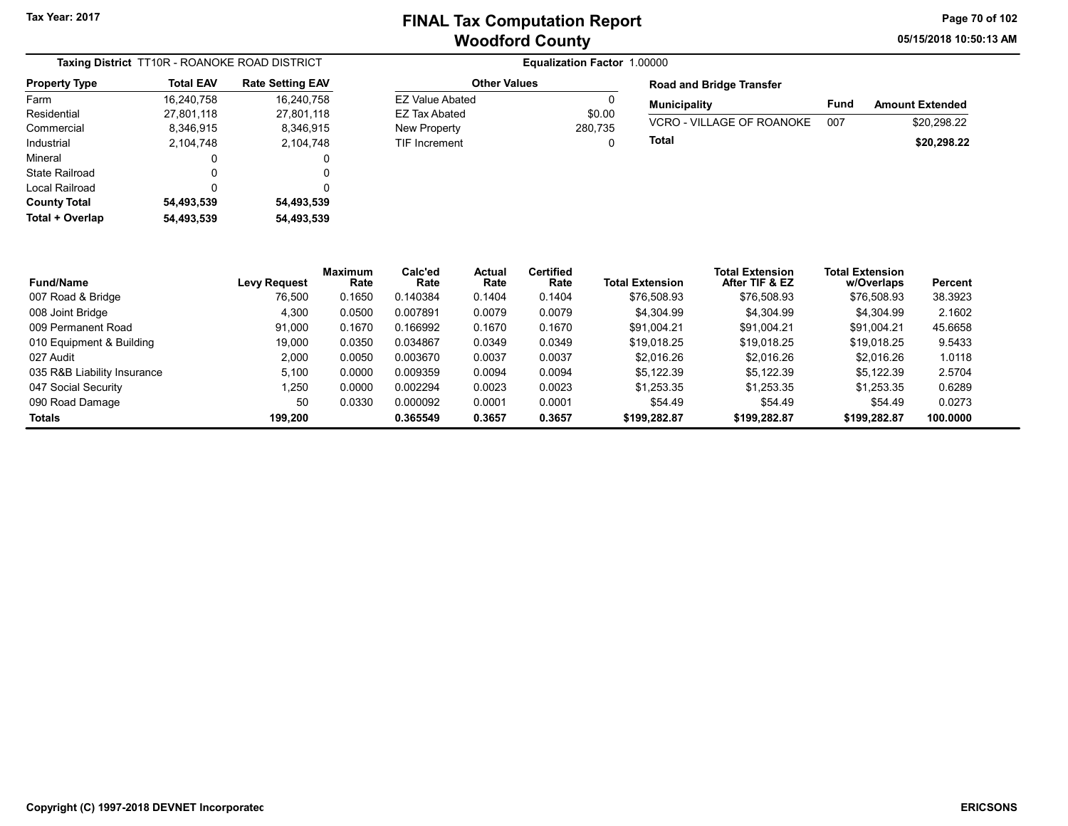05/15/2018 10:50:13 AM Page 70 of 102

| <b>Taxing District</b> TT10R - ROANOKE ROAD DISTRICT |                  |                         |  |  |  |
|------------------------------------------------------|------------------|-------------------------|--|--|--|
| <b>Property Type</b>                                 | <b>Total EAV</b> | <b>Rate Setting EAV</b> |  |  |  |
| Farm                                                 | 16,240,758       | 16,240,758              |  |  |  |
| Residential                                          | 27,801,118       | 27,801,118              |  |  |  |
| Commercial                                           | 8,346,915        | 8,346,915               |  |  |  |
| Industrial                                           | 2.104.748        | 2,104,748               |  |  |  |
| Mineral                                              | 0                | 0                       |  |  |  |
| State Railroad                                       | O                | O                       |  |  |  |
| Local Railroad                                       | 0                | 0                       |  |  |  |
| <b>County Total</b>                                  | 54,493,539       | 54,493,539              |  |  |  |
| Total + Overlap                                      | 54,493,539       | 54,493,539              |  |  |  |

### **Equalization Factor 1.00000** Other Values EZ Value Abated 0

EZ Tax Abated \$0.00 New Property 280,735 TIF Increment 0

| <b>Road and Bridge Transfer</b> |      |                        |
|---------------------------------|------|------------------------|
| <b>Municipality</b>             | Fund | <b>Amount Extended</b> |
| VCRO - VILLAGE OF ROANOKE       | 00.7 | \$20.298.22            |
| Total                           |      | \$20,298.22            |

| <b>Fund/Name</b>            | Levy Request | Maximum<br>Rate | Calc'ed<br>Rate | <b>Actual</b><br>Rate | <b>Certified</b><br>Rate | <b>Total Extension</b> | <b>Total Extension</b><br>After TIF & EZ | <b>Total Extension</b><br>w/Overlaps | Percent  |
|-----------------------------|--------------|-----------------|-----------------|-----------------------|--------------------------|------------------------|------------------------------------------|--------------------------------------|----------|
| 007 Road & Bridge           | 76.500       | 0.1650          | 0.140384        | 0.1404                | 0.1404                   | \$76,508.93            | \$76,508.93                              | \$76,508.93                          | 38.3923  |
| 008 Joint Bridge            | 4,300        | 0.0500          | 0.007891        | 0.0079                | 0.0079                   | \$4.304.99             | \$4.304.99                               | \$4,304.99                           | 2.1602   |
| 009 Permanent Road          | 91.000       | 0.1670          | 0.166992        | 0.1670                | 0.1670                   | \$91.004.21            | \$91.004.21                              | \$91.004.21                          | 45.6658  |
| 010 Equipment & Building    | 19.000       | 0.0350          | 0.034867        | 0.0349                | 0.0349                   | \$19.018.25            | \$19.018.25                              | \$19.018.25                          | 9.5433   |
| 027 Audit                   | 2.000        | 0.0050          | 0.003670        | 0.0037                | 0.0037                   | \$2.016.26             | \$2.016.26                               | \$2.016.26                           | 1.0118   |
| 035 R&B Liability Insurance | 5.100        | 0.0000          | 0.009359        | 0.0094                | 0.0094                   | \$5.122.39             | \$5.122.39                               | \$5.122.39                           | 2.5704   |
| 047 Social Security         | 1,250        | 0.0000          | 0.002294        | 0.0023                | 0.0023                   | \$1.253.35             | \$1.253.35                               | \$1.253.35                           | 0.6289   |
| 090 Road Damage             | 50           | 0.0330          | 0.000092        | 0.0001                | 0.0001                   | \$54.49                | \$54.49                                  | \$54.49                              | 0.0273   |
| <b>Totals</b>               | 199.200      |                 | 0.365549        | 0.3657                | 0.3657                   | \$199,282.87           | \$199,282.87                             | \$199,282.87                         | 100.0000 |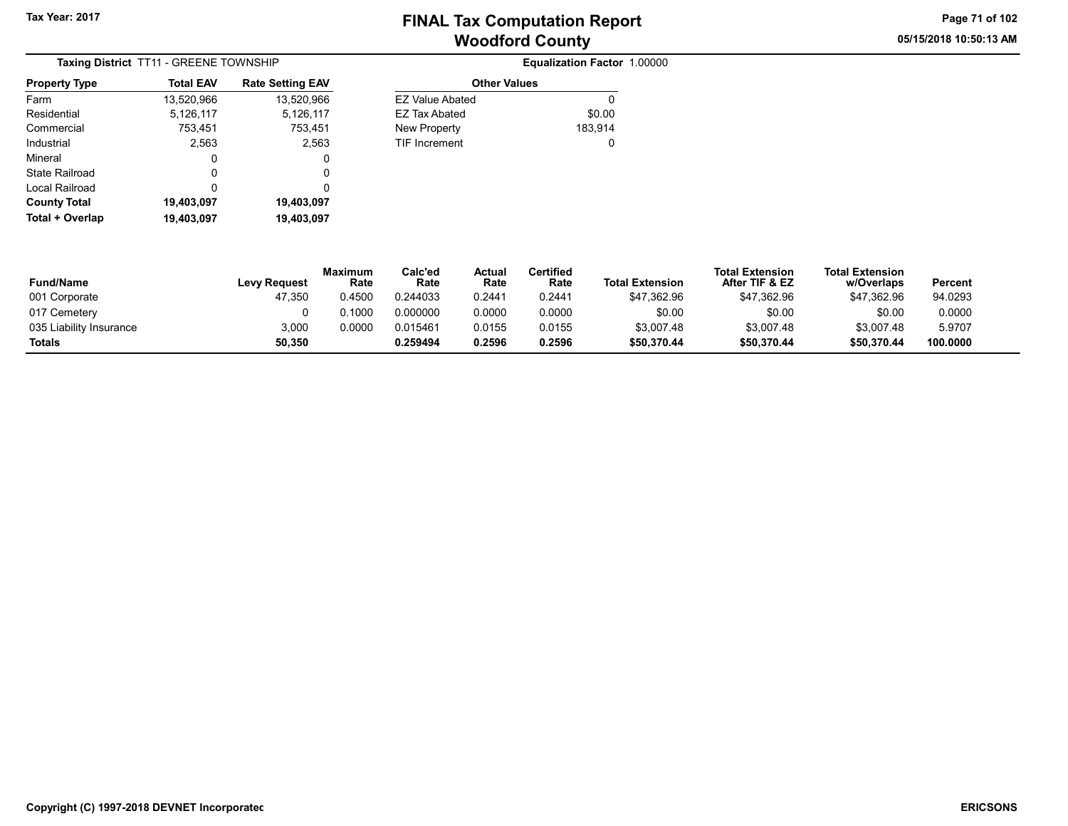05/15/2018 10:50:13 AM Page 71 of 102

| Taxing District TT11 - GREENE TOWNSHIP |                  |                         |  |  |  |  |
|----------------------------------------|------------------|-------------------------|--|--|--|--|
| <b>Property Type</b>                   | <b>Total EAV</b> | <b>Rate Setting EAV</b> |  |  |  |  |
| Farm                                   | 13,520,966       | 13,520,966              |  |  |  |  |
| Residential                            | 5,126,117        | 5,126,117               |  |  |  |  |
| Commercial                             | 753,451          | 753,451                 |  |  |  |  |
| Industrial                             | 2,563            | 2,563                   |  |  |  |  |
| Mineral                                | 0                | 0                       |  |  |  |  |
| State Railroad                         | O                | 0                       |  |  |  |  |
| Local Railroad                         | O                | 0                       |  |  |  |  |
| <b>County Total</b>                    | 19,403,097       | 19,403,097              |  |  |  |  |
| Total + Overlap                        | 19,403,097       | 19,403,097              |  |  |  |  |

| <b>Total EAV</b> | <b>Rate Setting EAV</b> | <b>Other Values</b>    |         |
|------------------|-------------------------|------------------------|---------|
| 13,520,966       | 13,520,966              | <b>EZ Value Abated</b> | 0       |
| 5,126,117        | 5,126,117               | EZ Tax Abated          | \$0.00  |
| 753,451          | 753,451                 | New Property           | 183,914 |
| 2,563            | 2.563                   | <b>TIF Increment</b>   | 0       |
| 0                | 0                       |                        |         |
| 0                | 0                       |                        |         |
| 0                | 0                       |                        |         |
| 19 403 097       | 19 403 097              |                        |         |

| <b>Fund/Name</b>        | <b>Levy Request</b> | <b>Maximum</b><br>Rate | Calc'ed<br>Rate | Actual<br>Rate | Certified<br>Rate | <b>Total Extension</b> | Total Extension<br>After TIF & EZ | <b>Total Extension</b><br>w/Overlaps | Percent  |
|-------------------------|---------------------|------------------------|-----------------|----------------|-------------------|------------------------|-----------------------------------|--------------------------------------|----------|
| 001 Corporate           | 47.350              | 0.4500                 | 0.244033        | 0.2441         | 0.2441            | \$47.362.96            | \$47,362.96                       | \$47.362.96                          | 94.0293  |
| 017 Cemetery            |                     | 0.1000                 | 0.000000        | 0.0000         | 0.0000            | \$0.00                 | \$0.00                            | \$0.00                               | 0.0000   |
| 035 Liability Insurance | 3.000               | 0.0000                 | 0.015461        | 0.0155         | 0.0155            | \$3,007.48             | \$3.007.48                        | \$3.007.48                           | 5.9707   |
| <b>Totals</b>           | 50.350              |                        | 0.259494        | 0.2596         | 0.2596            | \$50.370.44            | \$50.370.44                       | \$50.370.44                          | 100.0000 |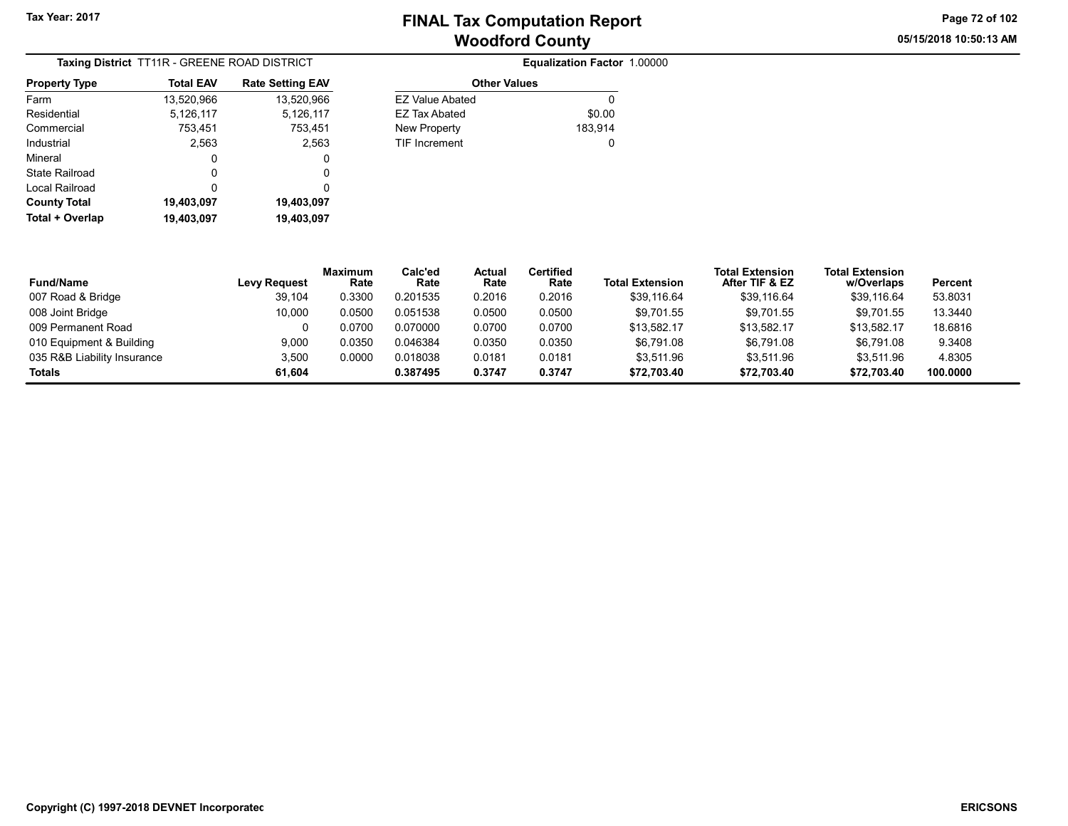05/15/2018 10:50:13 AM Page 72 of 102

| Taxing District TT11R - GREENE ROAD DISTRICT |                  |                         |  |  |  |  |
|----------------------------------------------|------------------|-------------------------|--|--|--|--|
| <b>Property Type</b>                         | <b>Total EAV</b> | <b>Rate Setting EAV</b> |  |  |  |  |
| Farm                                         | 13,520,966       | 13,520,966              |  |  |  |  |
| Residential                                  | 5,126,117        | 5,126,117               |  |  |  |  |
| Commercial                                   | 753,451          | 753,451                 |  |  |  |  |
| Industrial                                   | 2,563            | 2,563                   |  |  |  |  |
| Mineral                                      | 0                | 0                       |  |  |  |  |
| State Railroad                               | 0                | 0                       |  |  |  |  |
| Local Railroad                               | ŋ                | 0                       |  |  |  |  |
| <b>County Total</b>                          | 19,403,097       | 19,403,097              |  |  |  |  |
| Total + Overlap                              | 19,403,097       | 19,403,097              |  |  |  |  |

|                      | Equalization Factor 1.00000 |
|----------------------|-----------------------------|
|                      | <b>Other Values</b>         |
| FZ Value Abated      |                             |
| <b>EZ Tax Abated</b> | \$0.00                      |
| <b>New Property</b>  | 183,914                     |
| <b>TIF Increment</b> | 0                           |
|                      |                             |
|                      |                             |

| <b>Fund/Name</b>            | <b>Levy Request</b> | <b>Maximum</b><br>Rate | Calc'ed<br>Rate | Actual<br>Rate | Certified<br>Rate | <b>Total Extension</b> | <b>Total Extension</b><br>After TIF & EZ | <b>Total Extension</b><br>w/Overlaps | Percent  |
|-----------------------------|---------------------|------------------------|-----------------|----------------|-------------------|------------------------|------------------------------------------|--------------------------------------|----------|
| 007 Road & Bridge           | 39.104              | 0.3300                 | 0.201535        | 0.2016         | 0.2016            | \$39,116.64            | \$39.116.64                              | \$39,116.64                          | 53.8031  |
| 008 Joint Bridge            | 10,000              | 0.0500                 | 0.051538        | 0.0500         | 0.0500            | \$9,701.55             | \$9,701.55                               | \$9,701.55                           | 13.3440  |
| 009 Permanent Road          | 0                   | 0.0700                 | 0.070000        | 0.0700         | 0.0700            | \$13,582.17            | \$13,582.17                              | \$13,582.17                          | 18.6816  |
| 010 Equipment & Building    | 9.000               | 0.0350                 | 0.046384        | 0.0350         | 0.0350            | \$6.791.08             | \$6.791.08                               | \$6.791.08                           | 9.3408   |
| 035 R&B Liability Insurance | 3,500               | 0.0000                 | 0.018038        | 0.0181         | 0.0181            | \$3.511.96             | \$3.511.96                               | \$3.511.96                           | 4.8305   |
| Totals                      | 61.604              |                        | 0.387495        | 0.3747         | 0.3747            | \$72,703.40            | \$72.703.40                              | \$72,703.40                          | 100.0000 |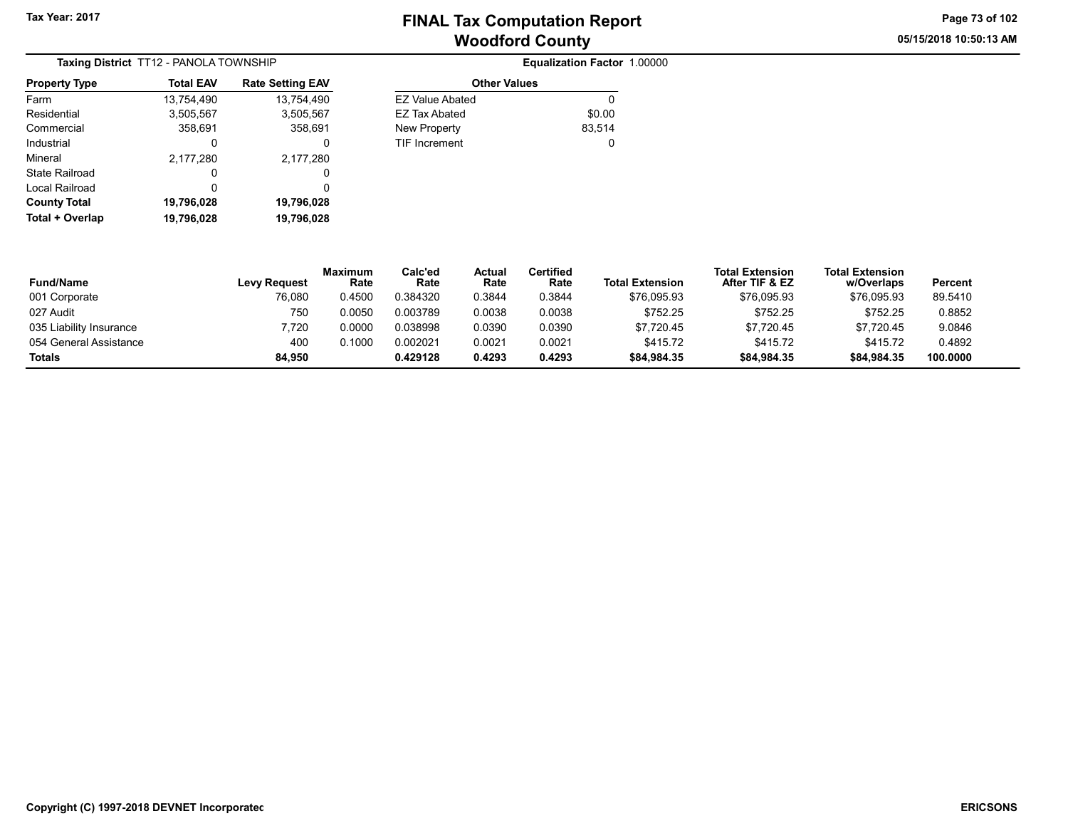05/15/2018 10:50:13 AM Page 73 of 102

| Taxing District TT12 - PANOLA TOWNSHIP |                  |                         |  |  |  |  |
|----------------------------------------|------------------|-------------------------|--|--|--|--|
| <b>Property Type</b>                   | <b>Total EAV</b> | <b>Rate Setting EAV</b> |  |  |  |  |
| Farm                                   | 13,754,490       | 13,754,490              |  |  |  |  |
| Residential                            | 3,505,567        | 3,505,567               |  |  |  |  |
| Commercial                             | 358,691          | 358,691                 |  |  |  |  |
| Industrial                             | 0                | 0                       |  |  |  |  |
| Mineral                                | 2,177,280        | 2,177,280               |  |  |  |  |
| State Railroad                         | O                | Ω                       |  |  |  |  |
| Local Railroad                         | O                | 0                       |  |  |  |  |
| <b>County Total</b>                    | 19,796,028       | 19,796,028              |  |  |  |  |
| Total + Overlap                        | 19,796,028       | 19,796,028              |  |  |  |  |

| WNSHIP                  |                        | Equalization Factor 1.00000 |
|-------------------------|------------------------|-----------------------------|
| <b>Rate Setting EAV</b> | <b>Other Values</b>    |                             |
| 13,754,490              | <b>EZ Value Abated</b> | 0                           |
| 3,505,567               | <b>EZ Tax Abated</b>   | \$0.00                      |
| 358,691                 | New Property           | 83,514                      |
| 0                       | <b>TIF Increment</b>   | 0                           |
| 2,177,280               |                        |                             |
| 0                       |                        |                             |
| $\sim$                  |                        |                             |

| <b>Fund/Name</b>        | <b>Levy Request</b> | <b>Maximum</b><br>Rate | Calc'ed<br>Rate | Actual<br>Rate | Certified<br>Rate | <b>Total Extension</b> | <b>Total Extension</b><br>After TIF & EZ | <b>Total Extension</b><br>w/Overlaps | Percent  |
|-------------------------|---------------------|------------------------|-----------------|----------------|-------------------|------------------------|------------------------------------------|--------------------------------------|----------|
| 001 Corporate           | 76,080              | 0.4500                 | 0.384320        | 0.3844         | 0.3844            | \$76,095.93            | \$76,095.93                              | \$76,095.93                          | 89.5410  |
| 027 Audit               | 750                 | 0.0050                 | 0.003789        | 0.0038         | 0.0038            | \$752.25               | \$752.25                                 | \$752.25                             | 0.8852   |
| 035 Liability Insurance | 7.720               | 0.0000                 | 0.038998        | 0.0390         | 0.0390            | \$7.720.45             | \$7.720.45                               | \$7.720.45                           | 9.0846   |
| 054 General Assistance  | 400                 | 0.1000                 | 0.002021        | 0.0021         | 0.0021            | \$415.72               | \$415.72                                 | \$415.72                             | 0.4892   |
| Totals                  | 84.950              |                        | 0.429128        | 0.4293         | 0.4293            | \$84,984.35            | \$84,984.35                              | \$84.984.35                          | 100.0000 |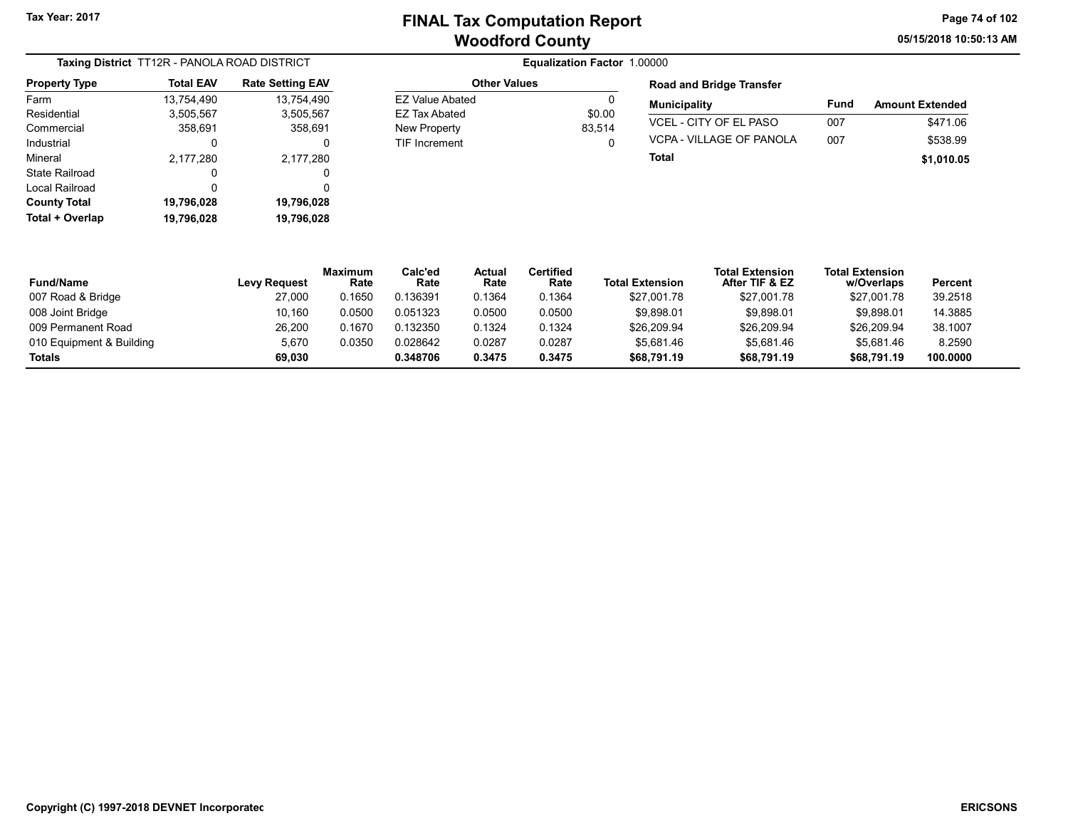05/15/2018 10:50:13 AM Page 74 of 102

| Taxing District TT12R - PANOLA ROAD DISTRICT |                  |                         |  |  |  |  |
|----------------------------------------------|------------------|-------------------------|--|--|--|--|
| <b>Property Type</b>                         | <b>Total EAV</b> | <b>Rate Setting EAV</b> |  |  |  |  |
| Farm                                         | 13,754,490       | 13,754,490              |  |  |  |  |
| Residential                                  | 3,505,567        | 3,505,567               |  |  |  |  |
| Commercial                                   | 358,691          | 358,691                 |  |  |  |  |
| Industrial                                   | O                | 0                       |  |  |  |  |
| Mineral                                      | 2,177,280        | 2,177,280               |  |  |  |  |
| State Railroad                               | 0                | O                       |  |  |  |  |
| Local Railroad                               | 0                | 0                       |  |  |  |  |
| <b>County Total</b>                          | 19,796,028       | 19,796,028              |  |  |  |  |
| Total + Overlap                              | 19,796,028       | 19,796,028              |  |  |  |  |

|                        | Equalization Factor 1.00000 |      |
|------------------------|-----------------------------|------|
| <b>Other Values</b>    |                             | Roa  |
| <b>EZ Value Abated</b> |                             | Mun  |
| <b>EZ Tax Abated</b>   | \$0.00                      |      |
| New Property           | 83.514                      | VCE  |
| <b>TIF Increment</b>   | 0                           | VCP  |
|                        |                             | Tota |

# Road and Bridge Transfer Municipality Fund Amount Extended

| Total                    |     | \$1,010.05 |
|--------------------------|-----|------------|
| VCPA - VILLAGE OF PANOLA | 007 | \$538.99   |
| VCEL - CITY OF EL PASO   | 007 | \$471.06   |

| <b>Fund/Name</b>         | <b>Levy Request</b> | <b>Maximum</b><br>Rate | Calc'ed<br>Rate | Actual<br>Rate | Certified<br>Rate | <b>Total Extension</b> | <b>Total Extension</b><br>After TIF & EZ | <b>Total Extension</b><br>w/Overlaps | <b>Percent</b> |
|--------------------------|---------------------|------------------------|-----------------|----------------|-------------------|------------------------|------------------------------------------|--------------------------------------|----------------|
| 007 Road & Bridge        | 27,000              | 0.1650                 | 0.136391        | 0.1364         | 0.1364            | \$27,001.78            | \$27,001.78                              | \$27,001.78                          | 39.2518        |
| 008 Joint Bridge         | 10.160              | 0.0500                 | 0.051323        | 0.0500         | 0.0500            | \$9.898.01             | \$9.898.01                               | \$9.898.01                           | 14.3885        |
| 009 Permanent Road       | 26.200              | 0.1670                 | 0.132350        | 0.1324         | 0.1324            | \$26,209.94            | \$26,209.94                              | \$26,209.94                          | 38.1007        |
| 010 Equipment & Building | 5,670               | 0.0350                 | 0.028642        | 0.0287         | 0.0287            | \$5,681.46             | \$5,681.46                               | \$5.681.46                           | 8.2590         |
| Totals                   | 69.030              |                        | 0.348706        | 0.3475         | 0.3475            | \$68,791.19            | \$68,791.19                              | \$68.791.19                          | 100.0000       |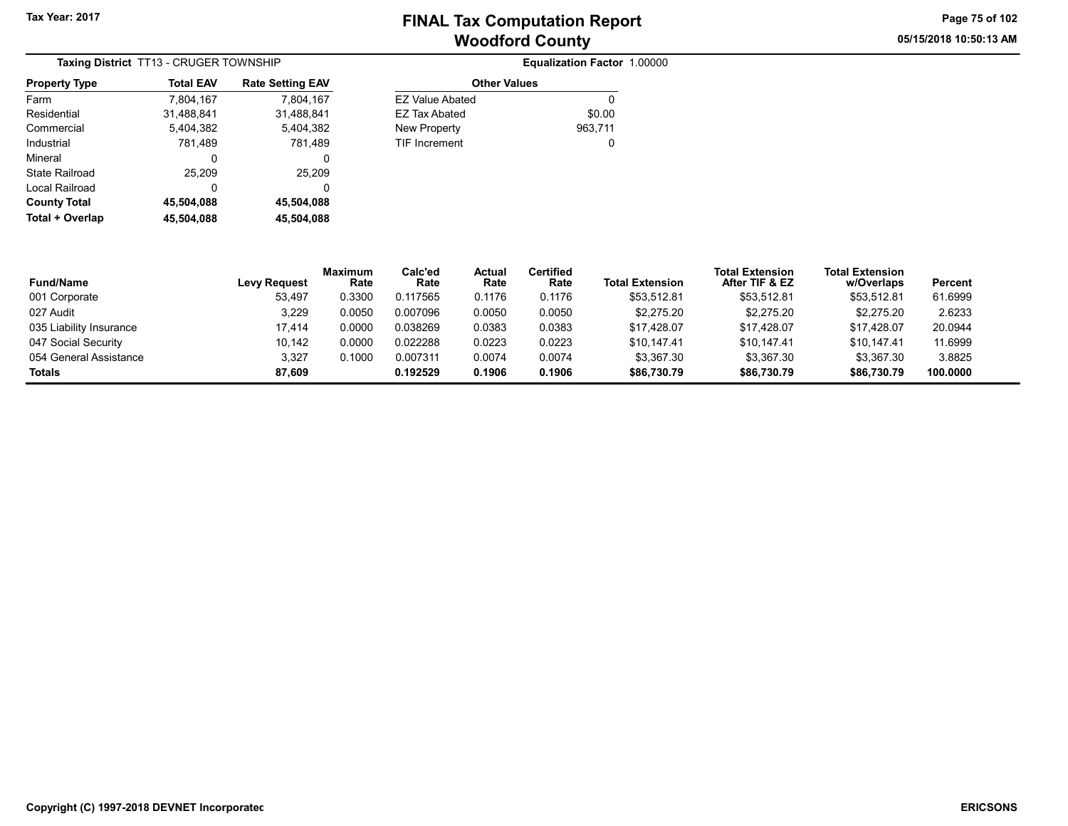05/15/2018 10:50:13 AM Page 75 of 102

| Taxing District TT13 - CRUGER TOWNSHIP |                  |                         |  |  |  |  |
|----------------------------------------|------------------|-------------------------|--|--|--|--|
| <b>Property Type</b>                   | <b>Total EAV</b> | <b>Rate Setting EAV</b> |  |  |  |  |
| Farm                                   | 7,804,167        | 7,804,167               |  |  |  |  |
| Residential                            | 31.488.841       | 31.488.841              |  |  |  |  |
| Commercial                             | 5.404.382        | 5.404.382               |  |  |  |  |
| Industrial                             | 781,489          | 781.489                 |  |  |  |  |
| Mineral                                | 0                | 0                       |  |  |  |  |
| State Railroad                         | 25,209           | 25,209                  |  |  |  |  |
| Local Railroad                         | 0                | 0                       |  |  |  |  |
| <b>County Total</b>                    | 45,504,088       | 45,504,088              |  |  |  |  |
| Total + Overlap                        | 45.504.088       | 45,504,088              |  |  |  |  |

|           |                      | Equalization Factor 1.00000 |  |
|-----------|----------------------|-----------------------------|--|
| tting EAV | <b>Other Values</b>  |                             |  |
| 7,804,167 | EZ Value Abated      | 0                           |  |
| 1,488,841 | <b>EZ Tax Abated</b> | \$0.00                      |  |
| 5.404.382 | New Property         | 963,711                     |  |
| 781,489   | <b>TIF Increment</b> | 0                           |  |
| 0         |                      |                             |  |
| 25.209    |                      |                             |  |

| <b>Fund/Name</b>        | <b>Levy Request</b> | <b>Maximum</b><br>Rate | Calc'ed<br>Rate | Actual<br>Rate | Certified<br>Rate | <b>Total Extension</b> | <b>Total Extension</b><br>After TIF & EZ | <b>Total Extension</b><br>w/Overlaps | <b>Percent</b> |
|-------------------------|---------------------|------------------------|-----------------|----------------|-------------------|------------------------|------------------------------------------|--------------------------------------|----------------|
| 001 Corporate           | 53.497              | 0.3300                 | 0.117565        | 0.1176         | 0.1176            | \$53.512.81            | \$53.512.81                              | \$53,512.81                          | 61.6999        |
| 027 Audit               | 3,229               | 0.0050                 | 0.007096        | 0.0050         | 0.0050            | \$2,275.20             | \$2,275.20                               | \$2,275.20                           | 2.6233         |
| 035 Liability Insurance | 17.414              | 0.0000                 | 0.038269        | 0.0383         | 0.0383            | \$17,428.07            | \$17.428.07                              | \$17,428.07                          | 20.0944        |
| 047 Social Security     | 10.142              | 0.0000                 | 0.022288        | 0.0223         | 0.0223            | \$10.147.41            | \$10.147.41                              | \$10.147.41                          | 11.6999        |
| 054 General Assistance  | 3,327               | 0.1000                 | 0.007311        | 0.0074         | 0.0074            | \$3,367.30             | \$3,367.30                               | \$3,367.30                           | 3.8825         |
| Totals                  | 87.609              |                        | 0.192529        | 0.1906         | 0.1906            | \$86,730,79            | \$86,730.79                              | \$86,730.79                          | 100.0000       |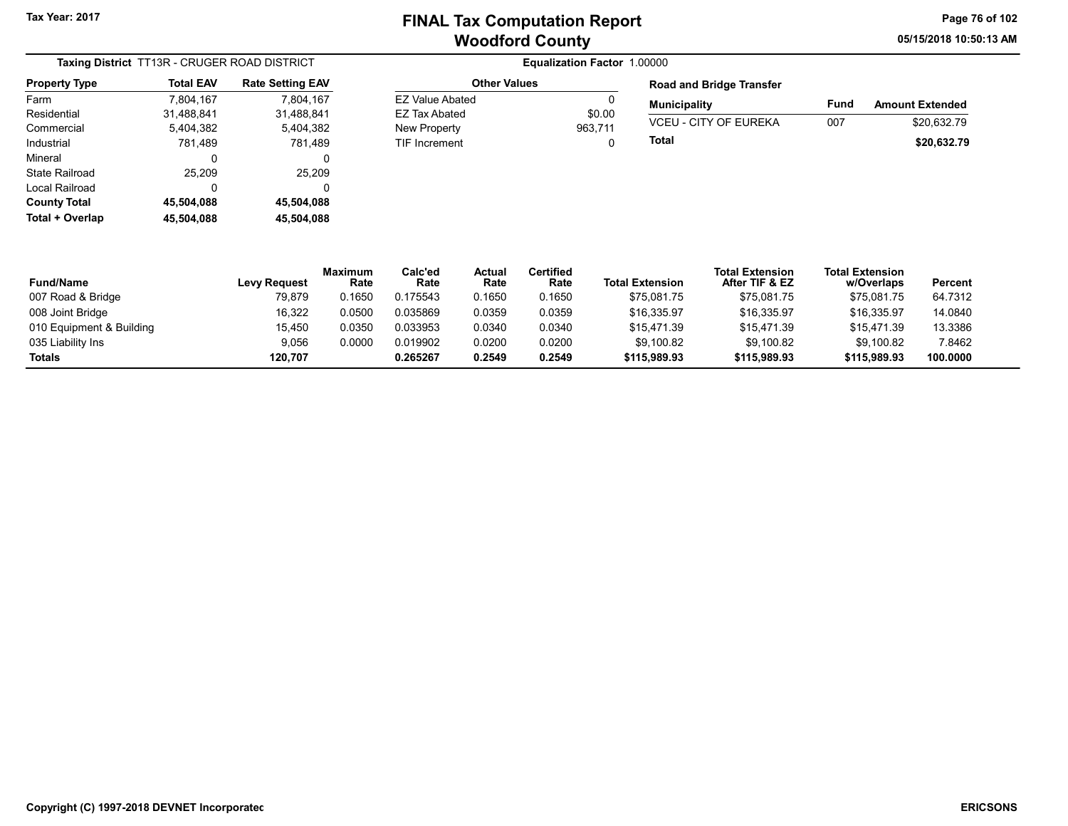Other Values

TIF Increment

05/15/2018 10:50:13 AM Page 76 of 102

| Taxing District TT13R - CRUGER ROAD DISTRICT |                  |                         |  |  |  |  |
|----------------------------------------------|------------------|-------------------------|--|--|--|--|
| <b>Property Type</b>                         | <b>Total EAV</b> | <b>Rate Setting EAV</b> |  |  |  |  |
| Farm                                         | 7,804,167        | 7.804.167               |  |  |  |  |
| Residential                                  | 31,488,841       | 31,488,841              |  |  |  |  |
| Commercial                                   | 5,404,382        | 5,404,382               |  |  |  |  |
| Industrial                                   | 781,489          | 781,489                 |  |  |  |  |
| Mineral                                      | 0                | 0                       |  |  |  |  |
| State Railroad                               | 25.209           | 25,209                  |  |  |  |  |
| Local Railroad                               | 0                | 0                       |  |  |  |  |
| <b>County Total</b>                          | 45,504,088       | 45,504,088              |  |  |  |  |
| Total + Overlap                              | 45,504,088       | 45,504,088              |  |  |  |  |

| <b>Other Values</b> |         | <b>Road and Bridge Transfer</b> |      |                        |
|---------------------|---------|---------------------------------|------|------------------------|
| EZ Value Abated     |         | <b>Municipality</b>             | Fund | <b>Amount Extended</b> |
| EZ Tax Abated       | \$0.00  |                                 |      |                        |
| New Property        | 963.711 | <b>VCEU - CITY OF EUREKA</b>    | 007  | \$20.632.79            |
| TIF Increment       | U       | Total                           |      | \$20,632.79            |

| <b>Fund/Name</b>         | Levy Request | <b>Maximum</b><br>Rate | Calc'ed<br>Rate | Actual<br>Rate | Certified<br>Rate | <b>Total Extension</b> | <b>Total Extension</b><br>After TIF & EZ | <b>Total Extension</b><br>w/Overlaps | Percent  |
|--------------------------|--------------|------------------------|-----------------|----------------|-------------------|------------------------|------------------------------------------|--------------------------------------|----------|
| 007 Road & Bridge        | 79,879       | 0.1650                 | 0.175543        | 0.1650         | 0.1650            | \$75.081.75            | \$75,081.75                              | \$75,081.75                          | 64.7312  |
| 008 Joint Bridge         | 16,322       | 0.0500                 | 0.035869        | 0.0359         | 0.0359            | \$16.335.97            | \$16.335.97                              | \$16.335.97                          | 14.0840  |
| 010 Equipment & Building | 15.450       | 0.0350                 | 0.033953        | 0.0340         | 0.0340            | \$15.471.39            | \$15.471.39                              | \$15.471.39                          | 13.3386  |
| 035 Liability Ins        | 9,056        | 0.0000                 | 0.019902        | 0.0200         | 0.0200            | \$9,100.82             | \$9.100.82                               | \$9.100.82                           | 7.8462   |
| Totals                   | 120.707      |                        | 0.265267        | 0.2549         | 0.2549            | \$115,989.93           | \$115,989.93                             | \$115,989.93                         | 100.0000 |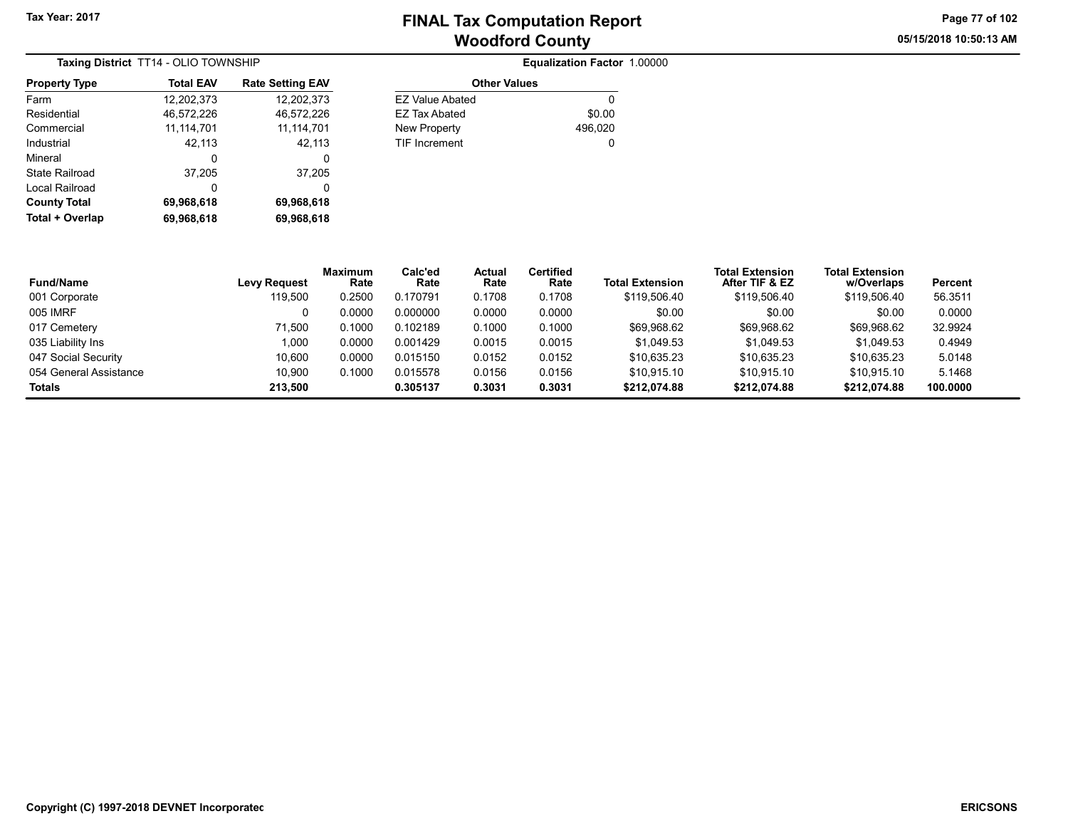Other Values EZ Value Abated 0 EZ Tax Abated \$0.00 New Property 2006,020 TIF Increment 0

Equalization Factor 1.00000

05/15/2018 10:50:13 AM Page 77 of 102

|                      | Taxing District TT14 - OLIO TOWNSHIP |                         |
|----------------------|--------------------------------------|-------------------------|
| <b>Property Type</b> | <b>Total EAV</b>                     | <b>Rate Setting EAV</b> |
| Farm                 | 12,202,373                           | 12,202,373              |
| Residential          | 46,572,226                           | 46,572,226              |
| Commercial           | 11, 114, 701                         | 11,114,701              |
| Industrial           | 42,113                               | 42,113                  |
| Mineral              | 0                                    | 0                       |
| State Railroad       | 37,205                               | 37,205                  |
| Local Railroad       | 0                                    | 0                       |
| <b>County Total</b>  | 69,968,618                           | 69,968,618              |
| Total + Overlap      | 69,968,618                           | 69,968,618              |

| <b>Fund/Name</b>       | <b>Levy Request</b> | <b>Maximum</b><br>Rate | Calc'ed<br>Rate | Actual<br>Rate | <b>Certified</b><br>Rate | <b>Total Extension</b> | <b>Total Extension</b><br>After TIF & EZ | <b>Total Extension</b><br>w/Overlaps | Percent  |
|------------------------|---------------------|------------------------|-----------------|----------------|--------------------------|------------------------|------------------------------------------|--------------------------------------|----------|
| 001 Corporate          | 119,500             | 0.2500                 | 0.170791        | 0.1708         | 0.1708                   | \$119,506.40           | \$119,506.40                             | \$119,506.40                         | 56.3511  |
| 005 IMRF               |                     | 0.0000                 | 0.000000        | 0.0000         | 0.0000                   | \$0.00                 | \$0.00                                   | \$0.00                               | 0.0000   |
| 017 Cemetery           | 71.500              | 0.1000                 | 0.102189        | 0.1000         | 0.1000                   | \$69.968.62            | \$69.968.62                              | \$69,968.62                          | 32.9924  |
| 035 Liability Ins      | 1.000               | 0.0000                 | 0.001429        | 0.0015         | 0.0015                   | \$1.049.53             | \$1.049.53                               | \$1,049.53                           | 0.4949   |
| 047 Social Security    | 10.600              | 0.0000                 | 0.015150        | 0.0152         | 0.0152                   | \$10.635.23            | \$10.635.23                              | \$10.635.23                          | 5.0148   |
| 054 General Assistance | 10.900              | 0.1000                 | 0.015578        | 0.0156         | 0.0156                   | \$10.915.10            | \$10.915.10                              | \$10.915.10                          | 5.1468   |
| Totals                 | 213.500             |                        | 0.305137        | 0.3031         | 0.3031                   | \$212,074.88           | \$212,074.88                             | \$212,074.88                         | 100.0000 |
|                        |                     |                        |                 |                |                          |                        |                                          |                                      |          |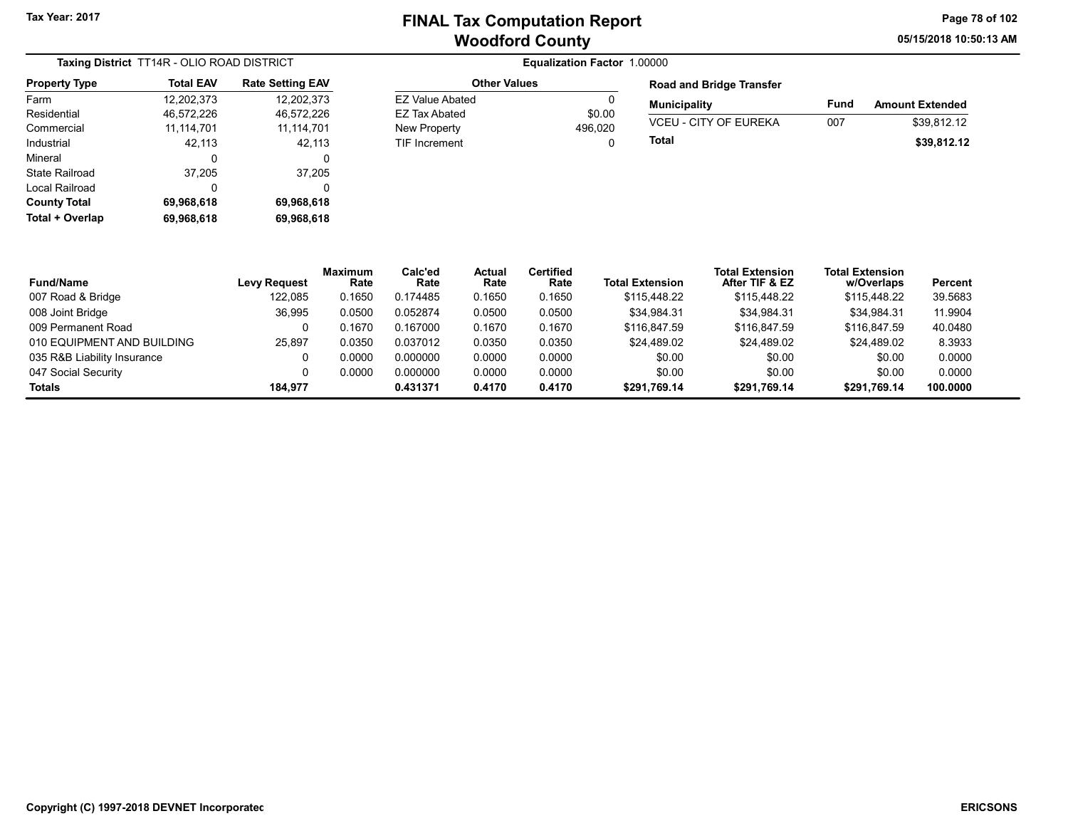Other Values EZ Value Abated 0 EZ Tax Abated \$0.00 New Property 2006,020 TIF Increment 0 05/15/2018 10:50:13 AM Page 78 of 102

| Taxing District TT14R - OLIO ROAD DISTRICT |                  |                         |  |  |  |  |
|--------------------------------------------|------------------|-------------------------|--|--|--|--|
| <b>Property Type</b>                       | <b>Total EAV</b> | <b>Rate Setting EAV</b> |  |  |  |  |
| Farm                                       | 12,202,373       | 12.202.373              |  |  |  |  |
| Residential                                | 46,572,226       | 46,572,226              |  |  |  |  |
| Commercial                                 | 11, 114, 701     | 11,114,701              |  |  |  |  |
| Industrial                                 | 42,113           | 42,113                  |  |  |  |  |
| Mineral                                    | 0                | 0                       |  |  |  |  |
| State Railroad                             | 37,205           | 37,205                  |  |  |  |  |
| Local Railroad                             | 0                | 0                       |  |  |  |  |
| <b>County Total</b>                        | 69,968,618       | 69,968,618              |  |  |  |  |
| Total + Overlap                            | 69,968,618       | 69,968,618              |  |  |  |  |

| <b>Road and Bridge Transfer</b> |      |                        |  |  |  |  |
|---------------------------------|------|------------------------|--|--|--|--|
| <b>Municipality</b>             | Fund | <b>Amount Extended</b> |  |  |  |  |
| <b>VCEU - CITY OF EUREKA</b>    | 007  | \$39.812.12            |  |  |  |  |
| Total                           |      | \$39,812.12            |  |  |  |  |

| <b>Fund/Name</b>            | <b>Levy Request</b> | <b>Maximum</b><br>Rate | Calc'ed<br>Rate | Actual<br>Rate | <b>Certified</b><br>Rate | <b>Total Extension</b> | <b>Total Extension</b><br>After TIF & EZ | <b>Total Extension</b><br>w/Overlaps | Percent  |
|-----------------------------|---------------------|------------------------|-----------------|----------------|--------------------------|------------------------|------------------------------------------|--------------------------------------|----------|
| 007 Road & Bridge           | 122.085             | 0.1650                 | 0.174485        | 0.1650         | 0.1650                   | \$115,448.22           | \$115,448.22                             | \$115,448.22                         | 39.5683  |
| 008 Joint Bridge            | 36.995              | 0.0500                 | 0.052874        | 0.0500         | 0.0500                   | \$34.984.31            | \$34.984.31                              | \$34.984.31                          | 11.9904  |
| 009 Permanent Road          |                     | 0.1670                 | 0.167000        | 0.1670         | 0.1670                   | \$116,847.59           | \$116,847.59                             | \$116,847.59                         | 40.0480  |
| 010 EQUIPMENT AND BUILDING  | 25.897              | 0.0350                 | 0.037012        | 0.0350         | 0.0350                   | \$24.489.02            | \$24.489.02                              | \$24.489.02                          | 8.3933   |
| 035 R&B Liability Insurance |                     | 0.0000                 | 0.000000        | 0.0000         | 0.0000                   | \$0.00                 | \$0.00                                   | \$0.00                               | 0.0000   |
| 047 Social Security         |                     | 0.0000                 | 0.000000        | 0.0000         | 0.0000                   | \$0.00                 | \$0.00                                   | \$0.00                               | 0.0000   |
| Totals                      | 184.977             |                        | 0.431371        | 0.4170         | 0.4170                   | \$291.769.14           | \$291.769.14                             | \$291,769.14                         | 100.0000 |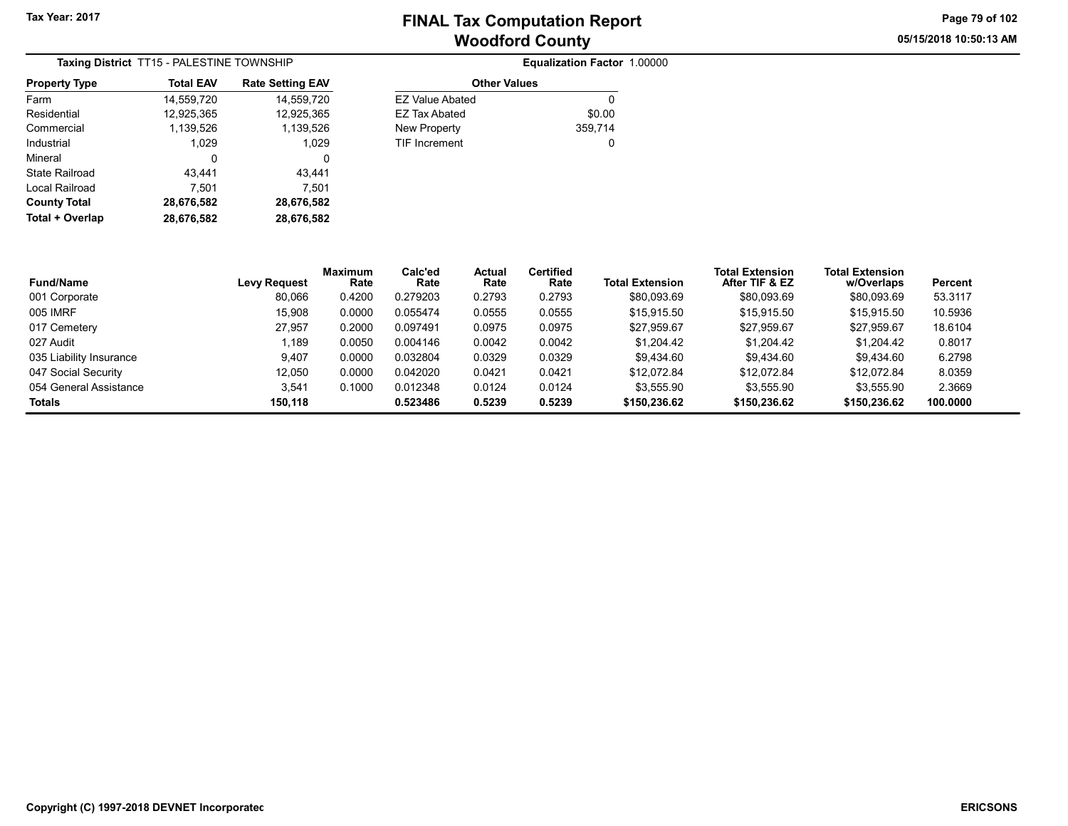05/15/2018 10:50:13 AM Page 79 of 102

| <b>Taxing District TT15 - PALESTINE TOWNSHIP</b> |                  |                         |  |  |  |  |
|--------------------------------------------------|------------------|-------------------------|--|--|--|--|
| <b>Property Type</b>                             | <b>Total EAV</b> | <b>Rate Setting EAV</b> |  |  |  |  |
| Farm                                             | 14,559,720       | 14,559,720              |  |  |  |  |
| Residential                                      | 12,925,365       | 12,925,365              |  |  |  |  |
| Commercial                                       | 1,139,526        | 1,139,526               |  |  |  |  |
| Industrial                                       | 1.029            | 1,029                   |  |  |  |  |
| Mineral                                          | 0                | 0                       |  |  |  |  |
| State Railroad                                   | 43.441           | 43.441                  |  |  |  |  |
| Local Railroad                                   | 7,501            | 7,501                   |  |  |  |  |
| <b>County Total</b>                              | 28,676,582       | 28,676,582              |  |  |  |  |
| Total + Overlap                                  | 28,676,582       | 28,676,582              |  |  |  |  |

|            |                      | Equalization Factor 1.00000 |
|------------|----------------------|-----------------------------|
| <b>EAV</b> | <b>Other Values</b>  |                             |
| .720       | EZ Value Abated      | 0                           |
| 5,365      | EZ Tax Abated        | \$0.00                      |
| 1,526      | New Property         | 359,714                     |
| l.029      | <b>TIF Increment</b> | 0                           |
|            |                      |                             |

| <b>Fund/Name</b>        | <b>Levy Request</b> | <b>Maximum</b><br>Rate | Calc'ed<br>Rate | Actual<br>Rate | <b>Certified</b><br>Rate | <b>Total Extension</b> | <b>Total Extension</b><br>After TIF & EZ | <b>Total Extension</b><br>w/Overlaps | Percent  |  |
|-------------------------|---------------------|------------------------|-----------------|----------------|--------------------------|------------------------|------------------------------------------|--------------------------------------|----------|--|
| 001 Corporate           | 80.066              | 0.4200                 | 0.279203        | 0.2793         | 0.2793                   | \$80.093.69            | \$80.093.69                              | \$80,093.69                          | 53.3117  |  |
| 005 IMRF                | 15,908              | 0.0000                 | 0.055474        | 0.0555         | 0.0555                   | \$15,915.50            | \$15,915.50                              | \$15,915.50                          | 10.5936  |  |
| 017 Cemetery            | 27.957              | 0.2000                 | 0.097491        | 0.0975         | 0.0975                   | \$27.959.67            | \$27.959.67                              | \$27.959.67                          | 18.6104  |  |
| 027 Audit               | .189                | 0.0050                 | 0.004146        | 0.0042         | 0.0042                   | \$1,204.42             | \$1,204.42                               | \$1,204.42                           | 0.8017   |  |
| 035 Liability Insurance | 9.407               | 0.0000                 | 0.032804        | 0.0329         | 0.0329                   | \$9.434.60             | \$9.434.60                               | \$9.434.60                           | 6.2798   |  |
| 047 Social Security     | 12.050              | 0.0000                 | 0.042020        | 0.0421         | 0.0421                   | \$12.072.84            | \$12.072.84                              | \$12.072.84                          | 8.0359   |  |
| 054 General Assistance  | 3,541               | 0.1000                 | 0.012348        | 0.0124         | 0.0124                   | \$3,555.90             | \$3,555.90                               | \$3,555.90                           | 2.3669   |  |
| Totals                  | 150.118             |                        | 0.523486        | 0.5239         | 0.5239                   | \$150,236.62           | \$150,236.62                             | \$150,236.62                         | 100.0000 |  |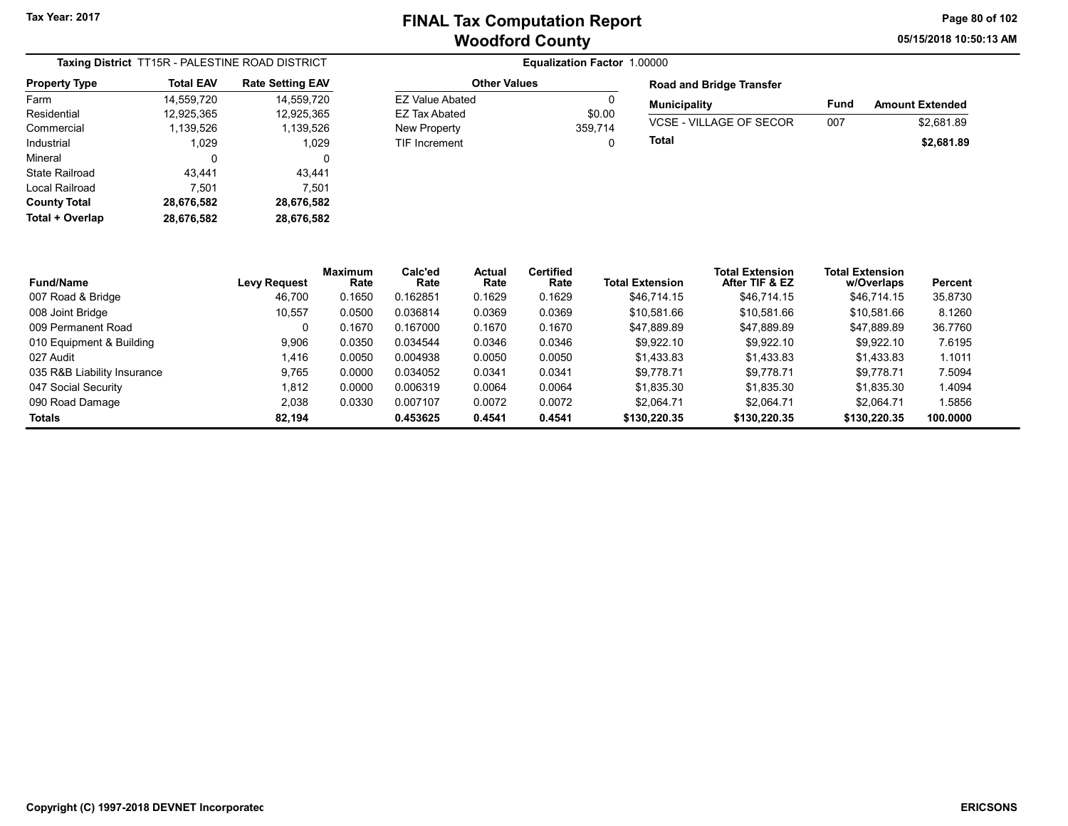05/15/2018 10:50:13 AM Page 80 of 102

| Taxing District TT15R - PALESTINE ROAD DISTRICT |                  |                         |  |  |  |
|-------------------------------------------------|------------------|-------------------------|--|--|--|
| <b>Property Type</b>                            | <b>Total EAV</b> | <b>Rate Setting EAV</b> |  |  |  |
| Farm                                            | 14,559,720       | 14,559,720              |  |  |  |
| Residential                                     | 12,925,365       | 12,925,365              |  |  |  |
| Commercial                                      | 1,139,526        | 1,139,526               |  |  |  |
| Industrial                                      | 1.029            | 1,029                   |  |  |  |
| Mineral                                         | 0                | 0                       |  |  |  |
| State Railroad                                  | 43,441           | 43,441                  |  |  |  |
| Local Railroad                                  | 7,501            | 7,501                   |  |  |  |
| <b>County Total</b>                             | 28,676,582       | 28,676,582              |  |  |  |
| Total + Overlap                                 | 28,676,582       | 28,676,582              |  |  |  |

| <b>Other Values</b> |         |
|---------------------|---------|
| EZ Value Abated     |         |
| EZ Tax Abated       | \$0.00  |
| New Property        | 359.714 |
| TIF Increment       | 0       |
|                     |         |

| <b>Road and Bridge Transfer</b> |      |                        |  |  |  |  |  |
|---------------------------------|------|------------------------|--|--|--|--|--|
| <b>Municipality</b>             | Fund | <b>Amount Extended</b> |  |  |  |  |  |
| VCSE - VILLAGE OF SECOR         | 007  | \$2.681.89             |  |  |  |  |  |
| Total                           |      | \$2,681.89             |  |  |  |  |  |

| <b>Fund/Name</b>            | <b>Levy Request</b> | <b>Maximum</b><br>Rate | Calc'ed<br>Rate | Actual<br>Rate | Certified<br>Rate | <b>Total Extension</b> | <b>Total Extension</b><br>After TIF & EZ | <b>Total Extension</b><br>w/Overlaps | Percent  |
|-----------------------------|---------------------|------------------------|-----------------|----------------|-------------------|------------------------|------------------------------------------|--------------------------------------|----------|
| 007 Road & Bridge           | 46.700              | 0.1650                 | 0.162851        | 0.1629         | 0.1629            | \$46.714.15            | \$46.714.15                              | \$46,714.15                          | 35.8730  |
| 008 Joint Bridge            | 10,557              | 0.0500                 | 0.036814        | 0.0369         | 0.0369            | \$10.581.66            | \$10,581.66                              | \$10.581.66                          | 8.1260   |
| 009 Permanent Road          |                     | 0.1670                 | 0.167000        | 0.1670         | 0.1670            | \$47.889.89            | \$47.889.89                              | \$47.889.89                          | 36.7760  |
| 010 Equipment & Building    | 9,906               | 0.0350                 | 0.034544        | 0.0346         | 0.0346            | \$9.922.10             | \$9,922.10                               | \$9.922.10                           | 7.6195   |
| 027 Audit                   | 1.416               | 0.0050                 | 0.004938        | 0.0050         | 0.0050            | \$1.433.83             | \$1.433.83                               | \$1.433.83                           | 1.1011   |
| 035 R&B Liability Insurance | 9.765               | 0.0000                 | 0.034052        | 0.0341         | 0.0341            | \$9.778.71             | \$9.778.71                               | \$9.778.71                           | 7.5094   |
| 047 Social Security         | 1,812               | 0.0000                 | 0.006319        | 0.0064         | 0.0064            | \$1.835.30             | \$1.835.30                               | \$1.835.30                           | 1.4094   |
| 090 Road Damage             | 2,038               | 0.0330                 | 0.007107        | 0.0072         | 0.0072            | \$2.064.71             | \$2.064.71                               | \$2.064.71                           | 1.5856   |
| Totals                      | 82.194              |                        | 0.453625        | 0.4541         | 0.4541            | \$130,220.35           | \$130,220.35                             | \$130,220.35                         | 100.0000 |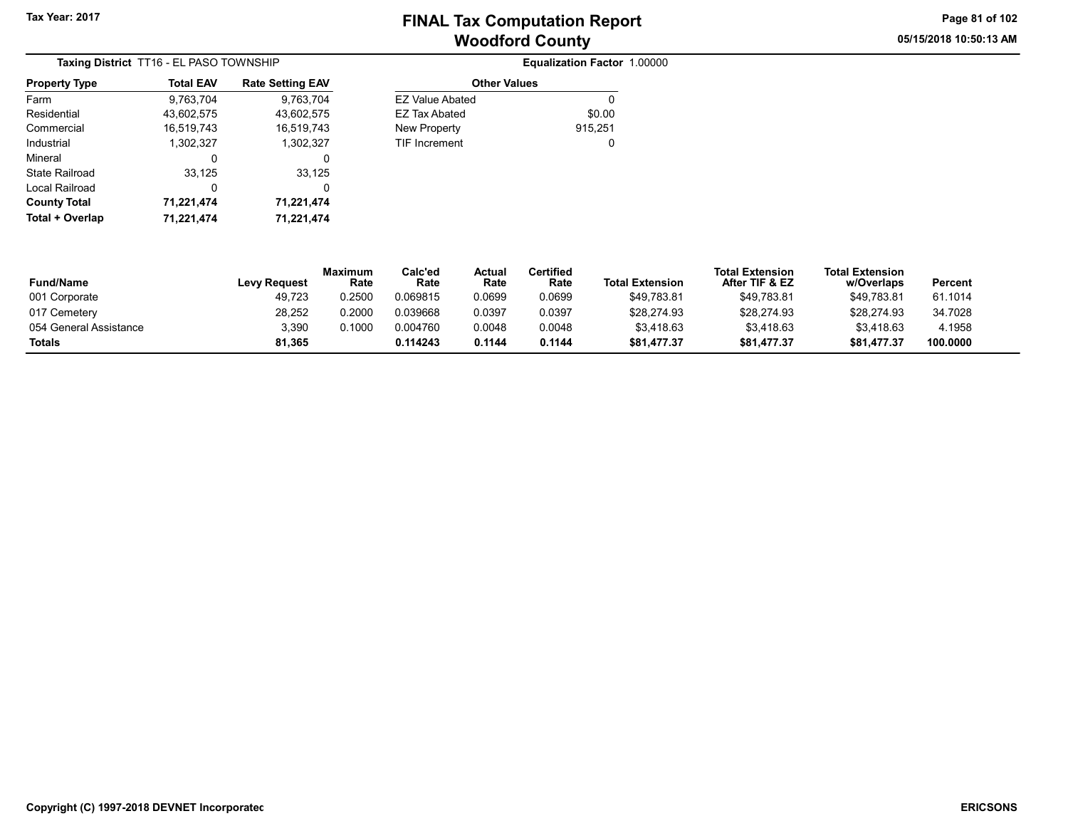Other Values EZ Value Abated 0 EZ Tax Abated \$0.00 New Property 815,251 TIF Increment 0 05/15/2018 10:50:13 AM Page 81 of 102

| Taxing District TT16 - EL PASO TOWNSHIP |                  |                         |  |  |  |
|-----------------------------------------|------------------|-------------------------|--|--|--|
| <b>Property Type</b>                    | <b>Total EAV</b> | <b>Rate Setting EAV</b> |  |  |  |
| Farm                                    | 9,763,704        | 9,763,704               |  |  |  |
| Residential                             | 43,602,575       | 43,602,575              |  |  |  |
| Commercial                              | 16,519,743       | 16,519,743              |  |  |  |
| Industrial                              | 1,302,327        | 1,302,327               |  |  |  |
| Mineral                                 | 0                | 0                       |  |  |  |
| State Railroad                          | 33,125           | 33,125                  |  |  |  |
| Local Railroad                          | 0                | 0                       |  |  |  |
| <b>County Total</b>                     | 71,221,474       | 71,221,474              |  |  |  |
| Total + Overlap                         | 71,221,474       | 71,221,474              |  |  |  |

| <br><b>Total + Overlap</b> | .<br>.<br>71.221.474<br>71.221.474 |                        |                 |                       |                          |                        |                                          |                                      |          |
|----------------------------|------------------------------------|------------------------|-----------------|-----------------------|--------------------------|------------------------|------------------------------------------|--------------------------------------|----------|
| <b>Fund/Name</b>           | Levy Request                       | <b>Maximum</b><br>Rate | Calc'ed<br>Rate | <b>Actual</b><br>Rate | <b>Certified</b><br>Rate | <b>Total Extension</b> | <b>Total Extension</b><br>After TIF & EZ | <b>Total Extension</b><br>w/Overlaps | Percent  |
| 001 Corporate              | 49.723                             | 0.2500                 | 0.069815        | 0.0699                | 0.0699                   | \$49.783.81            | \$49,783.81                              | \$49,783.81                          | 61.1014  |
| 017 Cemetery               | 28,252                             | 0.2000                 | 0.039668        | 0.0397                | 0.0397                   | \$28,274.93            | \$28,274.93                              | \$28,274.93                          | 34.7028  |
| 054 General Assistance     | 3,390                              | 0.1000                 | 0.004760        | 0.0048                | 0.0048                   | \$3.418.63             | \$3.418.63                               | \$3,418.63                           | 4.1958   |
| Totals                     | 81.365                             |                        | 0.114243        | 0.1144                | 0.1144                   | \$81,477.37            | \$81,477.37                              | \$81,477.37                          | 100.0000 |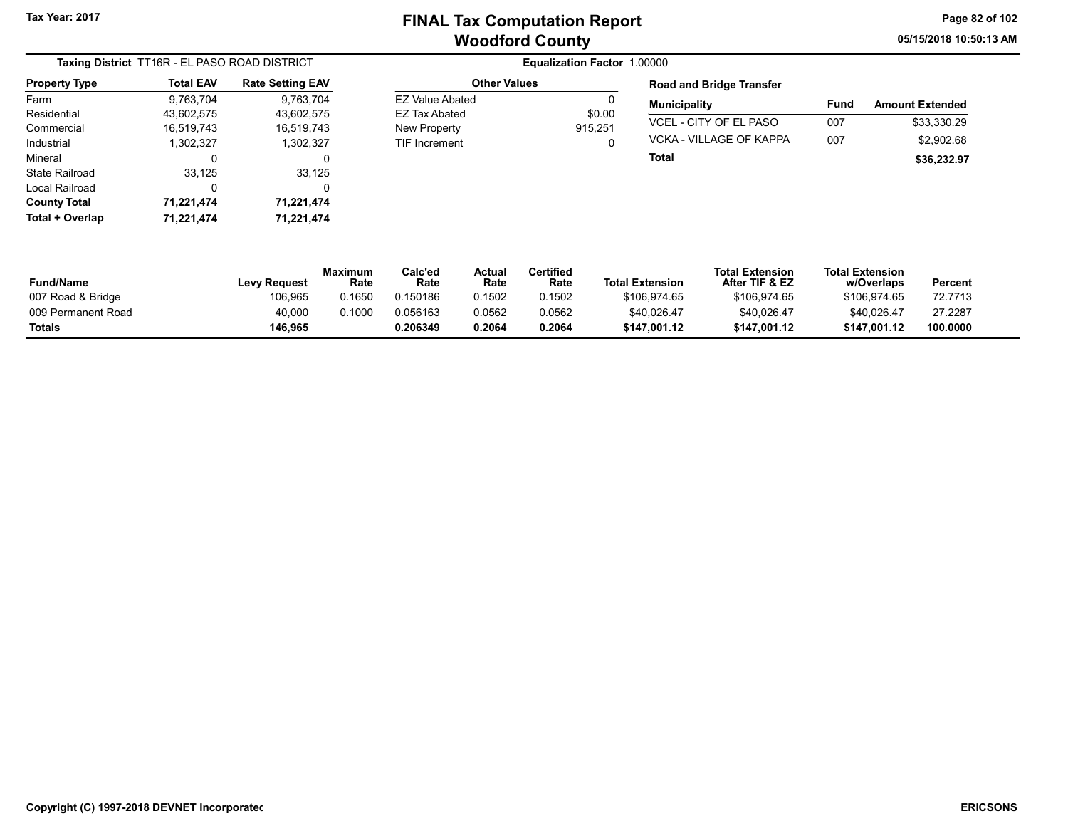EZ Value Abated 0 EZ Tax Abated \$0.00 New Property 315,251 TIF Increment 0 05/15/2018 10:50:13 AM Page 82 of 102

| Taxing District TT16R - EL PASO ROAD DISTRICT |                  |                         |  |  |  |  |
|-----------------------------------------------|------------------|-------------------------|--|--|--|--|
| <b>Property Type</b>                          | <b>Total EAV</b> | <b>Rate Setting EAV</b> |  |  |  |  |
| Farm                                          | 9,763,704        | 9,763,704               |  |  |  |  |
| Residential                                   | 43,602,575       | 43,602,575              |  |  |  |  |
| Commercial                                    | 16,519,743       | 16,519,743              |  |  |  |  |
| Industrial                                    | 1,302,327        | 1,302,327               |  |  |  |  |
| Mineral                                       | 0                | 0                       |  |  |  |  |
| State Railroad                                | 33,125           | 33,125                  |  |  |  |  |
| Local Railroad                                | 0                | 0                       |  |  |  |  |
| <b>County Total</b>                           | 71,221,474       | 71,221,474              |  |  |  |  |
| Total + Overlap                               | 71,221,474       | 71,221,474              |  |  |  |  |

#### **Equalization Factor 1.00000** Other Values

| <b>Road and Bridge Transfer</b> |      |                        |  |  |  |  |  |
|---------------------------------|------|------------------------|--|--|--|--|--|
| <b>Municipality</b>             | Fund | <b>Amount Extended</b> |  |  |  |  |  |
| VCEL - CITY OF EL PASO          | 007  | \$33.330.29            |  |  |  |  |  |
| VCKA - VILLAGE OF KAPPA         | 007  | \$2,902.68             |  |  |  |  |  |
| Total                           |      | \$36,232.97            |  |  |  |  |  |

| <b>Fund/Name</b>   | Levy Request | Maximum<br>Rate | Calc'ed<br>Rate | Actua<br>Rate | Certified<br>Rate | <b>Total Extension</b> | <b>Total Extension</b><br>After TIF & EZ | <b>Total Extension</b><br>w/Overlaps | Percent  |
|--------------------|--------------|-----------------|-----------------|---------------|-------------------|------------------------|------------------------------------------|--------------------------------------|----------|
| 007 Road & Bridge  | 106.965      | 0.1650          | 0.150186        | 0.1502        | 0.1502            | \$106.974.65           | \$106.974.65                             | \$106.974.65                         | 72.7713  |
| 009 Permanent Road | 40,000       | 0.1000          | 0.056163        | 0.0562        | 0.0562            | \$40,026.47            | \$40,026.47                              | \$40.026.47                          | 27.2287  |
| <b>Totals</b>      | 146.965      |                 | 0.206349        | 0.2064        | 0.2064            | \$147.001.12           | \$147.001.12                             | \$147.001.12                         | 100.0000 |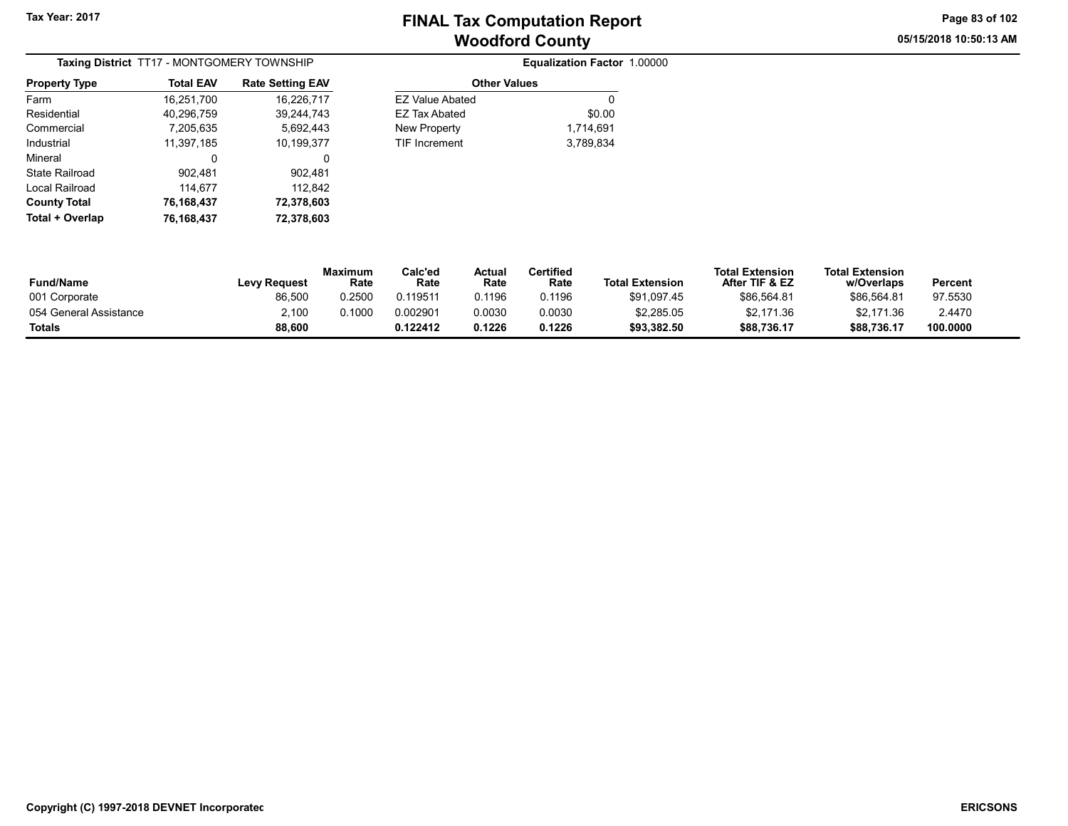05/15/2018 10:50:13 AM Page 83 of 102

| Taxing District TT17 - MONTGOMERY TOWNSHIP |                  |                         |  |  |  |  |
|--------------------------------------------|------------------|-------------------------|--|--|--|--|
| <b>Property Type</b>                       | <b>Total EAV</b> | <b>Rate Setting EAV</b> |  |  |  |  |
| Farm                                       | 16,251,700       | 16,226,717              |  |  |  |  |
| Residential                                | 40,296,759       | 39.244.743              |  |  |  |  |
| Commercial                                 | 7,205,635        | 5,692,443               |  |  |  |  |
| Industrial                                 | 11.397.185       | 10.199.377              |  |  |  |  |
| Mineral                                    | 0                | 0                       |  |  |  |  |
| State Railroad                             | 902,481          | 902,481                 |  |  |  |  |
| Local Railroad                             | 114,677          | 112,842                 |  |  |  |  |
| <b>County Total</b>                        | 76,168,437       | 72,378,603              |  |  |  |  |
| Total + Overlap                            | 76,168,437       | 72,378,603              |  |  |  |  |

| Equalization Factor 1.00000 |  |
|-----------------------------|--|
| <b>Other Values</b>         |  |

| \$0.00    |
|-----------|
|           |
|           |
| 1,714,691 |
| 3,789,834 |
|           |
|           |

| <b>Fund/Name</b>       | <b>Levy Request</b> | Maximum<br>Rate | Calc'ed<br>Rate | Actual<br>Rate | <b>Certified</b><br>Rate | <b>Total Extension</b> | <b>Total Extension</b><br>After TIF & EZ | <b>Total Extension</b><br>w/Overlaps | Percent  |
|------------------------|---------------------|-----------------|-----------------|----------------|--------------------------|------------------------|------------------------------------------|--------------------------------------|----------|
| 001 Corporate          | 86,500              | 0.2500          | 0.119511        | 0.1196         | 0.1196                   | \$91,097.45            | \$86,564.81                              | \$86,564.81                          | 97.5530  |
| 054 General Assistance | 2,100               | 0.1000          | 0.002901        | 0.0030         | 0.0030                   | \$2,285.05             | \$2,171.36                               | \$2,171.36                           | 2.4470   |
| Totals                 | 88,600              |                 | 0.122412        | 0.1226         | 0.1226                   | \$93,382.50            | \$88,736.17                              | \$88.736.17                          | 100.0000 |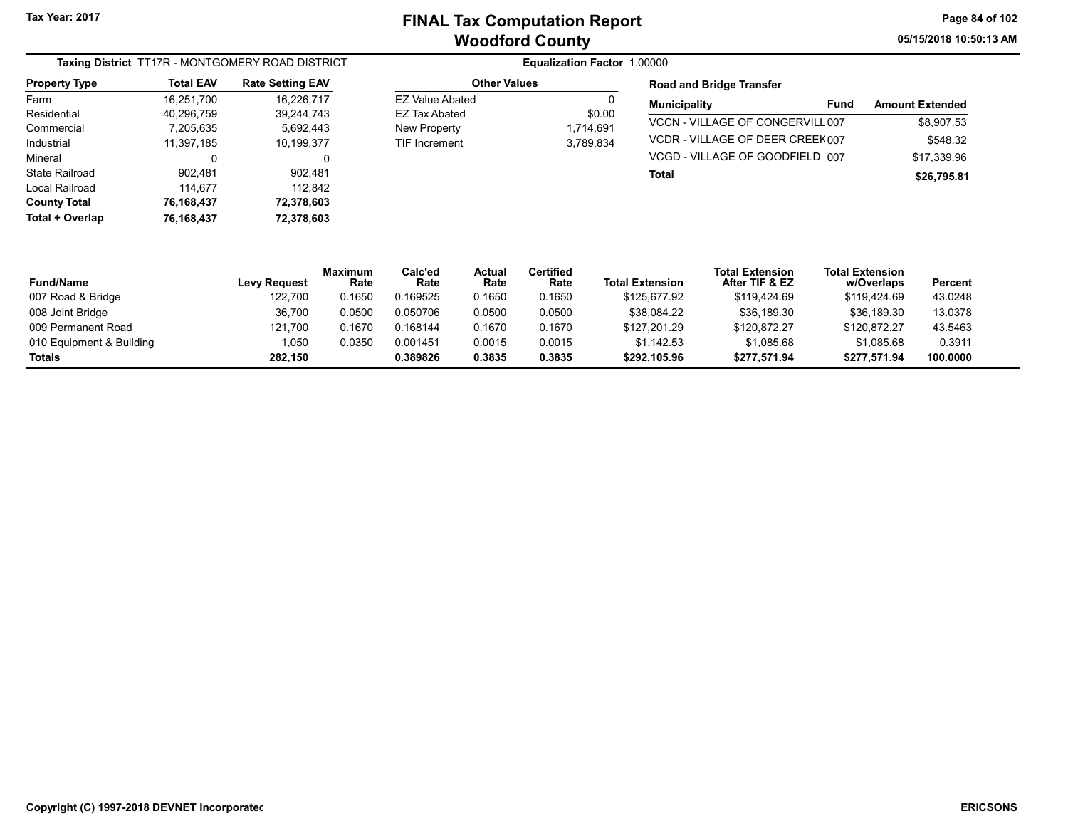05/15/2018 10:50:13 AM Page 84 of 102

| Taxing District TT17R - MONTGOMERY ROAD DISTRICT |                  |                         |  |  |  |  |
|--------------------------------------------------|------------------|-------------------------|--|--|--|--|
| <b>Property Type</b>                             | <b>Total EAV</b> | <b>Rate Setting EAV</b> |  |  |  |  |
| Farm                                             | 16,251,700       | 16,226,717              |  |  |  |  |
| Residential                                      | 40,296,759       | 39.244.743              |  |  |  |  |
| Commercial                                       | 7,205,635        | 5.692.443               |  |  |  |  |
| Industrial                                       | 11,397,185       | 10,199,377              |  |  |  |  |
| Mineral                                          | 0                | 0                       |  |  |  |  |
| <b>State Railroad</b>                            | 902,481          | 902,481                 |  |  |  |  |
| Local Railroad                                   | 114,677          | 112,842                 |  |  |  |  |
| <b>County Total</b>                              | 76,168,437       | 72,378,603              |  |  |  |  |
| Total + Overlap                                  | 76,168,437       | 72,378,603              |  |  |  |  |

| <b>Other Values</b>  |           |  |  |  |  |
|----------------------|-----------|--|--|--|--|
| FZ Value Abated      |           |  |  |  |  |
| FZ Tax Abated        | \$0.00    |  |  |  |  |
| New Property         | 1,714,691 |  |  |  |  |
| <b>TIF Increment</b> | 3.789.834 |  |  |  |  |
|                      |           |  |  |  |  |

### **Equalization Factor 1.00000** Road and Bridge Transfer

| <b>Municipality</b>              | Fund | <b>Amount Extended</b> |
|----------------------------------|------|------------------------|
| VCCN - VILLAGE OF CONGERVILL 007 |      | \$8.907.53             |
| VCDR-VILLAGE OF DEER CREEK007    |      | \$548.32               |
| VCGD - VILLAGE OF GOODFIELD 007  |      | \$17.339.96            |
| Total                            |      | \$26,795.81            |

| <b>Fund/Name</b>         | <b>Levy Request</b> | <b>Maximum</b><br>Rate | Calc'ed<br>Rate | Actual<br>Rate | Certified<br>Rate | <b>Total Extension</b> | <b>Total Extension</b><br>After TIF & EZ | <b>Total Extension</b><br>w/Overlaps | Percent  |
|--------------------------|---------------------|------------------------|-----------------|----------------|-------------------|------------------------|------------------------------------------|--------------------------------------|----------|
| 007 Road & Bridge        | 122.700             | 0.1650                 | 0.169525        | 0.1650         | 0.1650            | \$125,677.92           | \$119.424.69                             | \$119,424.69                         | 43.0248  |
| 008 Joint Bridge         | 36,700              | 0.0500                 | 0.050706        | 0.0500         | 0.0500            | \$38,084.22            | \$36,189.30                              | \$36,189.30                          | 13.0378  |
| 009 Permanent Road       | 121.700             | 0.1670                 | 0.168144        | 0.1670         | 0.1670            | \$127.201.29           | \$120.872.27                             | \$120.872.27                         | 43.5463  |
| 010 Equipment & Building | 1,050               | 0.0350                 | 0.001451        | 0.0015         | 0.0015            | \$1.142.53             | \$1.085.68                               | \$1.085.68                           | 0.3911   |
| Totals                   | 282.150             |                        | 0.389826        | 0.3835         | 0.3835            | \$292.105.96           | \$277,571.94                             | \$277,571.94                         | 100.0000 |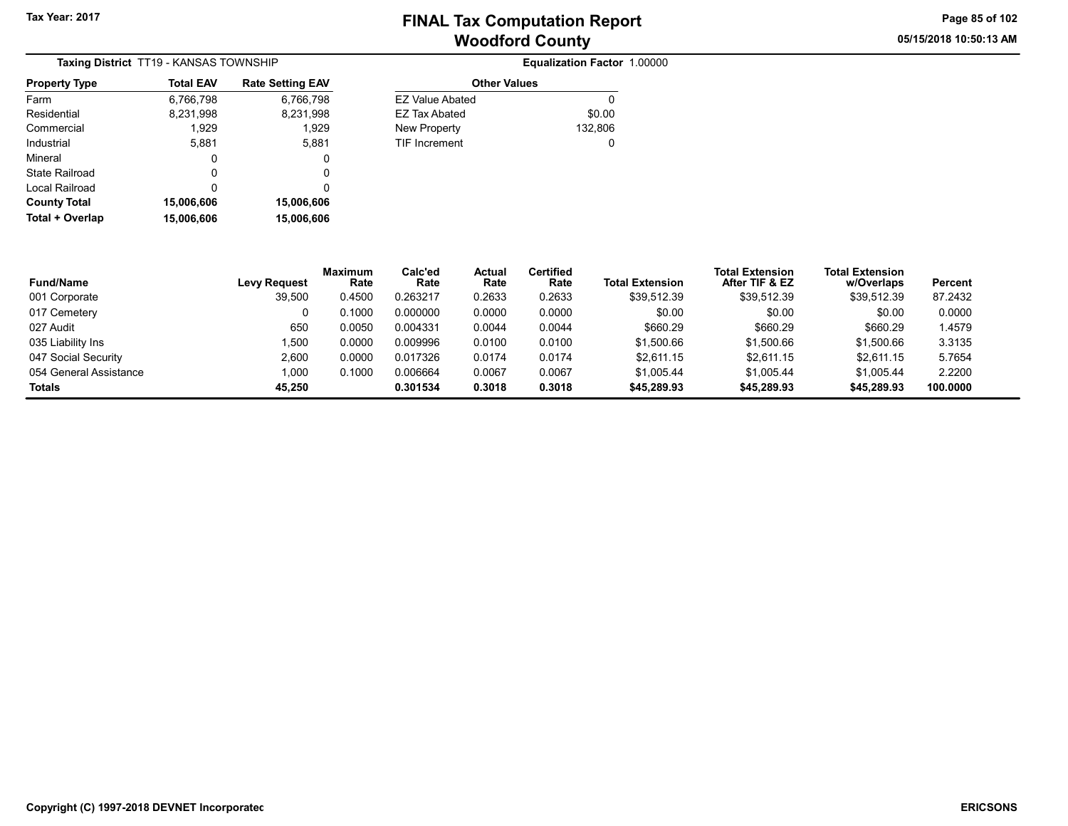Fund/Name

# Woodford County Tax Year: 2017 Tax Year: 2017

Other Values EZ Value Abated 0 EZ Tax Abated \$0.00 New Property 132,806 TIF Increment 0

Equalization Factor 1.00000

05/15/2018 10:50:13 AM Page 85 of 102

w/Overlaps Percent

| Taxing District TT19 - KANSAS TOWNSHIP |                  |                         |  |  |  |  |  |
|----------------------------------------|------------------|-------------------------|--|--|--|--|--|
| <b>Property Type</b>                   | <b>Total EAV</b> | <b>Rate Setting EAV</b> |  |  |  |  |  |
| Farm                                   | 6,766,798        | 6,766,798               |  |  |  |  |  |
| Residential                            | 8,231,998        | 8,231,998               |  |  |  |  |  |
| Commercial                             | 1,929            | 1,929                   |  |  |  |  |  |
| Industrial                             | 5,881            | 5,881                   |  |  |  |  |  |
| Mineral                                | 0                | 0                       |  |  |  |  |  |
| State Railroad                         | 0                | 0                       |  |  |  |  |  |
| Local Railroad                         | ŋ                | 0                       |  |  |  |  |  |
| <b>County Total</b>                    | 15,006,606       | 15,006,606              |  |  |  |  |  |
| Total + Overlap                        | 15,006,606       | 15,006,606              |  |  |  |  |  |

| 0          |                     | υ                      |                 |                |                          |                        |                                          |                                      |
|------------|---------------------|------------------------|-----------------|----------------|--------------------------|------------------------|------------------------------------------|--------------------------------------|
| 0          |                     | υ                      |                 |                |                          |                        |                                          |                                      |
| 15,006,606 | 15,006,606          |                        |                 |                |                          |                        |                                          |                                      |
| 15,006,606 | 15,006,606          |                        |                 |                |                          |                        |                                          |                                      |
|            | <b>Levy Request</b> | <b>Maximum</b><br>Rate | Calc'ed<br>Rate | Actual<br>Rate | <b>Certified</b><br>Rate | <b>Total Extension</b> | <b>Total Extension</b><br>After TIF & EZ | <b>Total Extension</b><br>w/Overlaps |
|            | 39,500              | 0.4500                 | 0.263217        | 0.2633         | 0.2633                   | \$39,512.39            | \$39,512.39                              | \$39,512.39                          |
|            | ∩                   | 0.1000                 | n nnnnnn        | n nnnn         | n nnnn                   | ድስ ሰሰ                  | ድስ ሰሰ                                    | <b>AN UD</b>                         |

| 001 Corporate          | 39,500 | 0.4500 | 0.263217 | 0.2633 | 0.2633 | \$39,512.39 | \$39,512.39 | \$39,512.39 | 87.2432  |  |
|------------------------|--------|--------|----------|--------|--------|-------------|-------------|-------------|----------|--|
| 017 Cemetery           |        | 0.1000 | 0.000000 | 0.0000 | 0.0000 | \$0.00      | \$0.00      | \$0.00      | 0.0000   |  |
| 027 Audit              | 650    | 0.0050 | 0.004331 | 0.0044 | 0.0044 | \$660.29    | \$660.29    | \$660.29    | 1.4579   |  |
| 035 Liability Ins      | 1.500  | 0.0000 | 0.009996 | 0.0100 | 0.0100 | \$1,500.66  | \$1,500.66  | \$1.500.66  | 3.3135   |  |
| 047 Social Security    | 2,600  | 0.0000 | 0.017326 | 0.0174 | 0.0174 | \$2.611.15  | \$2.611.15  | \$2.611.15  | 5.7654   |  |
| 054 General Assistance | 000,1  | 0.1000 | 0.006664 | 0.0067 | 0.0067 | \$1.005.44  | \$1.005.44  | \$1.005.44  | 2.2200   |  |
| <b>Totals</b>          | 45.250 |        | 0.301534 | 0.3018 | 0.3018 | \$45,289.93 | \$45,289.93 | \$45,289.93 | 100.0000 |  |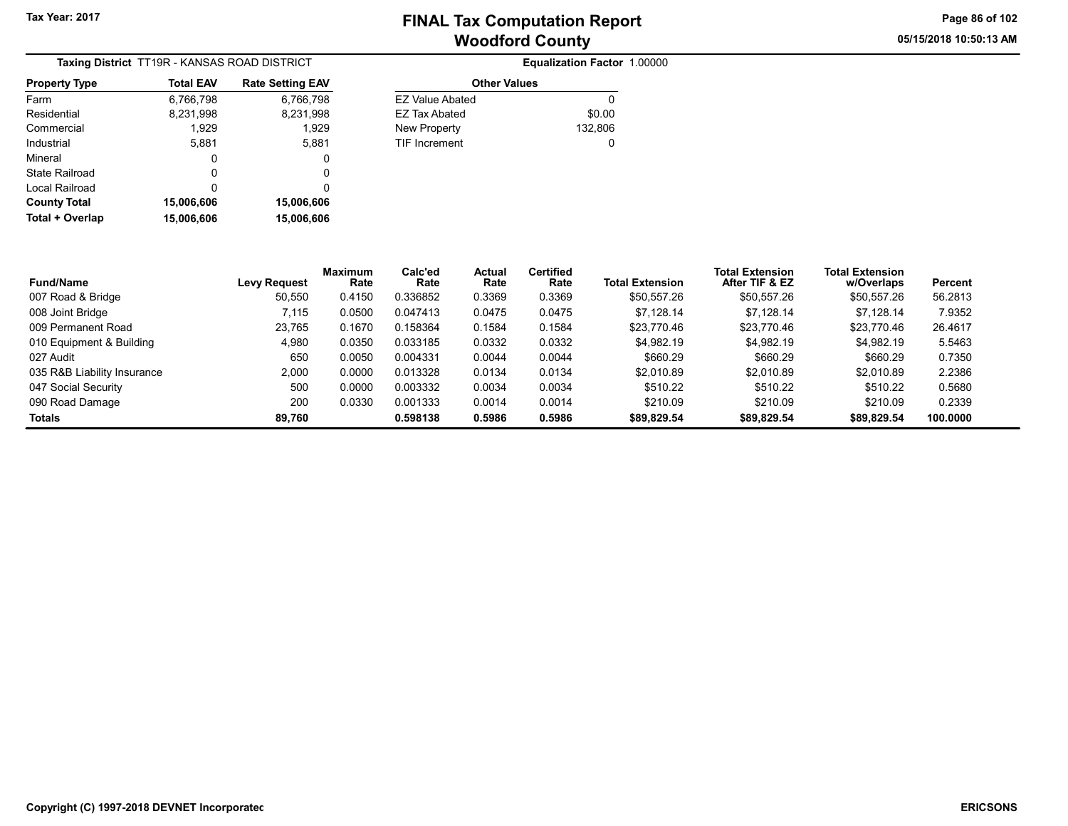05/15/2018 10:50:13 AM Page 86 of 102

| Taxing District TT19R - KANSAS ROAD DISTRICT |                  |                         |  |  |  |  |  |
|----------------------------------------------|------------------|-------------------------|--|--|--|--|--|
| <b>Property Type</b>                         | <b>Total EAV</b> | <b>Rate Setting EAV</b> |  |  |  |  |  |
| Farm                                         | 6,766,798        | 6,766,798               |  |  |  |  |  |
| Residential                                  | 8,231,998        | 8,231,998               |  |  |  |  |  |
| Commercial                                   | 1,929            | 1,929                   |  |  |  |  |  |
| Industrial                                   | 5,881            | 5,881                   |  |  |  |  |  |
| Mineral                                      | 0                | 0                       |  |  |  |  |  |
| State Railroad                               | O                | 0                       |  |  |  |  |  |
| Local Railroad                               | ŋ                | 0                       |  |  |  |  |  |
| <b>County Total</b>                          | 15,006,606       | 15,006,606              |  |  |  |  |  |
| Total + Overlap                              | 15.006.606       | 15,006,606              |  |  |  |  |  |

|    |                        | Equalization Factor 1.00000 |
|----|------------------------|-----------------------------|
| AV | <b>Other Values</b>    |                             |
| 98 | <b>EZ Value Abated</b> | O                           |
| 98 | <b>EZ Tax Abated</b>   | \$0.00                      |
| 29 | New Property           | 132,806                     |
| 81 | <b>TIF Increment</b>   | 0                           |
| 0  |                        |                             |
|    |                        |                             |

| <b>Fund/Name</b>            | <b>Levy Request</b> | <b>Maximum</b><br>Rate | Calc'ed<br>Rate | Actual<br>Rate | <b>Certified</b><br>Rate | <b>Total Extension</b> | <b>Total Extension</b><br>After TIF & EZ | <b>Total Extension</b><br>w/Overlaps | Percent  |
|-----------------------------|---------------------|------------------------|-----------------|----------------|--------------------------|------------------------|------------------------------------------|--------------------------------------|----------|
| 007 Road & Bridge           | 50.550              | 0.4150                 | 0.336852        | 0.3369         | 0.3369                   | \$50.557.26            | \$50,557.26                              | \$50,557.26                          | 56.2813  |
| 008 Joint Bridge            | 7.115               | 0.0500                 | 0.047413        | 0.0475         | 0.0475                   | \$7.128.14             | \$7.128.14                               | \$7.128.14                           | 7.9352   |
| 009 Permanent Road          | 23,765              | 0.1670                 | 0.158364        | 0.1584         | 0.1584                   | \$23,770.46            | \$23.770.46                              | \$23,770.46                          | 26.4617  |
| 010 Equipment & Building    | 4.980               | 0.0350                 | 0.033185        | 0.0332         | 0.0332                   | \$4.982.19             | \$4,982.19                               | \$4.982.19                           | 5.5463   |
| 027 Audit                   | 650                 | 0.0050                 | 0.004331        | 0.0044         | 0.0044                   | \$660.29               | \$660.29                                 | \$660.29                             | 0.7350   |
| 035 R&B Liability Insurance | 2,000               | 0.0000                 | 0.013328        | 0.0134         | 0.0134                   | \$2.010.89             | \$2.010.89                               | \$2.010.89                           | 2.2386   |
| 047 Social Security         | 500                 | 0.0000                 | 0.003332        | 0.0034         | 0.0034                   | \$510.22               | \$510.22                                 | \$510.22                             | 0.5680   |
| 090 Road Damage             | 200                 | 0.0330                 | 0.001333        | 0.0014         | 0.0014                   | \$210.09               | \$210.09                                 | \$210.09                             | 0.2339   |
| <b>Totals</b>               | 89.760              |                        | 0.598138        | 0.5986         | 0.5986                   | \$89.829.54            | \$89,829.54                              | \$89,829.54                          | 100.0000 |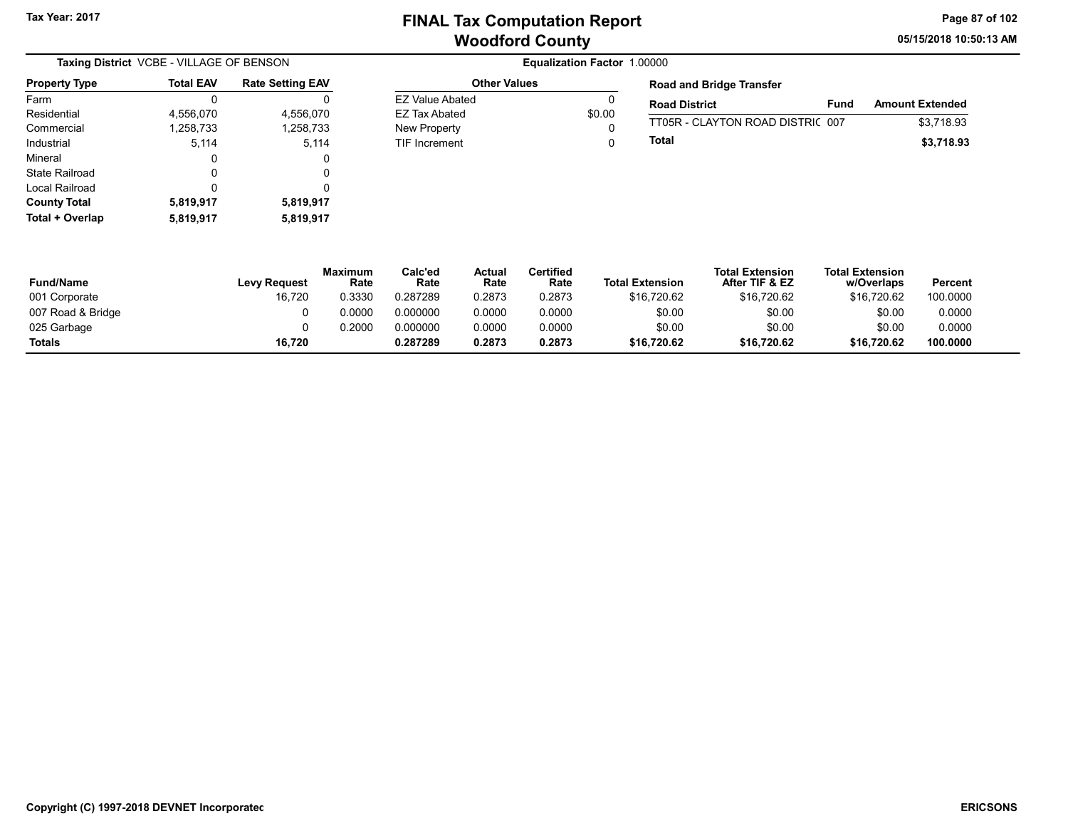EZ Value Abated 0 EZ Tax Abated \$0.00 New Property **0** TIF Increment 0 05/15/2018 10:50:13 AM Page 87 of 102

|                      | Taxing District VCBE - VILLAGE OF BENSON |                         |  |  |  |  |  |
|----------------------|------------------------------------------|-------------------------|--|--|--|--|--|
| <b>Property Type</b> | <b>Total EAV</b>                         | <b>Rate Setting EAV</b> |  |  |  |  |  |
| Farm                 | O                                        |                         |  |  |  |  |  |
| Residential          | 4,556,070                                | 4,556,070               |  |  |  |  |  |
| Commercial           | 1,258,733                                | 1,258,733               |  |  |  |  |  |
| Industrial           | 5,114                                    | 5,114                   |  |  |  |  |  |
| Mineral              | 0                                        | 0                       |  |  |  |  |  |
| State Railroad       | O                                        | 0                       |  |  |  |  |  |
| Local Railroad       | ŋ                                        | 0                       |  |  |  |  |  |
| <b>County Total</b>  | 5,819,917                                | 5,819,917               |  |  |  |  |  |
| Total + Overlap      | 5,819,917                                | 5,819,917               |  |  |  |  |  |

#### Equalization Factor 1.00000 Other Values

| <b>Road and Bridge Transfer</b>  |      |                        |
|----------------------------------|------|------------------------|
| <b>Road District</b>             | Fund | <b>Amount Extended</b> |
| TT05R - CLAYTON ROAD DISTRIC 007 |      | \$3.718.93             |
| Total                            |      | \$3,718.93             |

| <b>Fund/Name</b>  | Levy Request | <b>Maximum</b><br>Rate | Calc'ed<br>Rate | Actual<br>Rate | Certified<br>Rate | <b>Total Extension</b> | <b>Total Extension</b><br>After TIF & EZ | <b>Total Extension</b><br>w/Overlaps | Percent  |
|-------------------|--------------|------------------------|-----------------|----------------|-------------------|------------------------|------------------------------------------|--------------------------------------|----------|
| 001 Corporate     | 16,720       | 0.3330                 | 0.287289        | 0.2873         | 0.2873            | \$16.720.62            | \$16.720.62                              | \$16,720.62                          | 100.0000 |
| 007 Road & Bridge |              | 0.0000                 | 0.000000        | 0.0000         | 0.0000            | \$0.00                 | \$0.00                                   | \$0.00                               | 0.0000   |
| 025 Garbage       |              | 0.2000                 | 0.000000        | 0.0000         | 0.0000            | \$0.00                 | \$0.00                                   | \$0.00                               | 0.0000   |
| <b>Totals</b>     | 16,720       |                        | 0.287289        | 0.2873         | 0.2873            | \$16.720.62            | \$16,720.62                              | \$16,720.62                          | 100.0000 |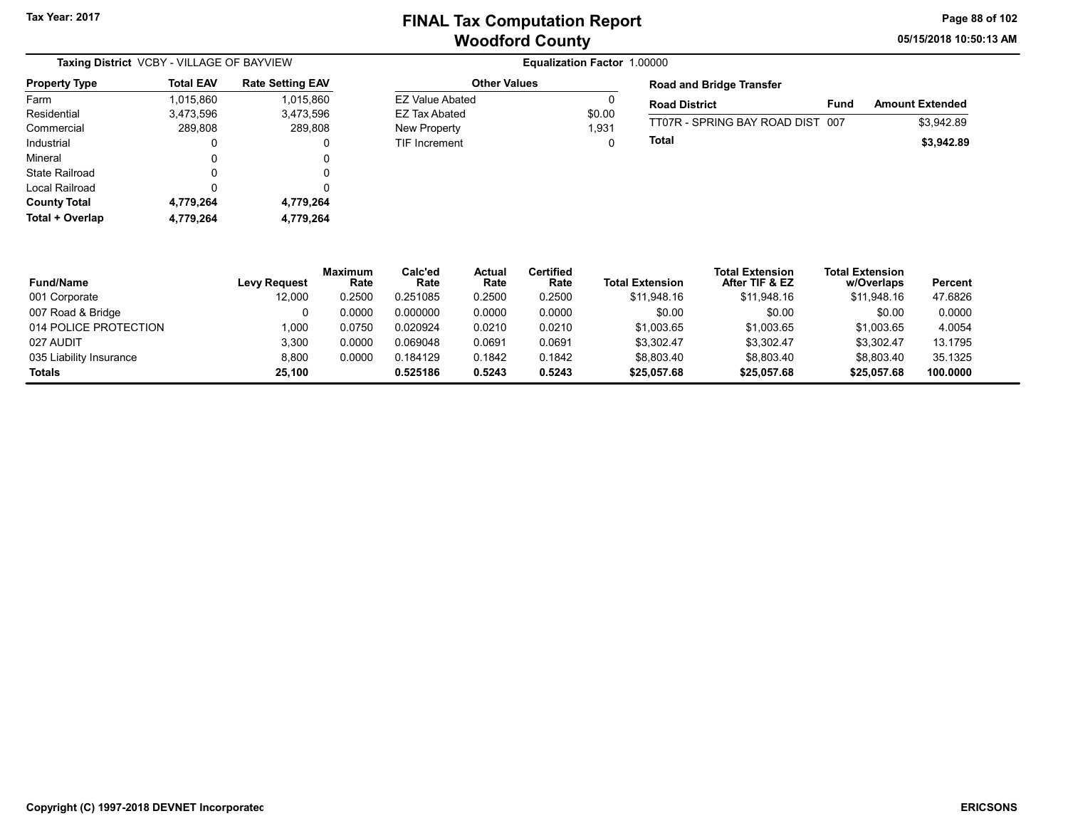05/15/2018 10:50:13 AM Page 88 of 102

| Taxing District VCBY - VILLAGE OF BAYVIEW |                  |                         |  |  |  |  |  |
|-------------------------------------------|------------------|-------------------------|--|--|--|--|--|
| <b>Property Type</b>                      | <b>Total EAV</b> | <b>Rate Setting EAV</b> |  |  |  |  |  |
| Farm                                      | 1,015,860        | 1,015,860               |  |  |  |  |  |
| Residential                               | 3,473,596        | 3,473,596               |  |  |  |  |  |
| Commercial                                | 289,808          | 289,808                 |  |  |  |  |  |
| Industrial                                | 0                | 0                       |  |  |  |  |  |
| Mineral                                   | 0                | 0                       |  |  |  |  |  |
| State Railroad                            | 0                | 0                       |  |  |  |  |  |
| Local Railroad                            | 0                | 0                       |  |  |  |  |  |
| <b>County Total</b>                       | 4,779,264        | 4,779,264               |  |  |  |  |  |
| Total + Overlap                           | 4,779,264        | 4,779,264               |  |  |  |  |  |

#### **Equalization Factor 1.00000** Other Values EZ Value Abated 0 EZ Tax Abated \$0.00 New Property 2001 2003 1,931 TIF Increment 0

| <b>Road and Bridge Transfer</b>  |      |                        |
|----------------------------------|------|------------------------|
| <b>Road District</b>             | Fund | <b>Amount Extended</b> |
| TT07R - SPRING BAY ROAD DIST 007 |      | \$3.942.89             |
| Total                            |      | \$3,942.89             |

| <b>Fund/Name</b>        | <b>Levy Request</b> | <b>Maximum</b><br>Rate | Calc'ed<br>Rate | <b>Actual</b><br>Rate | Certified<br>Rate | <b>Total Extension</b> | <b>Total Extension</b><br>After TIF & EZ | <b>Total Extension</b><br>w/Overlaps | Percent  |
|-------------------------|---------------------|------------------------|-----------------|-----------------------|-------------------|------------------------|------------------------------------------|--------------------------------------|----------|
| 001 Corporate           | 12,000              | 0.2500                 | 0.251085        | 0.2500                | 0.2500            | \$11.948.16            | \$11.948.16                              | \$11.948.16                          | 47.6826  |
| 007 Road & Bridge       |                     | 0.0000                 | 0.000000        | 0.0000                | 0.0000            | \$0.00                 | \$0.00                                   | \$0.00                               | 0.0000   |
| 014 POLICE PROTECTION   | 1.000               | 0.0750                 | 0.020924        | 0.0210                | 0.0210            | \$1,003.65             | \$1,003.65                               | \$1,003.65                           | 4.0054   |
| 027 AUDIT               | 3.300               | 0.0000                 | 0.069048        | 0.0691                | 0.0691            | \$3.302.47             | \$3.302.47                               | \$3,302.47                           | 13.1795  |
| 035 Liability Insurance | 8.800               | 0.0000                 | 0.184129        | 0.1842                | 0.1842            | \$8.803.40             | \$8,803.40                               | \$8.803.40                           | 35.1325  |
| <b>Totals</b>           | 25.100              |                        | 0.525186        | 0.5243                | 0.5243            | \$25,057.68            | \$25,057.68                              | \$25,057.68                          | 100.0000 |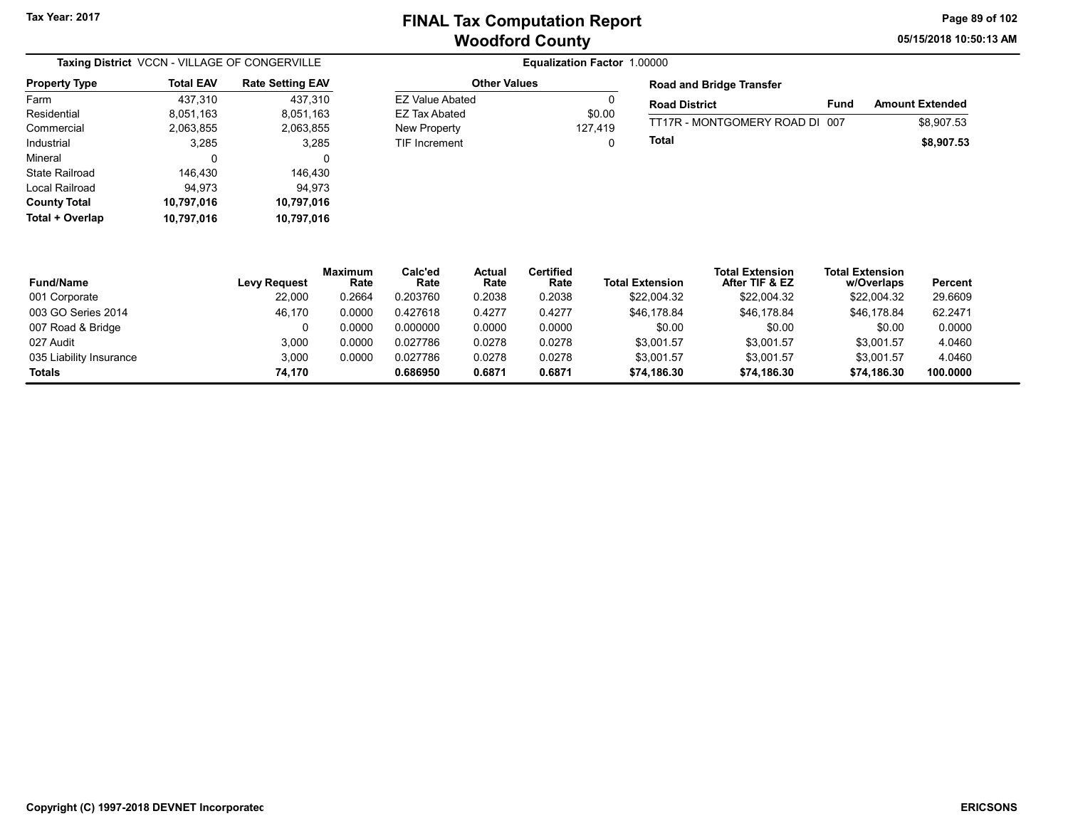Other Values

**EZ Value Abated** EZ Tax Abated New Property TIF Increment

05/15/2018 10:50:13 AM Page 89 of 102

| Taxing District VCCN - VILLAGE OF CONGERVILLE |                  |                         |  |  |  |  |
|-----------------------------------------------|------------------|-------------------------|--|--|--|--|
| <b>Property Type</b>                          | <b>Total EAV</b> | <b>Rate Setting EAV</b> |  |  |  |  |
| Farm                                          | 437,310          | 437,310                 |  |  |  |  |
| Residential                                   | 8,051,163        | 8,051,163               |  |  |  |  |
| Commercial                                    | 2,063,855        | 2,063,855               |  |  |  |  |
| Industrial                                    | 3,285            | 3,285                   |  |  |  |  |
| Mineral                                       | 0                | 0                       |  |  |  |  |
| State Railroad                                | 146,430          | 146,430                 |  |  |  |  |
| Local Railroad                                | 94.973           | 94.973                  |  |  |  |  |
| <b>County Total</b>                           | 10,797,016       | 10,797,016              |  |  |  |  |
| Total + Overlap                               | 10.797.016       | 10.797.016              |  |  |  |  |

|         | <b>Road and Bridge Transfer</b> |      |                        |
|---------|---------------------------------|------|------------------------|
| \$0.00  | <b>Road District</b>            | Fund | <b>Amount Extended</b> |
| 127.419 | TT17R - MONTGOMERY ROAD DI 007  |      | \$8.907.53             |
|         | Total                           |      | \$8,907.53             |

| <b>Fund/Name</b>        | <b>Levy Request</b> | <b>Maximum</b><br>Rate | Calc'ed<br>Rate | Actual<br>Rate | <b>Certified</b><br>Rate | <b>Total Extension</b> | <b>Total Extension</b><br>After TIF & EZ | <b>Total Extension</b><br>w/Overlaps | Percent  |
|-------------------------|---------------------|------------------------|-----------------|----------------|--------------------------|------------------------|------------------------------------------|--------------------------------------|----------|
| 001 Corporate           | 22,000              | 0.2664                 | 0.203760        | 0.2038         | 0.2038                   | \$22,004.32            | \$22,004.32                              | \$22,004.32                          | 29.6609  |
| 003 GO Series 2014      | 46.170              | 0.0000                 | 0.427618        | 0.4277         | 0.4277                   | \$46,178.84            | \$46.178.84                              | \$46,178.84                          | 62.2471  |
| 007 Road & Bridge       |                     | 0.0000                 | 0.000000        | 0.0000         | 0.0000                   | \$0.00                 | \$0.00                                   | \$0.00                               | 0.0000   |
| 027 Audit               | 3.000               | 0.0000                 | 0.027786        | 0.0278         | 0.0278                   | \$3.001.57             | \$3.001.57                               | \$3.001.57                           | 4.0460   |
| 035 Liability Insurance | 3,000               | 0.0000                 | 0.027786        | 0.0278         | 0.0278                   | \$3.001.57             | \$3.001.57                               | \$3.001.57                           | 4.0460   |
| Totals                  | 74.170              |                        | 0.686950        | 0.6871         | 0.6871                   | \$74.186.30            | \$74.186.30                              | \$74.186.30                          | 100.0000 |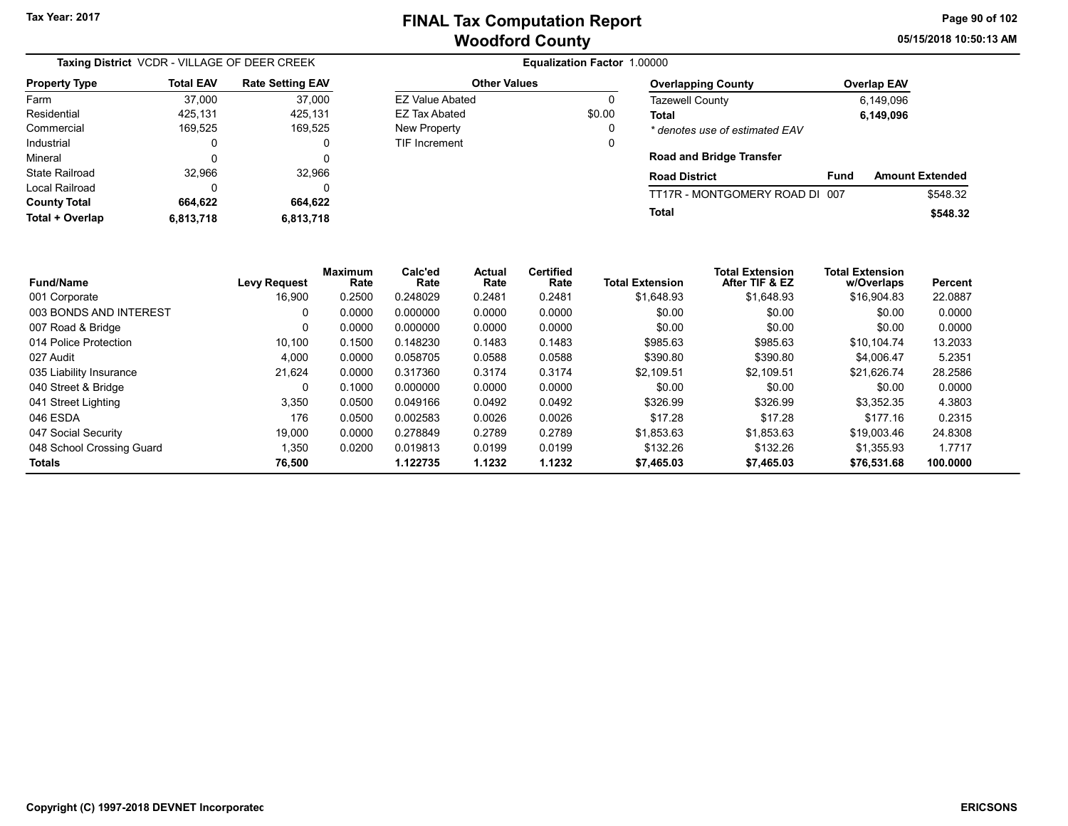Other Values EZ Value Abated 0 EZ Tax Abated \$0.00 New Property **0** TIF Increment 0 05/15/2018 10:50:13 AM Page 90 of 102

| Taxing District VCDR - VILLAGE OF DEER CREEK |                  |                         |  |  |  |
|----------------------------------------------|------------------|-------------------------|--|--|--|
| <b>Property Type</b>                         | <b>Total EAV</b> | <b>Rate Setting EAV</b> |  |  |  |
| Farm                                         | 37,000           | 37,000                  |  |  |  |
| Residential                                  | 425,131          | 425,131                 |  |  |  |
| Commercial                                   | 169,525          | 169,525                 |  |  |  |
| Industrial                                   | 0                | 0                       |  |  |  |
| Mineral                                      | 0                | 0                       |  |  |  |
| State Railroad                               | 32,966           | 32,966                  |  |  |  |
| Local Railroad                               | ŋ                | 0                       |  |  |  |
| <b>County Total</b>                          | 664,622          | 664,622                 |  |  |  |
| Total + Overlap                              | 6,813,718        | 6,813,718               |  |  |  |

| <b>Overlapping County</b>       | <b>Overlap EAV</b><br>6,149,096<br>6,149,096 |                        |  |  |
|---------------------------------|----------------------------------------------|------------------------|--|--|
| Tazewell County                 |                                              |                        |  |  |
| Total                           |                                              |                        |  |  |
| * denotes use of estimated EAV  |                                              |                        |  |  |
| <b>Road and Bridge Transfer</b> |                                              |                        |  |  |
| <b>Road District</b>            | Fund                                         | <b>Amount Extended</b> |  |  |
| TT17R - MONTGOMERY ROAD DI 007  |                                              | \$548.32               |  |  |
| Total                           |                                              | \$548.32               |  |  |

| <b>Fund/Name</b>          | <b>Levy Request</b> | <b>Maximum</b><br>Rate | Calc'ed<br>Rate | Actual<br>Rate | <b>Certified</b><br>Rate | <b>Total Extension</b> | <b>Total Extension</b><br>After TIF & EZ | <b>Total Extension</b><br>w/Overlaps | Percent  |
|---------------------------|---------------------|------------------------|-----------------|----------------|--------------------------|------------------------|------------------------------------------|--------------------------------------|----------|
| 001 Corporate             | 16,900              | 0.2500                 | 0.248029        | 0.2481         | 0.2481                   | \$1,648.93             | \$1,648.93                               | \$16,904.83                          | 22.0887  |
| 003 BONDS AND INTEREST    | 0                   | 0.0000                 | 0.000000        | 0.0000         | 0.0000                   | \$0.00                 | \$0.00                                   | \$0.00                               | 0.0000   |
| 007 Road & Bridge         | 0                   | 0.0000                 | 0.000000        | 0.0000         | 0.0000                   | \$0.00                 | \$0.00                                   | \$0.00                               | 0.0000   |
| 014 Police Protection     | 10.100              | 0.1500                 | 0.148230        | 0.1483         | 0.1483                   | \$985.63               | \$985.63                                 | \$10.104.74                          | 13.2033  |
| 027 Audit                 | 4.000               | 0.0000                 | 0.058705        | 0.0588         | 0.0588                   | \$390.80               | \$390.80                                 | \$4.006.47                           | 5.2351   |
| 035 Liability Insurance   | 21,624              | 0.0000                 | 0.317360        | 0.3174         | 0.3174                   | \$2.109.51             | \$2.109.51                               | \$21,626.74                          | 28.2586  |
| 040 Street & Bridge       | $\Omega$            | 0.1000                 | 0.000000        | 0.0000         | 0.0000                   | \$0.00                 | \$0.00                                   | \$0.00                               | 0.0000   |
| 041 Street Lighting       | 3,350               | 0.0500                 | 0.049166        | 0.0492         | 0.0492                   | \$326.99               | \$326.99                                 | \$3,352.35                           | 4.3803   |
| 046 ESDA                  | 176                 | 0.0500                 | 0.002583        | 0.0026         | 0.0026                   | \$17.28                | \$17.28                                  | \$177.16                             | 0.2315   |
| 047 Social Security       | 19,000              | 0.0000                 | 0.278849        | 0.2789         | 0.2789                   | \$1.853.63             | \$1.853.63                               | \$19,003.46                          | 24.8308  |
| 048 School Crossing Guard | 1,350               | 0.0200                 | 0.019813        | 0.0199         | 0.0199                   | \$132.26               | \$132.26                                 | \$1.355.93                           | 1.7717   |
| Totals                    | 76.500              |                        | 1.122735        | 1.1232         | 1.1232                   | \$7,465.03             | \$7.465.03                               | \$76,531.68                          | 100.0000 |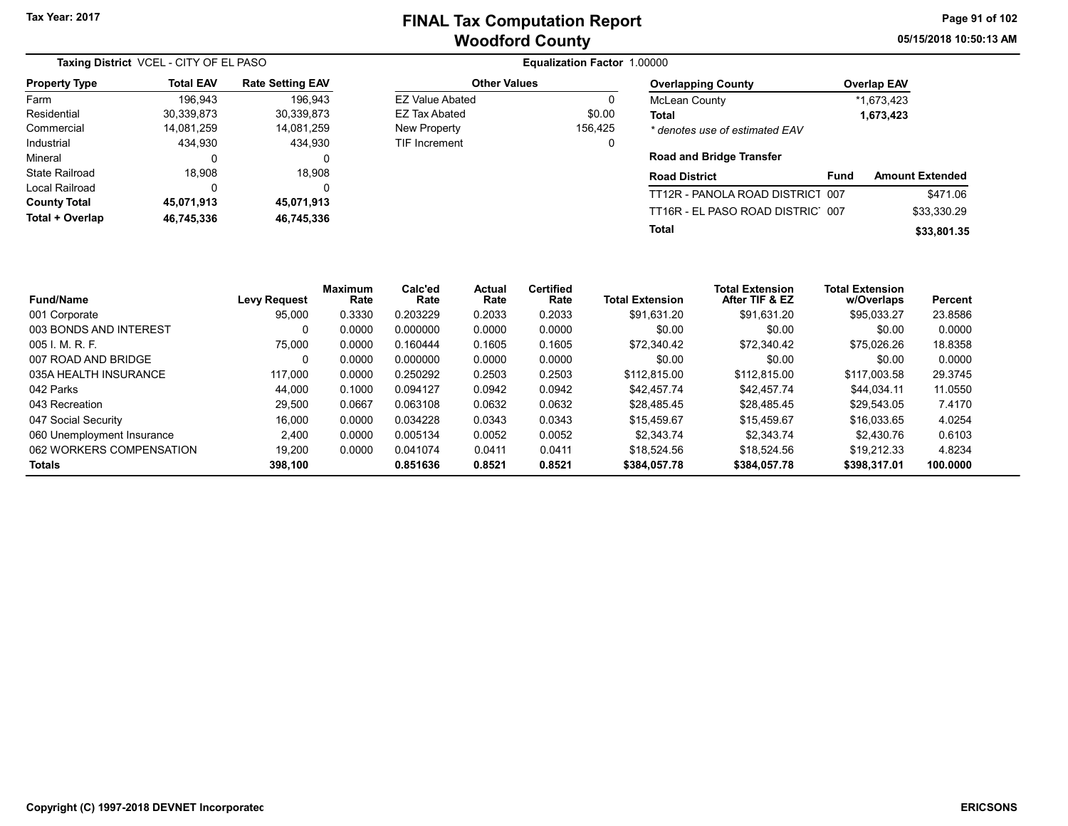Other Values EZ Value Abated 0 EZ Tax Abated \$0.00 New Property 156,425 TIF Increment 0 05/15/2018 10:50:13 AM Page 91 of 102

| Taxing District VCEL - CITY OF EL PASO |                  |                         |  |  |  |  |  |
|----------------------------------------|------------------|-------------------------|--|--|--|--|--|
| <b>Property Type</b>                   | <b>Total EAV</b> | <b>Rate Setting EAV</b> |  |  |  |  |  |
| Farm                                   | 196,943          | 196.943                 |  |  |  |  |  |
| Residential                            | 30,339,873       | 30,339,873              |  |  |  |  |  |
| Commercial                             | 14,081,259       | 14,081,259              |  |  |  |  |  |
| Industrial                             | 434.930          | 434.930                 |  |  |  |  |  |
| Mineral                                | 0                | 0                       |  |  |  |  |  |
| <b>State Railroad</b>                  | 18,908           | 18,908                  |  |  |  |  |  |
| Local Railroad                         | 0                | 0                       |  |  |  |  |  |
| <b>County Total</b>                    | 45,071,913       | 45,071,913              |  |  |  |  |  |
| Total + Overlap                        | 46,745,336       | 46,745,336              |  |  |  |  |  |

Equalization Factor 1.00000

| <b>Overlapping County</b>      | <b>Overlap EAV</b> |
|--------------------------------|--------------------|
| <b>McLean County</b>           | *1.673.423         |
| Total                          | 1,673,423          |
| * denotes use of estimated EAV |                    |

#### Road and Bridge Transfer

| <b>Road District</b>             | Fund | <b>Amount Extended</b> |
|----------------------------------|------|------------------------|
| TT12R - PANOLA ROAD DISTRICT 007 |      | \$471.06               |
| TT16R - EL PASO ROAD DISTRIC 007 |      | \$33.330.29            |
| Total                            |      | \$33,801.35            |

| <b>Fund/Name</b>           | Levy Request | <b>Maximum</b><br>Rate | Calc'ed<br>Rate | Actual<br>Rate | <b>Certified</b><br>Rate | <b>Total Extension</b> | <b>Total Extension</b><br>After TIF & EZ | <b>Total Extension</b><br>w/Overlaps | Percent  |
|----------------------------|--------------|------------------------|-----------------|----------------|--------------------------|------------------------|------------------------------------------|--------------------------------------|----------|
| 001 Corporate              | 95.000       | 0.3330                 | 0.203229        | 0.2033         | 0.2033                   | \$91.631.20            | \$91.631.20                              | \$95.033.27                          | 23.8586  |
| 003 BONDS AND INTEREST     | 0            | 0.0000                 | 0.000000        | 0.0000         | 0.0000                   | \$0.00                 | \$0.00                                   | \$0.00                               | 0.0000   |
| 005 L.M.R.F.               | 75.000       | 0.0000                 | 0.160444        | 0.1605         | 0.1605                   | \$72.340.42            | \$72.340.42                              | \$75.026.26                          | 18.8358  |
| 007 ROAD AND BRIDGE        | 0            | 0.0000                 | 0.000000        | 0.0000         | 0.0000                   | \$0.00                 | \$0.00                                   | \$0.00                               | 0.0000   |
| 035A HEALTH INSURANCE      | 117.000      | 0.0000                 | 0.250292        | 0.2503         | 0.2503                   | \$112.815.00           | \$112.815.00                             | \$117.003.58                         | 29.3745  |
| 042 Parks                  | 44.000       | 0.1000                 | 0.094127        | 0.0942         | 0.0942                   | \$42.457.74            | \$42,457.74                              | \$44.034.11                          | 11.0550  |
| 043 Recreation             | 29.500       | 0.0667                 | 0.063108        | 0.0632         | 0.0632                   | \$28.485.45            | \$28,485.45                              | \$29.543.05                          | 7.4170   |
| 047 Social Security        | 16,000       | 0.0000                 | 0.034228        | 0.0343         | 0.0343                   | \$15.459.67            | \$15,459.67                              | \$16.033.65                          | 4.0254   |
| 060 Unemployment Insurance | 2.400        | 0.0000                 | 0.005134        | 0.0052         | 0.0052                   | \$2.343.74             | \$2.343.74                               | \$2.430.76                           | 0.6103   |
| 062 WORKERS COMPENSATION   | 19.200       | 0.0000                 | 0.041074        | 0.0411         | 0.0411                   | \$18.524.56            | \$18,524.56                              | \$19.212.33                          | 4.8234   |
| <b>Totals</b>              | 398.100      |                        | 0.851636        | 0.8521         | 0.8521                   | \$384.057.78           | \$384.057.78                             | \$398.317.01                         | 100.0000 |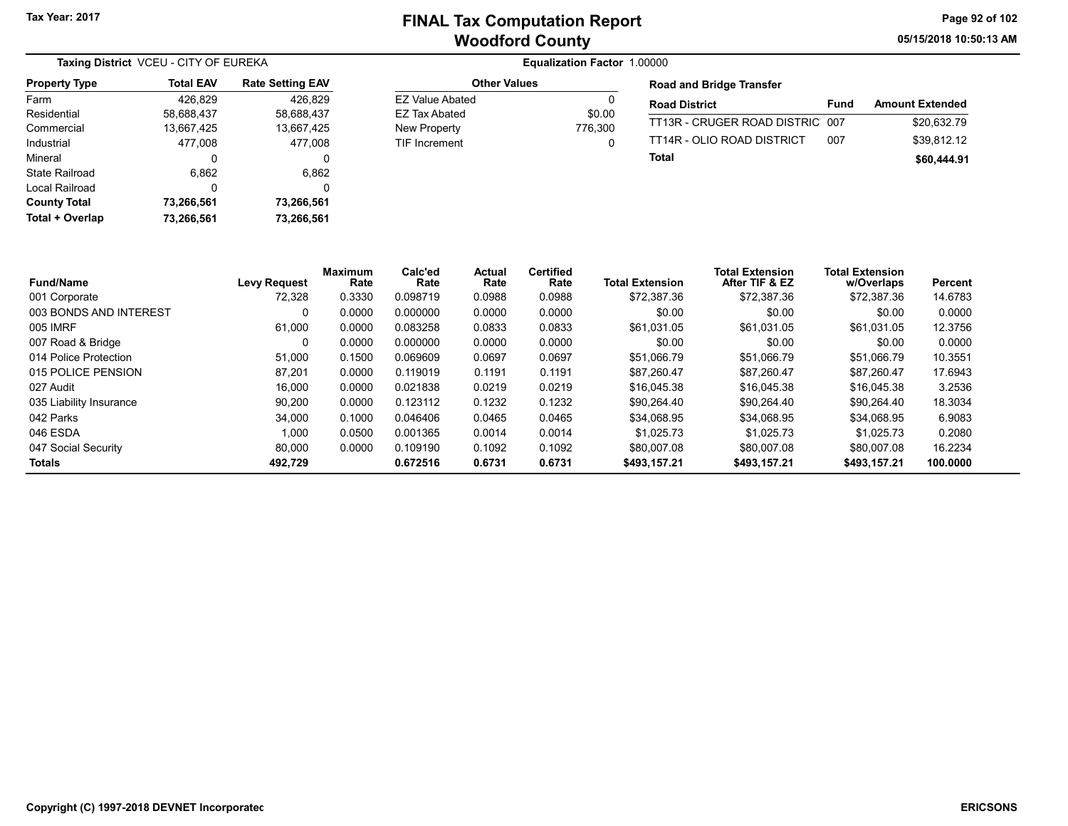05/15/2018 10:50:13 AM Page 92 of 102

| Taxing District VCEU - CITY OF EUREKA |                  |                         |  |  |  |
|---------------------------------------|------------------|-------------------------|--|--|--|
| <b>Property Type</b>                  | <b>Total EAV</b> | <b>Rate Setting EAV</b> |  |  |  |
| Farm                                  | 426,829          | 426,829                 |  |  |  |
| Residential                           | 58.688.437       | 58.688.437              |  |  |  |
| Commercial                            | 13,667,425       | 13,667,425              |  |  |  |
| Industrial                            | 477.008          | 477.008                 |  |  |  |
| Mineral                               | 0                | 0                       |  |  |  |
| State Railroad                        | 6,862            | 6,862                   |  |  |  |
| Local Railroad                        | 0                | 0                       |  |  |  |
| <b>County Total</b>                   | 73,266,561       | 73,266,561              |  |  |  |
| Total + Overlap                       | 73.266.561       | 73.266.561              |  |  |  |

#### Equalization Factor 1.00000

| <b>Other Values</b>    |         |  |  |  |  |  |
|------------------------|---------|--|--|--|--|--|
| <b>EZ Value Abated</b> | Ω       |  |  |  |  |  |
| EZ Tax Abated          | \$0.00  |  |  |  |  |  |
| New Property           | 776.300 |  |  |  |  |  |
| <b>TIF Increment</b>   | 0       |  |  |  |  |  |

#### Road and Bridge Transfer

| <b>Road District</b>            | Fund | <b>Amount Extended</b> |
|---------------------------------|------|------------------------|
| TT13R - CRUGER ROAD DISTRIC 007 |      | \$20.632.79            |
| TT14R - OLIO ROAD DISTRICT      | በበ7  | \$39.812.12            |
| Total                           |      | \$60,444.91            |

| <b>Fund/Name</b>        | <b>Levy Request</b> | <b>Maximum</b><br>Rate | Calc'ed<br>Rate | Actual<br>Rate | <b>Certified</b><br>Rate | <b>Total Extension</b> | <b>Total Extension</b><br>After TIF & EZ | <b>Total Extension</b><br>w/Overlaps | Percent  |
|-------------------------|---------------------|------------------------|-----------------|----------------|--------------------------|------------------------|------------------------------------------|--------------------------------------|----------|
| 001 Corporate           | 72.328              | 0.3330                 | 0.098719        | 0.0988         | 0.0988                   | \$72.387.36            | \$72.387.36                              | \$72,387.36                          | 14.6783  |
| 003 BONDS AND INTEREST  |                     | 0.0000                 | 0.000000        | 0.0000         | 0.0000                   | \$0.00                 | \$0.00                                   | \$0.00                               | 0.0000   |
| 005 IMRF                | 61.000              | 0.0000                 | 0.083258        | 0.0833         | 0.0833                   | \$61,031.05            | \$61.031.05                              | \$61.031.05                          | 12.3756  |
| 007 Road & Bridge       |                     | 0.0000                 | 0.000000        | 0.0000         | 0.0000                   | \$0.00                 | \$0.00                                   | \$0.00                               | 0.0000   |
| 014 Police Protection   | 51.000              | 0.1500                 | 0.069609        | 0.0697         | 0.0697                   | \$51.066.79            | \$51.066.79                              | \$51.066.79                          | 10.3551  |
| 015 POLICE PENSION      | 87.201              | 0.0000                 | 0.119019        | 0.1191         | 0.1191                   | \$87.260.47            | \$87.260.47                              | \$87.260.47                          | 17.6943  |
| 027 Audit               | 16.000              | 0.0000                 | 0.021838        | 0.0219         | 0.0219                   | \$16,045.38            | \$16.045.38                              | \$16,045.38                          | 3.2536   |
| 035 Liability Insurance | 90.200              | 0.0000                 | 0.123112        | 0.1232         | 0.1232                   | \$90.264.40            | \$90.264.40                              | \$90.264.40                          | 18.3034  |
| 042 Parks               | 34.000              | 0.1000                 | 0.046406        | 0.0465         | 0.0465                   | \$34.068.95            | \$34.068.95                              | \$34.068.95                          | 6.9083   |
| 046 ESDA                | 1,000               | 0.0500                 | 0.001365        | 0.0014         | 0.0014                   | \$1.025.73             | \$1.025.73                               | \$1.025.73                           | 0.2080   |
| 047 Social Security     | 80.000              | 0.0000                 | 0.109190        | 0.1092         | 0.1092                   | \$80,007.08            | \$80,007.08                              | \$80,007.08                          | 16.2234  |
| <b>Totals</b>           | 492.729             |                        | 0.672516        | 0.6731         | 0.6731                   | \$493.157.21           | \$493.157.21                             | \$493,157.21                         | 100.0000 |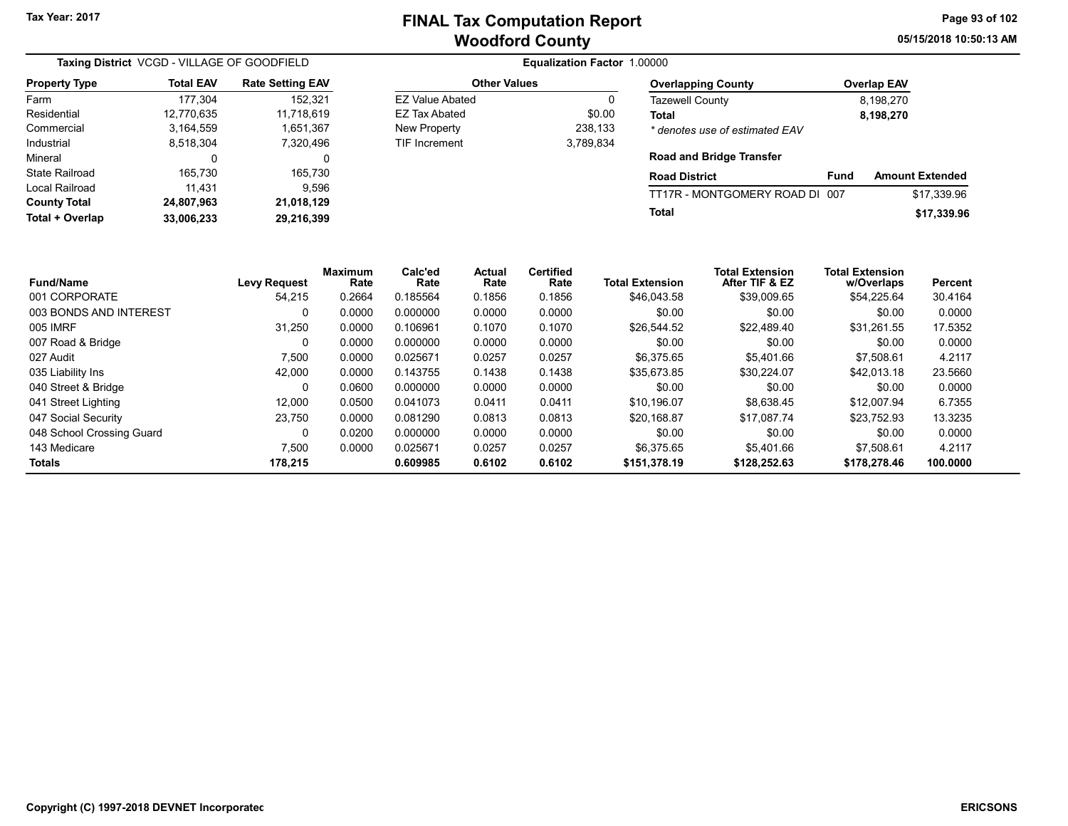05/15/2018 10:50:13 AM Page 93 of 102

| Taxing District VCGD - VILLAGE OF GOODFIELD |                  |                         |                        |                        |                       |                          | <b>Equalization Factor 1.00000</b> |                                          |                        |                    |                        |
|---------------------------------------------|------------------|-------------------------|------------------------|------------------------|-----------------------|--------------------------|------------------------------------|------------------------------------------|------------------------|--------------------|------------------------|
| <b>Property Type</b>                        | <b>Total EAV</b> | <b>Rate Setting EAV</b> |                        | <b>Other Values</b>    |                       |                          |                                    | <b>Overlapping County</b>                |                        | <b>Overlap EAV</b> |                        |
| Farm                                        | 177,304          | 152,321                 |                        | <b>EZ Value Abated</b> |                       |                          | 0                                  | Tazewell County                          |                        | 8,198,270          |                        |
| Residential                                 | 12,770,635       | 11,718,619              |                        | <b>EZ Tax Abated</b>   |                       |                          | \$0.00<br>Total                    |                                          |                        | 8,198,270          |                        |
| Commercial                                  | 3,164,559        | 1,651,367               |                        | New Property           |                       |                          | 238,133                            | * denotes use of estimated EAV           |                        |                    |                        |
| Industrial                                  | 8,518,304        | 7,320,496               |                        | <b>TIF Increment</b>   |                       |                          | 3,789,834                          |                                          |                        |                    |                        |
| Mineral                                     | 0                |                         | 0                      |                        |                       |                          |                                    | <b>Road and Bridge Transfer</b>          |                        |                    |                        |
| <b>State Railroad</b>                       | 165,730          | 165,730                 |                        |                        |                       |                          |                                    | <b>Road District</b>                     | Fund                   |                    | <b>Amount Extended</b> |
| Local Railroad                              | 11,431           |                         | 9,596                  |                        |                       |                          |                                    | TT17R - MONTGOMERY ROAD DI 007           |                        |                    | \$17,339.96            |
| <b>County Total</b>                         | 24,807,963       | 21,018,129              |                        |                        |                       |                          | Total                              |                                          |                        |                    |                        |
| Total + Overlap                             | 33,006,233       | 29,216,399              |                        |                        |                       |                          |                                    |                                          |                        |                    | \$17,339.96            |
| <b>Fund/Name</b>                            |                  | <b>Levy Request</b>     | <b>Maximum</b><br>Rate | Calc'ed<br>Rate        | <b>Actual</b><br>Rate | <b>Certified</b><br>Rate | <b>Total Extension</b>             | <b>Total Extension</b><br>After TIF & EZ | <b>Total Extension</b> | w/Overlaps         | <b>Percent</b>         |
| 001 CORPORATE                               |                  | 54,215                  | 0.2664                 | 0.185564               | 0.1856                | 0.1856                   | \$46,043.58                        | \$39,009.65                              |                        | \$54,225.64        | 30.4164                |
| 003 BONDS AND INTEREST                      |                  | 0                       | 0.0000                 | 0.000000               | 0.0000                | 0.0000                   | \$0.00                             | \$0.00                                   |                        | \$0.00             | 0.0000                 |
| 005 IMRF                                    |                  | 31,250                  | 0.0000                 | 0.106961               | 0.1070                | 0.1070                   | \$26,544.52                        | \$22,489.40                              |                        | \$31,261.55        | 17.5352                |
| 007 Road & Bridge                           |                  | 0                       | 0.0000                 | 0.000000               | 0.0000                | 0.0000                   | \$0.00                             | \$0.00                                   |                        | \$0.00             | 0.0000                 |
| 027 Audit                                   |                  | 7,500                   | 0.0000                 | 0.025671               | 0.0257                | 0.0257                   | \$6,375.65                         | \$5,401.66                               |                        | \$7,508.61         | 4.2117                 |
| 035 Liability Ins                           |                  | 42,000                  | 0.0000                 | 0.143755               | 0.1438                | 0.1438                   | \$35,673.85                        | \$30,224.07                              |                        | \$42,013.18        | 23.5660                |

040 Street & Bridge COMPUTER COMPUTER COMPUTER ON COLOCOL COMPUTER ON COODO 0.0000 0.0000 \$0.000 \$0.00 0.0000 0<br>Details and the computer of the contract of the contract of the contract of the contract of the contract of th 041 Street Lighting 12,000 0.0500 0.041073 0.0411 \$10,196.07 \$8,638.45 \$12,007.94 6.7355 047 Social Security 23,750 0.0000 0.081290 0.0813 \$20,168.87 \$17,087.74 \$23,752.93 13.3235 048 School Crossing Guard **0 0.0200** 0.0200 0.000000 0.0000 0.0000 \$0.00 \$0.00 \$0.00 \$0.00 \$0.00 0.0000 143 Medicare 7,500 0.0000 0.025671 0.0257 0.0257 \$6,375.65 \$5,401.66 \$7,508.61 4.2117 Totals 178,215 0.609985 0.6102 0.6102 \$151,378.19 \$128,252.63 \$178,278.46 100.0000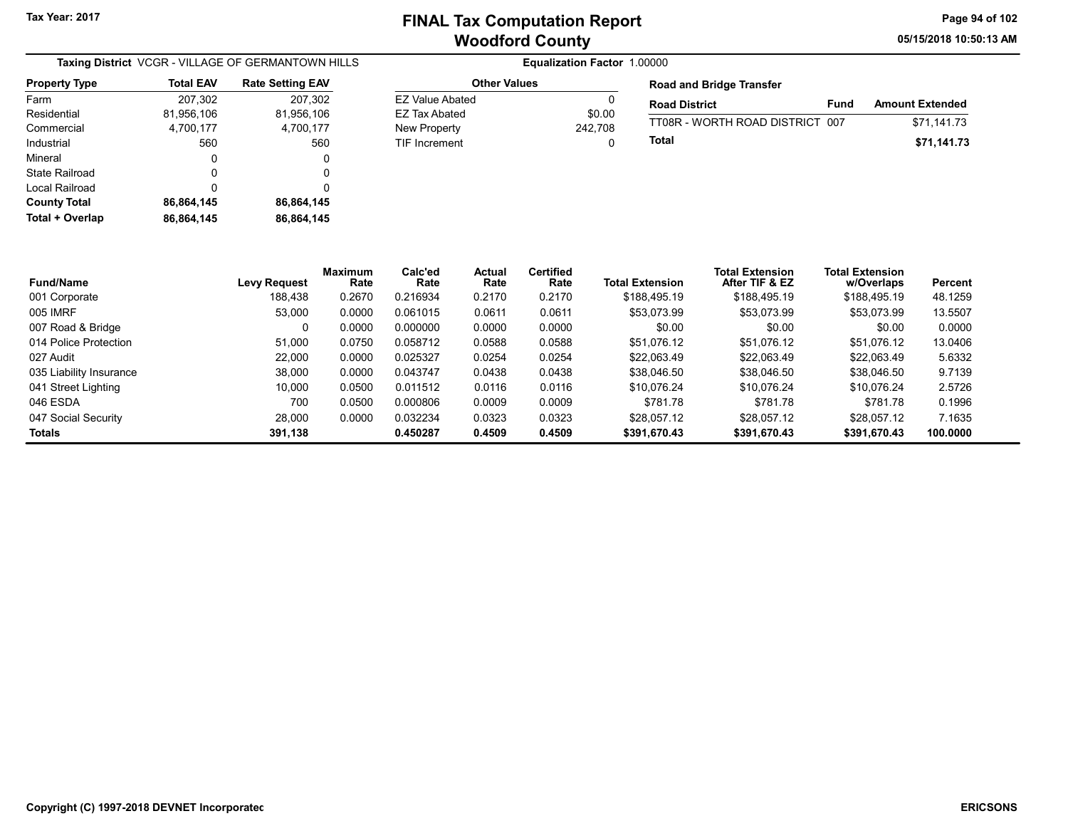Other Values EZ Value Abated 0 EZ Tax Abated \$0.00 New Property 242,708 TIF Increment 0 05/15/2018 10:50:13 AM Page 94 of 102

| <b>Taxing District</b> VCGR - VILLAGE OF GERMANTOWN HILLS |            |                         |  |  |
|-----------------------------------------------------------|------------|-------------------------|--|--|
| <b>Property Type</b>                                      | Total EAV  | <b>Rate Setting EAV</b> |  |  |
| Farm                                                      | 207,302    | 207,302                 |  |  |
| Residential                                               | 81,956,106 | 81,956,106              |  |  |
| Commercial                                                | 4,700,177  | 4,700,177               |  |  |
| Industrial                                                | 560        | 560                     |  |  |
| Mineral                                                   | 0          | 0                       |  |  |
| <b>State Railroad</b>                                     | 0          | 0                       |  |  |
| Local Railroad                                            | 0          | 0                       |  |  |
| <b>County Total</b>                                       | 86,864,145 | 86,864,145              |  |  |
| Total + Overlap                                           | 86,864,145 | 86.864.145              |  |  |

| <b>Road and Bridge Transfer</b> |      |                        |  |  |  |  |
|---------------------------------|------|------------------------|--|--|--|--|
| <b>Road District</b>            | Fund | <b>Amount Extended</b> |  |  |  |  |
| TT08R - WORTH ROAD DISTRICT 007 |      | \$71,141.73            |  |  |  |  |
| Total                           |      | \$71,141.73            |  |  |  |  |

| <b>Fund/Name</b>        | <b>Levy Request</b> | <b>Maximum</b><br>Rate | Calc'ed<br>Rate | <b>Actual</b><br>Rate | <b>Certified</b><br>Rate | <b>Total Extension</b> | <b>Total Extension</b><br>After TIF & EZ | <b>Total Extension</b><br>w/Overlaps | Percent  |
|-------------------------|---------------------|------------------------|-----------------|-----------------------|--------------------------|------------------------|------------------------------------------|--------------------------------------|----------|
| 001 Corporate           | 188.438             | 0.2670                 | 0.216934        | 0.2170                | 0.2170                   | \$188,495.19           | \$188,495.19                             | \$188,495.19                         | 48.1259  |
| 005 IMRF                | 53.000              | 0.0000                 | 0.061015        | 0.0611                | 0.0611                   | \$53.073.99            | \$53,073.99                              | \$53.073.99                          | 13.5507  |
| 007 Road & Bridge       | 0                   | 0.0000                 | 0.000000        | 0.0000                | 0.0000                   | \$0.00                 | \$0.00                                   | \$0.00                               | 0.0000   |
| 014 Police Protection   | 51.000              | 0.0750                 | 0.058712        | 0.0588                | 0.0588                   | \$51.076.12            | \$51.076.12                              | \$51.076.12                          | 13.0406  |
| 027 Audit               | 22.000              | 0.0000                 | 0.025327        | 0.0254                | 0.0254                   | \$22,063.49            | \$22.063.49                              | \$22.063.49                          | 5.6332   |
| 035 Liability Insurance | 38.000              | 0.0000                 | 0.043747        | 0.0438                | 0.0438                   | \$38,046.50            | \$38,046.50                              | \$38,046.50                          | 9.7139   |
| 041 Street Lighting     | 10.000              | 0.0500                 | 0.011512        | 0.0116                | 0.0116                   | \$10.076.24            | \$10.076.24                              | \$10.076.24                          | 2.5726   |
| 046 ESDA                | 700                 | 0.0500                 | 0.000806        | 0.0009                | 0.0009                   | \$781.78               | \$781.78                                 | \$781.78                             | 0.1996   |
| 047 Social Security     | 28.000              | 0.0000                 | 0.032234        | 0.0323                | 0.0323                   | \$28.057.12            | \$28.057.12                              | \$28.057.12                          | 7.1635   |
| Totals                  | 391.138             |                        | 0.450287        | 0.4509                | 0.4509                   | \$391.670.43           | \$391,670.43                             | \$391.670.43                         | 100.0000 |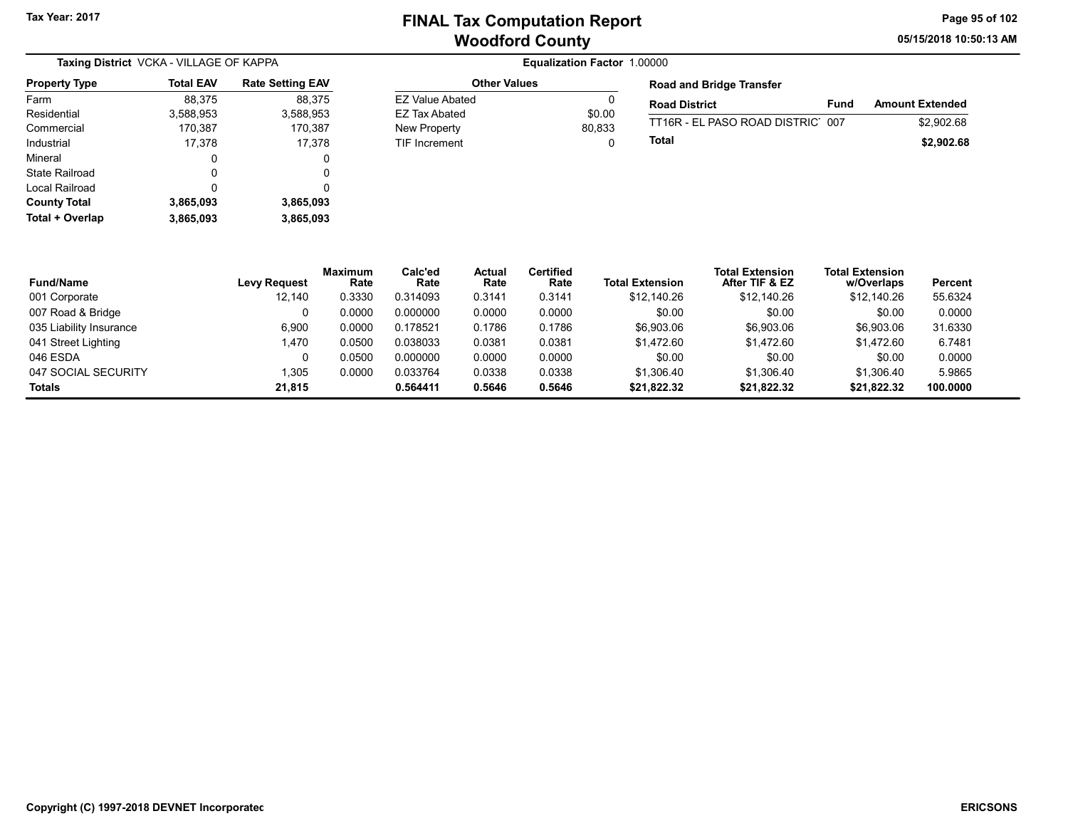05/15/2018 10:50:13 AM Page 95 of 102

|                      | Taxing District VCKA - VILLAGE OF KAPPA |                         |  |  |  |  |  |
|----------------------|-----------------------------------------|-------------------------|--|--|--|--|--|
| <b>Property Type</b> | <b>Total EAV</b>                        | <b>Rate Setting EAV</b> |  |  |  |  |  |
| Farm                 | 88,375                                  | 88,375                  |  |  |  |  |  |
| Residential          | 3,588,953                               | 3,588,953               |  |  |  |  |  |
| Commercial           | 170,387                                 | 170,387                 |  |  |  |  |  |
| Industrial           | 17,378                                  | 17,378                  |  |  |  |  |  |
| Mineral              | 0                                       | 0                       |  |  |  |  |  |
| State Railroad       | Ω                                       | 0                       |  |  |  |  |  |
| Local Railroad       | O                                       | 0                       |  |  |  |  |  |
| <b>County Total</b>  | 3,865,093                               | 3,865,093               |  |  |  |  |  |
| Total + Overlap      | 3,865,093                               | 3,865,093               |  |  |  |  |  |

#### Equalization Factor 1.00000 Other Values EZ Value Abated 0

EZ Tax Abated \$0.00 New Property 80,833 TIF Increment 0

| <b>Road and Bridge Transfer</b>  |      |                        |  |  |  |  |  |
|----------------------------------|------|------------------------|--|--|--|--|--|
| <b>Road District</b>             | Fund | <b>Amount Extended</b> |  |  |  |  |  |
| TT16R - EL PASO ROAD DISTRIC 007 |      | \$2,902.68             |  |  |  |  |  |
| Total                            |      | \$2,902.68             |  |  |  |  |  |

| <b>Fund/Name</b>        | <b>Levy Request</b> | <b>Maximum</b><br>Rate | Calc'ed<br>Rate | Actual<br>Rate | <b>Certified</b><br>Rate | <b>Total Extension</b> | <b>Total Extension</b><br>After TIF & EZ | <b>Total Extension</b><br>w/Overlaps | Percent  |
|-------------------------|---------------------|------------------------|-----------------|----------------|--------------------------|------------------------|------------------------------------------|--------------------------------------|----------|
| 001 Corporate           | 12.140              | 0.3330                 | 0.314093        | 0.3141         | 0.3141                   | \$12,140.26            | \$12.140.26                              | \$12,140.26                          | 55.6324  |
| 007 Road & Bridge       |                     | 0.0000                 | 0.000000        | 0.0000         | 0.0000                   | \$0.00                 | \$0.00                                   | \$0.00                               | 0.0000   |
| 035 Liability Insurance | 6,900               | 0.0000                 | 0.178521        | 0.1786         | 0.1786                   | \$6,903.06             | \$6,903.06                               | \$6,903.06                           | 31.6330  |
| 041 Street Lighting     | 1,470               | 0.0500                 | 0.038033        | 0.0381         | 0.0381                   | \$1.472.60             | \$1.472.60                               | \$1.472.60                           | 6.7481   |
| 046 ESDA                |                     | 0.0500                 | 0.000000        | 0.0000         | 0.0000                   | \$0.00                 | \$0.00                                   | \$0.00                               | 0.0000   |
| 047 SOCIAL SECURITY     | 1.305               | 0.0000                 | 0.033764        | 0.0338         | 0.0338                   | \$1.306.40             | \$1.306.40                               | \$1.306.40                           | 5.9865   |
| Totals                  | 21.815              |                        | 0.564411        | 0.5646         | 0.5646                   | \$21,822.32            | \$21,822.32                              | \$21,822.32                          | 100.0000 |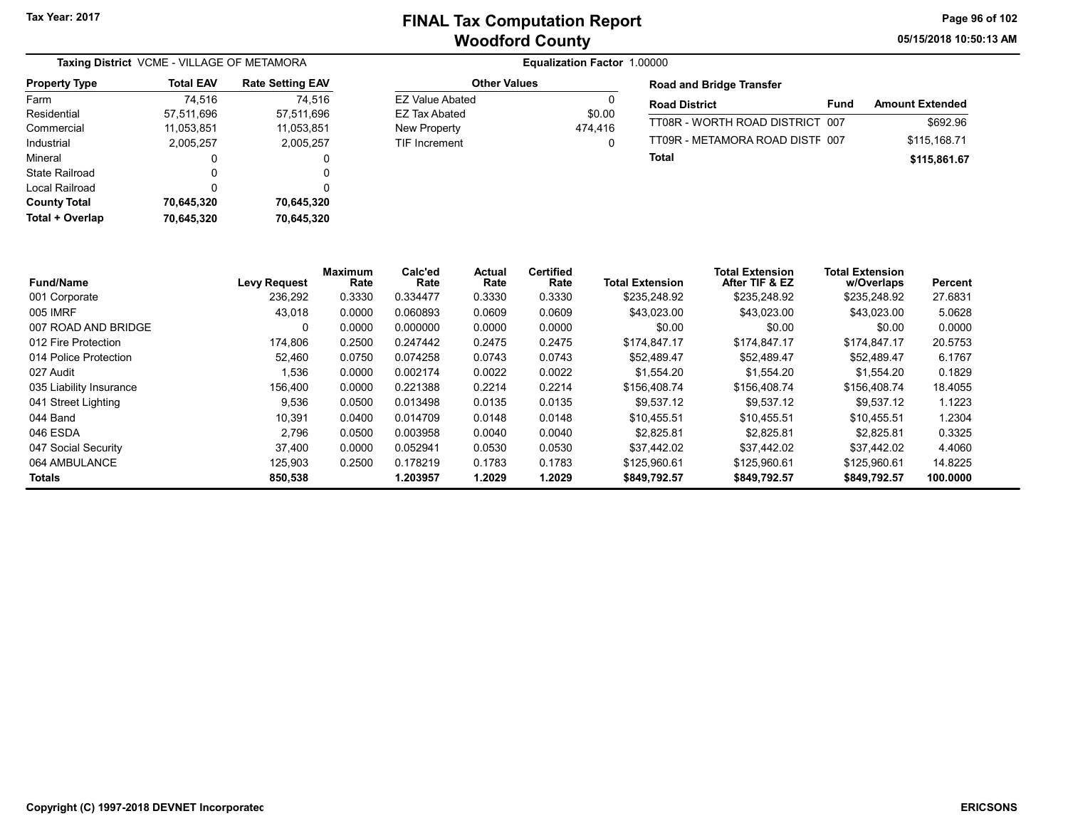05/15/2018 10:50:13 AM Page 96 of 102

| Taxing District VCME - VILLAGE OF METAMORA |                  |                         |  |  |  |
|--------------------------------------------|------------------|-------------------------|--|--|--|
| <b>Property Type</b>                       | <b>Total EAV</b> | <b>Rate Setting EAV</b> |  |  |  |
| Farm                                       | 74,516           | 74,516                  |  |  |  |
| Residential                                | 57,511,696       | 57,511,696              |  |  |  |
| Commercial                                 | 11,053,851       | 11,053,851              |  |  |  |
| Industrial                                 | 2,005,257        | 2,005,257               |  |  |  |
| Mineral                                    | 0                | 0                       |  |  |  |
| State Railroad                             | Ω                | 0                       |  |  |  |
| Local Railroad                             | 0                | 0                       |  |  |  |
| <b>County Total</b>                        | 70,645,320       | 70,645,320              |  |  |  |
| Total + Overlap                            | 70,645,320       | 70,645,320              |  |  |  |

#### Equalization Factor 1.00000

| <b>Other Values</b> |         |
|---------------------|---------|
| F7 Value Abated     | n       |
| FZ Tax Abated       | \$0.00  |
| <b>New Property</b> | 474.416 |
| TIF Increment       |         |

#### Road and Bridge Transfer

| <b>Road District</b>            | <b>Fund</b> | <b>Amount Extended</b> |
|---------------------------------|-------------|------------------------|
| TT08R - WORTH ROAD DISTRICT 007 |             | \$692.96               |
| TT09R - METAMORA ROAD DISTE 007 |             | \$115.168.71           |
| Total                           |             | \$115,861.67           |

| <b>Fund/Name</b>        | <b>Levy Request</b> | <b>Maximum</b><br>Rate | Calc'ed<br>Rate | Actual<br>Rate | <b>Certified</b><br>Rate | <b>Total Extension</b> | <b>Total Extension</b><br>After TIF & EZ | <b>Total Extension</b><br>w/Overlaps | Percent  |
|-------------------------|---------------------|------------------------|-----------------|----------------|--------------------------|------------------------|------------------------------------------|--------------------------------------|----------|
| 001 Corporate           | 236.292             | 0.3330                 | 0.334477        | 0.3330         | 0.3330                   | \$235.248.92           | \$235,248.92                             | \$235,248.92                         | 27.6831  |
| 005 IMRF                | 43.018              | 0.0000                 | 0.060893        | 0.0609         | 0.0609                   | \$43.023.00            | \$43,023.00                              | \$43,023.00                          | 5.0628   |
| 007 ROAD AND BRIDGE     | 0                   | 0.0000                 | 0.000000        | 0.0000         | 0.0000                   | \$0.00                 | \$0.00                                   | \$0.00                               | 0.0000   |
| 012 Fire Protection     | 174.806             | 0.2500                 | 0.247442        | 0.2475         | 0.2475                   | \$174.847.17           | \$174.847.17                             | \$174.847.17                         | 20.5753  |
| 014 Police Protection   | 52.460              | 0.0750                 | 0.074258        | 0.0743         | 0.0743                   | \$52.489.47            | \$52.489.47                              | \$52.489.47                          | 6.1767   |
| 027 Audit               | 536. ا              | 0.0000                 | 0.002174        | 0.0022         | 0.0022                   | \$1,554.20             | \$1,554.20                               | \$1.554.20                           | 0.1829   |
| 035 Liability Insurance | 156,400             | 0.0000                 | 0.221388        | 0.2214         | 0.2214                   | \$156,408.74           | \$156,408.74                             | \$156,408.74                         | 18.4055  |
| 041 Street Lighting     | 9,536               | 0.0500                 | 0.013498        | 0.0135         | 0.0135                   | \$9.537.12             | \$9.537.12                               | \$9.537.12                           | 1.1223   |
| 044 Band                | 10,391              | 0.0400                 | 0.014709        | 0.0148         | 0.0148                   | \$10.455.51            | \$10.455.51                              | \$10,455.51                          | 1.2304   |
| 046 ESDA                | 2.796               | 0.0500                 | 0.003958        | 0.0040         | 0.0040                   | \$2.825.81             | \$2.825.81                               | \$2.825.81                           | 0.3325   |
| 047 Social Security     | 37.400              | 0.0000                 | 0.052941        | 0.0530         | 0.0530                   | \$37.442.02            | \$37.442.02                              | \$37.442.02                          | 4.4060   |
| 064 AMBULANCE           | 125.903             | 0.2500                 | 0.178219        | 0.1783         | 0.1783                   | \$125,960.61           | \$125,960.61                             | \$125.960.61                         | 14.8225  |
| <b>Totals</b>           | 850,538             |                        | 1.203957        | 1.2029         | 1.2029                   | \$849,792.57           | \$849,792.57                             | \$849,792.57                         | 100.0000 |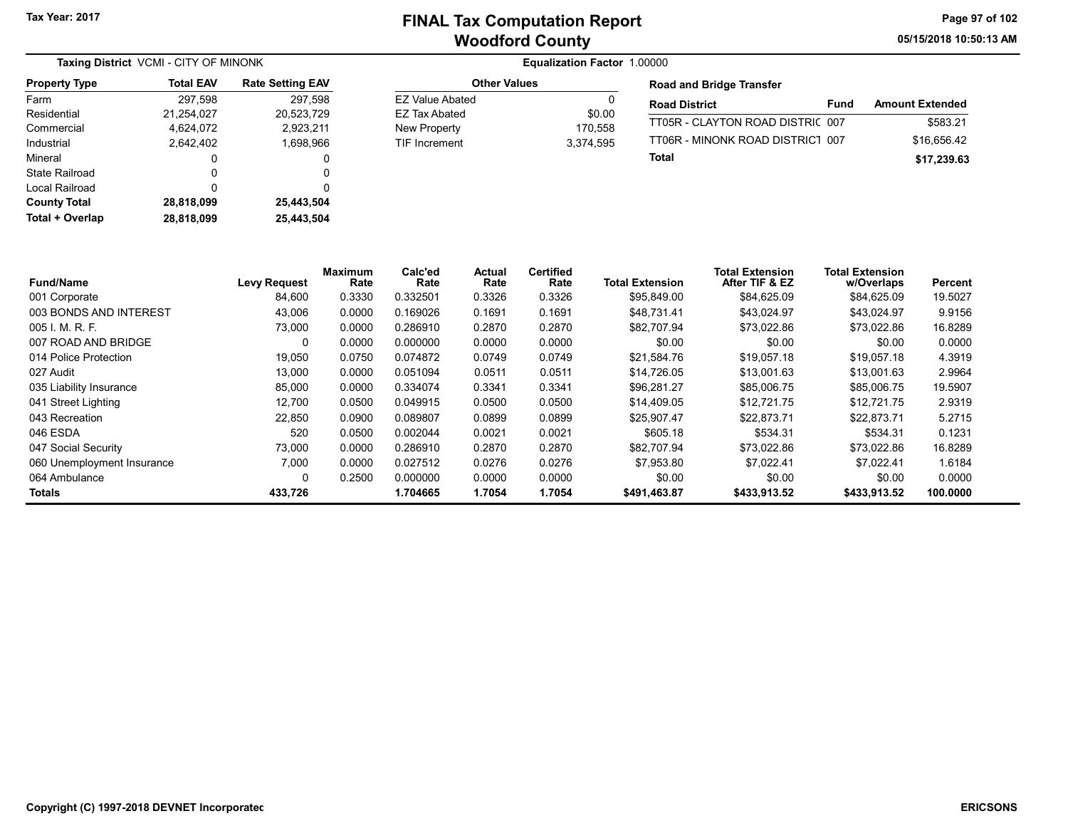05/15/2018 10:50:13 AM Page 97 of 102

| Taxing District VCMI - CITY OF MINONK |                  |                         |  |  |  |  |  |
|---------------------------------------|------------------|-------------------------|--|--|--|--|--|
| <b>Property Type</b>                  | <b>Total EAV</b> | <b>Rate Setting EAV</b> |  |  |  |  |  |
| Farm                                  | 297,598          | 297,598                 |  |  |  |  |  |
| Residential                           | 21,254,027       | 20,523,729              |  |  |  |  |  |
| Commercial                            | 4,624,072        | 2,923,211               |  |  |  |  |  |
| Industrial                            | 2.642.402        | 1,698,966               |  |  |  |  |  |
| Mineral                               | 0                | 0                       |  |  |  |  |  |
| State Railroad                        | 0                | 0                       |  |  |  |  |  |
| Local Railroad                        | 0                | 0                       |  |  |  |  |  |
| <b>County Total</b>                   | 28,818,099       | 25,443,504              |  |  |  |  |  |
| Total + Overlap                       | 28.818.099       | 25.443.504              |  |  |  |  |  |

| <b>Other Values</b>                                   |                                | <b>Road and Bridge Transfer</b>                  |
|-------------------------------------------------------|--------------------------------|--------------------------------------------------|
| <b>EZ Value Abated</b>                                | 0                              | <b>Road District</b>                             |
| EZ Tax Abated<br>New Property<br><b>TIF Increment</b> | \$0.00<br>170.558<br>3.374.595 | TT05R - CLAYTON ROAD D<br>TT06R - MINONK ROAD DI |
|                                                       |                                | Total                                            |

| <b>Road District</b>             | Fund | <b>Amount Extended</b> |
|----------------------------------|------|------------------------|
| TT05R - CLAYTON ROAD DISTRIC 007 |      | \$583.21               |
| TT06R - MINONK ROAD DISTRICT 007 |      | \$16.656.42            |
| Total                            |      | \$17,239.63            |

| <b>Fund/Name</b>           | <b>Levy Request</b> | Maximum<br>Rate | Calc'ed<br>Rate | Actual<br>Rate | <b>Certified</b><br>Rate | <b>Total Extension</b> | <b>Total Extension</b><br>After TIF & EZ | <b>Total Extension</b><br>w/Overlaps | <b>Percent</b> |
|----------------------------|---------------------|-----------------|-----------------|----------------|--------------------------|------------------------|------------------------------------------|--------------------------------------|----------------|
| 001 Corporate              | 84,600              | 0.3330          | 0.332501        | 0.3326         | 0.3326                   | \$95,849.00            | \$84,625.09                              | \$84,625.09                          | 19.5027        |
| 003 BONDS AND INTEREST     | 43,006              | 0.0000          | 0.169026        | 0.1691         | 0.1691                   | \$48.731.41            | \$43,024.97                              | \$43,024.97                          | 9.9156         |
| 005 I. M. R. F.            | 73,000              | 0.0000          | 0.286910        | 0.2870         | 0.2870                   | \$82,707.94            | \$73,022.86                              | \$73,022.86                          | 16.8289        |
| 007 ROAD AND BRIDGE        | 0                   | 0.0000          | 0.000000        | 0.0000         | 0.0000                   | \$0.00                 | \$0.00                                   | \$0.00                               | 0.0000         |
| 014 Police Protection      | 19,050              | 0.0750          | 0.074872        | 0.0749         | 0.0749                   | \$21.584.76            | \$19.057.18                              | \$19,057.18                          | 4.3919         |
| 027 Audit                  | 13,000              | 0.0000          | 0.051094        | 0.0511         | 0.0511                   | \$14,726.05            | \$13,001.63                              | \$13,001.63                          | 2.9964         |
| 035 Liability Insurance    | 85.000              | 0.0000          | 0.334074        | 0.3341         | 0.3341                   | \$96.281.27            | \$85,006.75                              | \$85,006.75                          | 19.5907        |
| 041 Street Lighting        | 12,700              | 0.0500          | 0.049915        | 0.0500         | 0.0500                   | \$14,409.05            | \$12,721.75                              | \$12.721.75                          | 2.9319         |
| 043 Recreation             | 22.850              | 0.0900          | 0.089807        | 0.0899         | 0.0899                   | \$25.907.47            | \$22.873.71                              | \$22.873.71                          | 5.2715         |
| 046 ESDA                   | 520                 | 0.0500          | 0.002044        | 0.0021         | 0.0021                   | \$605.18               | \$534.31                                 | \$534.31                             | 0.1231         |
| 047 Social Security        | 73,000              | 0.0000          | 0.286910        | 0.2870         | 0.2870                   | \$82,707.94            | \$73,022.86                              | \$73,022.86                          | 16.8289        |
| 060 Unemployment Insurance | 7,000               | 0.0000          | 0.027512        | 0.0276         | 0.0276                   | \$7.953.80             | \$7.022.41                               | \$7.022.41                           | 1.6184         |
| 064 Ambulance              | 0                   | 0.2500          | 0.000000        | 0.0000         | 0.0000                   | \$0.00                 | \$0.00                                   | \$0.00                               | 0.0000         |
| Totals                     | 433.726             |                 | 1.704665        | 1.7054         | 1.7054                   | \$491,463.87           | \$433.913.52                             | \$433.913.52                         | 100.0000       |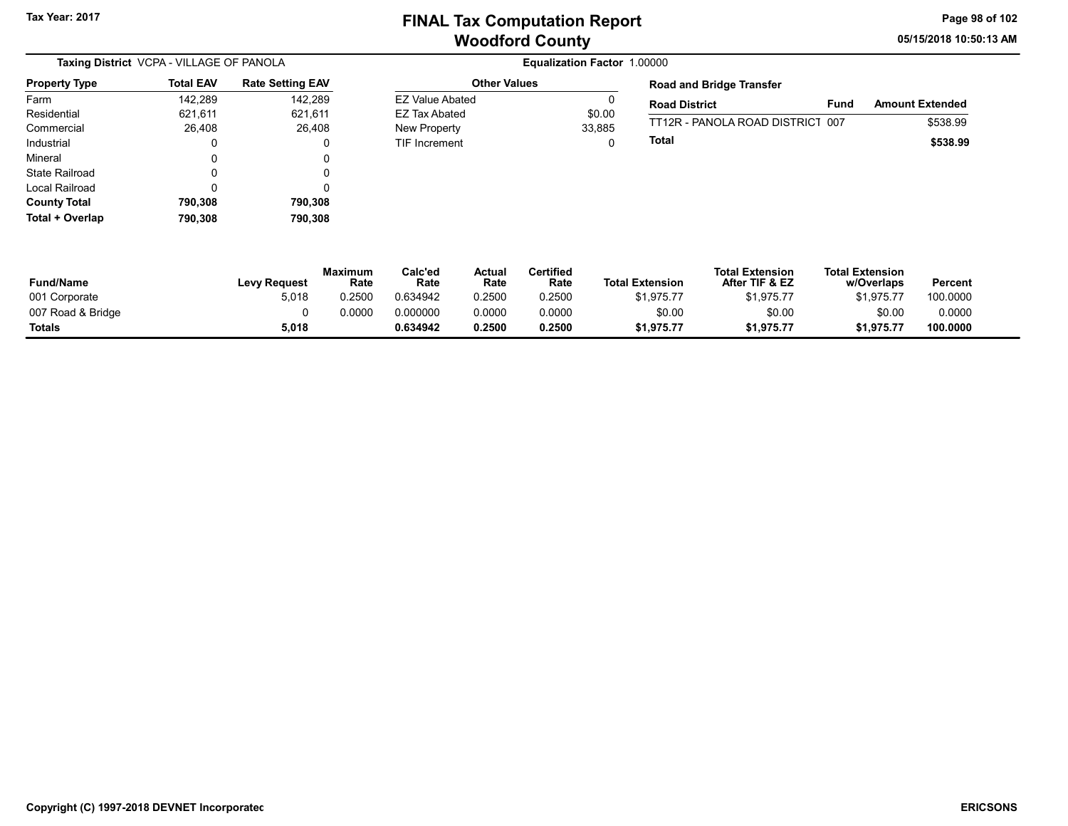05/15/2018 10:50:13 AM Page 98 of 102

| Taxing District VCPA - VILLAGE OF PANOLA |                  |                         |  |  |  |  |  |
|------------------------------------------|------------------|-------------------------|--|--|--|--|--|
| <b>Property Type</b>                     | <b>Total EAV</b> | <b>Rate Setting EAV</b> |  |  |  |  |  |
| Farm                                     | 142,289          | 142,289                 |  |  |  |  |  |
| Residential                              | 621,611          | 621,611                 |  |  |  |  |  |
| Commercial                               | 26,408           | 26,408                  |  |  |  |  |  |
| Industrial                               | 0                | 0                       |  |  |  |  |  |
| Mineral                                  | 0                | 0                       |  |  |  |  |  |
| State Railroad                           | 0                | 0                       |  |  |  |  |  |
| Local Railroad                           | ŋ                | 0                       |  |  |  |  |  |
| <b>County Total</b>                      | 790,308          | 790,308                 |  |  |  |  |  |
| Total + Overlap                          | 790,308          | 790,308                 |  |  |  |  |  |

Equalization Factor 1.00000 Other Values EZ Value Abated 0

EZ Tax Abated \$0.00 New Property 33,885 TIF Increment 0 Road and Bridge Transfer

| <b>Road District</b>             | Fund | <b>Amount Extended</b> |
|----------------------------------|------|------------------------|
| TT12R - PANOLA ROAD DISTRICT 007 |      | \$538.99               |
| Total                            |      | \$538.99               |

| <b>Fund/Name</b>  | <b>Levy Request</b> | <b>Maximum</b><br>Rate | Calc'ed<br>Rate | Actual<br>Rate | Certified<br>Rate | <b>Total Extension</b> | <b>Total Extension</b><br>After TIF & EZ | <b>Total Extension</b><br>w/Overlaps | Percent  |
|-------------------|---------------------|------------------------|-----------------|----------------|-------------------|------------------------|------------------------------------------|--------------------------------------|----------|
| 001 Corporate     | 5,018               | 0.2500                 | 0.634942        | 0.2500         | 0.2500            | \$1,975.77             | \$1,975.77                               | \$1.975.77                           | 100.0000 |
| 007 Road & Bridge |                     | 0.0000                 | 0.000000        | 0.0000         | 0.0000            | \$0.00                 | \$0.00                                   | \$0.00                               | 0.0000   |
| <b>Totals</b>     | 5,018               |                        | 0.634942        | 0.2500         | 0.2500            | \$1,975.77             | \$1,975.77                               | \$1,975.77                           | 100.0000 |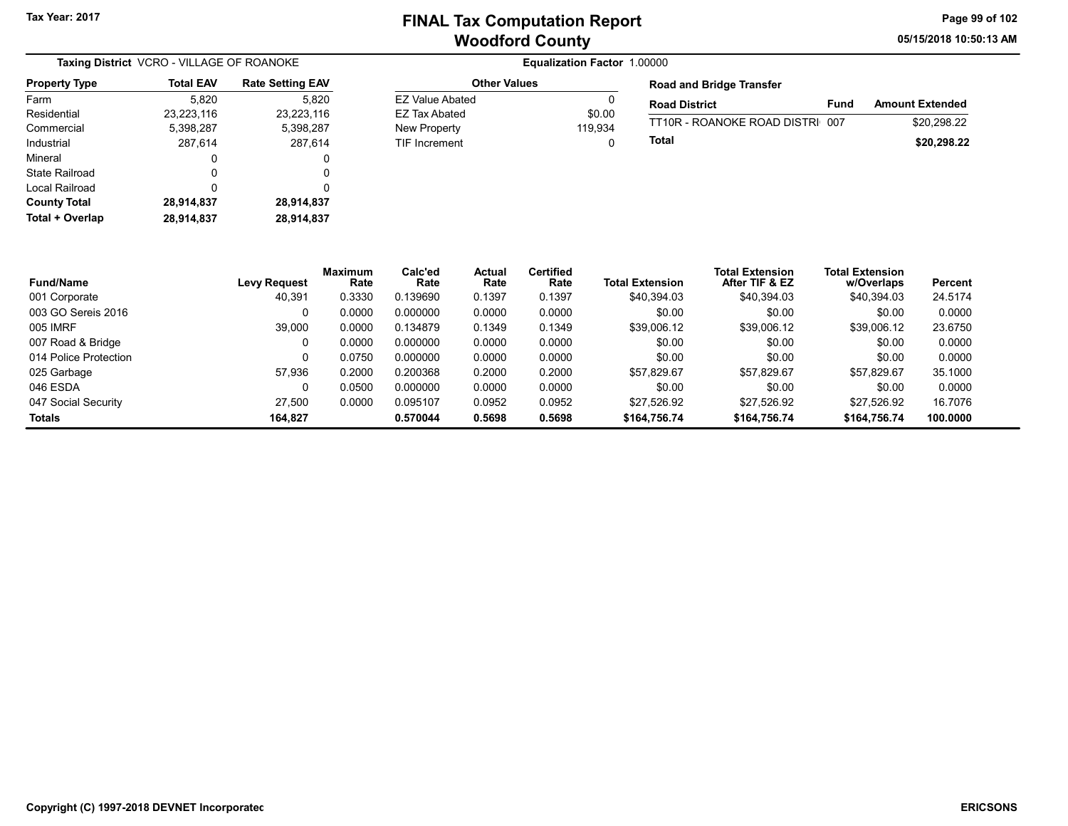Other Values EZ Value Abated 0 EZ Tax Abated \$0.00 New Property 119,934 TIF Increment 0 05/15/2018 10:50:13 AM Page 99 of 102

| Taxing District VCRO - VILLAGE OF ROANOKE |                  |                         |  |  |  |  |
|-------------------------------------------|------------------|-------------------------|--|--|--|--|
| <b>Property Type</b>                      | <b>Total EAV</b> | <b>Rate Setting EAV</b> |  |  |  |  |
| Farm                                      | 5,820            | 5,820                   |  |  |  |  |
| Residential                               | 23,223,116       | 23,223,116              |  |  |  |  |
| Commercial                                | 5,398,287        | 5,398,287               |  |  |  |  |
| Industrial                                | 287,614          | 287,614                 |  |  |  |  |
| Mineral                                   | 0                | 0                       |  |  |  |  |
| State Railroad                            | 0                | 0                       |  |  |  |  |
| Local Railroad                            | 0                | 0                       |  |  |  |  |
| <b>County Total</b>                       | 28,914,837       | 28,914,837              |  |  |  |  |
| Total + Overlap                           | 28,914,837       | 28,914,837              |  |  |  |  |

| <b>Road and Bridge Transfer</b> |      |                        |
|---------------------------------|------|------------------------|
| <b>Road District</b>            | Fund | <b>Amount Extended</b> |
| TT10R - ROANOKE ROAD DISTRI 007 |      | \$20.298.22            |
| Total                           |      | \$20,298.22            |

| <b>Fund/Name</b>      | Levy Request | <b>Maximum</b><br>Rate | Calc'ed<br>Rate | Actual<br>Rate | <b>Certified</b><br>Rate | <b>Total Extension</b> | <b>Total Extension</b><br>After TIF & EZ | <b>Total Extension</b><br>w/Overlaps | Percent  |
|-----------------------|--------------|------------------------|-----------------|----------------|--------------------------|------------------------|------------------------------------------|--------------------------------------|----------|
| 001 Corporate         | 40.391       | 0.3330                 | 0.139690        | 0.1397         | 0.1397                   | \$40.394.03            | \$40,394.03                              | \$40,394.03                          | 24.5174  |
| 003 GO Sereis 2016    |              | 0.0000                 | 0.000000        | 0.0000         | 0.0000                   | \$0.00                 | \$0.00                                   | \$0.00                               | 0.0000   |
| 005 IMRF              | 39,000       | 0.0000                 | 0.134879        | 0.1349         | 0.1349                   | \$39,006.12            | \$39,006.12                              | \$39,006.12                          | 23.6750  |
| 007 Road & Bridge     |              | 0.0000                 | 0.000000        | 0.0000         | 0.0000                   | \$0.00                 | \$0.00                                   | \$0.00                               | 0.0000   |
| 014 Police Protection |              | 0.0750                 | 0.000000        | 0.0000         | 0.0000                   | \$0.00                 | \$0.00                                   | \$0.00                               | 0.0000   |
| 025 Garbage           | 57.936       | 0.2000                 | 0.200368        | 0.2000         | 0.2000                   | \$57.829.67            | \$57.829.67                              | \$57,829.67                          | 35.1000  |
| 046 ESDA              |              | 0.0500                 | 0.000000        | 0.0000         | 0.0000                   | \$0.00                 | \$0.00                                   | \$0.00                               | 0.0000   |
| 047 Social Security   | 27.500       | 0.0000                 | 0.095107        | 0.0952         | 0.0952                   | \$27.526.92            | \$27.526.92                              | \$27.526.92                          | 16.7076  |
| <b>Totals</b>         | 164.827      |                        | 0.570044        | 0.5698         | 0.5698                   | \$164,756.74           | \$164,756.74                             | \$164,756.74                         | 100.0000 |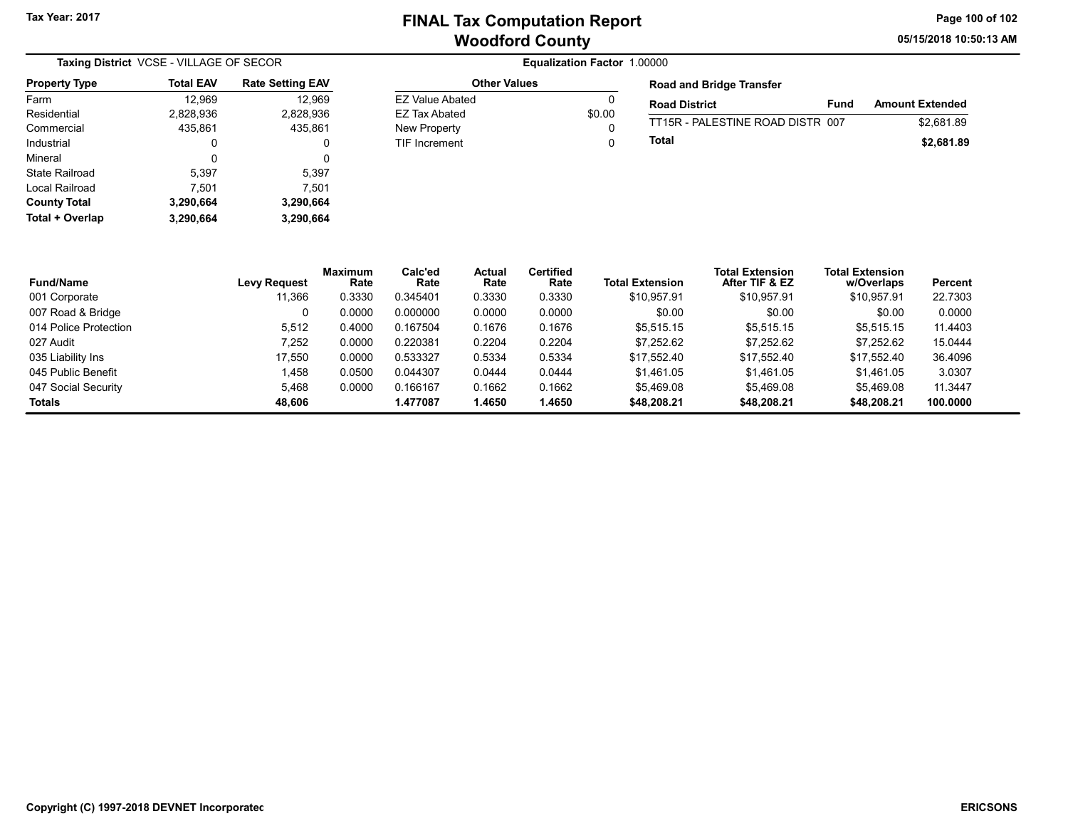05/15/2018 10:50:13 AM Page 100 of 102

| Taxing District VCSE - VILLAGE OF SECOR |           |                         |  |  |  |
|-----------------------------------------|-----------|-------------------------|--|--|--|
| <b>Property Type</b>                    | Total EAV | <b>Rate Setting EAV</b> |  |  |  |
| Farm                                    | 12,969    | 12,969                  |  |  |  |
| Residential                             | 2,828,936 | 2,828,936               |  |  |  |
| Commercial                              | 435,861   | 435,861                 |  |  |  |
| Industrial                              | 0         | 0                       |  |  |  |
| Mineral                                 | 0         | 0                       |  |  |  |
| State Railroad                          | 5,397     | 5,397                   |  |  |  |
| Local Railroad                          | 7,501     | 7,501                   |  |  |  |
| <b>County Total</b>                     | 3,290,664 | 3,290,664               |  |  |  |
| Total + Overlap                         | 3.290.664 | 3,290,664               |  |  |  |

### Equalization Factor 1.00000

| <b>Other Values</b>  |              |
|----------------------|--------------|
| F7 Value Abated      | O            |
| <b>EZ Tax Abated</b> | \$0.00       |
| New Property         | $\mathbf{I}$ |
| <b>TIF Increment</b> | n            |

Road and Bridge Transfer

| поаа ана внаде нанэюг            |      |                        |
|----------------------------------|------|------------------------|
| <b>Road District</b>             | Fund | <b>Amount Extended</b> |
| TT15R - PALESTINE ROAD DISTR_007 |      | \$2.681.89             |
| Total                            |      | \$2,681.89             |

| <b>Fund/Name</b>      | Levy Request | <b>Maximum</b><br>Rate | Calc'ed<br>Rate | <b>Actual</b><br>Rate | <b>Certified</b><br>Rate | <b>Total Extension</b> | <b>Total Extension</b><br>After TIF & EZ | <b>Total Extension</b><br>w/Overlaps | Percent  |
|-----------------------|--------------|------------------------|-----------------|-----------------------|--------------------------|------------------------|------------------------------------------|--------------------------------------|----------|
| 001 Corporate         | 11,366       | 0.3330                 | 0.345401        | 0.3330                | 0.3330                   | \$10.957.91            | \$10,957.91                              | \$10,957.91                          | 22.7303  |
| 007 Road & Bridge     | 0            | 0.0000                 | 0.000000        | 0.0000                | 0.0000                   | \$0.00                 | \$0.00                                   | \$0.00                               | 0.0000   |
| 014 Police Protection | 5,512        | 0.4000                 | 0.167504        | 0.1676                | 0.1676                   | \$5.515.15             | \$5.515.15                               | \$5,515.15                           | 11.4403  |
| 027 Audit             | 7,252        | 0.0000                 | 0.220381        | 0.2204                | 0.2204                   | \$7.252.62             | \$7.252.62                               | \$7.252.62                           | 15.0444  |
| 035 Liability Ins     | 17.550       | 0.0000                 | 0.533327        | 0.5334                | 0.5334                   | \$17.552.40            | \$17.552.40                              | \$17.552.40                          | 36.4096  |
| 045 Public Benefit    | 1.458        | 0.0500                 | 0.044307        | 0.0444                | 0.0444                   | \$1.461.05             | \$1.461.05                               | \$1.461.05                           | 3.0307   |
| 047 Social Security   | 5.468        | 0.0000                 | 0.166167        | 0.1662                | 0.1662                   | \$5.469.08             | \$5.469.08                               | \$5,469.08                           | 11.3447  |
| Totals                | 48.606       |                        | 1.477087        | 1.4650                | 1.4650                   | \$48,208.21            | \$48,208.21                              | \$48,208.21                          | 100.0000 |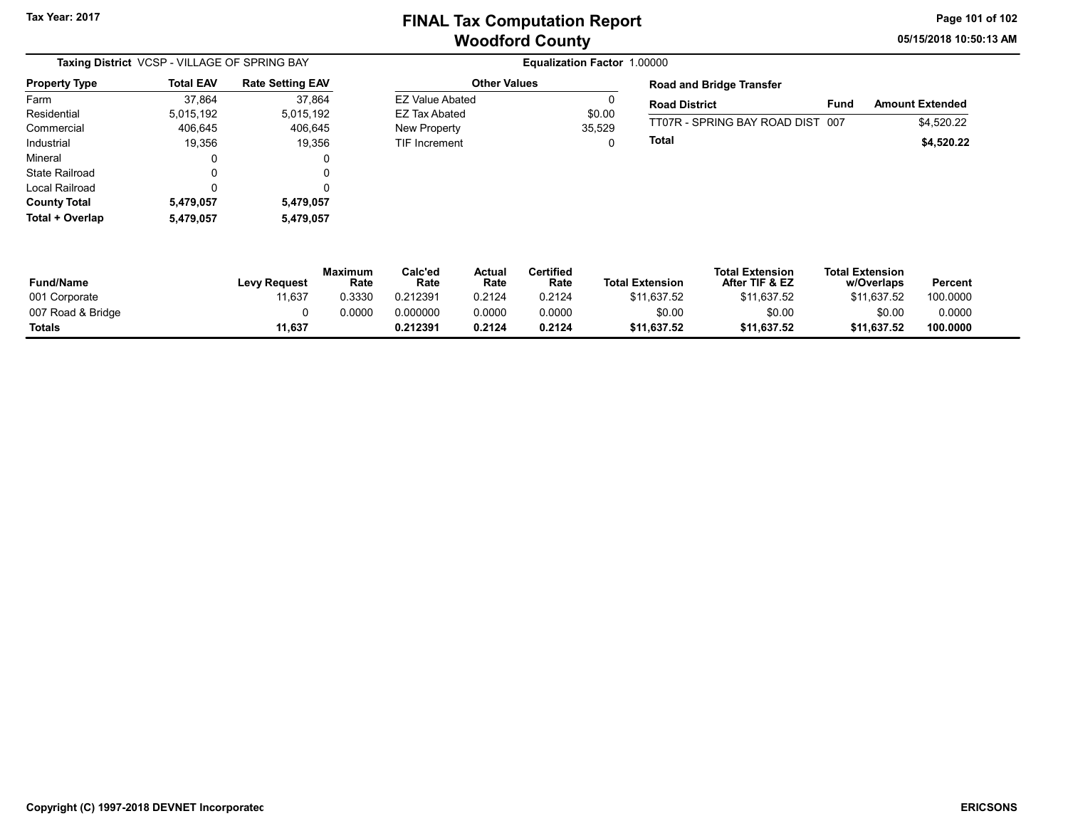05/15/2018 10:50:13 AM Page 101 of 102

| Taxing District VCSP - VILLAGE OF SPRING BAY |                  |                         |                        | Equalization Factor 1.00000 |                 |
|----------------------------------------------|------------------|-------------------------|------------------------|-----------------------------|-----------------|
| <b>Property Type</b>                         | <b>Total EAV</b> | <b>Rate Setting EAV</b> | <b>Other Values</b>    |                             | Roa             |
| Farm                                         | 37.864           | 37.864                  | <b>EZ Value Abated</b> | 0                           | Roa             |
| Residential                                  | 5,015,192        | 5,015,192               | EZ Tax Abated          | \$0.00                      | $\frac{1}{100}$ |
| Commercial                                   | 406.645          | 406,645                 | New Property           | 35,529                      |                 |
| Industrial                                   | 19.356           | 19.356                  | <b>TIF Increment</b>   | 0                           | Tota            |
| Mineral                                      | 0                | 0                       |                        |                             |                 |
| State Railroad                               | 0                | 0                       |                        |                             |                 |
| Local Railroad                               | 0                | 0                       |                        |                             |                 |
| <b>County Total</b>                          | 5,479,057        | 5,479,057               |                        |                             |                 |
| Total + Overlap                              | 5,479,057        | 5,479,057               |                        |                             |                 |

| <b>Equalization Factor 1.00</b> |  |
|---------------------------------|--|
| <b>Other Values</b>             |  |

| <b>Road and Bridge Transfer</b>  |      |                        |  |  |  |
|----------------------------------|------|------------------------|--|--|--|
| <b>Road District</b>             | Fund | <b>Amount Extended</b> |  |  |  |
| TT07R - SPRING BAY ROAD DIST 007 |      | \$4.520.22             |  |  |  |
| Total                            |      | \$4.520.22             |  |  |  |

| <b>Fund/Name</b>  | <b>Levy Request</b> | Maximum<br>Rate | Calc'ed<br>Rate | Actual<br>Rate | Certified<br>Rate | <b>Total Extension</b> | <b>Total Extension</b><br>After TIF & EZ | <b>Total Extension</b><br>w/Overlaps | Percent  |
|-------------------|---------------------|-----------------|-----------------|----------------|-------------------|------------------------|------------------------------------------|--------------------------------------|----------|
| 001 Corporate     | 11,637              | 0.3330          | 0.212391        | 0.2124         | 0.2124            | \$11,637.52            | \$11,637.52                              | \$11.637.52                          | 100.0000 |
| 007 Road & Bridge |                     | 0.0000          | 0.000000        | 0.0000         | 0.0000            | \$0.00                 | \$0.00                                   | \$0.00                               | 0.0000   |
| Totals            | 11,637              |                 | 0.212391        | 0.2124         | 0.2124            | \$11,637.52            | \$11,637.52                              | \$11,637.52                          | 100.0000 |